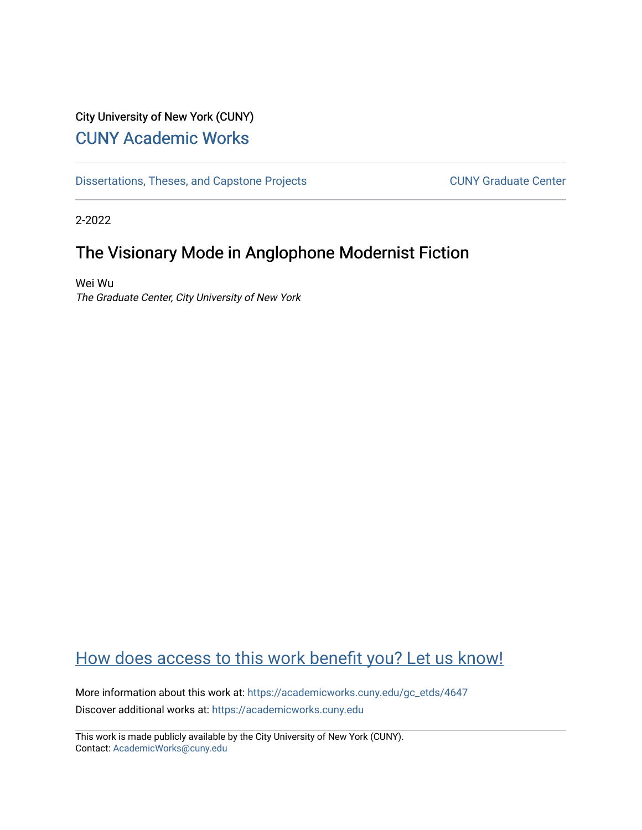# City University of New York (CUNY) [CUNY Academic Works](https://academicworks.cuny.edu/)

[Dissertations, Theses, and Capstone Projects](https://academicworks.cuny.edu/gc_etds) CUNY Graduate Center

2-2022

# The Visionary Mode in Anglophone Modernist Fiction

Wei Wu The Graduate Center, City University of New York

# [How does access to this work benefit you? Let us know!](http://ols.cuny.edu/academicworks/?ref=https://academicworks.cuny.edu/gc_etds/4647)

More information about this work at: [https://academicworks.cuny.edu/gc\\_etds/4647](https://academicworks.cuny.edu/gc_etds/4647) Discover additional works at: [https://academicworks.cuny.edu](https://academicworks.cuny.edu/?)

This work is made publicly available by the City University of New York (CUNY). Contact: [AcademicWorks@cuny.edu](mailto:AcademicWorks@cuny.edu)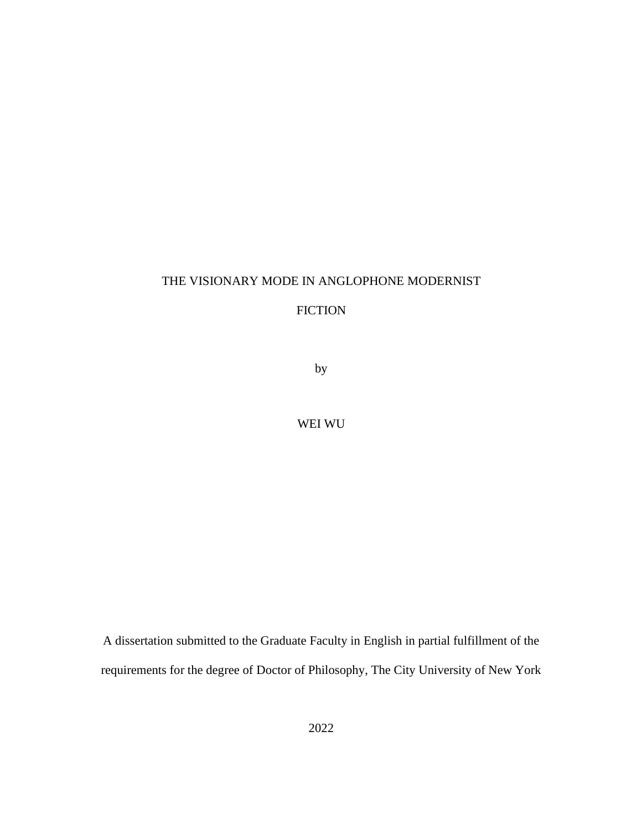### THE VISIONARY MODE IN ANGLOPHONE MODERNIST

## FICTION

by

### WEI WU

A dissertation submitted to the Graduate Faculty in English in partial fulfillment of the requirements for the degree of Doctor of Philosophy, The City University of New York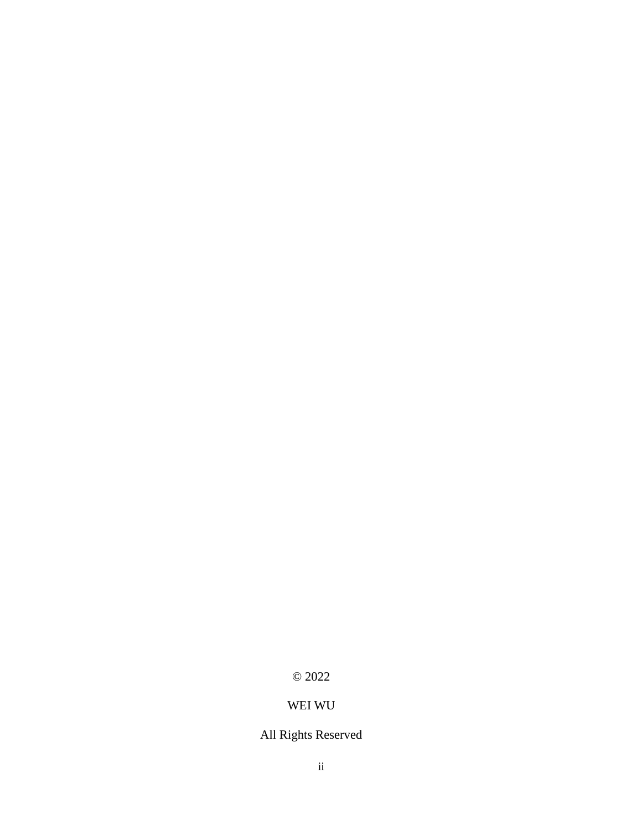## © 2022

# WEI WU

# All Rights Reserved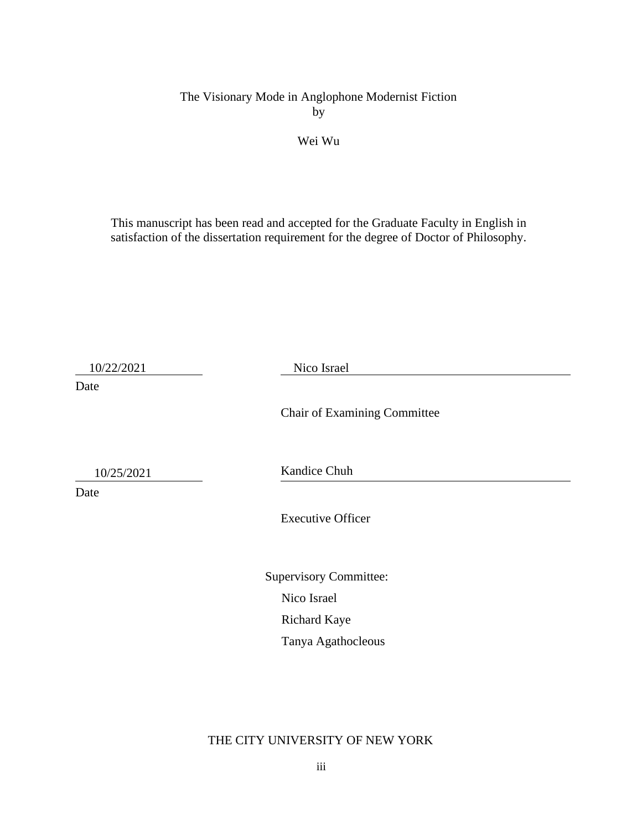The Visionary Mode in Anglophone Modernist Fiction by

### Wei Wu

This manuscript has been read and accepted for the Graduate Faculty in English in satisfaction of the dissertation requirement for the degree of Doctor of Philosophy.

10/22/2021 Nico Israel

Chair of Examining Committee

Date

10/25/2021

Date

Kandice Chuh

Executive Officer

Supervisory Committee: Nico Israel Richard Kaye Tanya Agathocleous

THE CITY UNIVERSITY OF NEW YORK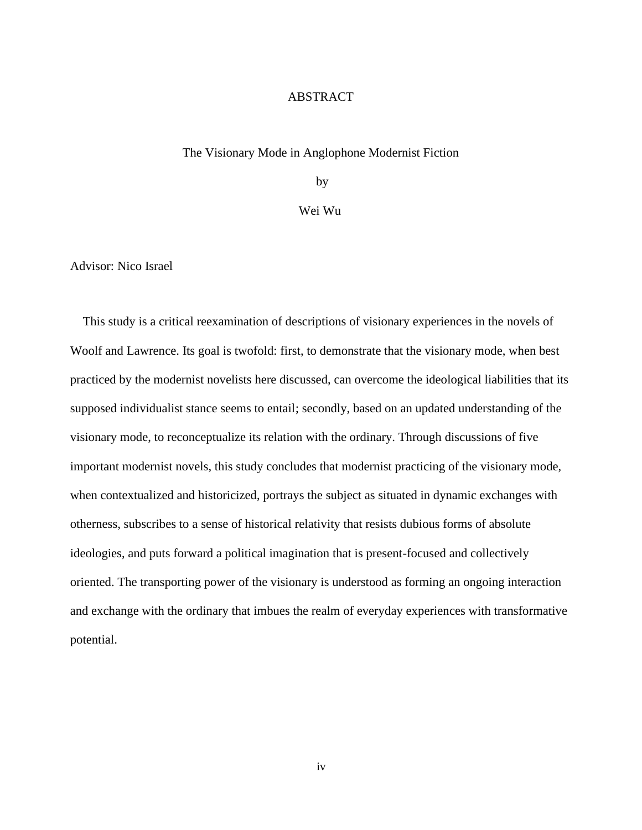#### ABSTRACT

#### The Visionary Mode in Anglophone Modernist Fiction

by

Wei Wu

Advisor: Nico Israel

This study is a critical reexamination of descriptions of visionary experiences in the novels of Woolf and Lawrence. Its goal is twofold: first, to demonstrate that the visionary mode, when best practiced by the modernist novelists here discussed, can overcome the ideological liabilities that its supposed individualist stance seems to entail; secondly, based on an updated understanding of the visionary mode, to reconceptualize its relation with the ordinary. Through discussions of five important modernist novels, this study concludes that modernist practicing of the visionary mode, when contextualized and historicized, portrays the subject as situated in dynamic exchanges with otherness, subscribes to a sense of historical relativity that resists dubious forms of absolute ideologies, and puts forward a political imagination that is present-focused and collectively oriented. The transporting power of the visionary is understood as forming an ongoing interaction and exchange with the ordinary that imbues the realm of everyday experiences with transformative potential.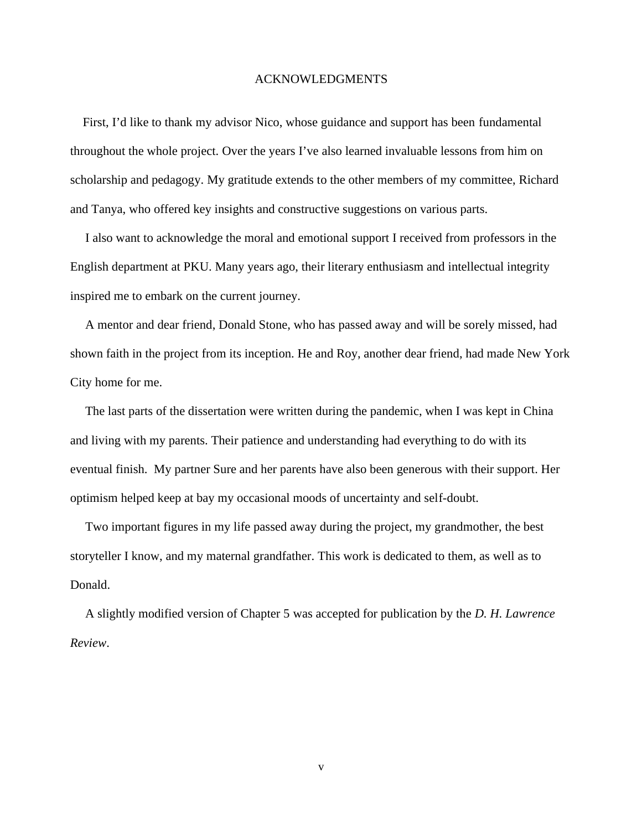#### ACKNOWLEDGMENTS

First, I'd like to thank my advisor Nico, whose guidance and support has been fundamental throughout the whole project. Over the years I've also learned invaluable lessons from him on scholarship and pedagogy. My gratitude extends to the other members of my committee, Richard and Tanya, who offered key insights and constructive suggestions on various parts.

I also want to acknowledge the moral and emotional support I received from professors in the English department at PKU. Many years ago, their literary enthusiasm and intellectual integrity inspired me to embark on the current journey.

A mentor and dear friend, Donald Stone, who has passed away and will be sorely missed, had shown faith in the project from its inception. He and Roy, another dear friend, had made New York City home for me.

The last parts of the dissertation were written during the pandemic, when I was kept in China and living with my parents. Their patience and understanding had everything to do with its eventual finish. My partner Sure and her parents have also been generous with their support. Her optimism helped keep at bay my occasional moods of uncertainty and self-doubt.

Two important figures in my life passed away during the project, my grandmother, the best storyteller I know, and my maternal grandfather. This work is dedicated to them, as well as to Donald.

A slightly modified version of Chapter 5 was accepted for publication by the *D. H. Lawrence Review*.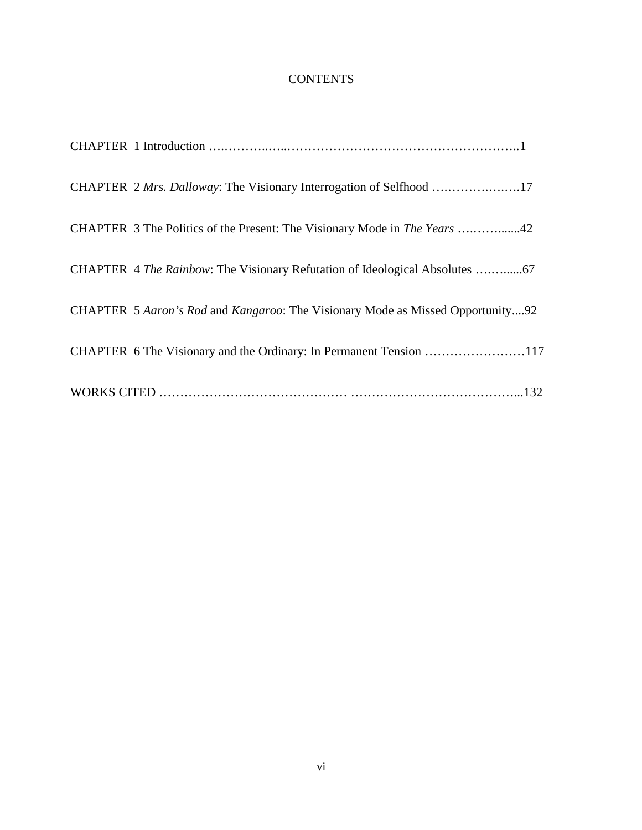## **CONTENTS**

| CHAPTER 5 Aaron's Rod and Kangaroo: The Visionary Mode as Missed Opportunity92 |
|--------------------------------------------------------------------------------|
| CHAPTER 6 The Visionary and the Ordinary: In Permanent Tension 117             |
|                                                                                |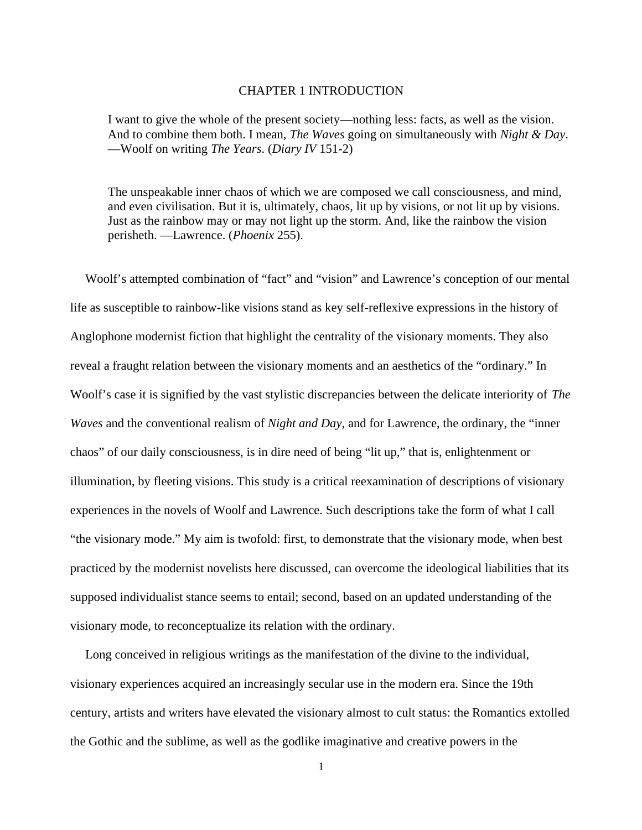#### CHAPTER 1 INTRODUCTION

I want to give the whole of the present society—nothing less: facts, as well as the vision. And to combine them both. I mean, *The Waves* going on simultaneously with *Night & Day*. —Woolf on writing *The Years*. (*Diary IV* 151-2)

The unspeakable inner chaos of which we are composed we call consciousness, and mind, and even civilisation. But it is, ultimately, chaos, lit up by visions, or not lit up by visions. Just as the rainbow may or may not light up the storm. And, like the rainbow the vision perisheth. —Lawrence. (*Phoenix* 255).

Woolf's attempted combination of "fact" and "vision" and Lawrence's conception of our mental life as susceptible to rainbow-like visions stand as key self-reflexive expressions in the history of Anglophone modernist fiction that highlight the centrality of the visionary moments. They also reveal a fraught relation between the visionary moments and an aesthetics of the "ordinary." In Woolf's case it is signified by the vast stylistic discrepancies between the delicate interiority of *The Waves* and the conventional realism of *Night and Day*, and for Lawrence, the ordinary, the "inner chaos" of our daily consciousness, is in dire need of being "lit up," that is, enlightenment or illumination, by fleeting visions. This study is a critical reexamination of descriptions of visionary experiences in the novels of Woolf and Lawrence. Such descriptions take the form of what I call "the visionary mode." My aim is twofold: first, to demonstrate that the visionary mode, when best practiced by the modernist novelists here discussed, can overcome the ideological liabilities that its supposed individualist stance seems to entail; second, based on an updated understanding of the visionary mode, to reconceptualize its relation with the ordinary.

Long conceived in religious writings as the manifestation of the divine to the individual, visionary experiences acquired an increasingly secular use in the modern era. Since the 19th century, artists and writers have elevated the visionary almost to cult status: the Romantics extolled the Gothic and the sublime, as well as the godlike imaginative and creative powers in the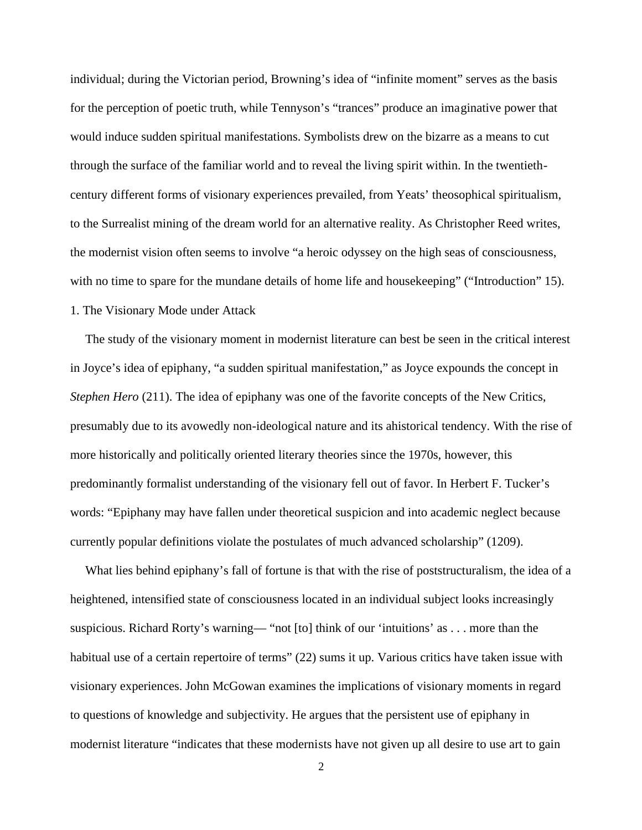individual; during the Victorian period, Browning's idea of "infinite moment" serves as the basis for the perception of poetic truth, while Tennyson's "trances" produce an imaginative power that would induce sudden spiritual manifestations. Symbolists drew on the bizarre as a means to cut through the surface of the familiar world and to reveal the living spirit within. In the twentieth century different forms of visionary experiences prevailed, from Yeats' theosophical spiritualism, to the Surrealist mining of the dream world for an alternative reality. As Christopher Reed writes, the modernist vision often seems to involve "a heroic odyssey on the high seas of consciousness, with no time to spare for the mundane details of home life and house keeping" ("Introduction" 15). 1. The Visionary Mode under Attack

The study of the visionary moment in modernist literature can best be seen in the critical interest in Joyce's idea of epiphany, "a sudden spiritual manifestation," as Joyce expounds the concept in *Stephen Hero* (211). The idea of epiphany was one of the favorite concepts of the New Critics, presumably due to its avowedly non-ideological nature and its ahistorical tendency. With the rise of more historically and politically oriented literary theories since the 1970s, however, this predominantly formalist understanding of the visionary fell out of favor. In Herbert F. Tucker's words: "Epiphany may have fallen under theoretical suspicion and into academic neglect because currently popular definitions violate the postulates of much advanced scholarship" (1209).

What lies behind epiphany's fall of fortune is that with the rise of poststructuralism, the idea of a heightened, intensified state of consciousness located in an individual subject looks increasingly suspicious. Richard Rorty's warning— "not [to] think of our 'intuitions' as . . . more than the habitual use of a certain repertoire of terms" (22) sums it up. Various critics have taken issue with visionary experiences. John McGowan examines the implications of visionary moments in regard to questions of knowledge and subjectivity. He argues that the persistent use of epiphany in modernist literature "indicates that these modernists have not given up all desire to use art to gain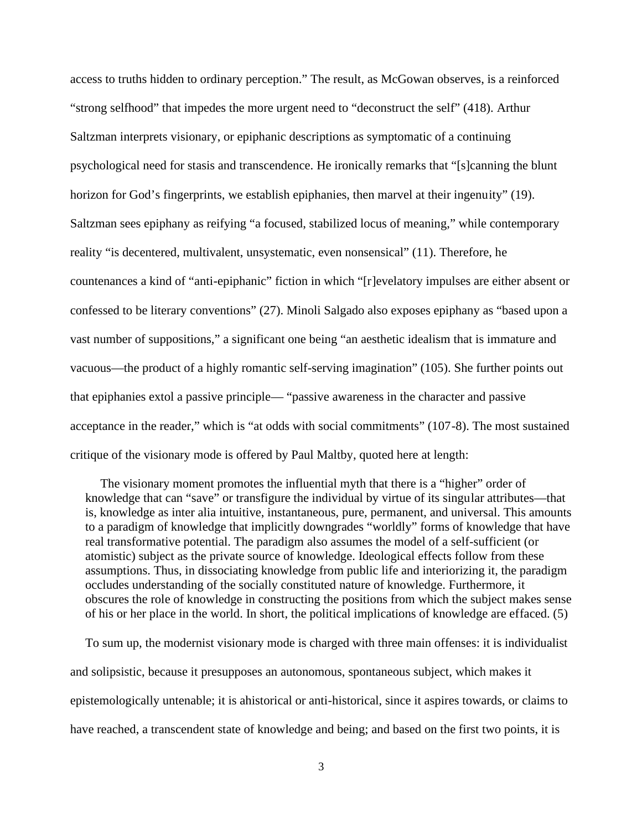access to truths hidden to ordinary perception." The result, as McGowan observes, is a reinforced "strong selfhood" that impedes the more urgent need to "deconstruct the self" (418). Arthur Saltzman interprets visionary, or epiphanic descriptions as symptomatic of a continuing psychological need for stasis and transcendence. He ironically remarks that "[s]canning the blunt horizon for God's fingerprints, we establish epiphanies, then marvel at their ingenuity" (19). Saltzman sees epiphany as reifying "a focused, stabilized locus of meaning," while contemporary reality "is decentered, multivalent, unsystematic, even nonsensical" (11). Therefore, he countenances a kind of "anti-epiphanic" fiction in which "[r]evelatory impulses are either absent or confessed to be literary conventions" (27). Minoli Salgado also exposes epiphany as "based upon a vast number of suppositions," a significant one being "an aesthetic idealism that is immature and vacuous—the product of a highly romantic self-serving imagination" (105). She further points out that epiphanies extol a passive principle— "passive awareness in the character and passive acceptance in the reader," which is "at odds with social commitments" (107-8). The most sustained critique of the visionary mode is offered by Paul Maltby, quoted here at length:

The visionary moment promotes the influential myth that there is a "higher" order of knowledge that can "save" or transfigure the individual by virtue of its singular attributes—that is, knowledge as inter alia intuitive, instantaneous, pure, permanent, and universal. This amounts to a paradigm of knowledge that implicitly downgrades "worldly" forms of knowledge that have real transformative potential. The paradigm also assumes the model of a self-sufficient (or atomistic) subject as the private source of knowledge. Ideological effects follow from these assumptions. Thus, in dissociating knowledge from public life and interiorizing it, the paradigm occludes understanding of the socially constituted nature of knowledge. Furthermore, it obscures the role of knowledge in constructing the positions from which the subject makes sense of his or her place in the world. In short, the political implications of knowledge are effaced. (5)

To sum up, the modernist visionary mode is charged with three main offenses: it is individualist and solipsistic, because it presupposes an autonomous, spontaneous subject, which makes it epistemologically untenable; it is ahistorical or anti-historical, since it aspires towards, or claims to have reached, a transcendent state of knowledge and being; and based on the first two points, it is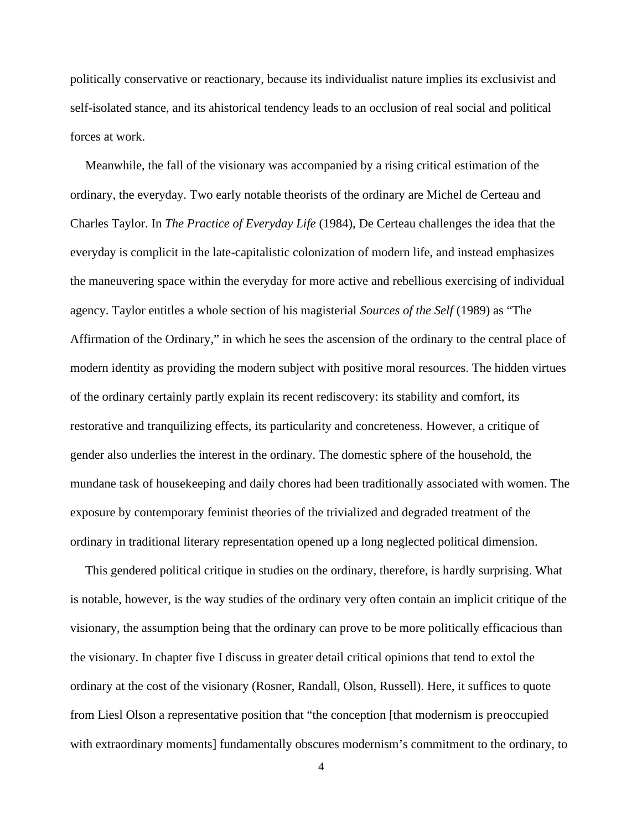politically conservative or reactionary, because its individualist nature implies its exclusivist and self-isolated stance, and its ahistorical tendency leads to an occlusion of real social and political forces at work.

Meanwhile, the fall of the visionary was accompanied by a rising critical estimation of the ordinary, the everyday. Two early notable theorists of the ordinary are Michel de Certeau and Charles Taylor. In *The Practice of Everyday Life* (1984), De Certeau challenges the idea that the everyday is complicit in the late-capitalistic colonization of modern life, and instead emphasizes the maneuvering space within the everyday for more active and rebellious exercising of individual agency. Taylor entitles a whole section of his magisterial *Sources of the Self* (1989) as "The Affirmation of the Ordinary," in which he sees the ascension of the ordinary to the central place of modern identity as providing the modern subject with positive moral resources. The hidden virtues of the ordinary certainly partly explain its recent rediscovery: its stability and comfort, its restorative and tranquilizing effects, its particularity and concreteness. However, a critique of gender also underlies the interest in the ordinary. The domestic sphere of the household, the mundane task of housekeeping and daily chores had been traditionally associated with women. The exposure by contemporary feminist theories of the trivialized and degraded treatment of the ordinary in traditional literary representation opened up a long neglected political dimension.

This gendered political critique in studies on the ordinary, therefore, is hardly surprising. What is notable, however, is the way studies of the ordinary very often contain an implicit critique of the visionary, the assumption being that the ordinary can prove to be more politically efficacious than the visionary. In chapter five I discuss in greater detail critical opinions that tend to extol the ordinary at the cost of the visionary (Rosner, Randall, Olson, Russell). Here, it suffices to quote from Liesl Olson a representative position that "the conception [that modernism is preoccupied with extraordinary moments] fundamentally obscures modernism's commitment to the ordinary, to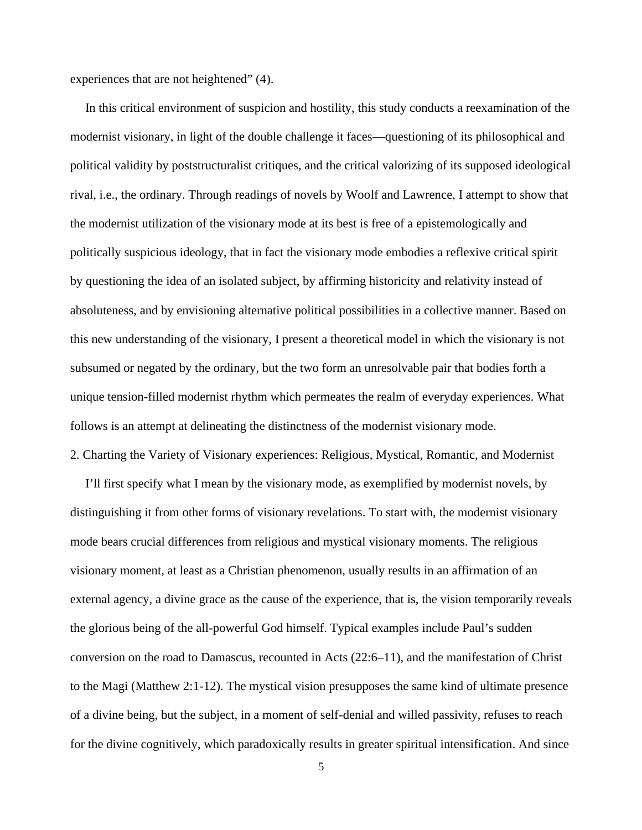experiences that are not heightened" (4).

In this critical environment of suspicion and hostility, this study conducts a reexamination of the modernist visionary, in light of the double challenge it faces—questioning of its philosophical and political validity by poststructuralist critiques, and the critical valorizing of its supposed ideological rival, i.e., the ordinary. Through readings of novels by Woolf and Lawrence, I attempt to show that the modernist utilization of the visionary mode at its best is free of a epistemologically and politically suspicious ideology, that in fact the visionary mode embodies a reflexive critical spirit by questioning the idea of an isolated subject, by affirming historicity and relativity instead of absoluteness, and by envisioning alternative political possibilities in a collective manner. Based on this new understanding of the visionary, I present a theoretical model in which the visionary is not subsumed or negated by the ordinary, but the two form an unresolvable pair that bodies forth a unique tension-filled modernist rhythm which permeates the realm of everyday experiences. What follows is an attempt at delineating the distinctness of the modernist visionary mode.

2. Charting the Variety of Visionary experiences: Religious, Mystical, Romantic, and Modernist

I'll first specify what I mean by the visionary mode, as exemplified by modernist novels, by distinguishing it from other forms of visionary revelations. To start with, the modernist visionary mode bears crucial differences from religious and mystical visionary moments. The religious visionary moment, at least as a Christian phenomenon, usually results in an affirmation of an external agency, a divine grace as the cause of the experience, that is, the vision temporarily reveals the glorious being of the all-powerful God himself. Typical examples include Paul's sudden conversion on the road to Damascus, recounted in Acts (22:6–11), and the manifestation of Christ to the Magi (Matthew 2:1-12). The mystical vision presupposes the same kind of ultimate presence of a divine being, but the subject, in a moment of self-denial and willed passivity, refuses to reach for the divine cognitively, which paradoxically results in greater spiritual intensification. And since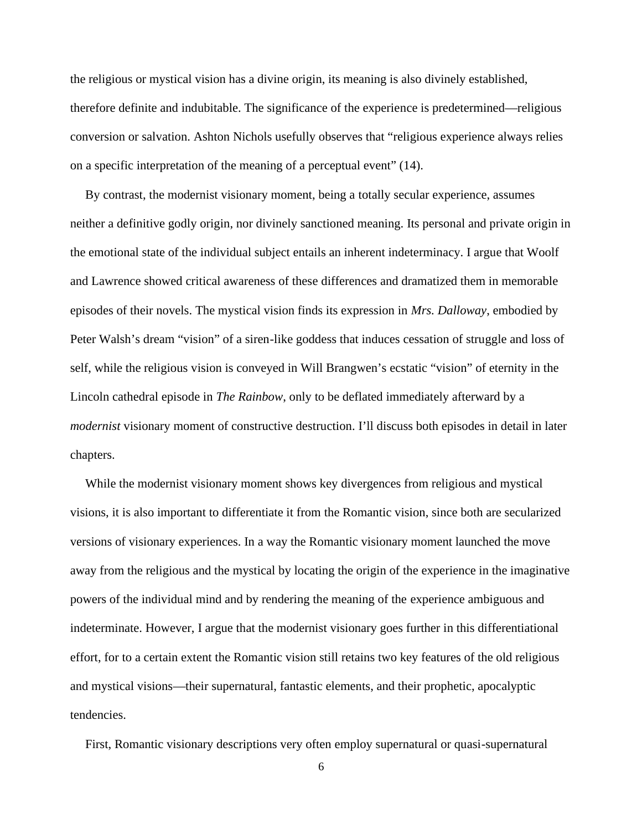the religious or mystical vision has a divine origin, its meaning is also divinely established, therefore definite and indubitable. The significance of the experience is predetermined—religious conversion or salvation. Ashton Nichols usefully observes that "religious experience always relies on a specific interpretation of the meaning of a perceptual event" (14).

By contrast, the modernist visionary moment, being a totally secular experience, assumes neither a definitive godly origin, nor divinely sanctioned meaning. Its personal and private origin in the emotional state of the individual subject entails an inherent indeterminacy. I argue that Woolf and Lawrence showed critical awareness of these differences and dramatized them in memorable episodes of their novels. The mystical vision finds its expression in *Mrs. Dalloway*, embodied by Peter Walsh's dream "vision" of a siren-like goddess that induces cessation of struggle and loss of self, while the religious vision is conveyed in Will Brangwen's ecstatic "vision" of eternity in the Lincoln cathedral episode in *The Rainbow*, only to be deflated immediately afterward by a *modernist* visionary moment of constructive destruction. I'll discuss both episodes in detail in later chapters.

While the modernist visionary moment shows key divergences from religious and mystical visions, it is also important to differentiate it from the Romantic vision, since both are secularized versions of visionary experiences. In a way the Romantic visionary moment launched the move away from the religious and the mystical by locating the origin of the experience in the imaginative powers of the individual mind and by rendering the meaning of the experience ambiguous and indeterminate. However, I argue that the modernist visionary goes further in this differentiational effort, for to a certain extent the Romantic vision still retains two key features of the old religious and mystical visions—their supernatural, fantastic elements, and their prophetic, apocalyptic tendencies.

First, Romantic visionary descriptions very often employ supernatural or quasi-supernatural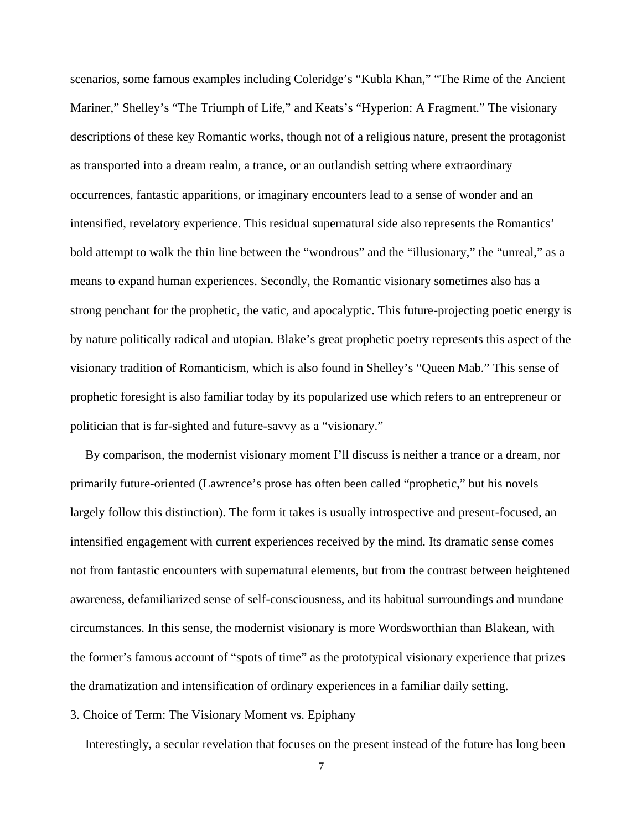scenarios, some famous examples including Coleridge's "Kubla Khan," "The Rime of the Ancient Mariner," Shelley's "The Triumph of Life," and Keats's "Hyperion: A Fragment." The visionary descriptions of these key Romantic works, though not of a religious nature, present the protagonist as transported into a dream realm, a trance, or an outlandish setting where extraordinary occurrences, fantastic apparitions, or imaginary encounters lead to a sense of wonder and an intensified, revelatory experience. This residual supernatural side also represents the Romantics' bold attempt to walk the thin line between the "wondrous" and the "illusionary," the "unreal," as a means to expand human experiences. Secondly, the Romantic visionary sometimes also has a strong penchant for the prophetic, the vatic, and apocalyptic. This future-projecting poetic energy is by nature politically radical and utopian. Blake's great prophetic poetry represents this aspect of the visionary tradition of Romanticism, which is also found in Shelley's "Queen Mab." This sense of prophetic foresight is also familiar today by its popularized use which refers to an entrepreneur or politician that is far-sighted and future-savvy as a "visionary."

By comparison, the modernist visionary moment I'll discuss is neither a trance or a dream, nor primarily future-oriented (Lawrence's prose has often been called "prophetic," but his novels largely follow this distinction). The form it takes is usually introspective and present-focused, an intensified engagement with current experiences received by the mind. Its dramatic sense comes not from fantastic encounters with supernatural elements, but from the contrast between heightened awareness, defamiliarized sense of self-consciousness, and its habitual surroundings and mundane circumstances. In this sense, the modernist visionary is more Wordsworthian than Blakean, with the former's famous account of "spots of time" as the prototypical visionary experience that prizes the dramatization and intensification of ordinary experiences in a familiar daily setting.

3. Choice of Term: The Visionary Moment vs. Epiphany

Interestingly, a secular revelation that focuses on the present instead of the future has long been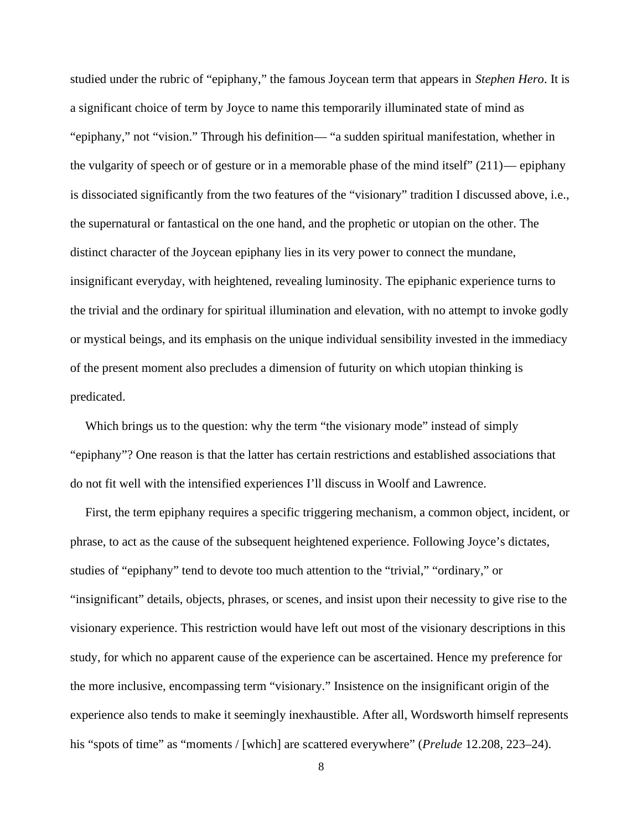studied under the rubric of "epiphany," the famous Joycean term that appears in *Stephen Hero*. It is a significant choice of term by Joyce to name this temporarily illuminated state of mind as "epiphany," not "vision." Through his definition— "a sudden spiritual manifestation, whether in the vulgarity of speech or of gesture or in a memorable phase of the mind itself" (211)— epiphany is dissociated significantly from the two features of the "visionary" tradition I discussed above, i.e., the supernatural or fantastical on the one hand, and the prophetic or utopian on the other. The distinct character of the Joycean epiphany lies in its very power to connect the mundane, insignificant everyday, with heightened, revealing luminosity. The epiphanic experience turns to the trivial and the ordinary for spiritual illumination and elevation, with no attempt to invoke godly or mystical beings, and its emphasis on the unique individual sensibility invested in the immediacy of the present moment also precludes a dimension of futurity on which utopian thinking is predicated.

Which brings us to the question: why the term "the visionary mode" instead of simply "epiphany"? One reason is that the latter has certain restrictions and established associations that do not fit well with the intensified experiences I'll discuss in Woolf and Lawrence.

First, the term epiphany requires a specific triggering mechanism, a common object, incident, or phrase, to act as the cause of the subsequent heightened experience. Following Joyce's dictates, studies of "epiphany" tend to devote too much attention to the "trivial," "ordinary," or "insignificant" details, objects, phrases, or scenes, and insist upon their necessity to give rise to the visionary experience. This restriction would have left out most of the visionary descriptions in this study, for which no apparent cause of the experience can be ascertained. Hence my preference for the more inclusive, encompassing term "visionary." Insistence on the insignificant origin of the experience also tends to make it seemingly inexhaustible. After all, Wordsworth himself represents his "spots of time" as "moments / [which] are scattered everywhere" (*Prelude* 12.208, 223–24).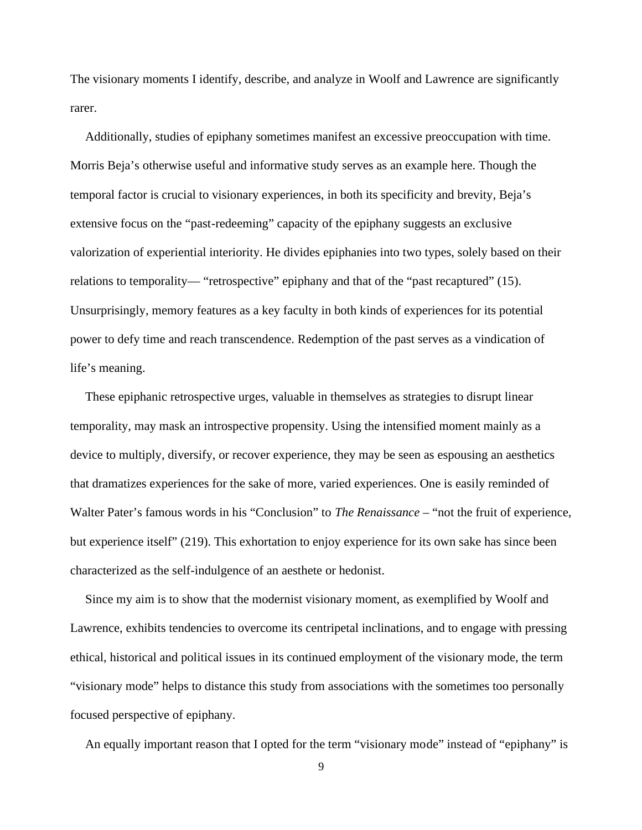The visionary moments I identify, describe, and analyze in Woolf and Lawrence are significantly rarer.

Additionally, studies of epiphany sometimes manifest an excessive preoccupation with time. Morris Beja's otherwise useful and informative study serves as an example here. Though the temporal factor is crucial to visionary experiences, in both its specificity and brevity, Beja's extensive focus on the "past-redeeming" capacity of the epiphany suggests an exclusive valorization of experiential interiority. He divides epiphanies into two types, solely based on their relations to temporality— "retrospective" epiphany and that of the "past recaptured" (15). Unsurprisingly, memory features as a key faculty in both kinds of experiences for its potential power to defy time and reach transcendence. Redemption of the past serves as a vindication of life's meaning.

These epiphanic retrospective urges, valuable in themselves as strategies to disrupt linear temporality, may mask an introspective propensity. Using the intensified moment mainly as a device to multiply, diversify, or recover experience, they may be seen as espousing an aesthetics that dramatizes experiences for the sake of more, varied experiences. One is easily reminded of Walter Pater's famous words in his "Conclusion" to *The Renaissance* – "not the fruit of experience, but experience itself" (219). This exhortation to enjoy experience for its own sake has since been characterized as the self-indulgence of an aesthete or hedonist.

Since my aim is to show that the modernist visionary moment, as exemplified by Woolf and Lawrence, exhibits tendencies to overcome its centripetal inclinations, and to engage with pressing ethical, historical and political issues in its continued employment of the visionary mode, the term "visionary mode" helps to distance this study from associations with the sometimes too personally focused perspective of epiphany.

An equally important reason that I opted for the term "visionary mode" instead of "epiphany" is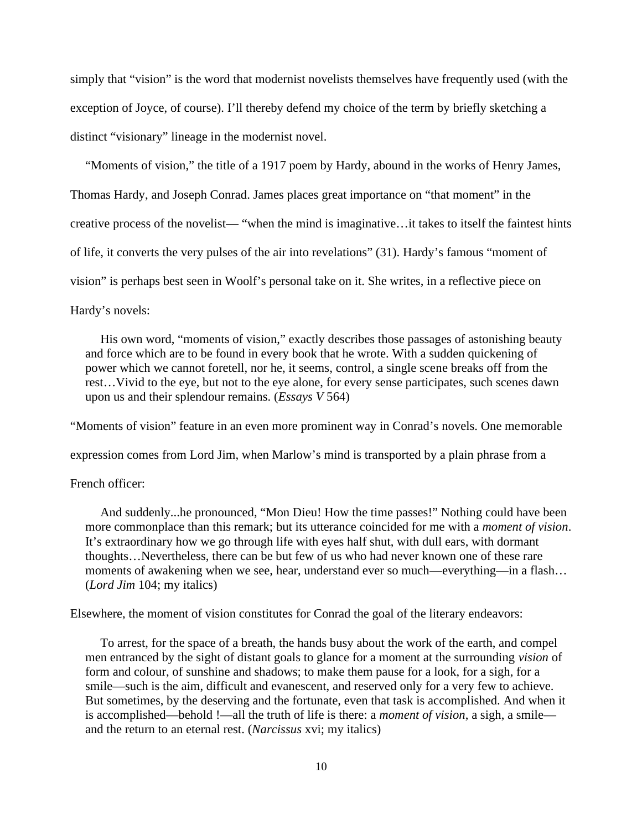simply that "vision" is the word that modernist novelists themselves have frequently used (with the exception of Joyce, of course). I'll thereby defend my choice of the term by briefly sketching a distinct "visionary" lineage in the modernist novel.

"Moments of vision," the title of a 1917 poem by Hardy, abound in the works of Henry James, Thomas Hardy, and Joseph Conrad. James places great importance on "that moment" in the creative process of the novelist— "when the mind is imaginative…it takes to itself the faintest hints of life, it converts the very pulses of the air into revelations" (31). Hardy's famous "moment of vision" is perhaps best seen in Woolf's personal take on it. She writes, in a reflective piece on Hardy's novels:

His own word, "moments of vision," exactly describes those passages of astonishing beauty and force which are to be found in every book that he wrote. With a sudden quickening of power which we cannot foretell, nor he, it seems, control, a single scene breaks off from the rest…Vivid to the eye, but not to the eye alone, for every sense participates, such scenes dawn upon us and their splendour remains. (*Essays V* 564)

"Moments of vision" feature in an even more prominent way in Conrad's novels. One memorable

expression comes from Lord Jim, when Marlow's mind is transported by a plain phrase from a

#### French officer:

And suddenly...he pronounced, "Mon Dieu! How the time passes!" Nothing could have been more commonplace than this remark; but its utterance coincided for me with a *moment of vision*. It's extraordinary how we go through life with eyes half shut, with dull ears, with dormant thoughts…Nevertheless, there can be but few of us who had never known one of these rare moments of awakening when we see, hear, understand ever so much—everything—in a flash… (*Lord Jim* 104; my italics)

Elsewhere, the moment of vision constitutes for Conrad the goal of the literary endeavors:

To arrest, for the space of a breath, the hands busy about the work of the earth, and compel men entranced by the sight of distant goals to glance for a moment at the surrounding *vision* of form and colour, of sunshine and shadows; to make them pause for a look, for a sigh, for a smile—such is the aim, difficult and evanescent, and reserved only for a very few to achieve. But sometimes, by the deserving and the fortunate, even that task is accomplished. And when it is accomplished—behold !—all the truth of life is there: a *moment of vision*, a sigh, a smile and the return to an eternal rest. (*Narcissus* xvi; my italics)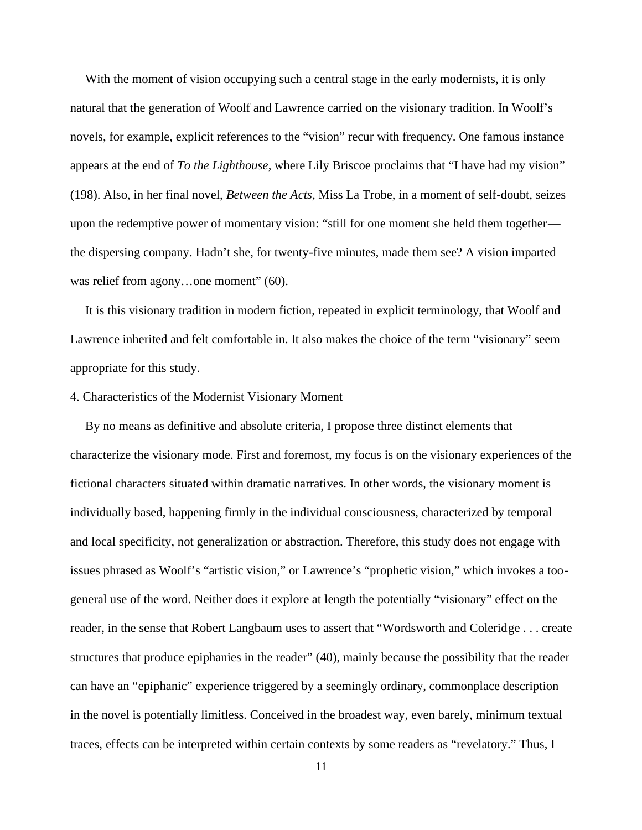With the moment of vision occupying such a central stage in the early modernists, it is only natural that the generation of Woolf and Lawrence carried on the visionary tradition. In Woolf's novels, for example, explicit references to the "vision" recur with frequency. One famous instance appears at the end of *To the Lighthouse*, where Lily Briscoe proclaims that "I have had my vision" (198). Also, in her final novel, *Between the Acts*, Miss La Trobe, in a moment of self-doubt, seizes upon the redemptive power of momentary vision: "still for one moment she held them together the dispersing company. Hadn't she, for twenty-five minutes, made them see? A vision imparted was relief from agony...one moment" (60).

It is this visionary tradition in modern fiction, repeated in explicit terminology, that Woolf and Lawrence inherited and felt comfortable in. It also makes the choice of the term "visionary" seem appropriate for this study.

#### 4. Characteristics of the Modernist Visionary Moment

By no means as definitive and absolute criteria, I propose three distinct elements that characterize the visionary mode. First and foremost, my focus is on the visionary experiences of the fictional characters situated within dramatic narratives. In other words, the visionary moment is individually based, happening firmly in the individual consciousness, characterized by temporal and local specificity, not generalization or abstraction. Therefore, this study does not engage with issues phrased as Woolf's "artistic vision," or Lawrence's "prophetic vision," which invokes a too general use of the word. Neither does it explore at length the potentially "visionary" effect on the reader, in the sense that Robert Langbaum uses to assert that "Wordsworth and Coleridge . . . create structures that produce epiphanies in the reader" (40), mainly because the possibility that the reader can have an "epiphanic" experience triggered by a seemingly ordinary, commonplace description in the novel is potentially limitless. Conceived in the broadest way, even barely, minimum textual traces, effects can be interpreted within certain contexts by some readers as "revelatory." Thus, I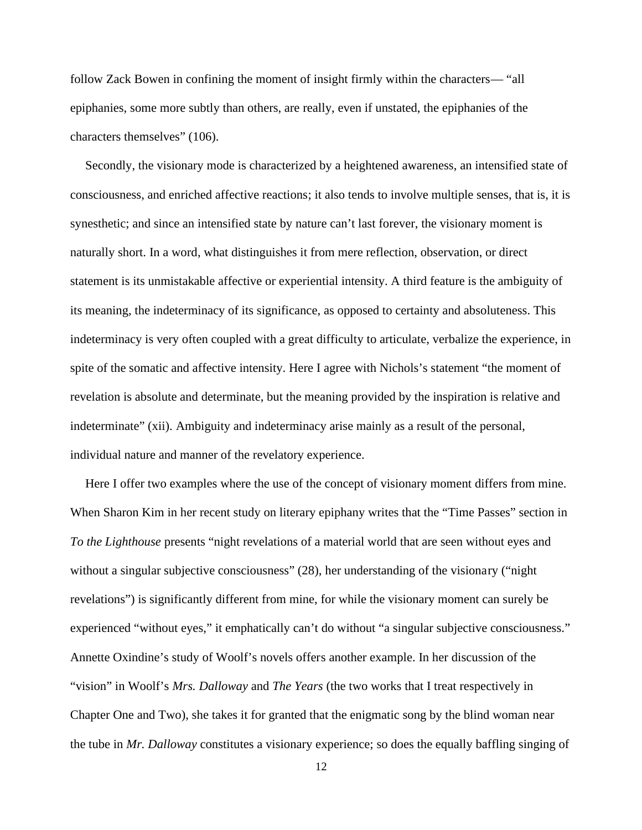follow Zack Bowen in confining the moment of insight firmly within the characters— "all epiphanies, some more subtly than others, are really, even if unstated, the epiphanies of the characters themselves" (106).

Secondly, the visionary mode is characterized by a heightened awareness, an intensified state of consciousness, and enriched affective reactions; it also tends to involve multiple senses, that is, it is synesthetic; and since an intensified state by nature can't last forever, the visionary moment is naturally short. In a word, what distinguishes it from mere reflection, observation, or direct statement is its unmistakable affective or experiential intensity. A third feature is the ambiguity of its meaning, the indeterminacy of its significance, as opposed to certainty and absoluteness. This indeterminacy is very often coupled with a great difficulty to articulate, verbalize the experience, in spite of the somatic and affective intensity. Here I agree with Nichols's statement "the moment of revelation is absolute and determinate, but the meaning provided by the inspiration is relative and indeterminate" (xii). Ambiguity and indeterminacy arise mainly as a result of the personal, individual nature and manner of the revelatory experience.

Here I offer two examples where the use of the concept of visionary moment differs from mine. When Sharon Kim in her recent study on literary epiphany writes that the "Time Passes" section in *To the Lighthouse* presents "night revelations of a material world that are seen without eyes and without a singular subjective consciousness" (28), her understanding of the visionary ("night" revelations") is significantly different from mine, for while the visionary moment can surely be experienced "without eyes," it emphatically can't do without "a singular subjective consciousness." Annette Oxindine's study of Woolf's novels offers another example. In her discussion of the "vision" in Woolf's *Mrs. Dalloway* and *The Years* (the two works that I treat respectively in Chapter One and Two), she takes it for granted that the enigmatic song by the blind woman near the tube in *Mr. Dalloway* constitutes a visionary experience; so does the equally baffling singing of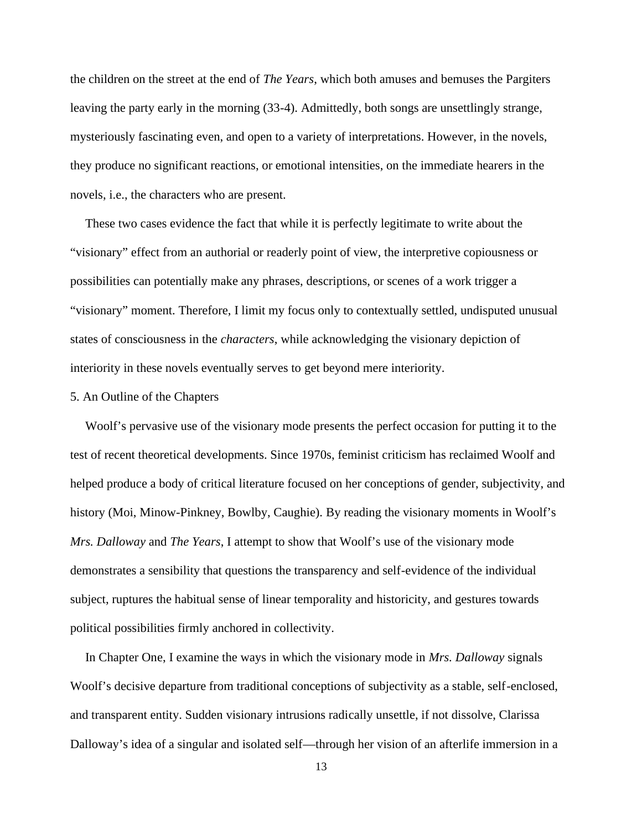the children on the street at the end of *The Years*, which both amuses and bemuses the Pargiters leaving the party early in the morning (33-4). Admittedly, both songs are unsettlingly strange, mysteriously fascinating even, and open to a variety of interpretations. However, in the novels, they produce no significant reactions, or emotional intensities, on the immediate hearers in the novels, i.e., the characters who are present.

These two cases evidence the fact that while it is perfectly legitimate to write about the "visionary" effect from an authorial or readerly point of view, the interpretive copiousness or possibilities can potentially make any phrases, descriptions, or scenes of a work trigger a "visionary" moment. Therefore, I limit my focus only to contextually settled, undisputed unusual states of consciousness in the *characters*, while acknowledging the visionary depiction of interiority in these novels eventually serves to get beyond mere interiority.

#### 5. An Outline of the Chapters

Woolf's pervasive use of the visionary mode presents the perfect occasion for putting it to the test of recent theoretical developments. Since 1970s, feminist criticism has reclaimed Woolf and helped produce a body of critical literature focused on her conceptions of gender, subjectivity, and history (Moi, Minow-Pinkney, Bowlby, Caughie). By reading the visionary moments in Woolf's *Mrs. Dalloway* and *The Years*, I attempt to show that Woolf's use of the visionary mode demonstrates a sensibility that questions the transparency and self-evidence of the individual subject, ruptures the habitual sense of linear temporality and historicity, and gestures towards political possibilities firmly anchored in collectivity.

In Chapter One, I examine the ways in which the visionary mode in *Mrs. Dalloway* signals Woolf's decisive departure from traditional conceptions of subjectivity as a stable, self-enclosed, and transparent entity. Sudden visionary intrusions radically unsettle, if not dissolve, Clarissa Dalloway's idea of a singular and isolated self—through her vision of an afterlife immersion in a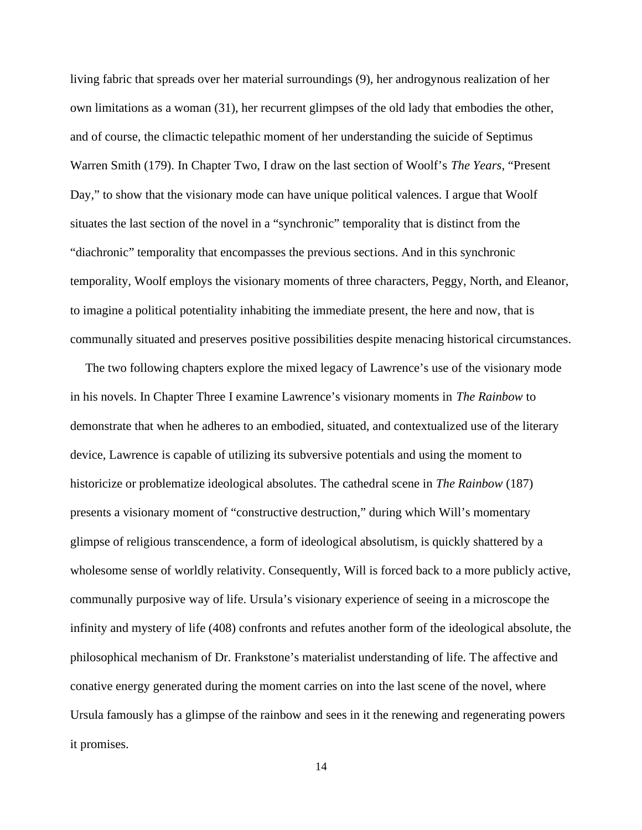living fabric that spreads over her material surroundings (9), her androgynous realization of her own limitations as a woman (31), her recurrent glimpses of the old lady that embodies the other, and of course, the climactic telepathic moment of her understanding the suicide of Septimus Warren Smith (179). In Chapter Two, I draw on the last section of Woolf's *The Years*, "Present Day," to show that the visionary mode can have unique political valences. I argue that Woolf situates the last section of the novel in a "synchronic" temporality that is distinct from the "diachronic" temporality that encompasses the previous sections. And in this synchronic temporality, Woolf employs the visionary moments of three characters, Peggy, North, and Eleanor, to imagine a political potentiality inhabiting the immediate present, the here and now, that is communally situated and preserves positive possibilities despite menacing historical circumstances.

The two following chapters explore the mixed legacy of Lawrence's use of the visionary mode in his novels. In Chapter Three I examine Lawrence's visionary moments in *The Rainbow* to demonstrate that when he adheres to an embodied, situated, and contextualized use of the literary device, Lawrence is capable of utilizing its subversive potentials and using the moment to historicize or problematize ideological absolutes. The cathedral scene in *The Rainbow* (187) presents a visionary moment of "constructive destruction," during which Will's momentary glimpse of religious transcendence, a form of ideological absolutism, is quickly shattered by a wholesome sense of worldly relativity. Consequently, Will is forced back to a more publicly active, communally purposive way of life. Ursula's visionary experience of seeing in a microscope the infinity and mystery of life (408) confronts and refutes another form of the ideological absolute, the philosophical mechanism of Dr. Frankstone's materialist understanding of life. The affective and conative energy generated during the moment carries on into the last scene of the novel, where Ursula famously has a glimpse of the rainbow and sees in it the renewing and regenerating powers it promises.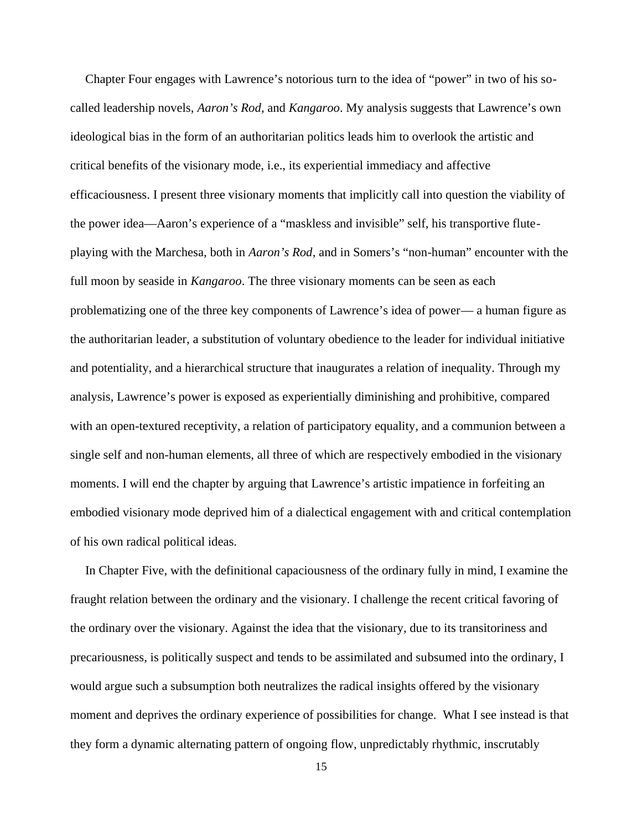Chapter Four engages with Lawrence's notorious turn to the idea of "power" in two of his so called leadership novels, *Aaron's Rod*, and *Kangaroo*. My analysis suggests that Lawrence's own ideological bias in the form of an authoritarian politics leads him to overlook the artistic and critical benefits of the visionary mode, i.e., its experiential immediacy and affective efficaciousness. I present three visionary moments that implicitly call into question the viability of the power idea—Aaron's experience of a "maskless and invisible" self, his transportive flute playing with the Marchesa, both in *Aaron's Rod*, and in Somers's "non-human" encounter with the full moon by seaside in *Kangaroo*. The three visionary moments can be seen as each problematizing one of the three key components of Lawrence's idea of power— a human figure as the authoritarian leader, a substitution of voluntary obedience to the leader for individual initiative and potentiality, and a hierarchical structure that inaugurates a relation of inequality. Through my analysis, Lawrence's power is exposed as experientially diminishing and prohibitive, compared with an open-textured receptivity, a relation of participatory equality, and a communion between a single self and non-human elements, all three of which are respectively embodied in the visionary moments. I will end the chapter by arguing that Lawrence's artistic impatience in forfeiting an embodied visionary mode deprived him of a dialectical engagement with and critical contemplation of his own radical political ideas.

In Chapter Five, with the definitional capaciousness of the ordinary fully in mind, I examine the fraught relation between the ordinary and the visionary. I challenge the recent critical favoring of the ordinary over the visionary. Against the idea that the visionary, due to its transitoriness and precariousness, is politically suspect and tends to be assimilated and subsumed into the ordinary, I would argue such a subsumption both neutralizes the radical insights offered by the visionary moment and deprives the ordinary experience of possibilities for change. What I see instead is that they form a dynamic alternating pattern of ongoing flow, unpredictably rhythmic, inscrutably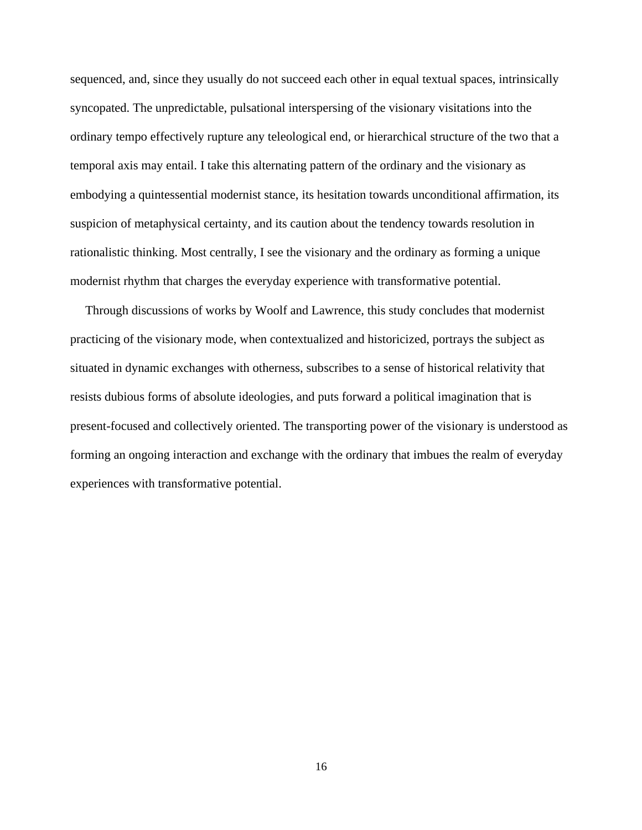sequenced, and, since they usually do not succeed each other in equal textual spaces, intrinsically syncopated. The unpredictable, pulsational interspersing of the visionary visitations into the ordinary tempo effectively rupture any teleological end, or hierarchical structure of the two that a temporal axis may entail. I take this alternating pattern of the ordinary and the visionary as embodying a quintessential modernist stance, its hesitation towards unconditional affirmation, its suspicion of metaphysical certainty, and its caution about the tendency towards resolution in rationalistic thinking. Most centrally, I see the visionary and the ordinary as forming a unique modernist rhythm that charges the everyday experience with transformative potential.

Through discussions of works by Woolf and Lawrence, this study concludes that modernist practicing of the visionary mode, when contextualized and historicized, portrays the subject as situated in dynamic exchanges with otherness, subscribes to a sense of historical relativity that resists dubious forms of absolute ideologies, and puts forward a political imagination that is present-focused and collectively oriented. The transporting power of the visionary is understood as forming an ongoing interaction and exchange with the ordinary that imbues the realm of everyday experiences with transformative potential.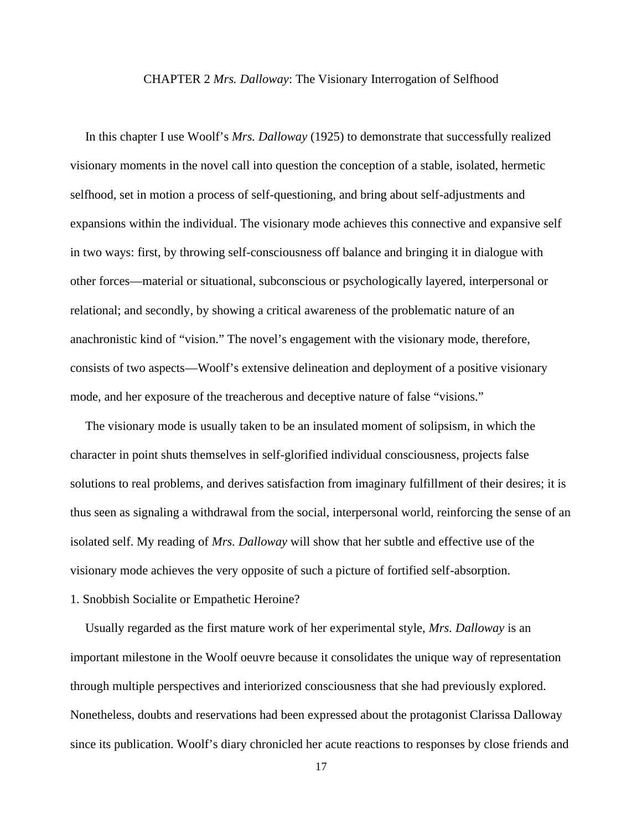#### CHAPTER 2 *Mrs. Dalloway*: The Visionary Interrogation of Selfhood

In this chapter I use Woolf's *Mrs. Dalloway* (1925) to demonstrate that successfully realized visionary moments in the novel call into question the conception of a stable, isolated, hermetic selfhood, set in motion a process of self-questioning, and bring about self-adjustments and expansions within the individual. The visionary mode achieves this connective and expansive self in two ways: first, by throwing self-consciousness off balance and bringing it in dialogue with other forces—material or situational, subconscious or psychologically layered, interpersonal or relational; and secondly, by showing a critical awareness of the problematic nature of an anachronistic kind of "vision." The novel's engagement with the visionary mode, therefore, consists of two aspects—Woolf's extensive delineation and deployment of a positive visionary mode, and her exposure of the treacherous and deceptive nature of false "visions."

The visionary mode is usually taken to be an insulated moment of solipsism, in which the character in point shuts themselves in self-glorified individual consciousness, projects false solutions to real problems, and derives satisfaction from imaginary fulfillment of their desires; it is thus seen as signaling a withdrawal from the social, interpersonal world, reinforcing the sense of an isolated self. My reading of *Mrs. Dalloway* will show that her subtle and effective use of the visionary mode achieves the very opposite of such a picture of fortified self-absorption.

### 1. Snobbish Socialite or Empathetic Heroine?

Usually regarded as the first mature work of her experimental style, *Mrs. Dalloway* is an important milestone in the Woolf oeuvre because it consolidates the unique way of representation through multiple perspectives and interiorized consciousness that she had previously explored. Nonetheless, doubts and reservations had been expressed about the protagonist Clarissa Dalloway since its publication. Woolf's diary chronicled her acute reactions to responses by close friends and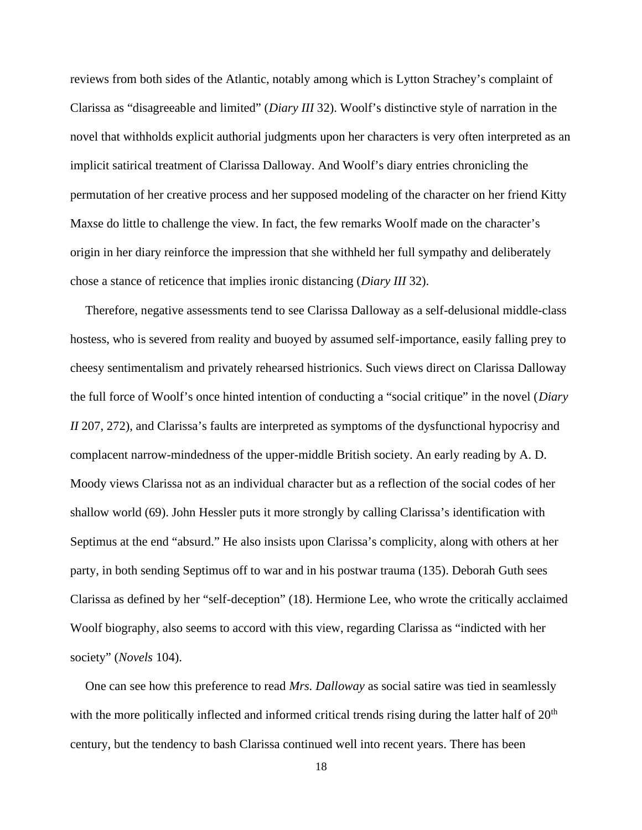reviews from both sides of the Atlantic, notably among which is Lytton Strachey's complaint of Clarissa as "disagreeable and limited" (*Diary III* 32). Woolf's distinctive style of narration in the novel that withholds explicit authorial judgments upon her characters is very often interpreted as an implicit satirical treatment of Clarissa Dalloway. And Woolf's diary entries chronicling the permutation of her creative process and her supposed modeling of the character on her friend Kitty Maxse do little to challenge the view. In fact, the few remarks Woolf made on the character's origin in her diary reinforce the impression that she withheld her full sympathy and deliberately chose a stance of reticence that implies ironic distancing (*Diary III* 32).

Therefore, negative assessments tend to see Clarissa Dalloway as a self-delusional middle-class hostess, who is severed from reality and buoyed by assumed self-importance, easily falling prey to cheesy sentimentalism and privately rehearsed histrionics. Such views direct on Clarissa Dalloway the full force of Woolf's once hinted intention of conducting a "social critique" in the novel (*Diary II* 207, 272), and Clarissa's faults are interpreted as symptoms of the dysfunctional hypocrisy and complacent narrow-mindedness of the upper-middle British society. An early reading by A. D. Moody views Clarissa not as an individual character but as a reflection of the social codes of her shallow world (69). John Hessler puts it more strongly by calling Clarissa's identification with Septimus at the end "absurd." He also insists upon Clarissa's complicity, along with others at her party, in both sending Septimus off to war and in his postwar trauma (135). Deborah Guth sees Clarissa as defined by her "self-deception" (18). Hermione Lee, who wrote the critically acclaimed Woolf biography, also seems to accord with this view, regarding Clarissa as "indicted with her society" (*Novels* 104).

One can see how this preference to read *Mrs. Dalloway* as social satire was tied in seamlessly with the more politically inflected and informed critical trends rising during the latter half of  $20<sup>th</sup>$ century, but the tendency to bash Clarissa continued well into recent years. There has been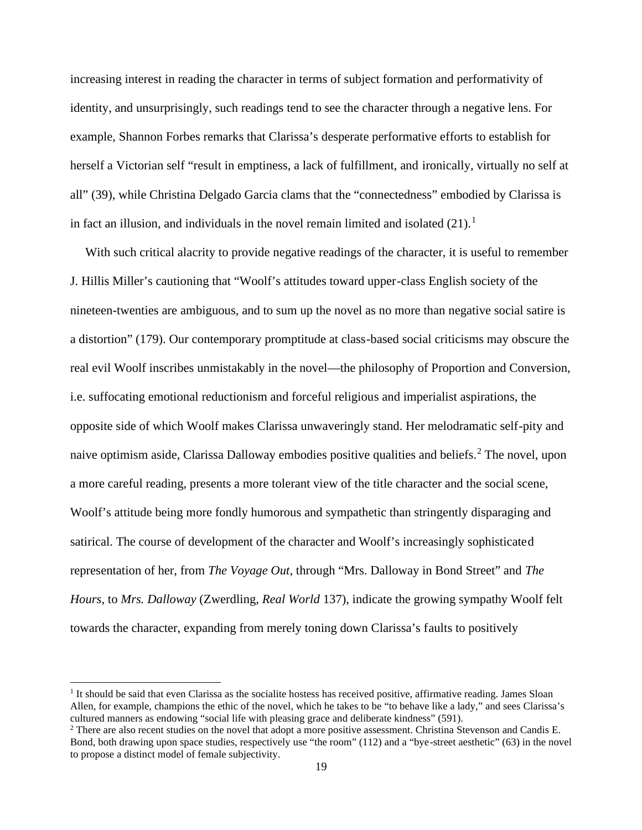increasing interest in reading the character in terms of subject formation and performativity of identity, and unsurprisingly, such readings tend to see the character through a negative lens. For example, Shannon Forbes remarks that Clarissa's desperate performative efforts to establish for herself a Victorian self "result in emptiness, a lack of fulfillment, and ironically, virtually no self at all" (39), while Christina Delgado Garcia clams that the "connectedness" embodied by Clarissa is in fact an illusion, and individuals in the novel remain limited and isolated  $(21).<sup>1</sup>$ 

With such critical alacrity to provide negative readings of the character, it is useful to remember J. Hillis Miller's cautioning that "Woolf's attitudes toward upper-class English society of the nineteen-twenties are ambiguous, and to sum up the novel as no more than negative social satire is a distortion" (179). Our contemporary promptitude at class-based social criticisms may obscure the real evil Woolf inscribes unmistakably in the novel—the philosophy of Proportion and Conversion, i.e. suffocating emotional reductionism and forceful religious and imperialist aspirations, the opposite side of which Woolf makes Clarissa unwaveringly stand. Her melodramatic self-pity and naive optimism aside, Clarissa Dalloway embodies positive qualities and beliefs.<sup>2</sup> The novel, upon a more careful reading, presents a more tolerant view of the title character and the social scene, Woolf's attitude being more fondly humorous and sympathetic than stringently disparaging and satirical. The course of development of the character and Woolf's increasingly sophisticated representation of her, from *The Voyage Out*, through "Mrs. Dalloway in Bond Street" and *The Hours*, to *Mrs. Dalloway* (Zwerdling, *Real World* 137), indicate the growing sympathy Woolf felt towards the character, expanding from merely toning down Clarissa's faults to positively

 $<sup>1</sup>$  It should be said that even Clarissa as the socialite hostess has received positive, affirmative reading. James Sloan</sup> Allen, for example, champions the ethic of the novel, which he takes to be "to behave like a lady," and sees Clarissa's cultured manners as endowing "social life with pleasing grace and deliberate kindness" (591).

<sup>&</sup>lt;sup>2</sup> There are also recent studies on the novel that adopt a more positive assessment. Christina Stevenson and Candis E. Bond, both drawing upon space studies, respectively use "the room" (112) and a "bye-street aesthetic" (63) in the novel to propose a distinct model of female subjectivity.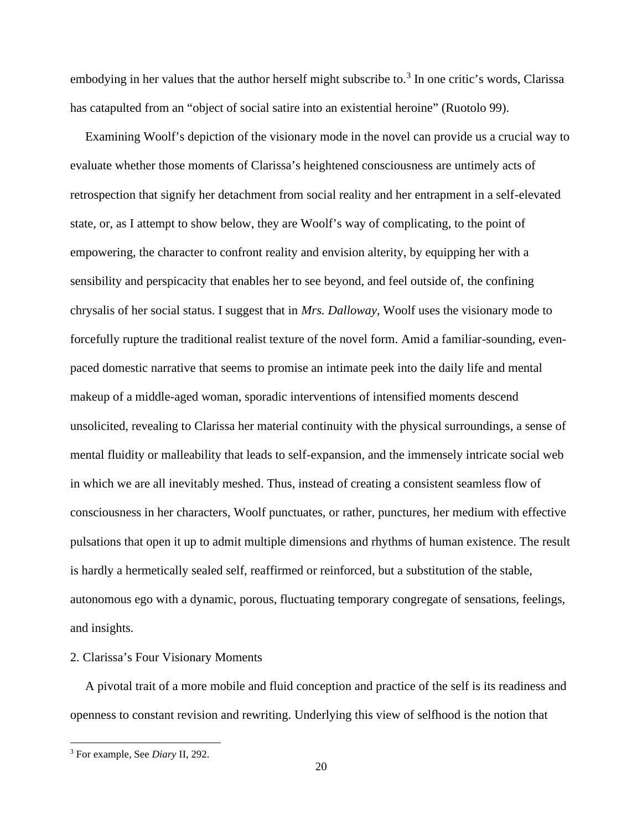embodying in her values that the author herself might subscribe to.<sup>3</sup> In one critic's words, Clarissa has catapulted from an "object of social satire into an existential heroine" (Ruotolo 99).

Examining Woolf's depiction of the visionary mode in the novel can provide us a crucial way to evaluate whether those moments of Clarissa's heightened consciousness are untimely acts of retrospection that signify her detachment from social reality and her entrapment in a self-elevated state, or, as I attempt to show below, they are Woolf's way of complicating, to the point of empowering, the character to confront reality and envision alterity, by equipping her with a sensibility and perspicacity that enables her to see beyond, and feel outside of, the confining chrysalis of her social status. I suggest that in *Mrs. Dalloway*, Woolf uses the visionary mode to forcefully rupture the traditional realist texture of the novel form. Amid a familiar-sounding, even paced domestic narrative that seems to promise an intimate peek into the daily life and mental makeup of a middle-aged woman, sporadic interventions of intensified moments descend unsolicited, revealing to Clarissa her material continuity with the physical surroundings, a sense of mental fluidity or malleability that leads to self-expansion, and the immensely intricate social web in which we are all inevitably meshed. Thus, instead of creating a consistent seamless flow of consciousness in her characters, Woolf punctuates, or rather, punctures, her medium with effective pulsations that open it up to admit multiple dimensions and rhythms of human existence. The result is hardly a hermetically sealed self, reaffirmed or reinforced, but a substitution of the stable, autonomous ego with a dynamic, porous, fluctuating temporary congregate of sensations, feelings, and insights.

### 2. Clarissa's Four Visionary Moments

A pivotal trait of a more mobile and fluid conception and practice of the self is its readiness and openness to constant revision and rewriting. Underlying this view of selfhood is the notion that

<sup>3</sup> For example, See *Diary* II, 292.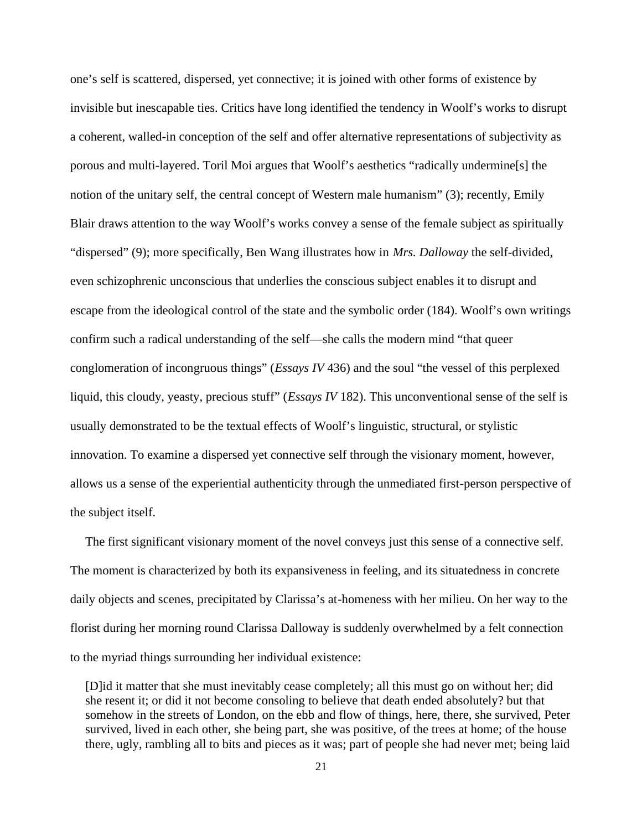one's self is scattered, dispersed, yet connective; it is joined with other forms of existence by invisible but inescapable ties. Critics have long identified the tendency in Woolf's works to disrupt a coherent, walled-in conception of the self and offer alternative representations of subjectivity as porous and multi-layered. Toril Moi argues that Woolf's aesthetics "radically undermine[s] the notion of the unitary self, the central concept of Western male humanism" (3); recently, Emily Blair draws attention to the way Woolf's works convey a sense of the female subject as spiritually "dispersed" (9); more specifically, Ben Wang illustrates how in *Mrs. Dalloway* the self-divided, even schizophrenic unconscious that underlies the conscious subject enables it to disrupt and escape from the ideological control of the state and the symbolic order (184). Woolf's own writings confirm such a radical understanding of the self—she calls the modern mind "that queer conglomeration of incongruous things" (*Essays IV* 436) and the soul "the vessel of this perplexed liquid, this cloudy, yeasty, precious stuff" (*Essays IV* 182). This unconventional sense of the self is usually demonstrated to be the textual effects of Woolf's linguistic, structural, or stylistic innovation. To examine a dispersed yet connective self through the visionary moment, however, allows us a sense of the experiential authenticity through the unmediated first-person perspective of the subject itself.

The first significant visionary moment of the novel conveys just this sense of a connective self. The moment is characterized by both its expansiveness in feeling, and its situatedness in concrete daily objects and scenes, precipitated by Clarissa's at-homeness with her milieu. On her way to the florist during her morning round Clarissa Dalloway is suddenly overwhelmed by a felt connection to the myriad things surrounding her individual existence:

[D]id it matter that she must inevitably cease completely; all this must go on without her; did she resent it; or did it not become consoling to believe that death ended absolutely? but that somehow in the streets of London, on the ebb and flow of things, here, there, she survived, Peter survived, lived in each other, she being part, she was positive, of the trees at home; of the house there, ugly, rambling all to bits and pieces as it was; part of people she had never met; being laid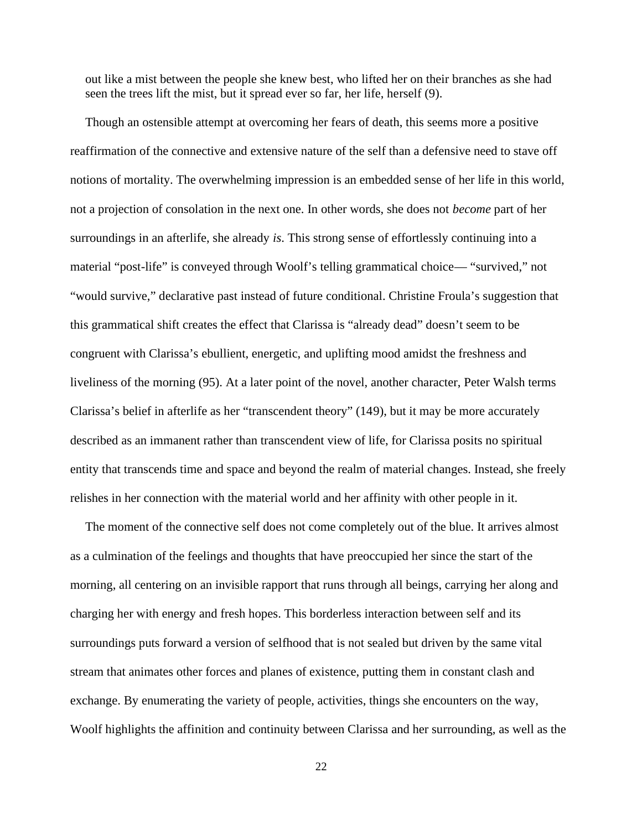out like a mist between the people she knew best, who lifted her on their branches as she had seen the trees lift the mist, but it spread ever so far, her life, herself (9).

Though an ostensible attempt at overcoming her fears of death, this seems more a positive reaffirmation of the connective and extensive nature of the self than a defensive need to stave off notions of mortality. The overwhelming impression is an embedded sense of her life in this world, not a projection of consolation in the next one. In other words, she does not *become* part of her surroundings in an afterlife, she already *is*. This strong sense of effortlessly continuing into a material "post-life" is conveyed through Woolf's telling grammatical choice— "survived," not "would survive," declarative past instead of future conditional. Christine Froula's suggestion that this grammatical shift creates the effect that Clarissa is "already dead" doesn't seem to be congruent with Clarissa's ebullient, energetic, and uplifting mood amidst the freshness and liveliness of the morning (95). At a later point of the novel, another character, Peter Walsh terms Clarissa's belief in afterlife as her "transcendent theory" (149), but it may be more accurately described as an immanent rather than transcendent view of life, for Clarissa posits no spiritual entity that transcends time and space and beyond the realm of material changes. Instead, she freely relishes in her connection with the material world and her affinity with other people in it.

The moment of the connective self does not come completely out of the blue. It arrives almost as a culmination of the feelings and thoughts that have preoccupied her since the start of the morning, all centering on an invisible rapport that runs through all beings, carrying her along and charging her with energy and fresh hopes. This borderless interaction between self and its surroundings puts forward a version of selfhood that is not sealed but driven by the same vital stream that animates other forces and planes of existence, putting them in constant clash and exchange. By enumerating the variety of people, activities, things she encounters on the way, Woolf highlights the affinition and continuity between Clarissa and her surrounding, as well as the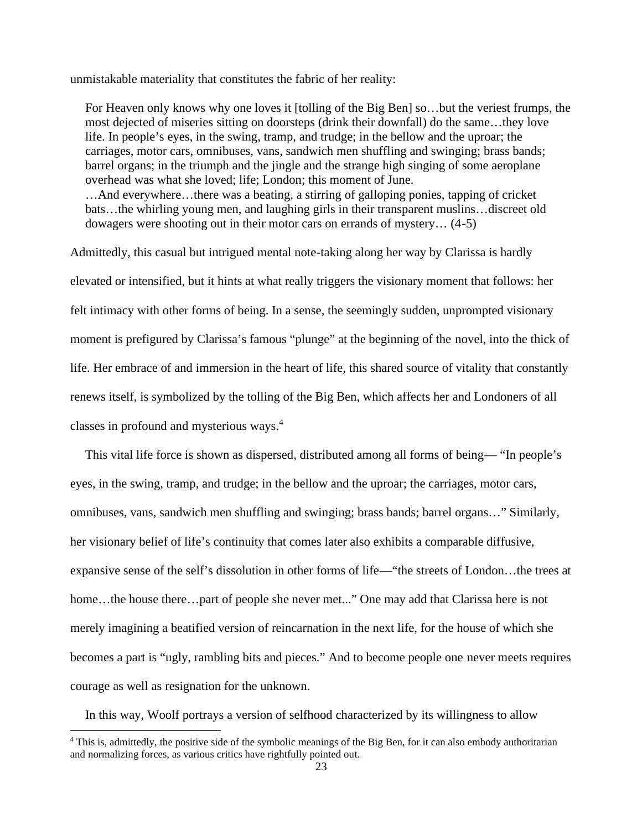unmistakable materiality that constitutes the fabric of her reality:

For Heaven only knows why one loves it [tolling of the Big Ben] so…but the veriest frumps, the most dejected of miseries sitting on doorsteps (drink their downfall) do the same…they love life. In people's eyes, in the swing, tramp, and trudge; in the bellow and the uproar; the carriages, motor cars, omnibuses, vans, sandwich men shuffling and swinging; brass bands; barrel organs; in the triumph and the jingle and the strange high singing of some aeroplane overhead was what she loved; life; London; this moment of June. …And everywhere…there was a beating, a stirring of galloping ponies, tapping of cricket bats…the whirling young men, and laughing girls in their transparent muslins…discreet old dowagers were shooting out in their motor cars on errands of mystery… (4-5)

Admittedly, this casual but intrigued mental note-taking along her way by Clarissa is hardly elevated or intensified, but it hints at what really triggers the visionary moment that follows: her felt intimacy with other forms of being. In a sense, the seemingly sudden, unprompted visionary moment is prefigured by Clarissa's famous "plunge" at the beginning of the novel, into the thick of life. Her embrace of and immersion in the heart of life, this shared source of vitality that constantly renews itself, is symbolized by the tolling of the Big Ben, which affects her and Londoners of all classes in profound and mysterious ways.<sup>4</sup>

This vital life force is shown as dispersed, distributed among all forms of being— "In people's eyes, in the swing, tramp, and trudge; in the bellow and the uproar; the carriages, motor cars, omnibuses, vans, sandwich men shuffling and swinging; brass bands; barrel organs…" Similarly, her visionary belief of life's continuity that comes later also exhibits a comparable diffusive, expansive sense of the self's dissolution in other forms of life—"the streets of London…the trees at home...the house there...part of people she never met..." One may add that Clarissa here is not merely imagining a beatified version of reincarnation in the next life, for the house of which she becomes a part is "ugly, rambling bits and pieces." And to become people one never meets requires courage as well as resignation for the unknown.

In this way, Woolf portrays a version of selfhood characterized by its willingness to allow

<sup>&</sup>lt;sup>4</sup> This is, admittedly, the positive side of the symbolic meanings of the Big Ben, for it can also embody authoritarian and normalizing forces, as various critics have rightfully pointed out.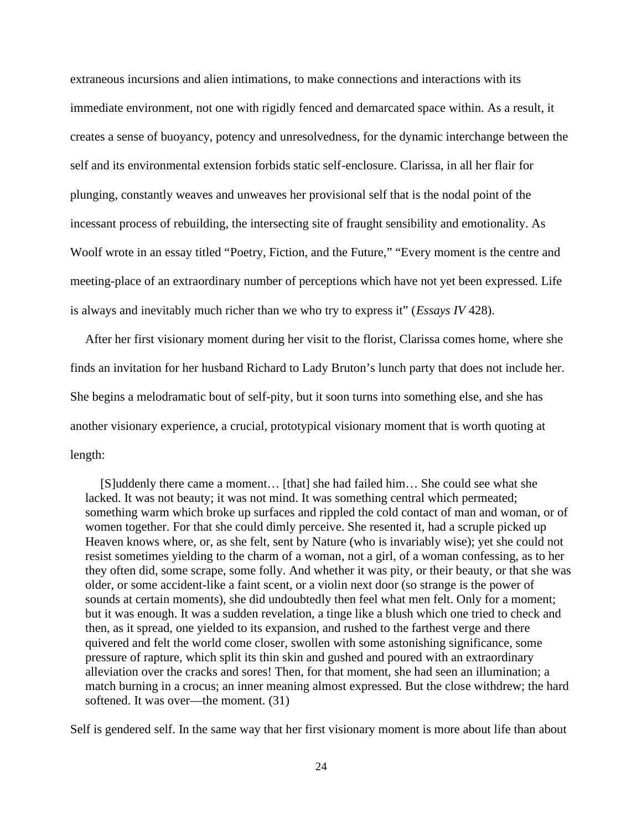extraneous incursions and alien intimations, to make connections and interactions with its immediate environment, not one with rigidly fenced and demarcated space within. As a result, it creates a sense of buoyancy, potency and unresolvedness, for the dynamic interchange between the self and its environmental extension forbids static self-enclosure. Clarissa, in all her flair for plunging, constantly weaves and unweaves her provisional self that is the nodal point of the incessant process of rebuilding, the intersecting site of fraught sensibility and emotionality. As Woolf wrote in an essay titled "Poetry, Fiction, and the Future," "Every moment is the centre and meeting-place of an extraordinary number of perceptions which have not yet been expressed. Life is always and inevitably much richer than we who try to express it" (*Essays IV* 428).

After her first visionary moment during her visit to the florist, Clarissa comes home, where she finds an invitation for her husband Richard to Lady Bruton's lunch party that does not include her. She begins a melodramatic bout of self-pity, but it soon turns into something else, and she has another visionary experience, a crucial, prototypical visionary moment that is worth quoting at length:

[S]uddenly there came a moment… [that] she had failed him… She could see what she lacked. It was not beauty; it was not mind. It was something central which permeated; something warm which broke up surfaces and rippled the cold contact of man and woman, or of women together. For that she could dimly perceive. She resented it, had a scruple picked up Heaven knows where, or, as she felt, sent by Nature (who is invariably wise); yet she could not resist sometimes yielding to the charm of a woman, not a girl, of a woman confessing, as to her they often did, some scrape, some folly. And whether it was pity, or their beauty, or that she was older, or some accident-like a faint scent, or a violin next door (so strange is the power of sounds at certain moments), she did undoubtedly then feel what men felt. Only for a moment; but it was enough. It was a sudden revelation, a tinge like a blush which one tried to check and then, as it spread, one yielded to its expansion, and rushed to the farthest verge and there quivered and felt the world come closer, swollen with some astonishing significance, some pressure of rapture, which split its thin skin and gushed and poured with an extraordinary alleviation over the cracks and sores! Then, for that moment, she had seen an illumination; a match burning in a crocus; an inner meaning almost expressed. But the close withdrew; the hard softened. It was over—the moment. (31)

Self is gendered self. In the same way that her first visionary moment is more about life than about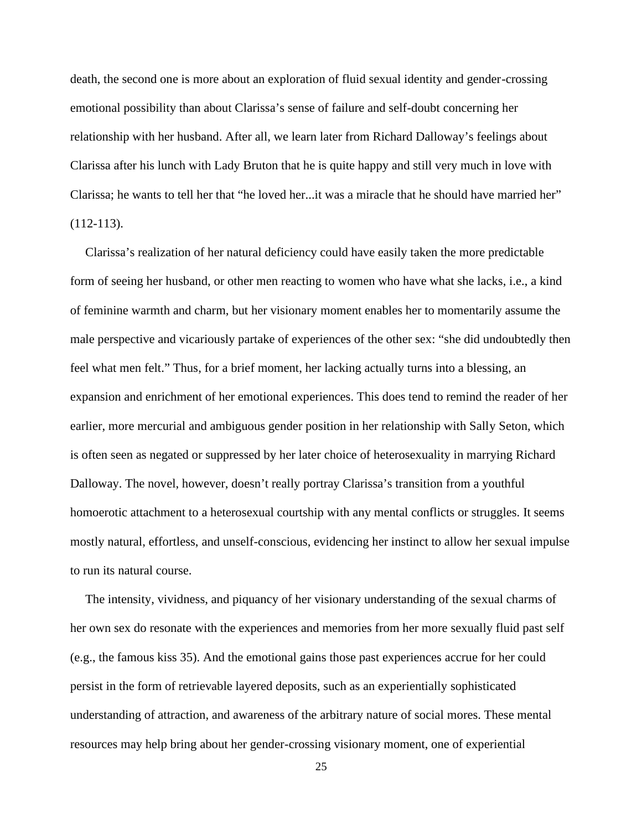death, the second one is more about an exploration of fluid sexual identity and gender-crossing emotional possibility than about Clarissa's sense of failure and self-doubt concerning her relationship with her husband. After all, we learn later from Richard Dalloway's feelings about Clarissa after his lunch with Lady Bruton that he is quite happy and still very much in love with Clarissa; he wants to tell her that "he loved her...it was a miracle that he should have married her" (112-113).

Clarissa's realization of her natural deficiency could have easily taken the more predictable form of seeing her husband, or other men reacting to women who have what she lacks, i.e., a kind of feminine warmth and charm, but her visionary moment enables her to momentarily assume the male perspective and vicariously partake of experiences of the other sex: "she did undoubtedly then feel what men felt." Thus, for a brief moment, her lacking actually turns into a blessing, an expansion and enrichment of her emotional experiences. This does tend to remind the reader of her earlier, more mercurial and ambiguous gender position in her relationship with Sally Seton, which is often seen as negated or suppressed by her later choice of heterosexuality in marrying Richard Dalloway. The novel, however, doesn't really portray Clarissa's transition from a youthful homoerotic attachment to a heterosexual courtship with any mental conflicts or struggles. It seems mostly natural, effortless, and unself-conscious, evidencing her instinct to allow her sexual impulse to run its natural course.

The intensity, vividness, and piquancy of her visionary understanding of the sexual charms of her own sex do resonate with the experiences and memories from her more sexually fluid past self (e.g., the famous kiss 35). And the emotional gains those past experiences accrue for her could persist in the form of retrievable layered deposits, such as an experientially sophisticated understanding of attraction, and awareness of the arbitrary nature of social mores. These mental resources may help bring about her gender-crossing visionary moment, one of experiential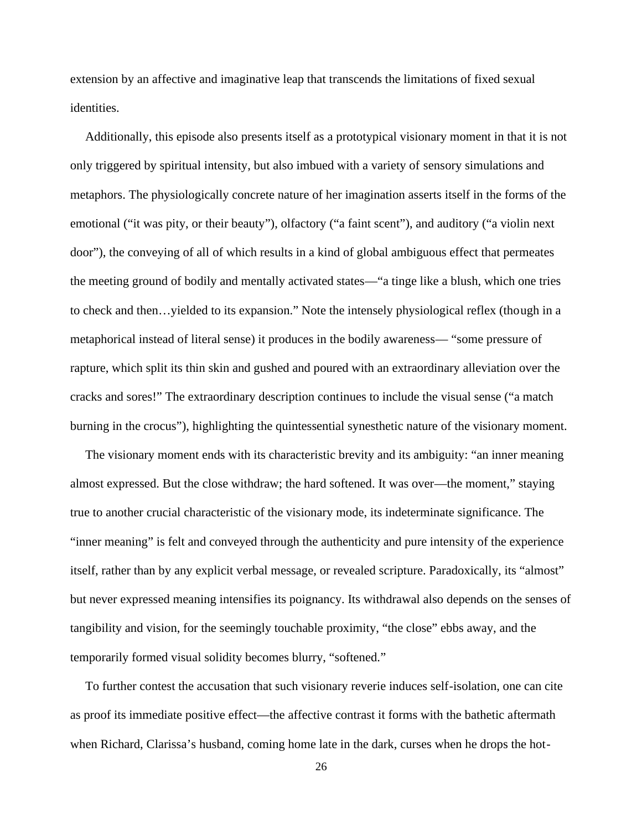extension by an affective and imaginative leap that transcends the limitations of fixed sexual identities.

Additionally, this episode also presents itself as a prototypical visionary moment in that it is not only triggered by spiritual intensity, but also imbued with a variety of sensory simulations and metaphors. The physiologically concrete nature of her imagination asserts itself in the forms of the emotional ("it was pity, or their beauty"), olfactory ("a faint scent"), and auditory ("a violin next door"), the conveying of all of which results in a kind of global ambiguous effect that permeates the meeting ground of bodily and mentally activated states—"a tinge like a blush, which one tries to check and then…yielded to its expansion." Note the intensely physiological reflex (though in a metaphorical instead of literal sense) it produces in the bodily awareness— "some pressure of rapture, which split its thin skin and gushed and poured with an extraordinary alleviation over the cracks and sores!" The extraordinary description continues to include the visual sense ("a match burning in the crocus"), highlighting the quintessential synesthetic nature of the visionary moment.

The visionary moment ends with its characteristic brevity and its ambiguity: "an inner meaning almost expressed. But the close withdraw; the hard softened. It was over—the moment," staying true to another crucial characteristic of the visionary mode, its indeterminate significance. The "inner meaning" is felt and conveyed through the authenticity and pure intensity of the experience itself, rather than by any explicit verbal message, or revealed scripture. Paradoxically, its "almost" but never expressed meaning intensifies its poignancy. Its withdrawal also depends on the senses of tangibility and vision, for the seemingly touchable proximity, "the close" ebbs away, and the temporarily formed visual solidity becomes blurry, "softened."

To further contest the accusation that such visionary reverie induces self-isolation, one can cite as proof its immediate positive effect—the affective contrast it forms with the bathetic aftermath when Richard, Clarissa's husband, coming home late in the dark, curses when he drops the hot-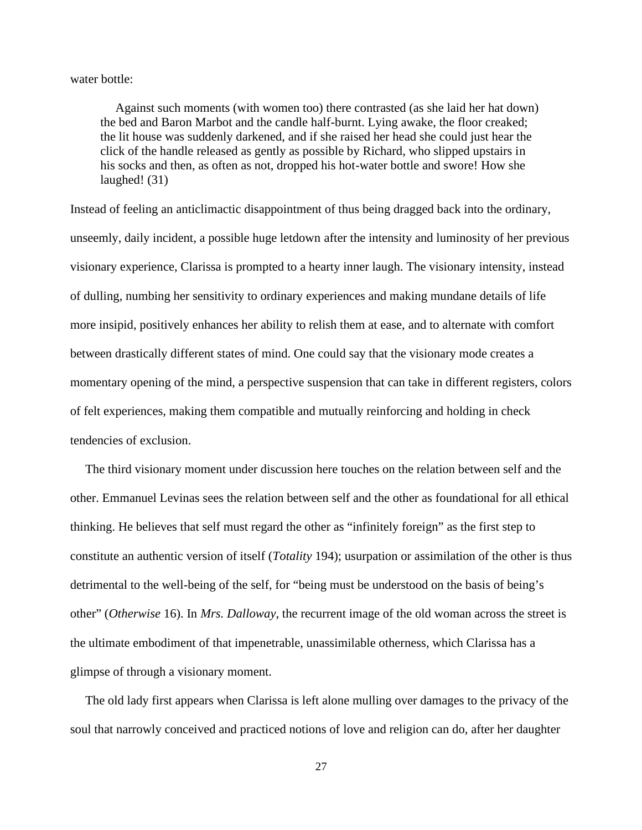water bottle:

Against such moments (with women too) there contrasted (as she laid her hat down) the bed and Baron Marbot and the candle half-burnt. Lying awake, the floor creaked; the lit house was suddenly darkened, and if she raised her head she could just hear the click of the handle released as gently as possible by Richard, who slipped upstairs in his socks and then, as often as not, dropped his hot-water bottle and swore! How she laughed! (31)

Instead of feeling an anticlimactic disappointment of thus being dragged back into the ordinary, unseemly, daily incident, a possible huge letdown after the intensity and luminosity of her previous visionary experience, Clarissa is prompted to a hearty inner laugh. The visionary intensity, instead of dulling, numbing her sensitivity to ordinary experiences and making mundane details of life more insipid, positively enhances her ability to relish them at ease, and to alternate with comfort between drastically different states of mind. One could say that the visionary mode creates a momentary opening of the mind, a perspective suspension that can take in different registers, colors of felt experiences, making them compatible and mutually reinforcing and holding in check tendencies of exclusion.

The third visionary moment under discussion here touches on the relation between self and the other. Emmanuel Levinas sees the relation between self and the other as foundational for all ethical thinking. He believes that self must regard the other as "infinitely foreign" as the first step to constitute an authentic version of itself (*Totality* 194); usurpation or assimilation of the other is thus detrimental to the well-being of the self, for "being must be understood on the basis of being's other" (*Otherwise* 16). In *Mrs. Dalloway*, the recurrent image of the old woman across the street is the ultimate embodiment of that impenetrable, unassimilable otherness, which Clarissa has a glimpse of through a visionary moment.

The old lady first appears when Clarissa is left alone mulling over damages to the privacy of the soul that narrowly conceived and practiced notions of love and religion can do, after her daughter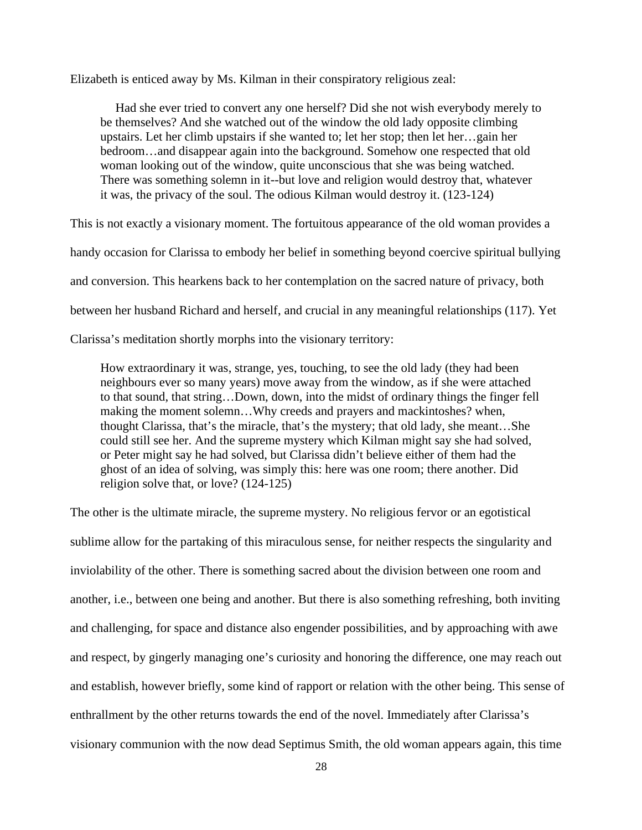Elizabeth is enticed away by Ms. Kilman in their conspiratory religious zeal:

Had she ever tried to convert any one herself? Did she not wish everybody merely to be themselves? And she watched out of the window the old lady opposite climbing upstairs. Let her climb upstairs if she wanted to; let her stop; then let her…gain her bedroom…and disappear again into the background. Somehow one respected that old woman looking out of the window, quite unconscious that she was being watched. There was something solemn in it--but love and religion would destroy that, whatever it was, the privacy of the soul. The odious Kilman would destroy it. (123-124)

This is not exactly a visionary moment. The fortuitous appearance of the old woman provides a

handy occasion for Clarissa to embody her belief in something beyond coercive spiritual bullying

and conversion. This hearkens back to her contemplation on the sacred nature of privacy, both

between her husband Richard and herself, and crucial in any meaningful relationships (117). Yet

Clarissa's meditation shortly morphs into the visionary territory:

How extraordinary it was, strange, yes, touching, to see the old lady (they had been neighbours ever so many years) move away from the window, as if she were attached to that sound, that string…Down, down, into the midst of ordinary things the finger fell making the moment solemn…Why creeds and prayers and mackintoshes? when, thought Clarissa, that's the miracle, that's the mystery; that old lady, she meant…She could still see her. And the supreme mystery which Kilman might say she had solved, or Peter might say he had solved, but Clarissa didn't believe either of them had the ghost of an idea of solving, was simply this: here was one room; there another. Did religion solve that, or love? (124-125)

The other is the ultimate miracle, the supreme mystery. No religious fervor or an egotistical sublime allow for the partaking of this miraculous sense, for neither respects the singularity and inviolability of the other. There is something sacred about the division between one room and another, i.e., between one being and another. But there is also something refreshing, both inviting and challenging, for space and distance also engender possibilities, and by approaching with awe and respect, by gingerly managing one's curiosity and honoring the difference, one may reach out and establish, however briefly, some kind of rapport or relation with the other being. This sense of enthrallment by the other returns towards the end of the novel. Immediately after Clarissa's visionary communion with the now dead Septimus Smith, the old woman appears again, this time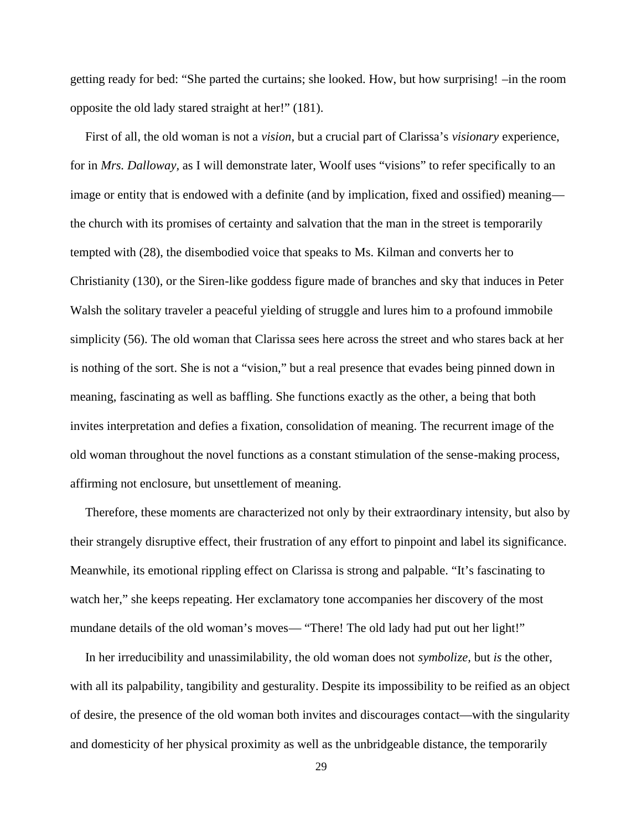getting ready for bed: "She parted the curtains; she looked. How, but how surprising! –in the room opposite the old lady stared straight at her!" (181).

First of all, the old woman is not a *vision*, but a crucial part of Clarissa's *visionary* experience, for in *Mrs. Dalloway,* as I will demonstrate later, Woolf uses "visions" to refer specifically to an image or entity that is endowed with a definite (and by implication, fixed and ossified) meaning the church with its promises of certainty and salvation that the man in the street is temporarily tempted with (28), the disembodied voice that speaks to Ms. Kilman and converts her to Christianity (130), or the Siren-like goddess figure made of branches and sky that induces in Peter Walsh the solitary traveler a peaceful yielding of struggle and lures him to a profound immobile simplicity (56). The old woman that Clarissa sees here across the street and who stares back at her is nothing of the sort. She is not a "vision," but a real presence that evades being pinned down in meaning, fascinating as well as baffling. She functions exactly as the other, a being that both invites interpretation and defies a fixation, consolidation of meaning. The recurrent image of the old woman throughout the novel functions as a constant stimulation of the sense-making process, affirming not enclosure, but unsettlement of meaning.

Therefore, these moments are characterized not only by their extraordinary intensity, but also by their strangely disruptive effect, their frustration of any effort to pinpoint and label its significance. Meanwhile, its emotional rippling effect on Clarissa is strong and palpable. "It's fascinating to watch her," she keeps repeating. Her exclamatory tone accompanies her discovery of the most mundane details of the old woman's moves— "There! The old lady had put out her light!"

In her irreducibility and unassimilability, the old woman does not *symbolize,* but *is* the other, with all its palpability, tangibility and gesturality. Despite its impossibility to be reified as an object of desire, the presence of the old woman both invites and discourages contact—with the singularity and domesticity of her physical proximity as well as the unbridgeable distance, the temporarily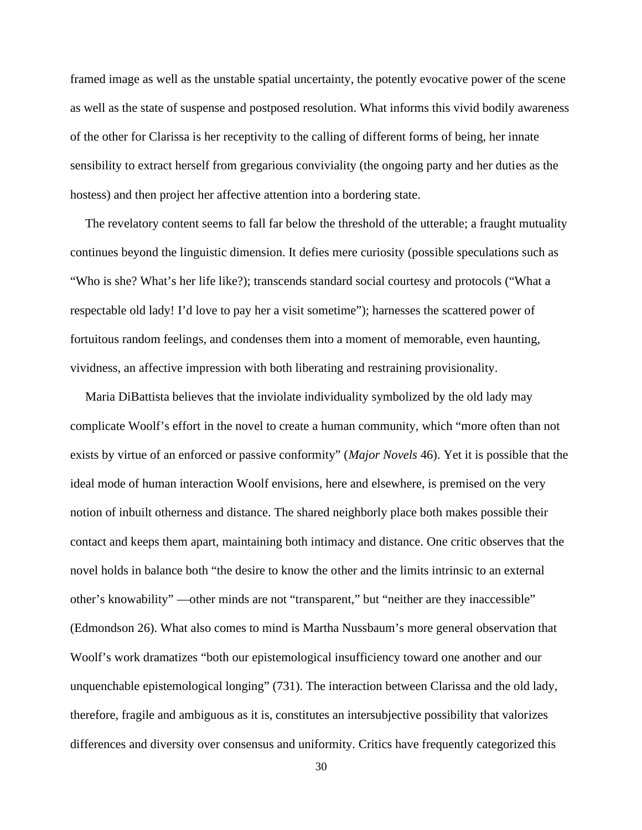framed image as well as the unstable spatial uncertainty, the potently evocative power of the scene as well as the state of suspense and postposed resolution. What informs this vivid bodily awareness of the other for Clarissa is her receptivity to the calling of different forms of being, her innate sensibility to extract herself from gregarious conviviality (the ongoing party and her duties as the hostess) and then project her affective attention into a bordering state.

The revelatory content seems to fall far below the threshold of the utterable; a fraught mutuality continues beyond the linguistic dimension. It defies mere curiosity (possible speculations such as "Who is she? What's her life like?); transcends standard social courtesy and protocols ("What a respectable old lady! I'd love to pay her a visit sometime"); harnesses the scattered power of fortuitous random feelings, and condenses them into a moment of memorable, even haunting, vividness, an affective impression with both liberating and restraining provisionality.

Maria DiBattista believes that the inviolate individuality symbolized by the old lady may complicate Woolf's effort in the novel to create a human community, which "more often than not exists by virtue of an enforced or passive conformity" (*Major Novels* 46). Yet it is possible that the ideal mode of human interaction Woolf envisions, here and elsewhere, is premised on the very notion of inbuilt otherness and distance. The shared neighborly place both makes possible their contact and keeps them apart, maintaining both intimacy and distance. One critic observes that the novel holds in balance both "the desire to know the other and the limits intrinsic to an external other's knowability" —other minds are not "transparent," but "neither are they inaccessible" (Edmondson 26). What also comes to mind is Martha Nussbaum's more general observation that Woolf's work dramatizes "both our epistemological insufficiency toward one another and our unquenchable epistemological longing" (731). The interaction between Clarissa and the old lady, therefore, fragile and ambiguous as it is, constitutes an intersubjective possibility that valorizes differences and diversity over consensus and uniformity. Critics have frequently categorized this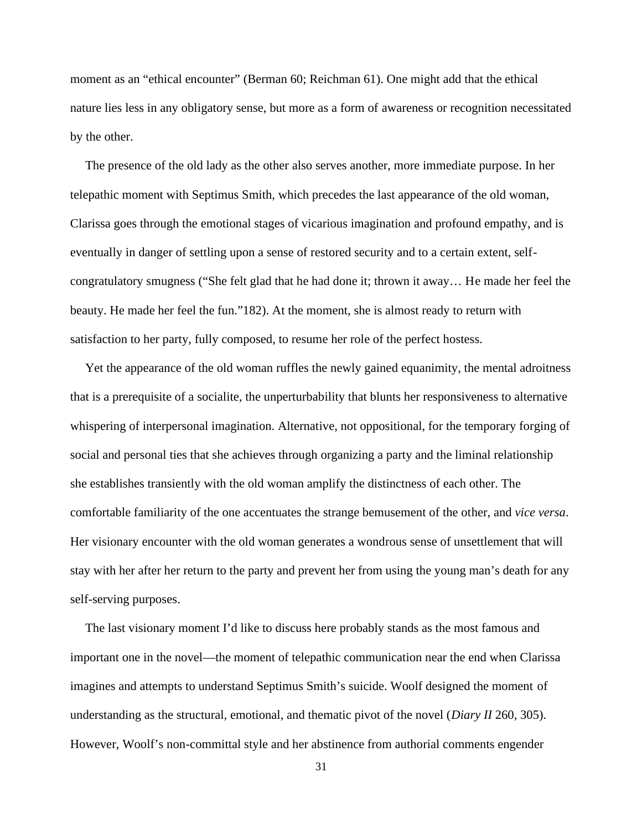moment as an "ethical encounter" (Berman 60; Reichman 61). One might add that the ethical nature lies less in any obligatory sense, but more as a form of awareness or recognition necessitated by the other.

The presence of the old lady as the other also serves another, more immediate purpose. In her telepathic moment with Septimus Smith, which precedes the last appearance of the old woman, Clarissa goes through the emotional stages of vicarious imagination and profound empathy, and is eventually in danger of settling upon a sense of restored security and to a certain extent, self congratulatory smugness ("She felt glad that he had done it; thrown it away… He made her feel the beauty. He made her feel the fun."182). At the moment, she is almost ready to return with satisfaction to her party, fully composed, to resume her role of the perfect hostess.

Yet the appearance of the old woman ruffles the newly gained equanimity, the mental adroitness that is a prerequisite of a socialite, the unperturbability that blunts her responsiveness to alternative whispering of interpersonal imagination. Alternative, not oppositional, for the temporary forging of social and personal ties that she achieves through organizing a party and the liminal relationship she establishes transiently with the old woman amplify the distinctness of each other. The comfortable familiarity of the one accentuates the strange bemusement of the other, and *vice versa*. Her visionary encounter with the old woman generates a wondrous sense of unsettlement that will stay with her after her return to the party and prevent her from using the young man's death for any self-serving purposes.

The last visionary moment I'd like to discuss here probably stands as the most famous and important one in the novel—the moment of telepathic communication near the end when Clarissa imagines and attempts to understand Septimus Smith's suicide. Woolf designed the moment of understanding as the structural, emotional, and thematic pivot of the novel (*Diary II* 260, 305). However, Woolf's non-committal style and her abstinence from authorial comments engender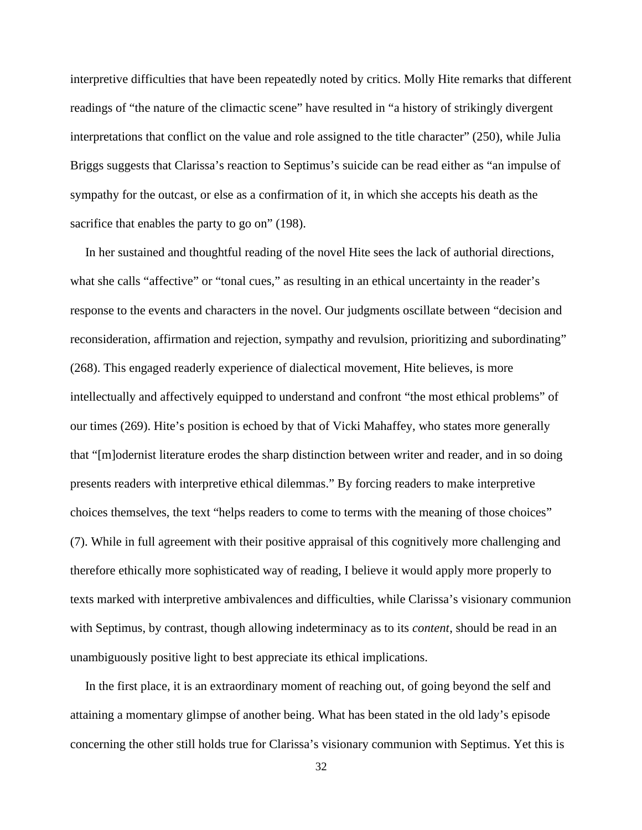interpretive difficulties that have been repeatedly noted by critics. Molly Hite remarks that different readings of "the nature of the climactic scene" have resulted in "a history of strikingly divergent interpretations that conflict on the value and role assigned to the title character" (250), while Julia Briggs suggests that Clarissa's reaction to Septimus's suicide can be read either as "an impulse of sympathy for the outcast, or else as a confirmation of it, in which she accepts his death as the sacrifice that enables the party to go on" (198).

In her sustained and thoughtful reading of the novel Hite sees the lack of authorial directions, what she calls "affective" or "tonal cues," as resulting in an ethical uncertainty in the reader's response to the events and characters in the novel. Our judgments oscillate between "decision and reconsideration, affirmation and rejection, sympathy and revulsion, prioritizing and subordinating" (268). This engaged readerly experience of dialectical movement, Hite believes, is more intellectually and affectively equipped to understand and confront "the most ethical problems" of our times (269). Hite's position is echoed by that of Vicki Mahaffey, who states more generally that "[m]odernist literature erodes the sharp distinction between writer and reader, and in so doing presents readers with interpretive ethical dilemmas." By forcing readers to make interpretive choices themselves, the text "helps readers to come to terms with the meaning of those choices" (7). While in full agreement with their positive appraisal of this cognitively more challenging and therefore ethically more sophisticated way of reading, I believe it would apply more properly to texts marked with interpretive ambivalences and difficulties, while Clarissa's visionary communion with Septimus, by contrast, though allowing indeterminacy as to its *content*, should be read in an unambiguously positive light to best appreciate its ethical implications.

In the first place, it is an extraordinary moment of reaching out, of going beyond the self and attaining a momentary glimpse of another being. What has been stated in the old lady's episode concerning the other still holds true for Clarissa's visionary communion with Septimus. Yet this is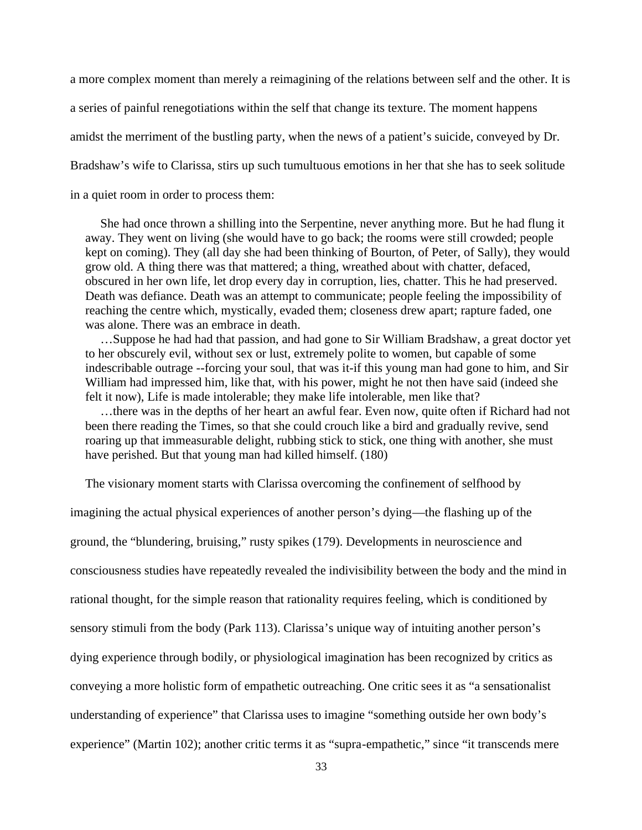a more complex moment than merely a reimagining of the relations between self and the other. It is a series of painful renegotiations within the self that change its texture. The moment happens amidst the merriment of the bustling party, when the news of a patient's suicide, conveyed by Dr. Bradshaw's wife to Clarissa, stirs up such tumultuous emotions in her that she has to seek solitude in a quiet room in order to process them:

She had once thrown a shilling into the Serpentine, never anything more. But he had flung it away. They went on living (she would have to go back; the rooms were still crowded; people kept on coming). They (all day she had been thinking of Bourton, of Peter, of Sally), they would grow old. A thing there was that mattered; a thing, wreathed about with chatter, defaced, obscured in her own life, let drop every day in corruption, lies, chatter. This he had preserved. Death was defiance. Death was an attempt to communicate; people feeling the impossibility of reaching the centre which, mystically, evaded them; closeness drew apart; rapture faded, one was alone. There was an embrace in death.

…Suppose he had had that passion, and had gone to Sir William Bradshaw, a great doctor yet to her obscurely evil, without sex or lust, extremely polite to women, but capable of some indescribable outrage --forcing your soul, that was it-if this young man had gone to him, and Sir William had impressed him, like that, with his power, might he not then have said (indeed she felt it now), Life is made intolerable; they make life intolerable, men like that?

…there was in the depths of her heart an awful fear. Even now, quite often if Richard had not been there reading the Times, so that she could crouch like a bird and gradually revive, send roaring up that immeasurable delight, rubbing stick to stick, one thing with another, she must have perished. But that young man had killed himself. (180)

The visionary moment starts with Clarissa overcoming the confinement of selfhood by

imagining the actual physical experiences of another person's dying—the flashing up of the ground, the "blundering, bruising," rusty spikes (179). Developments in neuroscience and consciousness studies have repeatedly revealed the indivisibility between the body and the mind in rational thought, for the simple reason that rationality requires feeling, which is conditioned by sensory stimuli from the body (Park 113). Clarissa's unique way of intuiting another person's dying experience through bodily, or physiological imagination has been recognized by critics as conveying a more holistic form of empathetic outreaching. One critic sees it as "a sensationalist understanding of experience" that Clarissa uses to imagine "something outside her own body's experience" (Martin 102); another critic terms it as "supra-empathetic," since "it transcends mere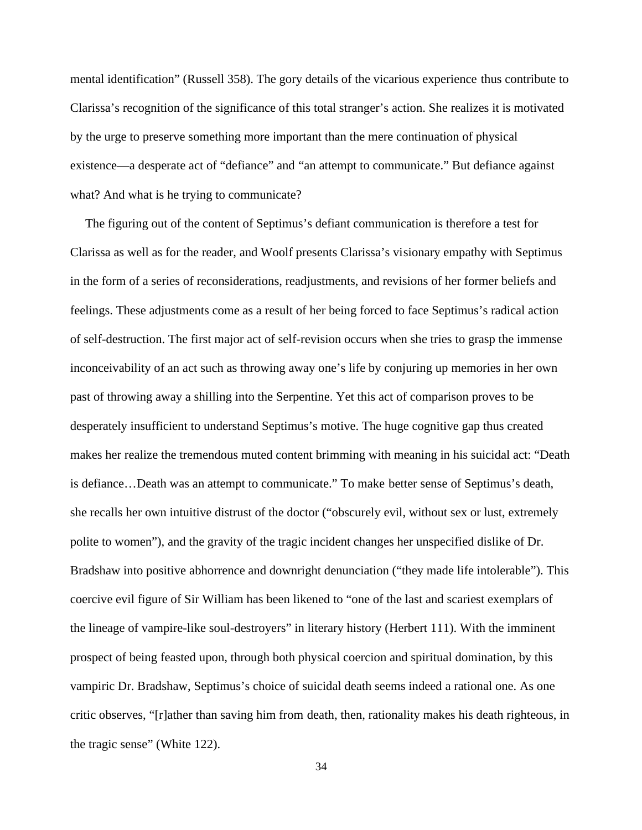mental identification" (Russell 358). The gory details of the vicarious experience thus contribute to Clarissa's recognition of the significance of this total stranger's action. She realizes it is motivated by the urge to preserve something more important than the mere continuation of physical existence—a desperate act of "defiance" and "an attempt to communicate." But defiance against what? And what is he trying to communicate?

The figuring out of the content of Septimus's defiant communication is therefore a test for Clarissa as well as for the reader, and Woolf presents Clarissa's visionary empathy with Septimus in the form of a series of reconsiderations, readjustments, and revisions of her former beliefs and feelings. These adjustments come as a result of her being forced to face Septimus's radical action of self-destruction. The first major act of self-revision occurs when she tries to grasp the immense inconceivability of an act such as throwing away one's life by conjuring up memories in her own past of throwing away a shilling into the Serpentine. Yet this act of comparison proves to be desperately insufficient to understand Septimus's motive. The huge cognitive gap thus created makes her realize the tremendous muted content brimming with meaning in his suicidal act: "Death is defiance…Death was an attempt to communicate." To make better sense of Septimus's death, she recalls her own intuitive distrust of the doctor ("obscurely evil, without sex or lust, extremely polite to women"), and the gravity of the tragic incident changes her unspecified dislike of Dr. Bradshaw into positive abhorrence and downright denunciation ("they made life intolerable"). This coercive evil figure of Sir William has been likened to "one of the last and scariest exemplars of the lineage of vampire-like soul-destroyers" in literary history (Herbert 111). With the imminent prospect of being feasted upon, through both physical coercion and spiritual domination, by this vampiric Dr. Bradshaw, Septimus's choice of suicidal death seems indeed a rational one. As one critic observes, "[r]ather than saving him from death, then, rationality makes his death righteous, in the tragic sense" (White 122).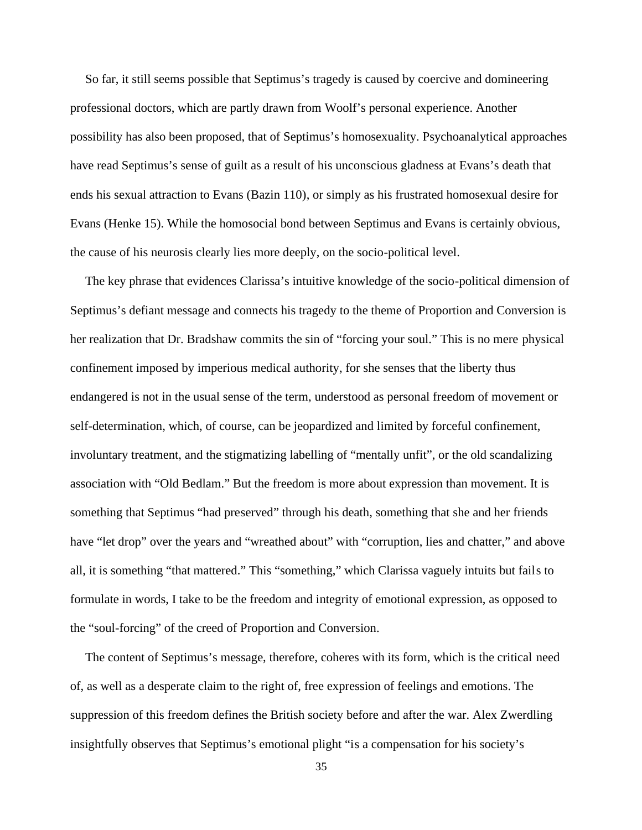So far, it still seems possible that Septimus's tragedy is caused by coercive and domineering professional doctors, which are partly drawn from Woolf's personal experience. Another possibility has also been proposed, that of Septimus's homosexuality. Psychoanalytical approaches have read Septimus's sense of guilt as a result of his unconscious gladness at Evans's death that ends his sexual attraction to Evans (Bazin 110), or simply as his frustrated homosexual desire for Evans (Henke 15). While the homosocial bond between Septimus and Evans is certainly obvious, the cause of his neurosis clearly lies more deeply, on the socio-political level.

The key phrase that evidences Clarissa's intuitive knowledge of the socio-political dimension of Septimus's defiant message and connects his tragedy to the theme of Proportion and Conversion is her realization that Dr. Bradshaw commits the sin of "forcing your soul." This is no mere physical confinement imposed by imperious medical authority, for she senses that the liberty thus endangered is not in the usual sense of the term, understood as personal freedom of movement or self-determination, which, of course, can be jeopardized and limited by forceful confinement, involuntary treatment, and the stigmatizing labelling of "mentally unfit", or the old scandalizing association with "Old Bedlam." But the freedom is more about expression than movement. It is something that Septimus "had preserved" through his death, something that she and her friends have "let drop" over the years and "wreathed about" with "corruption, lies and chatter," and above all, it is something "that mattered." This "something," which Clarissa vaguely intuits but fails to formulate in words, I take to be the freedom and integrity of emotional expression, as opposed to the "soul-forcing" of the creed of Proportion and Conversion.

The content of Septimus's message, therefore, coheres with its form, which is the critical need of, as well as a desperate claim to the right of, free expression of feelings and emotions. The suppression of this freedom defines the British society before and after the war. Alex Zwerdling insightfully observes that Septimus's emotional plight "is a compensation for his society's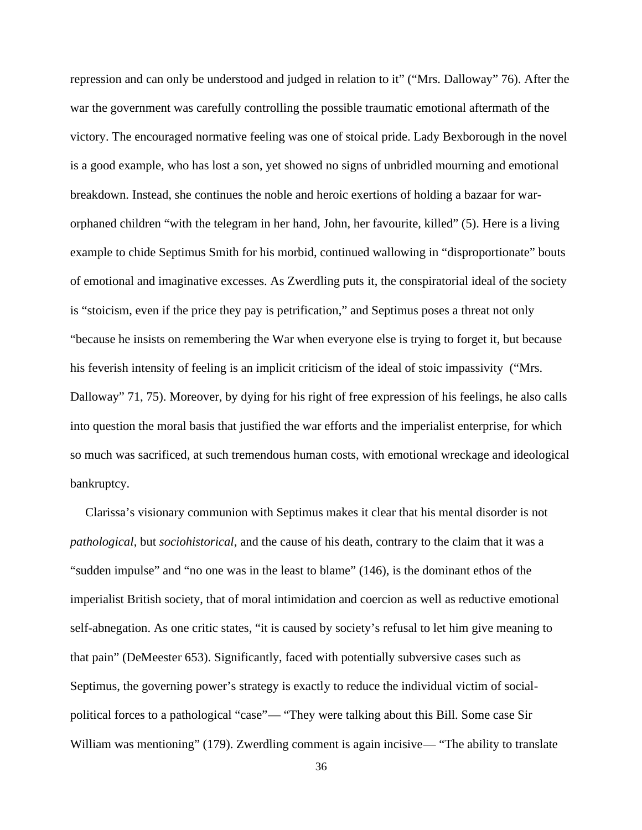repression and can only be understood and judged in relation to it" ("Mrs. Dalloway" 76). After the war the government was carefully controlling the possible traumatic emotional aftermath of the victory. The encouraged normative feeling was one of stoical pride. Lady Bexborough in the novel is a good example, who has lost a son, yet showed no signs of unbridled mourning and emotional breakdown. Instead, she continues the noble and heroic exertions of holding a bazaar for war orphaned children "with the telegram in her hand, John, her favourite, killed" (5). Here is a living example to chide Septimus Smith for his morbid, continued wallowing in "disproportionate" bouts of emotional and imaginative excesses. As Zwerdling puts it, the conspiratorial ideal of the society is "stoicism, even if the price they pay is petrification," and Septimus poses a threat not only "because he insists on remembering the War when everyone else is trying to forget it, but because his feverish intensity of feeling is an implicit criticism of the ideal of stoic impassivity ("Mrs. Dalloway" 71, 75). Moreover, by dying for his right of free expression of his feelings, he also calls into question the moral basis that justified the war efforts and the imperialist enterprise, for which so much was sacrificed, at such tremendous human costs, with emotional wreckage and ideological bankruptcy.

Clarissa's visionary communion with Septimus makes it clear that his mental disorder is not *pathological*, but *sociohistorical*, and the cause of his death, contrary to the claim that it was a "sudden impulse" and "no one was in the least to blame" (146), is the dominant ethos of the imperialist British society, that of moral intimidation and coercion as well as reductive emotional self-abnegation. As one critic states, "it is caused by society's refusal to let him give meaning to that pain" (DeMeester 653). Significantly, faced with potentially subversive cases such as Septimus, the governing power's strategy is exactly to reduce the individual victim of social political forces to a pathological "case"— "They were talking about this Bill. Some case Sir William was mentioning" (179). Zwerdling comment is again incisive— "The ability to translate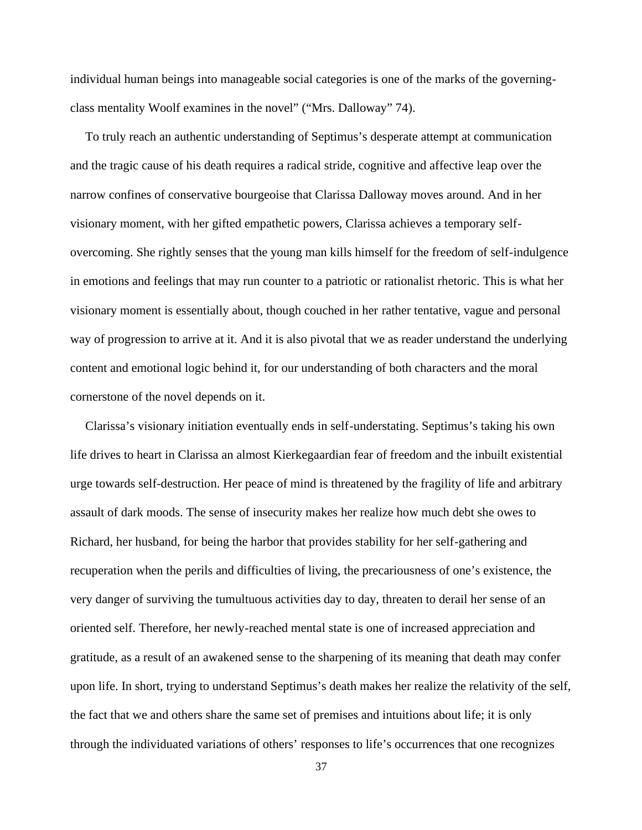individual human beings into manageable social categories is one of the marks of the governing class mentality Woolf examines in the novel" ("Mrs. Dalloway" 74).

To truly reach an authentic understanding of Septimus's desperate attempt at communication and the tragic cause of his death requires a radical stride, cognitive and affective leap over the narrow confines of conservative bourgeoise that Clarissa Dalloway moves around. And in her visionary moment, with her gifted empathetic powers, Clarissa achieves a temporary self overcoming. She rightly senses that the young man kills himself for the freedom of self-indulgence in emotions and feelings that may run counter to a patriotic or rationalist rhetoric. This is what her visionary moment is essentially about, though couched in her rather tentative, vague and personal way of progression to arrive at it. And it is also pivotal that we as reader understand the underlying content and emotional logic behind it, for our understanding of both characters and the moral cornerstone of the novel depends on it.

Clarissa's visionary initiation eventually ends in self-understating. Septimus's taking his own life drives to heart in Clarissa an almost Kierkegaardian fear of freedom and the inbuilt existential urge towards self-destruction. Her peace of mind is threatened by the fragility of life and arbitrary assault of dark moods. The sense of insecurity makes her realize how much debt she owes to Richard, her husband, for being the harbor that provides stability for her self-gathering and recuperation when the perils and difficulties of living, the precariousness of one's existence, the very danger of surviving the tumultuous activities day to day, threaten to derail her sense of an oriented self. Therefore, her newly-reached mental state is one of increased appreciation and gratitude, as a result of an awakened sense to the sharpening of its meaning that death may confer upon life. In short, trying to understand Septimus's death makes her realize the relativity of the self, the fact that we and others share the same set of premises and intuitions about life; it is only through the individuated variations of others' responses to life's occurrences that one recognizes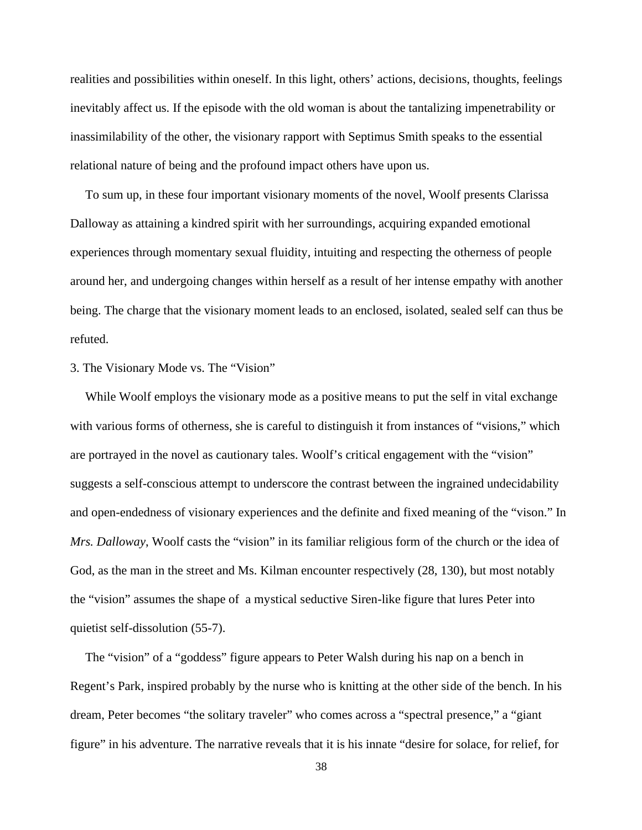realities and possibilities within oneself. In this light, others' actions, decisions, thoughts, feelings inevitably affect us. If the episode with the old woman is about the tantalizing impenetrability or inassimilability of the other, the visionary rapport with Septimus Smith speaks to the essential relational nature of being and the profound impact others have upon us.

To sum up, in these four important visionary moments of the novel, Woolf presents Clarissa Dalloway as attaining a kindred spirit with her surroundings, acquiring expanded emotional experiences through momentary sexual fluidity, intuiting and respecting the otherness of people around her, and undergoing changes within herself as a result of her intense empathy with another being. The charge that the visionary moment leads to an enclosed, isolated, sealed self can thus be refuted.

## 3. The Visionary Mode vs. The "Vision"

While Woolf employs the visionary mode as a positive means to put the self in vital exchange with various forms of otherness, she is careful to distinguish it from instances of "visions," which are portrayed in the novel as cautionary tales. Woolf's critical engagement with the "vision" suggests a self-conscious attempt to underscore the contrast between the ingrained undecidability and open-endedness of visionary experiences and the definite and fixed meaning of the "vison." In *Mrs. Dalloway*, Woolf casts the "vision" in its familiar religious form of the church or the idea of God, as the man in the street and Ms. Kilman encounter respectively (28, 130), but most notably the "vision" assumes the shape of a mystical seductive Siren-like figure that lures Peter into quietist self-dissolution (55-7).

The "vision" of a "goddess" figure appears to Peter Walsh during his nap on a bench in Regent's Park, inspired probably by the nurse who is knitting at the other side of the bench. In his dream, Peter becomes "the solitary traveler" who comes across a "spectral presence," a "giant figure" in his adventure. The narrative reveals that it is his innate "desire for solace, for relief, for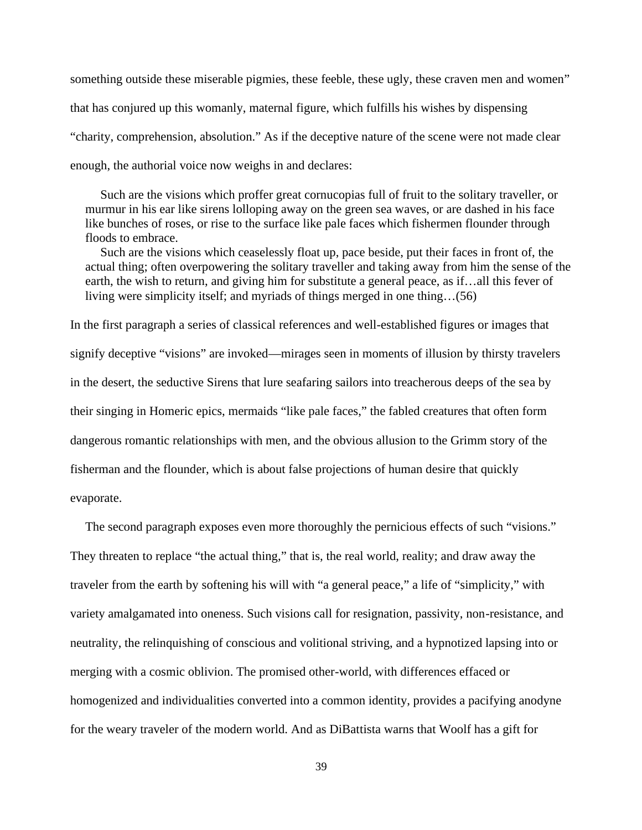something outside these miserable pigmies, these feeble, these ugly, these craven men and women" that has conjured up this womanly, maternal figure, which fulfills his wishes by dispensing "charity, comprehension, absolution." As if the deceptive nature of the scene were not made clear enough, the authorial voice now weighs in and declares:

Such are the visions which proffer great cornucopias full of fruit to the solitary traveller, or murmur in his ear like sirens lolloping away on the green sea waves, or are dashed in his face like bunches of roses, or rise to the surface like pale faces which fishermen flounder through floods to embrace.

Such are the visions which ceaselessly float up, pace beside, put their faces in front of, the actual thing; often overpowering the solitary traveller and taking away from him the sense of the earth, the wish to return, and giving him for substitute a general peace, as if…all this fever of living were simplicity itself; and myriads of things merged in one thing…(56)

In the first paragraph a series of classical references and well-established figures or images that signify deceptive "visions" are invoked—mirages seen in moments of illusion by thirsty travelers in the desert, the seductive Sirens that lure seafaring sailors into treacherous deeps of the sea by their singing in Homeric epics, mermaids "like pale faces," the fabled creatures that often form dangerous romantic relationships with men, and the obvious allusion to the Grimm story of the fisherman and the flounder, which is about false projections of human desire that quickly evaporate.

The second paragraph exposes even more thoroughly the pernicious effects of such "visions." They threaten to replace "the actual thing," that is, the real world, reality; and draw away the traveler from the earth by softening his will with "a general peace," a life of "simplicity," with variety amalgamated into oneness. Such visions call for resignation, passivity, non-resistance, and neutrality, the relinquishing of conscious and volitional striving, and a hypnotized lapsing into or merging with a cosmic oblivion. The promised other-world, with differences effaced or homogenized and individualities converted into a common identity, provides a pacifying anodyne for the weary traveler of the modern world. And as DiBattista warns that Woolf has a gift for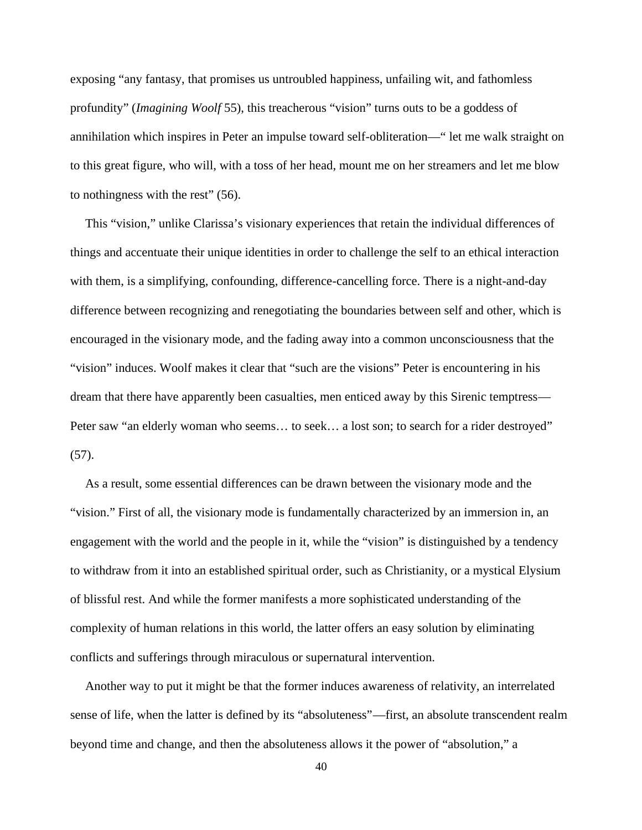exposing "any fantasy, that promises us untroubled happiness, unfailing wit, and fathomless profundity" (*Imagining Woolf* 55), this treacherous "vision" turns outs to be a goddess of annihilation which inspires in Peter an impulse toward self-obliteration—" let me walk straight on to this great figure, who will, with a toss of her head, mount me on her streamers and let me blow to nothingness with the rest" (56).

This "vision," unlike Clarissa's visionary experiences that retain the individual differences of things and accentuate their unique identities in order to challenge the self to an ethical interaction with them, is a simplifying, confounding, difference-cancelling force. There is a night-and-day difference between recognizing and renegotiating the boundaries between self and other, which is encouraged in the visionary mode, and the fading away into a common unconsciousness that the "vision" induces. Woolf makes it clear that "such are the visions" Peter is encountering in his dream that there have apparently been casualties, men enticed away by this Sirenic temptress— Peter saw "an elderly woman who seems... to seek... a lost son; to search for a rider destroyed" (57).

As a result, some essential differences can be drawn between the visionary mode and the "vision." First of all, the visionary mode is fundamentally characterized by an immersion in, an engagement with the world and the people in it, while the "vision" is distinguished by a tendency to withdraw from it into an established spiritual order, such as Christianity, or a mystical Elysium of blissful rest. And while the former manifests a more sophisticated understanding of the complexity of human relations in this world, the latter offers an easy solution by eliminating conflicts and sufferings through miraculous or supernatural intervention.

Another way to put it might be that the former induces awareness of relativity, an interrelated sense of life, when the latter is defined by its "absoluteness"—first, an absolute transcendent realm beyond time and change, and then the absoluteness allows it the power of "absolution," a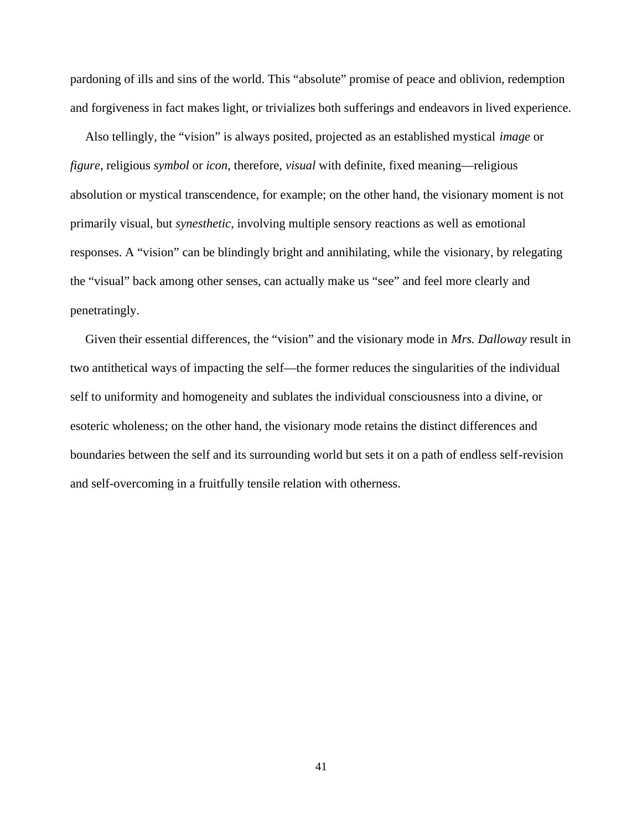pardoning of ills and sins of the world. This "absolute" promise of peace and oblivion, redemption and forgiveness in fact makes light, or trivializes both sufferings and endeavors in lived experience.

Also tellingly, the "vision" is always posited, projected as an established mystical *image* or *figure*, religious *symbol* or *icon*, therefore, *visual* with definite, fixed meaning—religious absolution or mystical transcendence, for example; on the other hand, the visionary moment is not primarily visual, but *synesthetic*, involving multiple sensory reactions as well as emotional responses. A "vision" can be blindingly bright and annihilating, while the visionary, by relegating the "visual" back among other senses, can actually make us "see" and feel more clearly and penetratingly.

Given their essential differences, the "vision" and the visionary mode in *Mrs. Dalloway* result in two antithetical ways of impacting the self—the former reduces the singularities of the individual self to uniformity and homogeneity and sublates the individual consciousness into a divine, or esoteric wholeness; on the other hand, the visionary mode retains the distinct differences and boundaries between the self and its surrounding world but sets it on a path of endless self-revision and self-overcoming in a fruitfully tensile relation with otherness.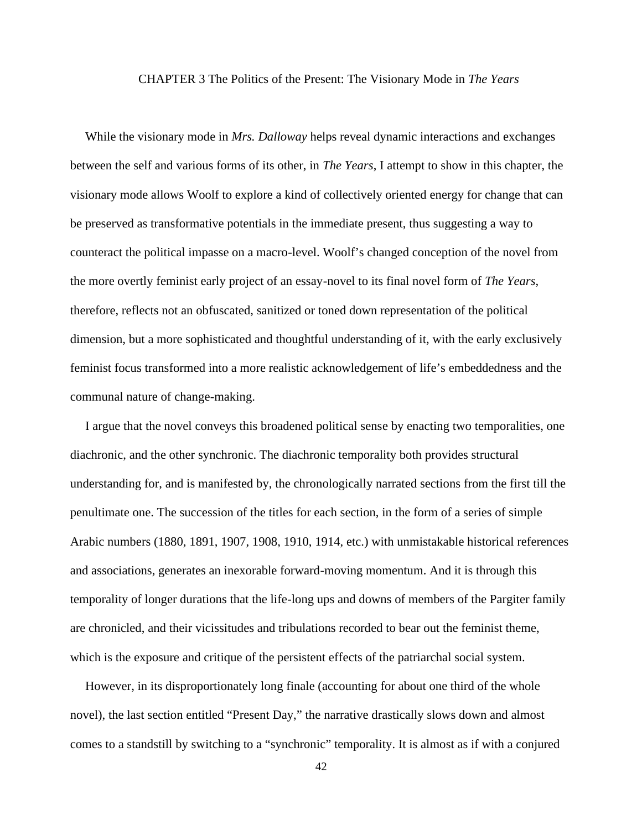## CHAPTER 3 The Politics of the Present: The Visionary Mode in *The Years*

While the visionary mode in *Mrs. Dalloway* helps reveal dynamic interactions and exchanges between the self and various forms of its other, in *The Years*, I attempt to show in this chapter, the visionary mode allows Woolf to explore a kind of collectively oriented energy for change that can be preserved as transformative potentials in the immediate present, thus suggesting a way to counteract the political impasse on a macro-level. Woolf's changed conception of the novel from the more overtly feminist early project of an essay-novel to its final novel form of *The Years*, therefore, reflects not an obfuscated, sanitized or toned down representation of the political dimension, but a more sophisticated and thoughtful understanding of it, with the early exclusively feminist focus transformed into a more realistic acknowledgement of life's embeddedness and the communal nature of change-making.

I argue that the novel conveys this broadened political sense by enacting two temporalities, one diachronic, and the other synchronic. The diachronic temporality both provides structural understanding for, and is manifested by, the chronologically narrated sections from the first till the penultimate one. The succession of the titles for each section, in the form of a series of simple Arabic numbers (1880, 1891, 1907, 1908, 1910, 1914, etc.) with unmistakable historical references and associations, generates an inexorable forward-moving momentum. And it is through this temporality of longer durations that the life-long ups and downs of members of the Pargiter family are chronicled, and their vicissitudes and tribulations recorded to bear out the feminist theme, which is the exposure and critique of the persistent effects of the patriarchal social system.

However, in its disproportionately long finale (accounting for about one third of the whole novel), the last section entitled "Present Day," the narrative drastically slows down and almost comes to a standstill by switching to a "synchronic" temporality. It is almost as if with a conjured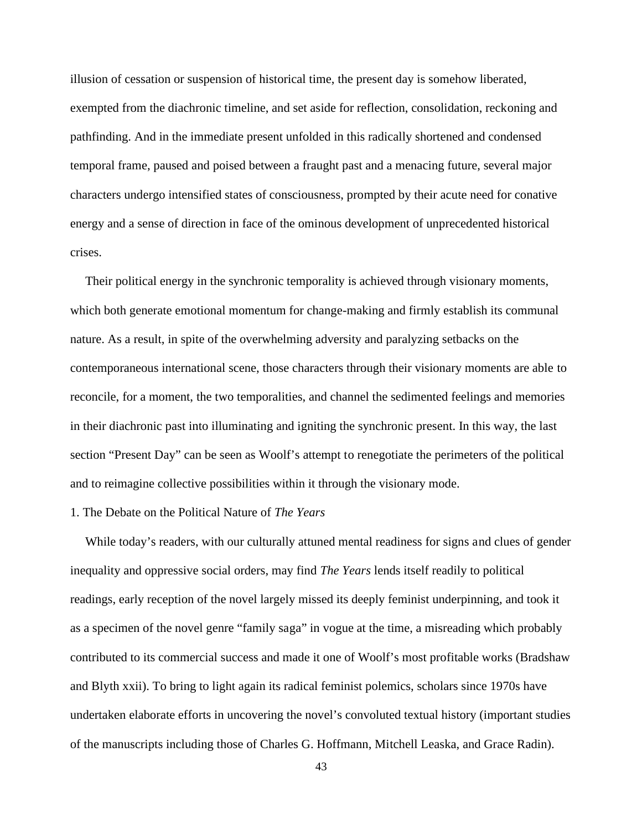illusion of cessation or suspension of historical time, the present day is somehow liberated, exempted from the diachronic timeline, and set aside for reflection, consolidation, reckoning and pathfinding. And in the immediate present unfolded in this radically shortened and condensed temporal frame, paused and poised between a fraught past and a menacing future, several major characters undergo intensified states of consciousness, prompted by their acute need for conative energy and a sense of direction in face of the ominous development of unprecedented historical crises.

Their political energy in the synchronic temporality is achieved through visionary moments, which both generate emotional momentum for change-making and firmly establish its communal nature. As a result, in spite of the overwhelming adversity and paralyzing setbacks on the contemporaneous international scene, those characters through their visionary moments are able to reconcile, for a moment, the two temporalities, and channel the sedimented feelings and memories in their diachronic past into illuminating and igniting the synchronic present. In this way, the last section "Present Day" can be seen as Woolf's attempt to renegotiate the perimeters of the political and to reimagine collective possibilities within it through the visionary mode.

## 1. The Debate on the Political Nature of *The Years*

While today's readers, with our culturally attuned mental readiness for signs and clues of gender inequality and oppressive social orders, may find *The Years* lends itself readily to political readings, early reception of the novel largely missed its deeply feminist underpinning, and took it as a specimen of the novel genre "family saga" in vogue at the time, a misreading which probably contributed to its commercial success and made it one of Woolf's most profitable works (Bradshaw and Blyth xxii). To bring to light again its radical feminist polemics, scholars since 1970s have undertaken elaborate efforts in uncovering the novel's convoluted textual history (important studies of the manuscripts including those of Charles G. Hoffmann, Mitchell Leaska, and Grace Radin).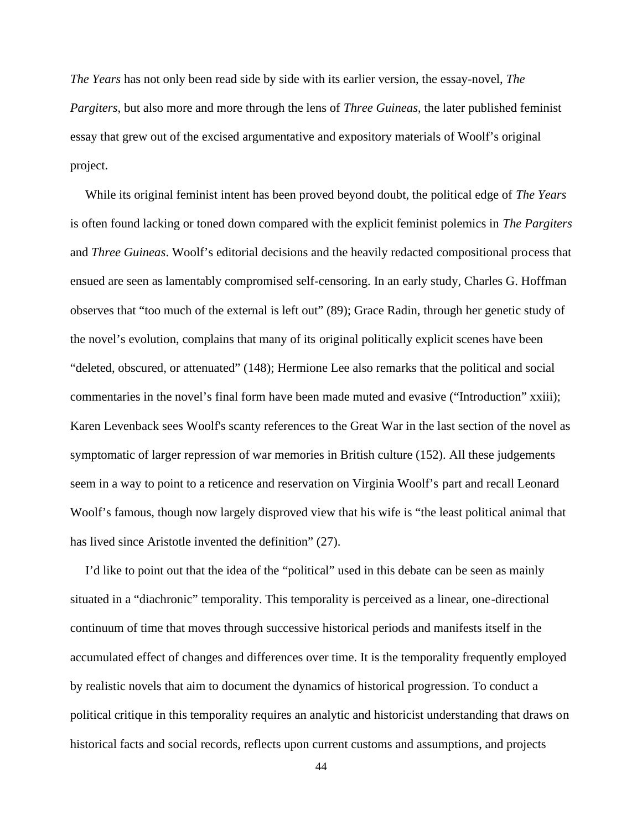*The Years* has not only been read side by side with its earlier version, the essay-novel, *The Pargiters*, but also more and more through the lens of *Three Guineas*, the later published feminist essay that grew out of the excised argumentative and expository materials of Woolf's original project.

While its original feminist intent has been proved beyond doubt, the political edge of *The Years* is often found lacking or toned down compared with the explicit feminist polemics in *The Pargiters* and *Three Guineas*. Woolf's editorial decisions and the heavily redacted compositional process that ensued are seen as lamentably compromised self-censoring. In an early study, Charles G. Hoffman observes that "too much of the external is left out" (89); Grace Radin, through her genetic study of the novel's evolution, complains that many of its original politically explicit scenes have been "deleted, obscured, or attenuated" (148); Hermione Lee also remarks that the political and social commentaries in the novel's final form have been made muted and evasive ("Introduction" xxiii); Karen Levenback sees Woolf's scanty references to the Great War in the last section of the novel as symptomatic of larger repression of war memories in British culture (152). All these judgements seem in a way to point to a reticence and reservation on Virginia Woolf's part and recall Leonard Woolf's famous, though now largely disproved view that his wife is "the least political animal that has lived since Aristotle invented the definition" (27).

I'd like to point out that the idea of the "political" used in this debate can be seen as mainly situated in a "diachronic" temporality. This temporality is perceived as a linear, one-directional continuum of time that moves through successive historical periods and manifests itself in the accumulated effect of changes and differences over time. It is the temporality frequently employed by realistic novels that aim to document the dynamics of historical progression. To conduct a political critique in this temporality requires an analytic and historicist understanding that draws on historical facts and social records, reflects upon current customs and assumptions, and projects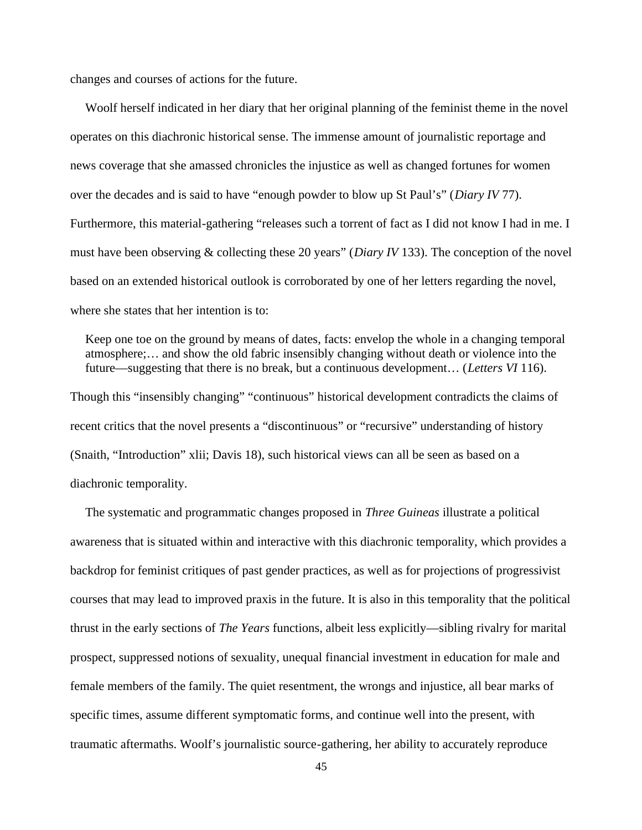changes and courses of actions for the future.

Woolf herself indicated in her diary that her original planning of the feminist theme in the novel operates on this diachronic historical sense. The immense amount of journalistic reportage and news coverage that she amassed chronicles the injustice as well as changed fortunes for women over the decades and is said to have "enough powder to blow up St Paul's" (*Diary IV* 77). Furthermore, this material-gathering "releases such a torrent of fact as I did not know I had in me. I must have been observing & collecting these 20 years" (*Diary IV* 133). The conception of the novel based on an extended historical outlook is corroborated by one of her letters regarding the novel, where she states that her intention is to:

Keep one toe on the ground by means of dates, facts: envelop the whole in a changing temporal atmosphere;… and show the old fabric insensibly changing without death or violence into the future—suggesting that there is no break, but a continuous development… (*Letters VI* 116). Though this "insensibly changing" "continuous" historical development contradicts the claims of recent critics that the novel presents a "discontinuous" or "recursive" understanding of history (Snaith, "Introduction" xlii; Davis 18), such historical views can all be seen as based on a

diachronic temporality.

The systematic and programmatic changes proposed in *Three Guineas* illustrate a political awareness that is situated within and interactive with this diachronic temporality, which provides a backdrop for feminist critiques of past gender practices, as well as for projections of progressivist courses that may lead to improved praxis in the future. It is also in this temporality that the political thrust in the early sections of *The Years* functions, albeit less explicitly—sibling rivalry for marital prospect, suppressed notions of sexuality, unequal financial investment in education for male and female members of the family. The quiet resentment, the wrongs and injustice, all bear marks of specific times, assume different symptomatic forms, and continue well into the present, with traumatic aftermaths. Woolf's journalistic source-gathering, her ability to accurately reproduce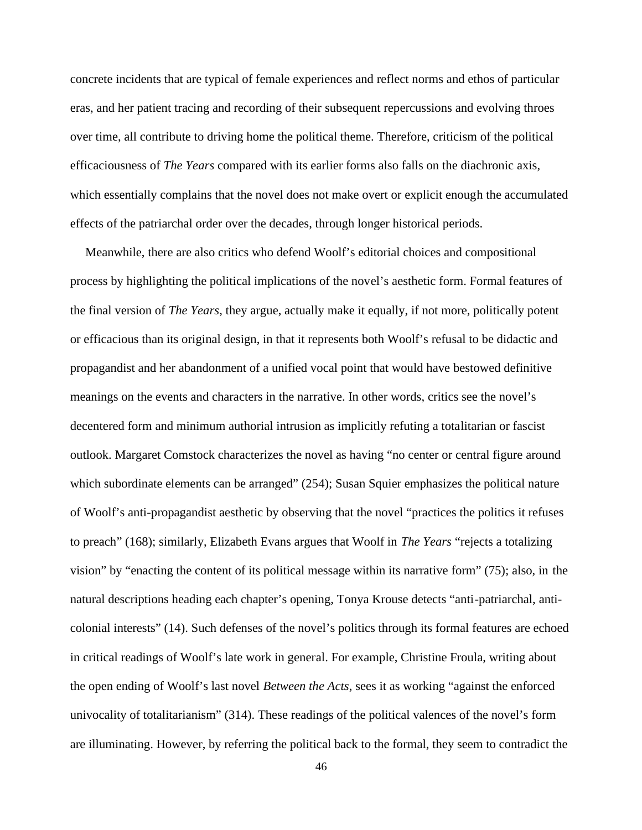concrete incidents that are typical of female experiences and reflect norms and ethos of particular eras, and her patient tracing and recording of their subsequent repercussions and evolving throes over time, all contribute to driving home the political theme. Therefore, criticism of the political efficaciousness of *The Years* compared with its earlier forms also falls on the diachronic axis, which essentially complains that the novel does not make overt or explicit enough the accumulated effects of the patriarchal order over the decades, through longer historical periods.

Meanwhile, there are also critics who defend Woolf's editorial choices and compositional process by highlighting the political implications of the novel's aesthetic form. Formal features of the final version of *The Years*, they argue, actually make it equally, if not more, politically potent or efficacious than its original design, in that it represents both Woolf's refusal to be didactic and propagandist and her abandonment of a unified vocal point that would have bestowed definitive meanings on the events and characters in the narrative. In other words, critics see the novel's decentered form and minimum authorial intrusion as implicitly refuting a totalitarian or fascist outlook. Margaret Comstock characterizes the novel as having "no center or central figure around which subordinate elements can be arranged" (254); Susan Squier emphasizes the political nature of Woolf's anti-propagandist aesthetic by observing that the novel "practices the politics it refuses to preach" (168); similarly, Elizabeth Evans argues that Woolf in *The Years* "rejects a totalizing vision" by "enacting the content of its political message within its narrative form" (75); also, in the natural descriptions heading each chapter's opening, Tonya Krouse detects "anti-patriarchal, anti colonial interests" (14). Such defenses of the novel's politics through its formal features are echoed in critical readings of Woolf's late work in general. For example, Christine Froula, writing about the open ending of Woolf's last novel *Between the Acts*, sees it as working "against the enforced univocality of totalitarianism" (314). These readings of the political valences of the novel's form are illuminating. However, by referring the political back to the formal, they seem to contradict the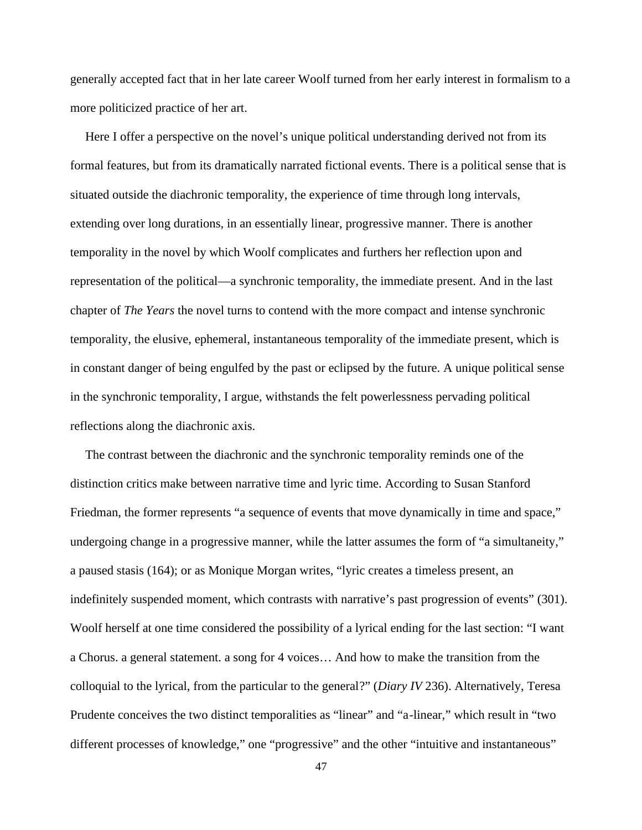generally accepted fact that in her late career Woolf turned from her early interest in formalism to a more politicized practice of her art.

Here I offer a perspective on the novel's unique political understanding derived not from its formal features, but from its dramatically narrated fictional events. There is a political sense that is situated outside the diachronic temporality, the experience of time through long intervals, extending over long durations, in an essentially linear, progressive manner. There is another temporality in the novel by which Woolf complicates and furthers her reflection upon and representation of the political—a synchronic temporality, the immediate present. And in the last chapter of *The Years* the novel turns to contend with the more compact and intense synchronic temporality, the elusive, ephemeral, instantaneous temporality of the immediate present, which is in constant danger of being engulfed by the past or eclipsed by the future. A unique political sense in the synchronic temporality, I argue, withstands the felt powerlessness pervading political reflections along the diachronic axis.

The contrast between the diachronic and the synchronic temporality reminds one of the distinction critics make between narrative time and lyric time. According to Susan Stanford Friedman, the former represents "a sequence of events that move dynamically in time and space," undergoing change in a progressive manner, while the latter assumes the form of "a simultaneity," a paused stasis (164); or as Monique Morgan writes, "lyric creates a timeless present, an indefinitely suspended moment, which contrasts with narrative's past progression of events" (301). Woolf herself at one time considered the possibility of a lyrical ending for the last section: "I want a Chorus. a general statement. a song for 4 voices… And how to make the transition from the colloquial to the lyrical, from the particular to the general?" (*Diary IV* 236). Alternatively, Teresa Prudente conceives the two distinct temporalities as "linear" and "a-linear," which result in "two different processes of knowledge," one "progressive" and the other "intuitive and instantaneous"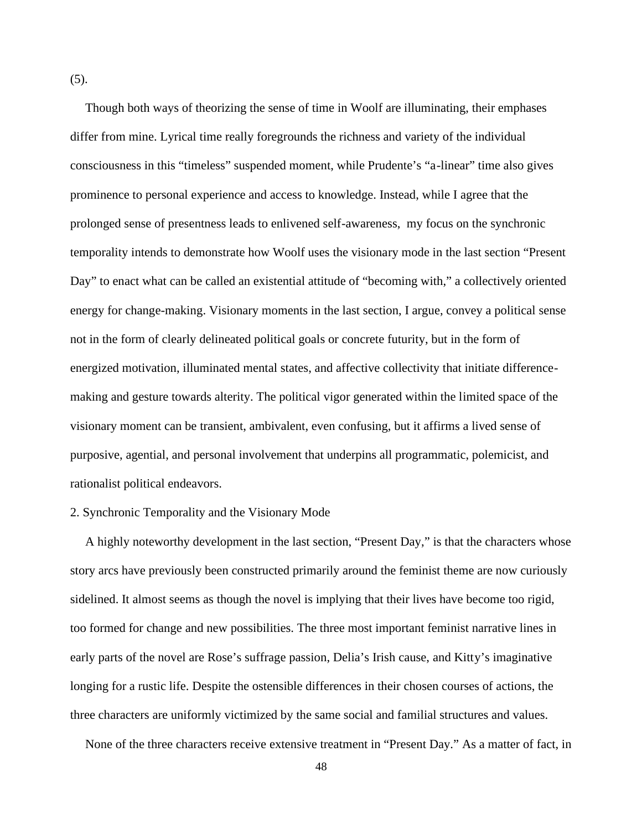(5).

Though both ways of theorizing the sense of time in Woolf are illuminating, their emphases differ from mine. Lyrical time really foregrounds the richness and variety of the individual consciousness in this "timeless" suspended moment, while Prudente's "a-linear" time also gives prominence to personal experience and access to knowledge. Instead, while I agree that the prolonged sense of presentness leads to enlivened self-awareness, my focus on the synchronic temporality intends to demonstrate how Woolf uses the visionary mode in the last section "Present Day" to enact what can be called an existential attitude of "becoming with," a collectively oriented energy for change-making. Visionary moments in the last section, I argue, convey a political sense not in the form of clearly delineated political goals or concrete futurity, but in the form of energized motivation, illuminated mental states, and affective collectivity that initiate difference making and gesture towards alterity. The political vigor generated within the limited space of the visionary moment can be transient, ambivalent, even confusing, but it affirms a lived sense of purposive, agential, and personal involvement that underpins all programmatic, polemicist, and rationalist political endeavors.

## 2. Synchronic Temporality and the Visionary Mode

A highly noteworthy development in the last section, "Present Day," is that the characters whose story arcs have previously been constructed primarily around the feminist theme are now curiously sidelined. It almost seems as though the novel is implying that their lives have become too rigid, too formed for change and new possibilities. The three most important feminist narrative lines in early parts of the novel are Rose's suffrage passion, Delia's Irish cause, and Kitty's imaginative longing for a rustic life. Despite the ostensible differences in their chosen courses of actions, the three characters are uniformly victimized by the same social and familial structures and values.

None of the three characters receive extensive treatment in "Present Day." As a matter of fact, in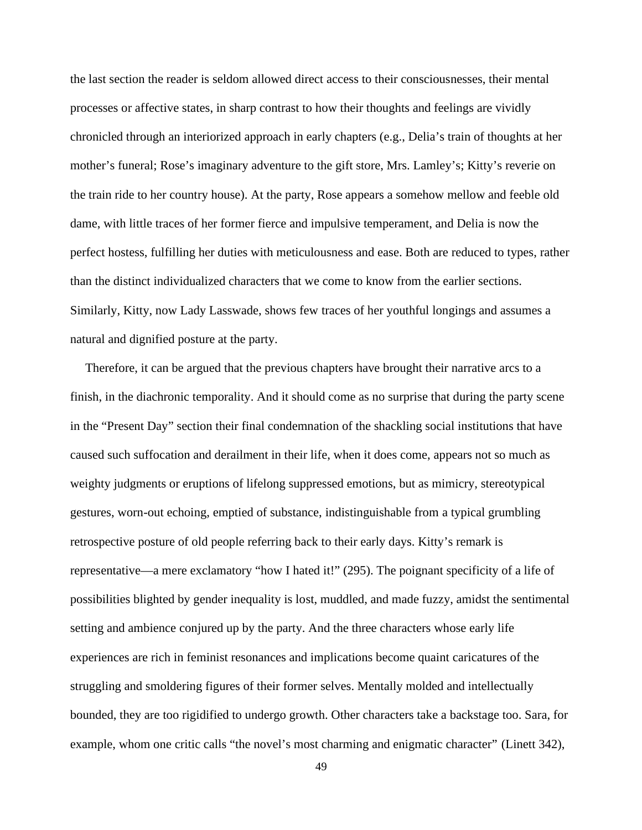the last section the reader is seldom allowed direct access to their consciousnesses, their mental processes or affective states, in sharp contrast to how their thoughts and feelings are vividly chronicled through an interiorized approach in early chapters (e.g., Delia's train of thoughts at her mother's funeral; Rose's imaginary adventure to the gift store, Mrs. Lamley's; Kitty's reverie on the train ride to her country house). At the party, Rose appears a somehow mellow and feeble old dame, with little traces of her former fierce and impulsive temperament, and Delia is now the perfect hostess, fulfilling her duties with meticulousness and ease. Both are reduced to types, rather than the distinct individualized characters that we come to know from the earlier sections. Similarly, Kitty, now Lady Lasswade, shows few traces of her youthful longings and assumes a natural and dignified posture at the party.

Therefore, it can be argued that the previous chapters have brought their narrative arcs to a finish, in the diachronic temporality. And it should come as no surprise that during the party scene in the "Present Day" section their final condemnation of the shackling social institutions that have caused such suffocation and derailment in their life, when it does come, appears not so much as weighty judgments or eruptions of lifelong suppressed emotions, but as mimicry, stereotypical gestures, worn-out echoing, emptied of substance, indistinguishable from a typical grumbling retrospective posture of old people referring back to their early days. Kitty's remark is representative—a mere exclamatory "how I hated it!" (295). The poignant specificity of a life of possibilities blighted by gender inequality is lost, muddled, and made fuzzy, amidst the sentimental setting and ambience conjured up by the party. And the three characters whose early life experiences are rich in feminist resonances and implications become quaint caricatures of the struggling and smoldering figures of their former selves. Mentally molded and intellectually bounded, they are too rigidified to undergo growth. Other characters take a backstage too. Sara, for example, whom one critic calls "the novel's most charming and enigmatic character" (Linett 342),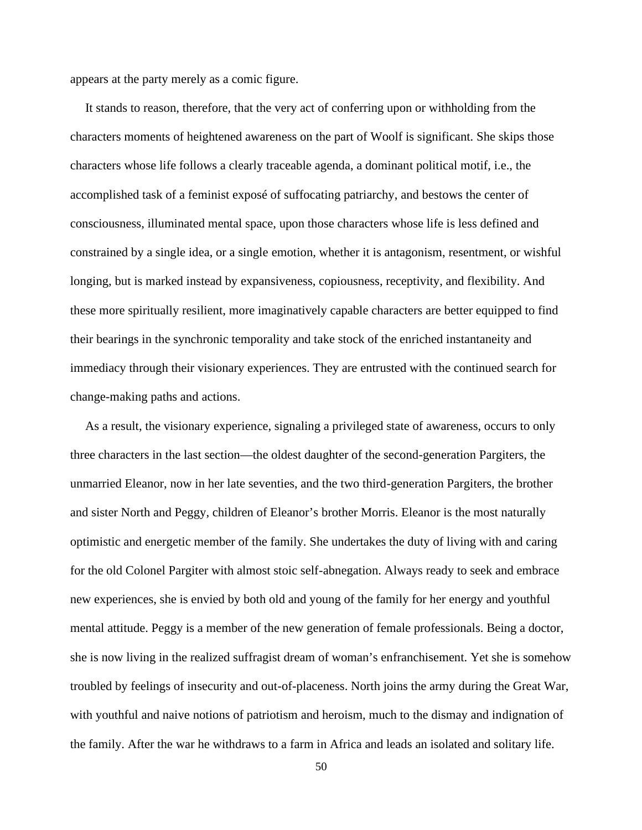appears at the party merely as a comic figure.

It stands to reason, therefore, that the very act of conferring upon or withholding from the characters moments of heightened awareness on the part of Woolf is significant. She skips those characters whose life follows a clearly traceable agenda, a dominant political motif, i.e., the accomplished task of a feminist exposé of suffocating patriarchy, and bestows the center of consciousness, illuminated mental space, upon those characters whose life is less defined and constrained by a single idea, or a single emotion, whether it is antagonism, resentment, or wishful longing, but is marked instead by expansiveness, copiousness, receptivity, and flexibility. And these more spiritually resilient, more imaginatively capable characters are better equipped to find their bearings in the synchronic temporality and take stock of the enriched instantaneity and immediacy through their visionary experiences. They are entrusted with the continued search for change-making paths and actions.

As a result, the visionary experience, signaling a privileged state of awareness, occurs to only three characters in the last section—the oldest daughter of the second-generation Pargiters, the unmarried Eleanor, now in her late seventies, and the two third-generation Pargiters, the brother and sister North and Peggy, children of Eleanor's brother Morris. Eleanor is the most naturally optimistic and energetic member of the family. She undertakes the duty of living with and caring for the old Colonel Pargiter with almost stoic self-abnegation. Always ready to seek and embrace new experiences, she is envied by both old and young of the family for her energy and youthful mental attitude. Peggy is a member of the new generation of female professionals. Being a doctor, she is now living in the realized suffragist dream of woman's enfranchisement. Yet she is somehow troubled by feelings of insecurity and out-of-placeness. North joins the army during the Great War, with youthful and naive notions of patriotism and heroism, much to the dismay and indignation of the family. After the war he withdraws to a farm in Africa and leads an isolated and solitary life.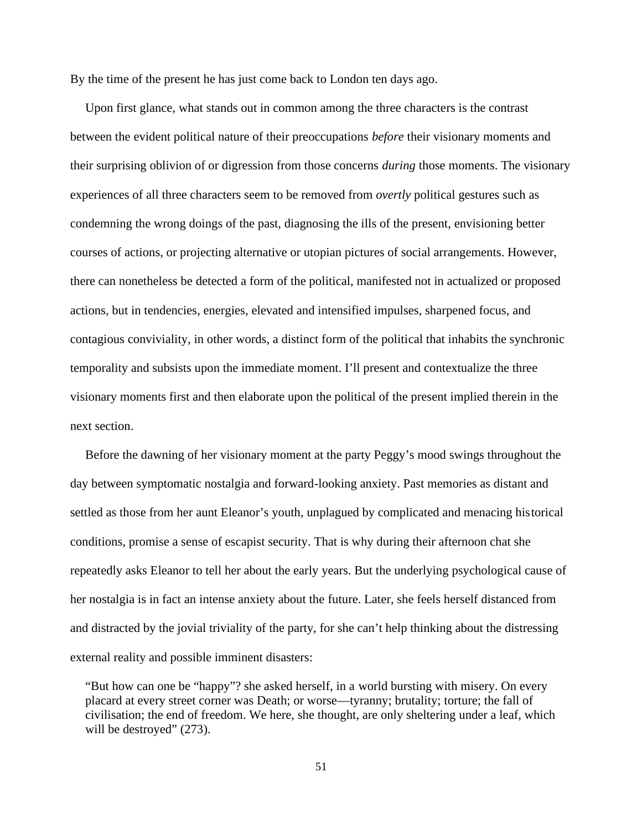By the time of the present he has just come back to London ten days ago.

Upon first glance, what stands out in common among the three characters is the contrast between the evident political nature of their preoccupations *before* their visionary moments and their surprising oblivion of or digression from those concerns *during* those moments. The visionary experiences of all three characters seem to be removed from *overtly* political gestures such as condemning the wrong doings of the past, diagnosing the ills of the present, envisioning better courses of actions, or projecting alternative or utopian pictures of social arrangements. However, there can nonetheless be detected a form of the political, manifested not in actualized or proposed actions, but in tendencies, energies, elevated and intensified impulses, sharpened focus, and contagious conviviality, in other words, a distinct form of the political that inhabits the synchronic temporality and subsists upon the immediate moment. I'll present and contextualize the three visionary moments first and then elaborate upon the political of the present implied therein in the next section.

Before the dawning of her visionary moment at the party Peggy's mood swings throughout the day between symptomatic nostalgia and forward-looking anxiety. Past memories as distant and settled as those from her aunt Eleanor's youth, unplagued by complicated and menacing historical conditions, promise a sense of escapist security. That is why during their afternoon chat she repeatedly asks Eleanor to tell her about the early years. But the underlying psychological cause of her nostalgia is in fact an intense anxiety about the future. Later, she feels herself distanced from and distracted by the jovial triviality of the party, for she can't help thinking about the distressing external reality and possible imminent disasters:

<sup>&</sup>quot;But how can one be "happy"? she asked herself, in a world bursting with misery. On every placard at every street corner was Death; or worse—tyranny; brutality; torture; the fall of civilisation; the end of freedom. We here, she thought, are only sheltering under a leaf, which will be destroyed"  $(273)$ .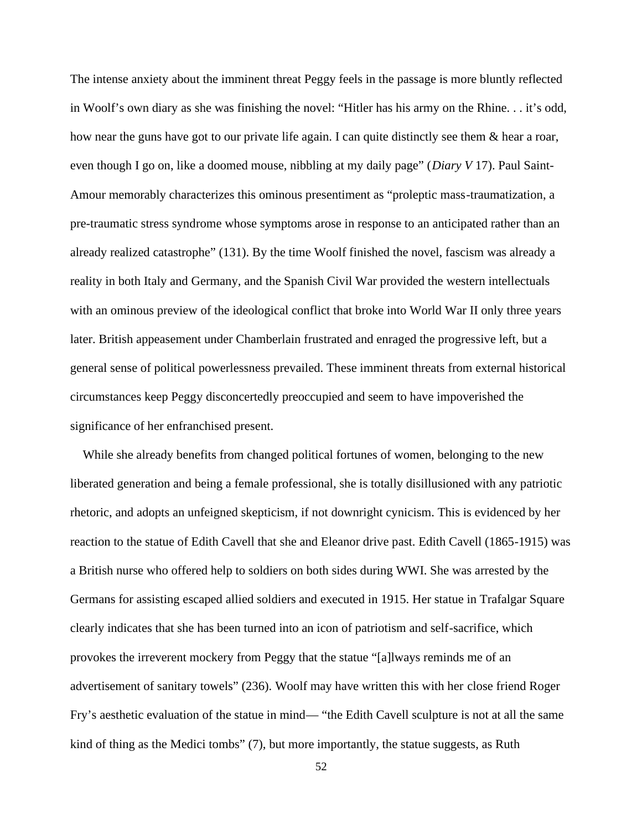The intense anxiety about the imminent threat Peggy feels in the passage is more bluntly reflected in Woolf's own diary as she was finishing the novel: "Hitler has his army on the Rhine. . . it's odd, how near the guns have got to our private life again. I can quite distinctly see them & hear a roar, even though I go on, like a doomed mouse, nibbling at my daily page" (*Diary V* 17). Paul Saint- Amour memorably characterizes this ominous presentiment as "proleptic mass-traumatization, a pre-traumatic stress syndrome whose symptoms arose in response to an anticipated rather than an already realized catastrophe" (131). By the time Woolf finished the novel, fascism was already a reality in both Italy and Germany, and the Spanish Civil War provided the western intellectuals with an ominous preview of the ideological conflict that broke into World War II only three years later. British appeasement under Chamberlain frustrated and enraged the progressive left, but a general sense of political powerlessness prevailed. These imminent threats from external historical circumstances keep Peggy disconcertedly preoccupied and seem to have impoverished the significance of her enfranchised present.

While she already benefits from changed political fortunes of women, belonging to the new liberated generation and being a female professional, she is totally disillusioned with any patriotic rhetoric, and adopts an unfeigned skepticism, if not downright cynicism. This is evidenced by her reaction to the statue of Edith Cavell that she and Eleanor drive past. Edith Cavell (1865-1915) was a British nurse who offered help to soldiers on both sides during WWI. She was arrested by the Germans for assisting escaped allied soldiers and executed in 1915. Her statue in Trafalgar Square clearly indicates that she has been turned into an icon of patriotism and self-sacrifice, which provokes the irreverent mockery from Peggy that the statue "[a]lways reminds me of an advertisement of sanitary towels" (236). Woolf may have written this with her close friend Roger Fry's aesthetic evaluation of the statue in mind— "the Edith Cavell sculpture is not at all the same kind of thing as the Medici tombs" (7), but more importantly, the statue suggests, as Ruth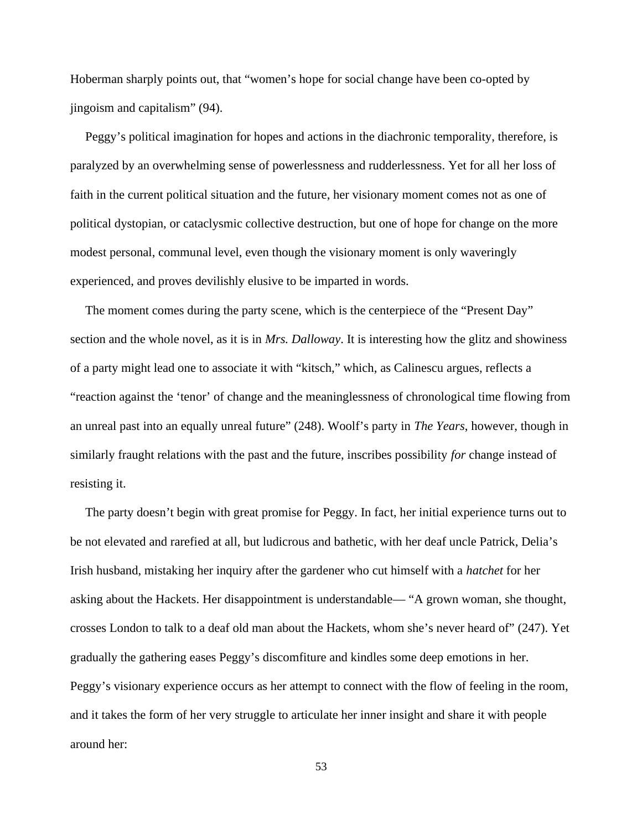Hoberman sharply points out, that "women's hope for social change have been co-opted by jingoism and capitalism" (94).

Peggy's political imagination for hopes and actions in the diachronic temporality, therefore, is paralyzed by an overwhelming sense of powerlessness and rudderlessness. Yet for all her loss of faith in the current political situation and the future, her visionary moment comes not as one of political dystopian, or cataclysmic collective destruction, but one of hope for change on the more modest personal, communal level, even though the visionary moment is only waveringly experienced, and proves devilishly elusive to be imparted in words.

The moment comes during the party scene, which is the centerpiece of the "Present Day" section and the whole novel, as it is in *Mrs. Dalloway*. It is interesting how the glitz and showiness of a party might lead one to associate it with "kitsch," which, as Calinescu argues, reflects a "reaction against the 'tenor' of change and the meaninglessness of chronological time flowing from an unreal past into an equally unreal future" (248). Woolf's party in *The Years*, however, though in similarly fraught relations with the past and the future, inscribes possibility *for* change instead of resisting it.

The party doesn't begin with great promise for Peggy. In fact, her initial experience turns out to be not elevated and rarefied at all, but ludicrous and bathetic, with her deaf uncle Patrick, Delia's Irish husband, mistaking her inquiry after the gardener who cut himself with a *hatchet* for her asking about the Hackets. Her disappointment is understandable— "A grown woman, she thought, crosses London to talk to a deaf old man about the Hackets, whom she's never heard of" (247). Yet gradually the gathering eases Peggy's discomfiture and kindles some deep emotions in her. Peggy's visionary experience occurs as her attempt to connect with the flow of feeling in the room, and it takes the form of her very struggle to articulate her inner insight and share it with people around her: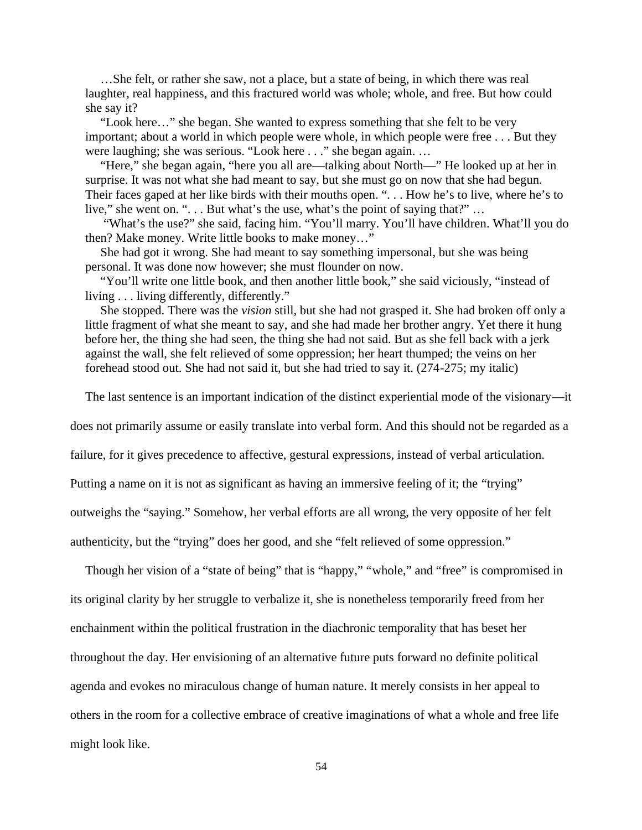…She felt, or rather she saw, not a place, but a state of being, in which there was real laughter, real happiness, and this fractured world was whole; whole, and free. But how could she say it?

"Look here…" she began. She wanted to express something that she felt to be very important; about a world in which people were whole, in which people were free . . . But they were laughing; she was serious. "Look here . . ." she began again. …

"Here," she began again, "here you all are—talking about North—" He looked up at her in surprise. It was not what she had meant to say, but she must go on now that she had begun. Their faces gaped at her like birds with their mouths open. ". . . How he's to live, where he's to live," she went on. "... But what's the use, what's the point of saying that?" ...

"What's the use?" she said, facing him. "You'll marry. You'll have children. What'll you do then? Make money. Write little books to make money…"

She had got it wrong. She had meant to say something impersonal, but she was being personal. It was done now however; she must flounder on now.

"You'll write one little book, and then another little book," she said viciously, "instead of living . . . living differently, differently."

She stopped. There was the *vision* still, but she had not grasped it. She had broken off only a little fragment of what she meant to say, and she had made her brother angry. Yet there it hung before her, the thing she had seen, the thing she had not said. But as she fell back with a jerk against the wall, she felt relieved of some oppression; her heart thumped; the veins on her forehead stood out. She had not said it, but she had tried to say it. (274-275; my italic)

The last sentence is an important indication of the distinct experiential mode of the visionary—it

does not primarily assume or easily translate into verbal form. And this should not be regarded as a

failure, for it gives precedence to affective, gestural expressions, instead of verbal articulation.

Putting a name on it is not as significant as having an immersive feeling of it; the "trying"

outweighs the "saying." Somehow, her verbal efforts are all wrong, the very opposite of her felt

authenticity, but the "trying" does her good, and she "felt relieved of some oppression."

Though her vision of a "state of being" that is "happy," "whole," and "free" is compromised in its original clarity by her struggle to verbalize it, she is nonetheless temporarily freed from her enchainment within the political frustration in the diachronic temporality that has beset her throughout the day. Her envisioning of an alternative future puts forward no definite political agenda and evokes no miraculous change of human nature. It merely consists in her appeal to others in the room for a collective embrace of creative imaginations of what a whole and free life might look like.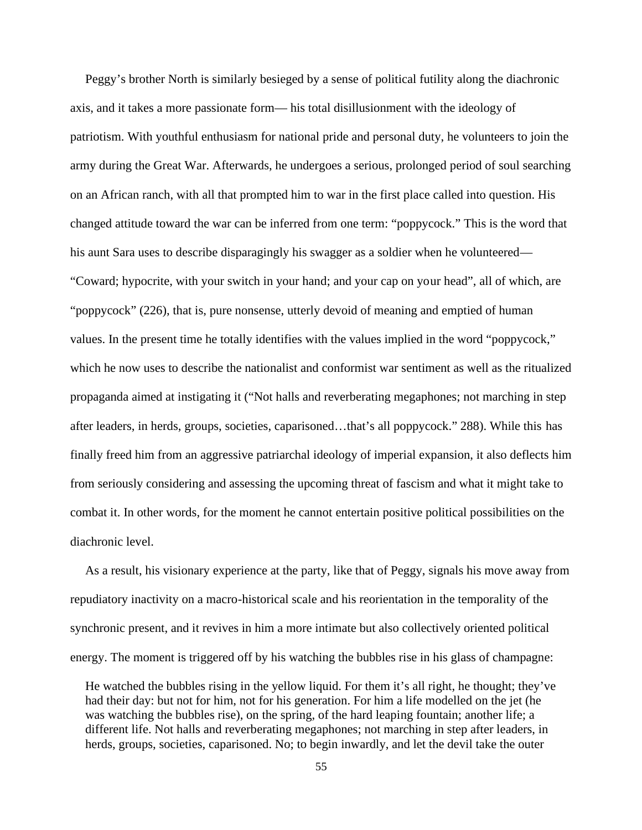Peggy's brother North is similarly besieged by a sense of political futility along the diachronic axis, and it takes a more passionate form— his total disillusionment with the ideology of patriotism. With youthful enthusiasm for national pride and personal duty, he volunteers to join the army during the Great War. Afterwards, he undergoes a serious, prolonged period of soul searching on an African ranch, with all that prompted him to war in the first place called into question. His changed attitude toward the war can be inferred from one term: "poppycock." This is the word that his aunt Sara uses to describe disparagingly his swagger as a soldier when he volunteered— "Coward; hypocrite, with your switch in your hand; and your cap on your head", all of which, are "poppycock" (226), that is, pure nonsense, utterly devoid of meaning and emptied of human values. In the present time he totally identifies with the values implied in the word "poppycock," which he now uses to describe the nationalist and conformist war sentiment as well as the ritualized propaganda aimed at instigating it ("Not halls and reverberating megaphones; not marching in step after leaders, in herds, groups, societies, caparisoned…that's all poppycock." 288). While this has finally freed him from an aggressive patriarchal ideology of imperial expansion, it also deflects him from seriously considering and assessing the upcoming threat of fascism and what it might take to combat it. In other words, for the moment he cannot entertain positive political possibilities on the diachronic level.

As a result, his visionary experience at the party, like that of Peggy, signals his move away from repudiatory inactivity on a macro-historical scale and his reorientation in the temporality of the synchronic present, and it revives in him a more intimate but also collectively oriented political energy. The moment is triggered off by his watching the bubbles rise in his glass of champagne:

He watched the bubbles rising in the yellow liquid. For them it's all right, he thought; they've had their day: but not for him, not for his generation. For him a life modelled on the jet (he was watching the bubbles rise), on the spring, of the hard leaping fountain; another life; a different life. Not halls and reverberating megaphones; not marching in step after leaders, in herds, groups, societies, caparisoned. No; to begin inwardly, and let the devil take the outer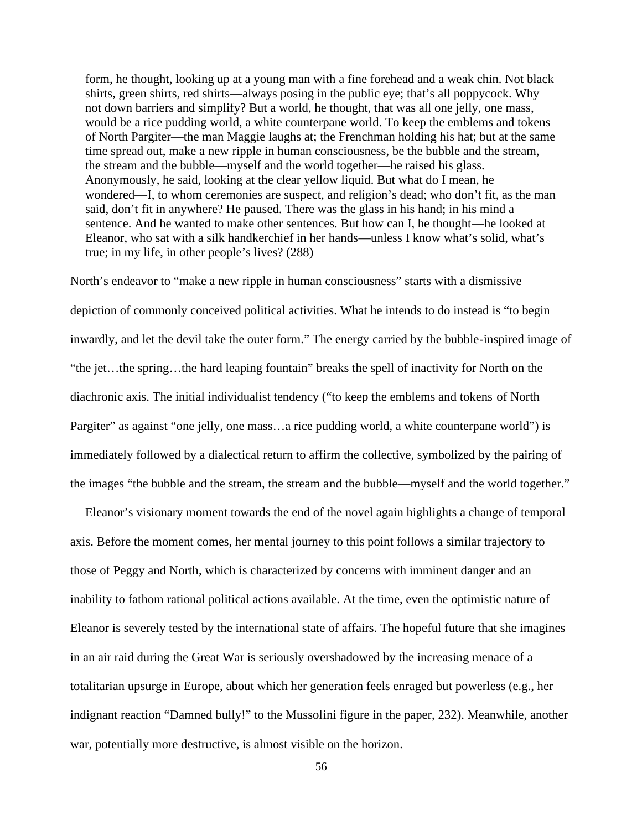form, he thought, looking up at a young man with a fine forehead and a weak chin. Not black shirts, green shirts, red shirts—always posing in the public eye; that's all poppycock. Why not down barriers and simplify? But a world, he thought, that was all one jelly, one mass, would be a rice pudding world, a white counterpane world. To keep the emblems and tokens of North Pargiter—the man Maggie laughs at; the Frenchman holding his hat; but at the same time spread out, make a new ripple in human consciousness, be the bubble and the stream, the stream and the bubble—myself and the world together—he raised his glass. Anonymously, he said, looking at the clear yellow liquid. But what do I mean, he wondered—I, to whom ceremonies are suspect, and religion's dead; who don't fit, as the man said, don't fit in anywhere? He paused. There was the glass in his hand; in his mind a sentence. And he wanted to make other sentences. But how can I, he thought—he looked at Eleanor, who sat with a silk handkerchief in her hands—unless I know what's solid, what's true; in my life, in other people's lives? (288)

North's endeavor to "make a new ripple in human consciousness" starts with a dismissive depiction of commonly conceived political activities. What he intends to do instead is "to begin inwardly, and let the devil take the outer form." The energy carried by the bubble-inspired image of "the jet…the spring…the hard leaping fountain" breaks the spell of inactivity for North on the diachronic axis. The initial individualist tendency ("to keep the emblems and tokens of North Pargiter" as against "one jelly, one mass...a rice pudding world, a white counterpane world") is immediately followed by a dialectical return to affirm the collective, symbolized by the pairing of the images "the bubble and the stream, the stream and the bubble—myself and the world together."

Eleanor's visionary moment towards the end of the novel again highlights a change of temporal axis. Before the moment comes, her mental journey to this point follows a similar trajectory to those of Peggy and North, which is characterized by concerns with imminent danger and an inability to fathom rational political actions available. At the time, even the optimistic nature of Eleanor is severely tested by the international state of affairs. The hopeful future that she imagines in an air raid during the Great War is seriously overshadowed by the increasing menace of a totalitarian upsurge in Europe, about which her generation feels enraged but powerless (e.g., her indignant reaction "Damned bully!" to the Mussolini figure in the paper, 232). Meanwhile, another war, potentially more destructive, is almost visible on the horizon.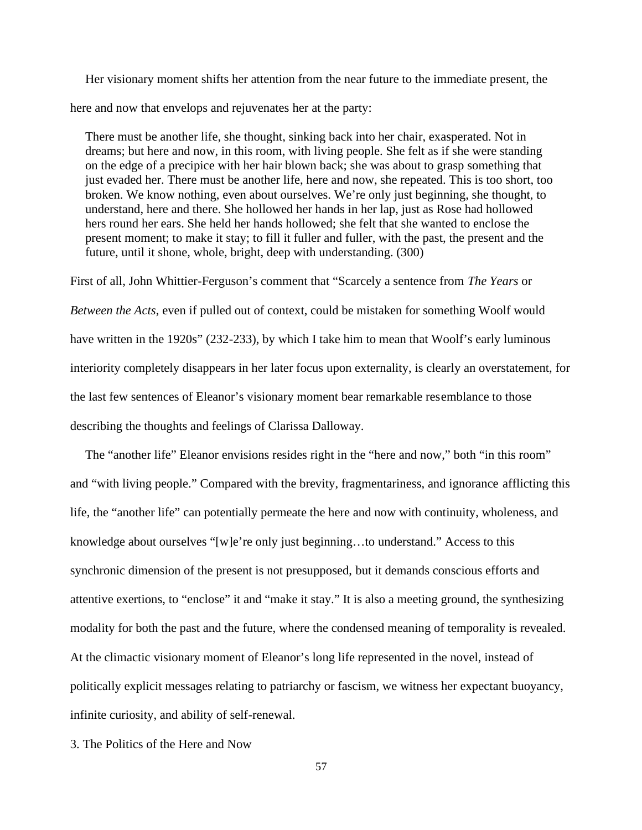Her visionary moment shifts her attention from the near future to the immediate present, the here and now that envelops and rejuvenates her at the party:

There must be another life, she thought, sinking back into her chair, exasperated. Not in dreams; but here and now, in this room, with living people. She felt as if she were standing on the edge of a precipice with her hair blown back; she was about to grasp something that just evaded her. There must be another life, here and now, she repeated. This is too short, too broken. We know nothing, even about ourselves. We're only just beginning, she thought, to understand, here and there. She hollowed her hands in her lap, just as Rose had hollowed hers round her ears. She held her hands hollowed; she felt that she wanted to enclose the present moment; to make it stay; to fill it fuller and fuller, with the past, the present and the future, until it shone, whole, bright, deep with understanding. (300)

First of all, John Whittier-Ferguson's comment that "Scarcely a sentence from *The Years* or *Between the Acts*, even if pulled out of context, could be mistaken for something Woolf would have written in the 1920s" (232-233), by which I take him to mean that Woolf's early luminous interiority completely disappears in her later focus upon externality, is clearly an overstatement, for the last few sentences of Eleanor's visionary moment bear remarkable resemblance to those describing the thoughts and feelings of Clarissa Dalloway.

The "another life" Eleanor envisions resides right in the "here and now," both "in this room" and "with living people." Compared with the brevity, fragmentariness, and ignorance afflicting this life, the "another life" can potentially permeate the here and now with continuity, wholeness, and knowledge about ourselves "[w]e're only just beginning…to understand." Access to this synchronic dimension of the present is not presupposed, but it demands conscious efforts and attentive exertions, to "enclose" it and "make it stay." It is also a meeting ground, the synthesizing modality for both the past and the future, where the condensed meaning of temporality is revealed. At the climactic visionary moment of Eleanor's long life represented in the novel, instead of politically explicit messages relating to patriarchy or fascism, we witness her expectant buoyancy, infinite curiosity, and ability of self-renewal.

3. The Politics of the Here and Now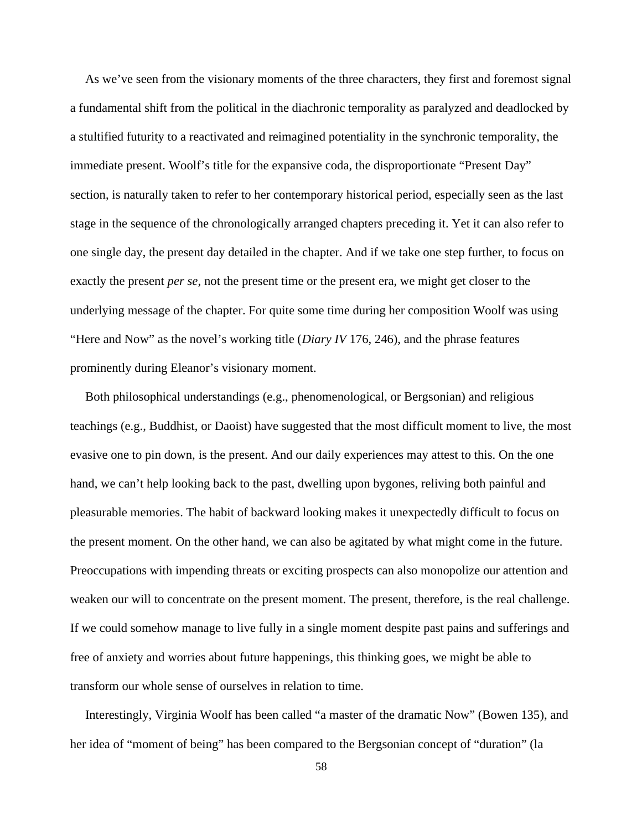As we've seen from the visionary moments of the three characters, they first and foremost signal a fundamental shift from the political in the diachronic temporality as paralyzed and deadlocked by a stultified futurity to a reactivated and reimagined potentiality in the synchronic temporality, the immediate present. Woolf's title for the expansive coda, the disproportionate "Present Day" section, is naturally taken to refer to her contemporary historical period, especially seen as the last stage in the sequence of the chronologically arranged chapters preceding it. Yet it can also refer to one single day, the present day detailed in the chapter. And if we take one step further, to focus on exactly the present *per se*, not the present time or the present era, we might get closer to the underlying message of the chapter. For quite some time during her composition Woolf was using "Here and Now" as the novel's working title (*Diary IV* 176, 246), and the phrase features prominently during Eleanor's visionary moment.

Both philosophical understandings (e.g., phenomenological, or Bergsonian) and religious teachings (e.g., Buddhist, or Daoist) have suggested that the most difficult moment to live, the most evasive one to pin down, is the present. And our daily experiences may attest to this. On the one hand, we can't help looking back to the past, dwelling upon bygones, reliving both painful and pleasurable memories. The habit of backward looking makes it unexpectedly difficult to focus on the present moment. On the other hand, we can also be agitated by what might come in the future. Preoccupations with impending threats or exciting prospects can also monopolize our attention and weaken our will to concentrate on the present moment. The present, therefore, is the real challenge. If we could somehow manage to live fully in a single moment despite past pains and sufferings and free of anxiety and worries about future happenings, this thinking goes, we might be able to transform our whole sense of ourselves in relation to time.

Interestingly, Virginia Woolf has been called "a master of the dramatic Now" (Bowen 135), and her idea of "moment of being" has been compared to the Bergsonian concept of "duration" (la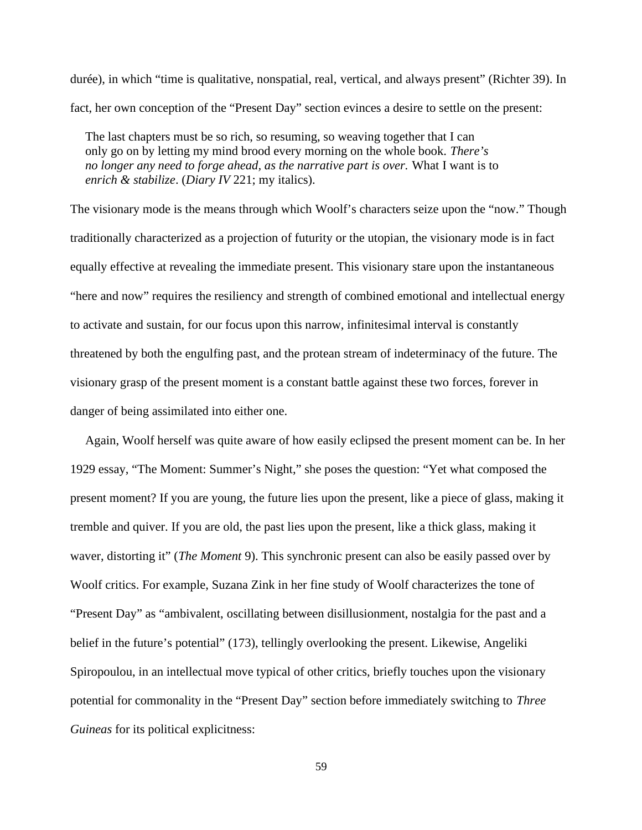durée), in which "time is qualitative, nonspatial, real, vertical, and always present" (Richter 39). In fact, her own conception of the "Present Day" section evinces a desire to settle on the present:

The last chapters must be so rich, so resuming, so weaving together that I can only go on by letting my mind brood every morning on the whole book. *There's no longer any need to forge ahead, as the narrative part is over.* What I want is to *enrich & stabilize*. (*Diary IV* 221; my italics).

The visionary mode is the means through which Woolf's characters seize upon the "now." Though traditionally characterized as a projection of futurity or the utopian, the visionary mode is in fact equally effective at revealing the immediate present. This visionary stare upon the instantaneous "here and now" requires the resiliency and strength of combined emotional and intellectual energy to activate and sustain, for our focus upon this narrow, infinitesimal interval is constantly threatened by both the engulfing past, and the protean stream of indeterminacy of the future. The visionary grasp of the present moment is a constant battle against these two forces, forever in danger of being assimilated into either one.

Again, Woolf herself was quite aware of how easily eclipsed the present moment can be. In her 1929 essay, "The Moment: Summer's Night," she poses the question: "Yet what composed the present moment? If you are young, the future lies upon the present, like a piece of glass, making it tremble and quiver. If you are old, the past lies upon the present, like a thick glass, making it waver, distorting it" (*The Moment* 9). This synchronic present can also be easily passed over by Woolf critics. For example, Suzana Zink in her fine study of Woolf characterizes the tone of "Present Day" as "ambivalent, oscillating between disillusionment, nostalgia for the past and a belief in the future's potential" (173), tellingly overlooking the present. Likewise, Angeliki Spiropoulou, in an intellectual move typical of other critics, briefly touches upon the visionary potential for commonality in the "Present Day" section before immediately switching to *Three Guineas* for its political explicitness: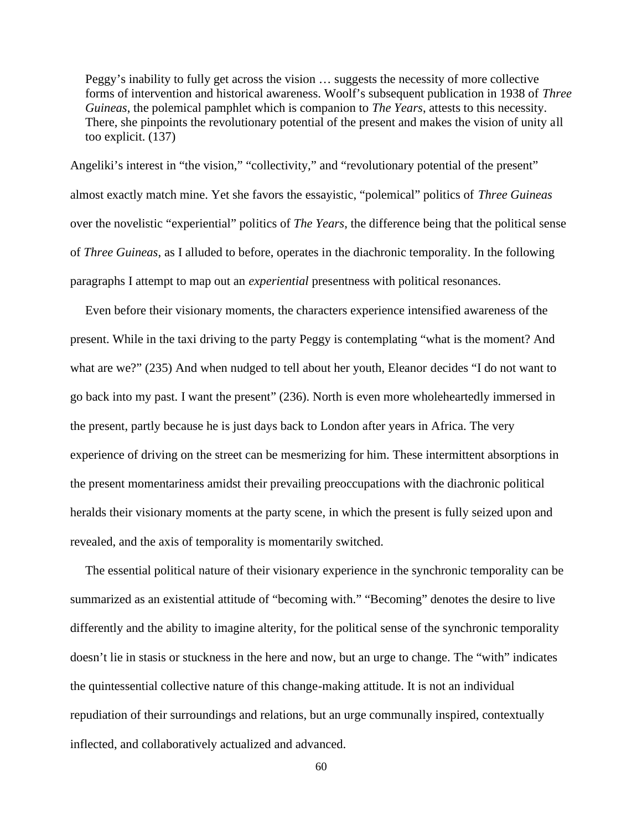Peggy's inability to fully get across the vision … suggests the necessity of more collective forms of intervention and historical awareness. Woolf's subsequent publication in 1938 of *Three Guineas*, the polemical pamphlet which is companion to *The Years*, attests to this necessity. There, she pinpoints the revolutionary potential of the present and makes the vision of unity all too explicit. (137)

Angeliki's interest in "the vision," "collectivity," and "revolutionary potential of the present" almost exactly match mine. Yet she favors the essayistic, "polemical" politics of *Three Guineas* over the novelistic "experiential" politics of *The Years*, the difference being that the political sense of *Three Guineas*, as I alluded to before, operates in the diachronic temporality. In the following paragraphs I attempt to map out an *experiential* presentness with political resonances.

Even before their visionary moments, the characters experience intensified awareness of the present. While in the taxi driving to the party Peggy is contemplating "what is the moment? And what are we?" (235) And when nudged to tell about her youth, Eleanor decides "I do not want to go back into my past. I want the present" (236). North is even more wholeheartedly immersed in the present, partly because he is just days back to London after years in Africa. The very experience of driving on the street can be mesmerizing for him. These intermittent absorptions in the present momentariness amidst their prevailing preoccupations with the diachronic political heralds their visionary moments at the party scene, in which the present is fully seized upon and revealed, and the axis of temporality is momentarily switched.

The essential political nature of their visionary experience in the synchronic temporality can be summarized as an existential attitude of "becoming with." "Becoming" denotes the desire to live differently and the ability to imagine alterity, for the political sense of the synchronic temporality doesn't lie in stasis or stuckness in the here and now, but an urge to change. The "with" indicates the quintessential collective nature of this change-making attitude. It is not an individual repudiation of their surroundings and relations, but an urge communally inspired, contextually inflected, and collaboratively actualized and advanced.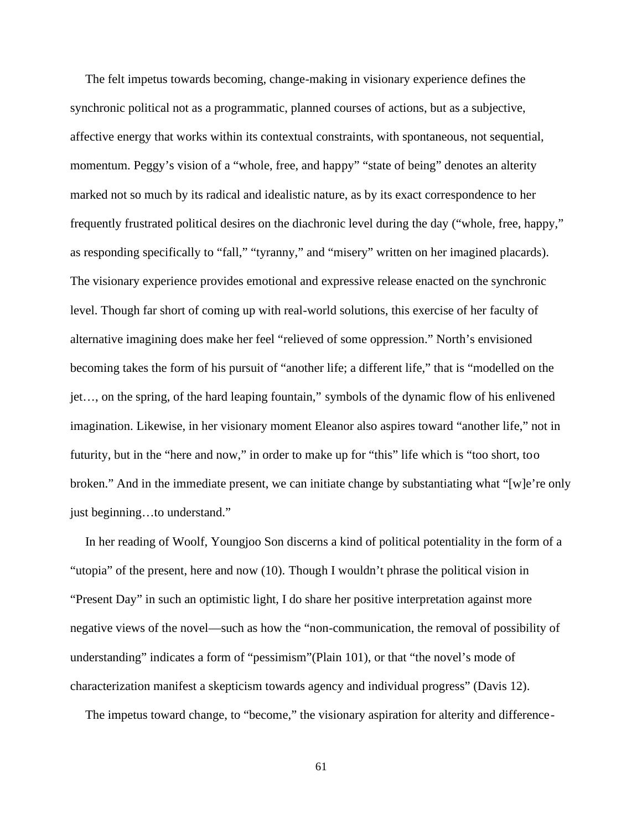The felt impetus towards becoming, change-making in visionary experience defines the synchronic political not as a programmatic, planned courses of actions, but as a subjective, affective energy that works within its contextual constraints, with spontaneous, not sequential, momentum. Peggy's vision of a "whole, free, and happy" "state of being" denotes an alterity marked not so much by its radical and idealistic nature, as by its exact correspondence to her frequently frustrated political desires on the diachronic level during the day ("whole, free, happy," as responding specifically to "fall," "tyranny," and "misery" written on her imagined placards). The visionary experience provides emotional and expressive release enacted on the synchronic level. Though far short of coming up with real-world solutions, this exercise of her faculty of alternative imagining does make her feel "relieved of some oppression." North's envisioned becoming takes the form of his pursuit of "another life; a different life," that is "modelled on the jet…, on the spring, of the hard leaping fountain," symbols of the dynamic flow of his enlivened imagination. Likewise, in her visionary moment Eleanor also aspires toward "another life," not in futurity, but in the "here and now," in order to make up for "this" life which is "too short, too broken." And in the immediate present, we can initiate change by substantiating what "[w]e're only just beginning…to understand."

In her reading of Woolf, Youngjoo Son discerns a kind of political potentiality in the form of a "utopia" of the present, here and now (10). Though I wouldn't phrase the political vision in "Present Day" in such an optimistic light, I do share her positive interpretation against more negative views of the novel—such as how the "non-communication, the removal of possibility of understanding" indicates a form of "pessimism"(Plain 101), or that "the novel's mode of characterization manifest a skepticism towards agency and individual progress" (Davis 12).

The impetus toward change, to "become," the visionary aspiration for alterity and difference-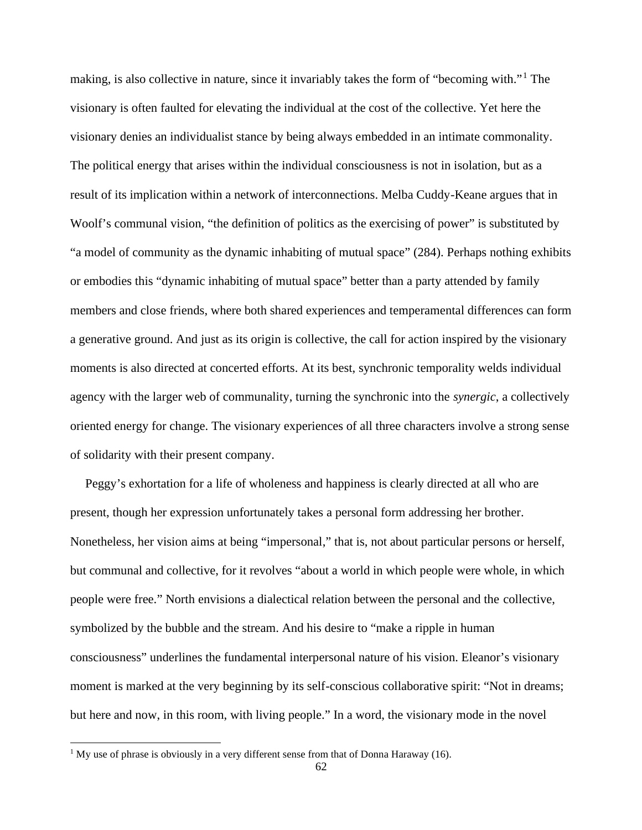making, is also collective in nature, since it invariably takes the form of "becoming with."<sup>1</sup> The visionary is often faulted for elevating the individual at the cost of the collective. Yet here the visionary denies an individualist stance by being always embedded in an intimate commonality. The political energy that arises within the individual consciousness is not in isolation, but as a result of its implication within a network of interconnections. Melba Cuddy-Keane argues that in Woolf's communal vision, "the definition of politics as the exercising of power" is substituted by "a model of community as the dynamic inhabiting of mutual space" (284). Perhaps nothing exhibits or embodies this "dynamic inhabiting of mutual space" better than a party attended by family members and close friends, where both shared experiences and temperamental differences can form a generative ground. And just as its origin is collective, the call for action inspired by the visionary moments is also directed at concerted efforts. At its best, synchronic temporality welds individual agency with the larger web of communality, turning the synchronic into the *synergic*, a collectively oriented energy for change. The visionary experiences of all three characters involve a strong sense of solidarity with their present company.

Peggy's exhortation for a life of wholeness and happiness is clearly directed at all who are present, though her expression unfortunately takes a personal form addressing her brother. Nonetheless, her vision aims at being "impersonal," that is, not about particular persons or herself, but communal and collective, for it revolves "about a world in which people were whole, in which people were free." North envisions a dialectical relation between the personal and the collective, symbolized by the bubble and the stream. And his desire to "make a ripple in human consciousness" underlines the fundamental interpersonal nature of his vision. Eleanor's visionary moment is marked at the very beginning by its self-conscious collaborative spirit: "Not in dreams; but here and now, in this room, with living people." In a word, the visionary mode in the novel

<sup>&</sup>lt;sup>1</sup> My use of phrase is obviously in a very different sense from that of Donna Haraway (16).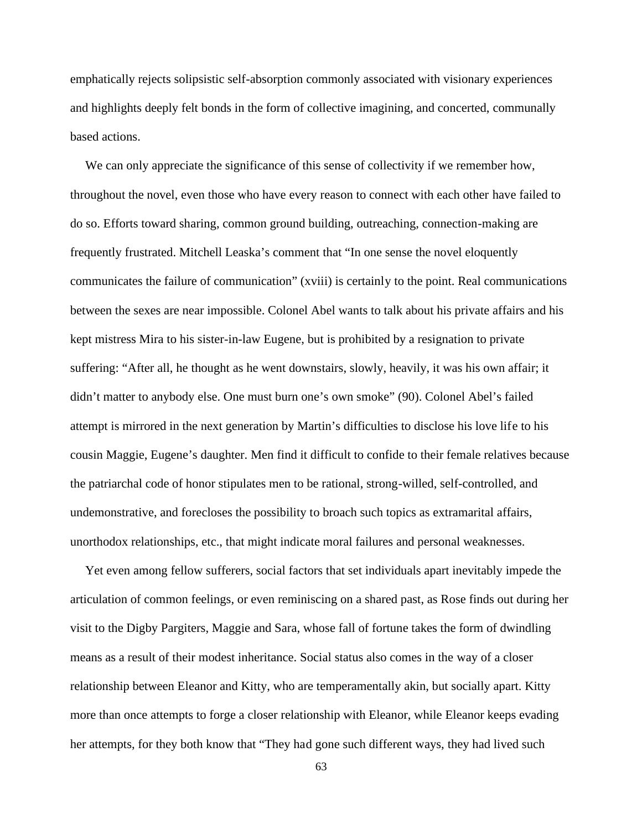emphatically rejects solipsistic self-absorption commonly associated with visionary experiences and highlights deeply felt bonds in the form of collective imagining, and concerted, communally based actions.

We can only appreciate the significance of this sense of collectivity if we remember how, throughout the novel, even those who have every reason to connect with each other have failed to do so. Efforts toward sharing, common ground building, outreaching, connection-making are frequently frustrated. Mitchell Leaska's comment that "In one sense the novel eloquently communicates the failure of communication" (xviii) is certainly to the point. Real communications between the sexes are near impossible. Colonel Abel wants to talk about his private affairs and his kept mistress Mira to his sister-in-law Eugene, but is prohibited by a resignation to private suffering: "After all, he thought as he went downstairs, slowly, heavily, it was his own affair; it didn't matter to anybody else. One must burn one's own smoke" (90). Colonel Abel's failed attempt is mirrored in the next generation by Martin's difficulties to disclose his love life to his cousin Maggie, Eugene's daughter. Men find it difficult to confide to their female relatives because the patriarchal code of honor stipulates men to be rational, strong-willed, self-controlled, and undemonstrative, and forecloses the possibility to broach such topics as extramarital affairs, unorthodox relationships, etc., that might indicate moral failures and personal weaknesses.

Yet even among fellow sufferers, social factors that set individuals apart inevitably impede the articulation of common feelings, or even reminiscing on a shared past, as Rose finds out during her visit to the Digby Pargiters, Maggie and Sara, whose fall of fortune takes the form of dwindling means as a result of their modest inheritance. Social status also comes in the way of a closer relationship between Eleanor and Kitty, who are temperamentally akin, but socially apart. Kitty more than once attempts to forge a closer relationship with Eleanor, while Eleanor keeps evading her attempts, for they both know that "They had gone such different ways, they had lived such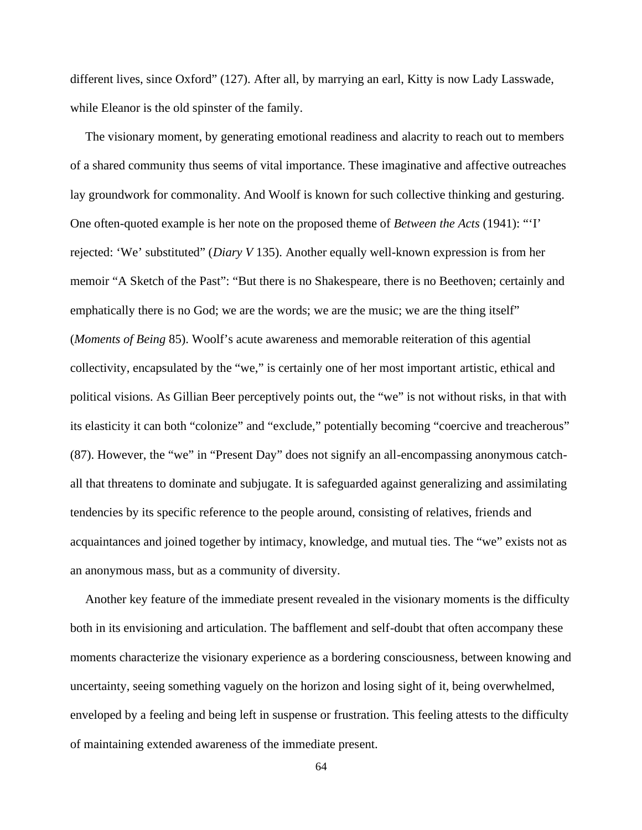different lives, since Oxford" (127). After all, by marrying an earl, Kitty is now Lady Lasswade, while Eleanor is the old spinster of the family.

The visionary moment, by generating emotional readiness and alacrity to reach out to members of a shared community thus seems of vital importance. These imaginative and affective outreaches lay groundwork for commonality. And Woolf is known for such collective thinking and gesturing. One often-quoted example is her note on the proposed theme of *Between the Acts* (1941): "'I' rejected: 'We' substituted" (*Diary V* 135). Another equally well-known expression is from her memoir "A Sketch of the Past": "But there is no Shakespeare, there is no Beethoven; certainly and emphatically there is no God; we are the words; we are the music; we are the thing itself" (*Moments of Being* 85). Woolf's acute awareness and memorable reiteration of this agential collectivity, encapsulated by the "we," is certainly one of her most important artistic, ethical and political visions. As Gillian Beer perceptively points out, the "we" is not without risks, in that with its elasticity it can both "colonize" and "exclude," potentially becoming "coercive and treacherous" (87). However, the "we" in "Present Day" does not signify an all-encompassing anonymous catch all that threatens to dominate and subjugate. It is safeguarded against generalizing and assimilating tendencies by its specific reference to the people around, consisting of relatives, friends and acquaintances and joined together by intimacy, knowledge, and mutual ties. The "we" exists not as an anonymous mass, but as a community of diversity.

Another key feature of the immediate present revealed in the visionary moments is the difficulty both in its envisioning and articulation. The bafflement and self-doubt that often accompany these moments characterize the visionary experience as a bordering consciousness, between knowing and uncertainty, seeing something vaguely on the horizon and losing sight of it, being overwhelmed, enveloped by a feeling and being left in suspense or frustration. This feeling attests to the difficulty of maintaining extended awareness of the immediate present.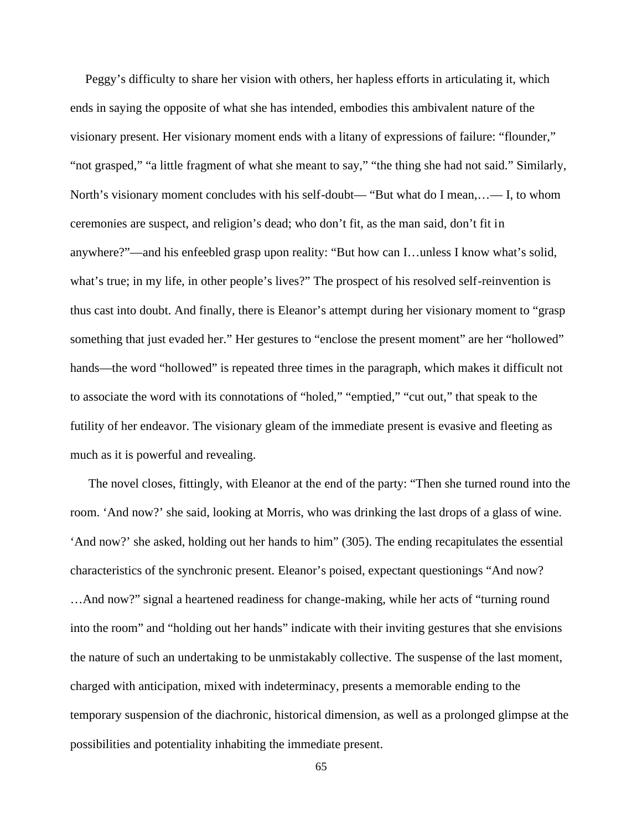Peggy's difficulty to share her vision with others, her hapless efforts in articulating it, which ends in saying the opposite of what she has intended, embodies this ambivalent nature of the visionary present. Her visionary moment ends with a litany of expressions of failure: "flounder," "not grasped," "a little fragment of what she meant to say," "the thing she had not said." Similarly, North's visionary moment concludes with his self-doubt— "But what do I mean,…— I, to whom ceremonies are suspect, and religion's dead; who don't fit, as the man said, don't fit in anywhere?"—and his enfeebled grasp upon reality: "But how can I…unless I know what's solid, what's true; in my life, in other people's lives?" The prospect of his resolved self-reinvention is thus cast into doubt. And finally, there is Eleanor's attempt during her visionary moment to "grasp something that just evaded her." Her gestures to "enclose the present moment" are her "hollowed" hands—the word "hollowed" is repeated three times in the paragraph, which makes it difficult not to associate the word with its connotations of "holed," "emptied," "cut out," that speak to the futility of her endeavor. The visionary gleam of the immediate present is evasive and fleeting as much as it is powerful and revealing.

The novel closes, fittingly, with Eleanor at the end of the party: "Then she turned round into the room. 'And now?' she said, looking at Morris, who was drinking the last drops of a glass of wine. 'And now?' she asked, holding out her hands to him" (305). The ending recapitulates the essential characteristics of the synchronic present. Eleanor's poised, expectant questionings "And now? …And now?" signal a heartened readiness for change-making, while her acts of "turning round into the room" and "holding out her hands" indicate with their inviting gestures that she envisions the nature of such an undertaking to be unmistakably collective. The suspense of the last moment, charged with anticipation, mixed with indeterminacy, presents a memorable ending to the temporary suspension of the diachronic, historical dimension, as well as a prolonged glimpse at the possibilities and potentiality inhabiting the immediate present.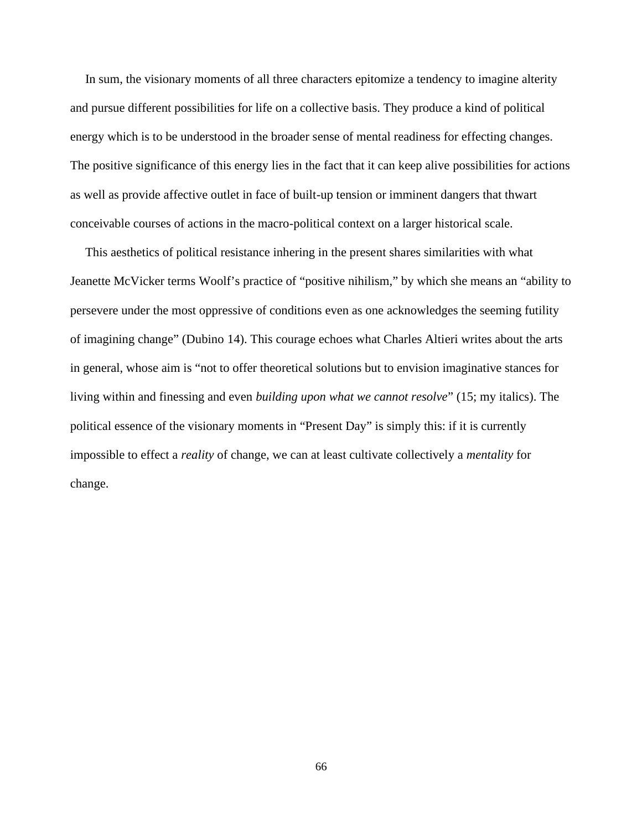In sum, the visionary moments of all three characters epitomize a tendency to imagine alterity and pursue different possibilities for life on a collective basis. They produce a kind of political energy which is to be understood in the broader sense of mental readiness for effecting changes. The positive significance of this energy lies in the fact that it can keep alive possibilities for actions as well as provide affective outlet in face of built-up tension or imminent dangers that thwart conceivable courses of actions in the macro-political context on a larger historical scale.

This aesthetics of political resistance inhering in the present shares similarities with what Jeanette McVicker terms Woolf's practice of "positive nihilism," by which she means an "ability to persevere under the most oppressive of conditions even as one acknowledges the seeming futility of imagining change" (Dubino 14). This courage echoes what Charles Altieri writes about the arts in general, whose aim is "not to offer theoretical solutions but to envision imaginative stances for living within and finessing and even *building upon what we cannot resolve*" (15; my italics). The political essence of the visionary moments in "Present Day" is simply this: if it is currently impossible to effect a *reality* of change, we can at least cultivate collectively a *mentality* for change.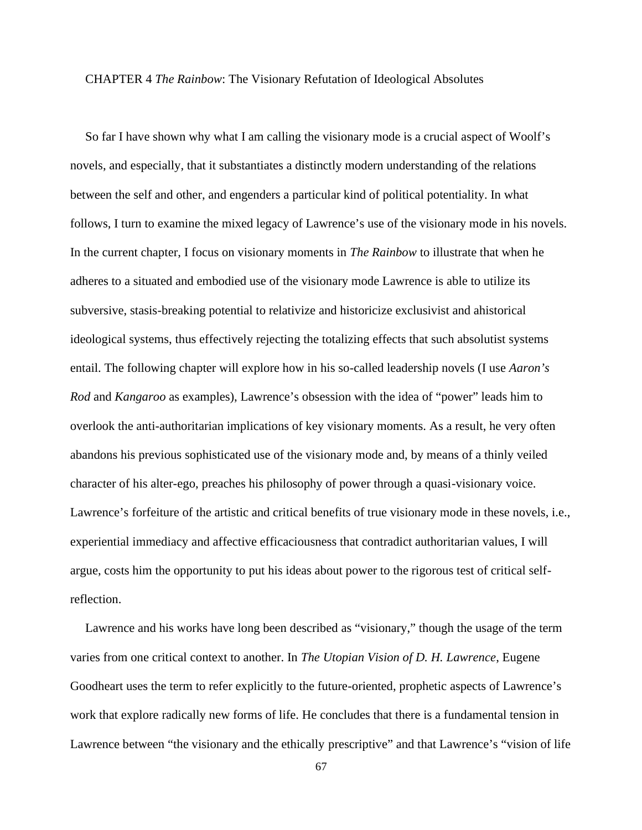## CHAPTER 4 *The Rainbow*: The Visionary Refutation of Ideological Absolutes

So far I have shown why what I am calling the visionary mode is a crucial aspect of Woolf's novels, and especially, that it substantiates a distinctly modern understanding of the relations between the self and other, and engenders a particular kind of political potentiality. In what follows, I turn to examine the mixed legacy of Lawrence's use of the visionary mode in his novels. In the current chapter, I focus on visionary moments in *The Rainbow* to illustrate that when he adheres to a situated and embodied use of the visionary mode Lawrence is able to utilize its subversive, stasis-breaking potential to relativize and historicize exclusivist and ahistorical ideological systems, thus effectively rejecting the totalizing effects that such absolutist systems entail. The following chapter will explore how in his so-called leadership novels (I use *Aaron's Rod* and *Kangaroo* as examples), Lawrence's obsession with the idea of "power" leads him to overlook the anti-authoritarian implications of key visionary moments. As a result, he very often abandons his previous sophisticated use of the visionary mode and, by means of a thinly veiled character of his alter-ego, preaches his philosophy of power through a quasi-visionary voice. Lawrence's forfeiture of the artistic and critical benefits of true visionary mode in these novels, i.e., experiential immediacy and affective efficaciousness that contradict authoritarian values, I will argue, costs him the opportunity to put his ideas about power to the rigorous test of critical selfreflection.

Lawrence and his works have long been described as "visionary," though the usage of the term varies from one critical context to another. In *The Utopian Vision of D. H. Lawrence*, Eugene Goodheart uses the term to refer explicitly to the future-oriented, prophetic aspects of Lawrence's work that explore radically new forms of life. He concludes that there is a fundamental tension in Lawrence between "the visionary and the ethically prescriptive" and that Lawrence's "vision of life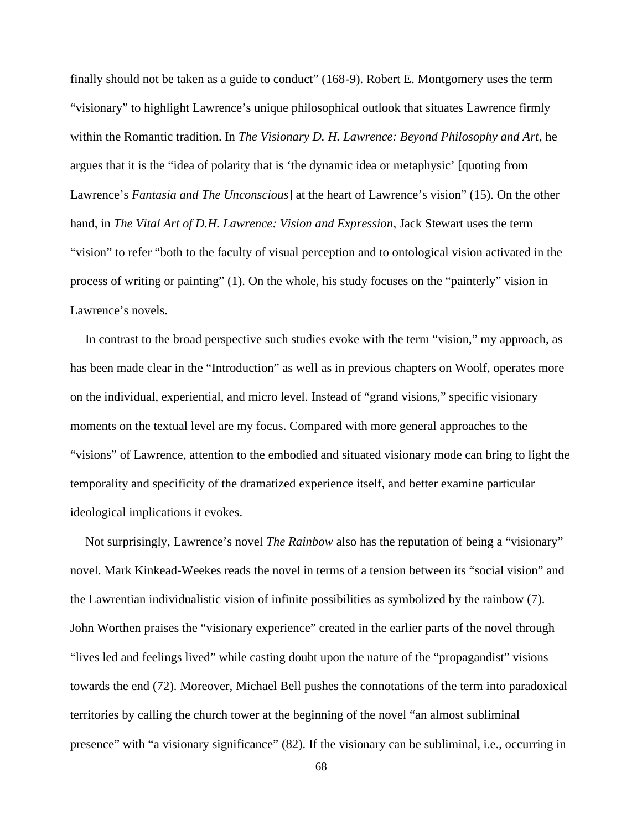finally should not be taken as a guide to conduct" (168-9). Robert E. Montgomery uses the term "visionary" to highlight Lawrence's unique philosophical outlook that situates Lawrence firmly within the Romantic tradition. In *The Visionary D. H. Lawrence: Beyond Philosophy and Art*, he argues that it is the "idea of polarity that is 'the dynamic idea or metaphysic' [quoting from Lawrence's *Fantasia and The Unconscious*] at the heart of Lawrence's vision" (15). On the other hand, in *The Vital Art of D.H. Lawrence: Vision and Expression*, Jack Stewart uses the term "vision" to refer "both to the faculty of visual perception and to ontological vision activated in the process of writing or painting" (1). On the whole, his study focuses on the "painterly" vision in Lawrence's novels.

In contrast to the broad perspective such studies evoke with the term "vision," my approach, as has been made clear in the "Introduction" as well as in previous chapters on Woolf, operates more on the individual, experiential, and micro level. Instead of "grand visions," specific visionary moments on the textual level are my focus. Compared with more general approaches to the "visions" of Lawrence, attention to the embodied and situated visionary mode can bring to light the temporality and specificity of the dramatized experience itself, and better examine particular ideological implications it evokes.

Not surprisingly, Lawrence's novel *The Rainbow* also has the reputation of being a "visionary" novel. Mark Kinkead-Weekes reads the novel in terms of a tension between its "social vision" and the Lawrentian individualistic vision of infinite possibilities as symbolized by the rainbow (7). John Worthen praises the "visionary experience" created in the earlier parts of the novel through "lives led and feelings lived" while casting doubt upon the nature of the "propagandist" visions towards the end (72). Moreover, Michael Bell pushes the connotations of the term into paradoxical territories by calling the church tower at the beginning of the novel "an almost subliminal presence" with "a visionary significance" (82). If the visionary can be subliminal, i.e., occurring in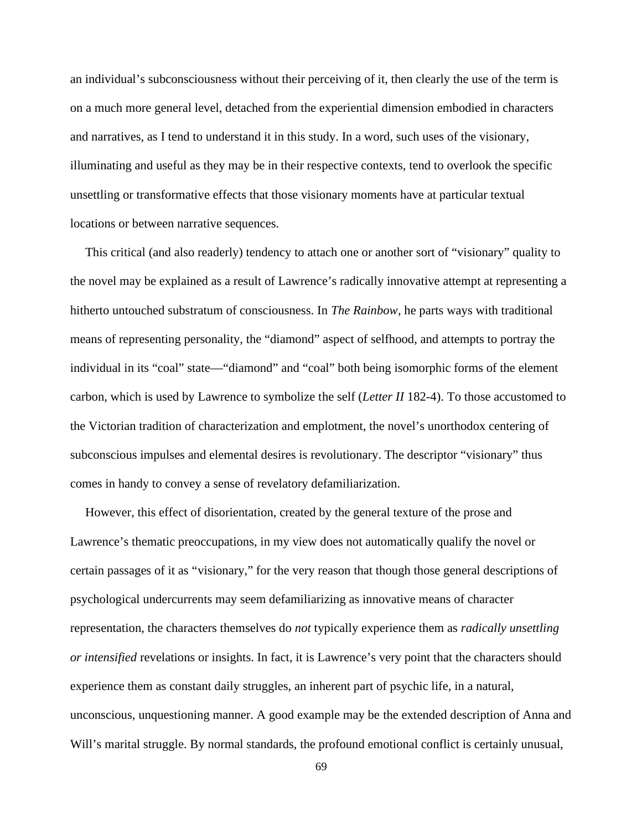an individual's subconsciousness without their perceiving of it, then clearly the use of the term is on a much more general level, detached from the experiential dimension embodied in characters and narratives, as I tend to understand it in this study. In a word, such uses of the visionary, illuminating and useful as they may be in their respective contexts, tend to overlook the specific unsettling or transformative effects that those visionary moments have at particular textual locations or between narrative sequences.

This critical (and also readerly) tendency to attach one or another sort of "visionary" quality to the novel may be explained as a result of Lawrence's radically innovative attempt at representing a hitherto untouched substratum of consciousness. In *The Rainbow*, he parts ways with traditional means of representing personality, the "diamond" aspect of selfhood, and attempts to portray the individual in its "coal" state—"diamond" and "coal" both being isomorphic forms of the element carbon, which is used by Lawrence to symbolize the self (*Letter II* 182-4). To those accustomed to the Victorian tradition of characterization and emplotment, the novel's unorthodox centering of subconscious impulses and elemental desires is revolutionary. The descriptor "visionary" thus comes in handy to convey a sense of revelatory defamiliarization.

However, this effect of disorientation, created by the general texture of the prose and Lawrence's thematic preoccupations, in my view does not automatically qualify the novel or certain passages of it as "visionary," for the very reason that though those general descriptions of psychological undercurrents may seem defamiliarizing as innovative means of character representation, the characters themselves do *not* typically experience them as *radically unsettling or intensified* revelations or insights. In fact, it is Lawrence's very point that the characters should experience them as constant daily struggles, an inherent part of psychic life, in a natural, unconscious, unquestioning manner. A good example may be the extended description of Anna and Will's marital struggle. By normal standards, the profound emotional conflict is certainly unusual,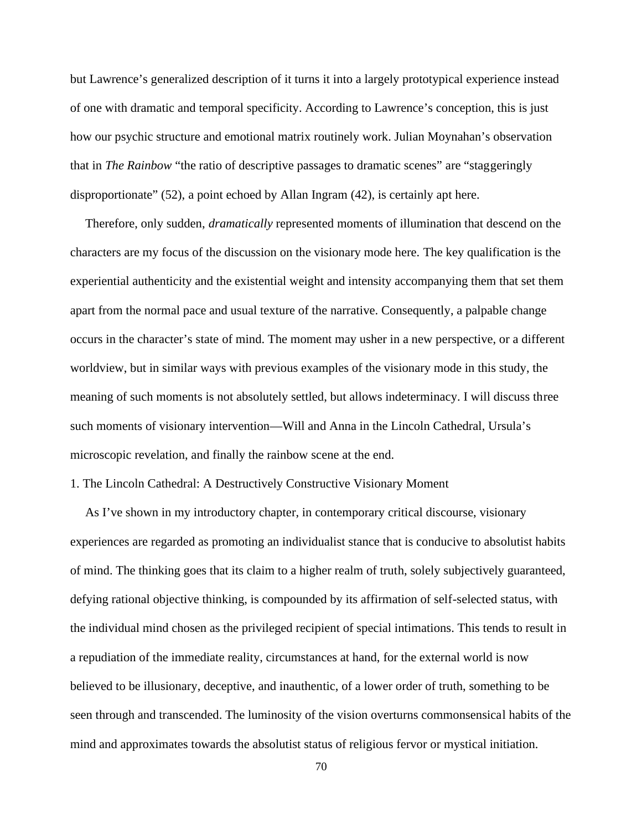but Lawrence's generalized description of it turns it into a largely prototypical experience instead of one with dramatic and temporal specificity. According to Lawrence's conception, this is just how our psychic structure and emotional matrix routinely work. Julian Moynahan's observation that in *The Rainbow* "the ratio of descriptive passages to dramatic scenes" are "staggeringly disproportionate" (52), a point echoed by Allan Ingram (42), is certainly apt here.

Therefore, only sudden, *dramatically* represented moments of illumination that descend on the characters are my focus of the discussion on the visionary mode here. The key qualification is the experiential authenticity and the existential weight and intensity accompanying them that set them apart from the normal pace and usual texture of the narrative. Consequently, a palpable change occurs in the character's state of mind. The moment may usher in a new perspective, or a different worldview, but in similar ways with previous examples of the visionary mode in this study, the meaning of such moments is not absolutely settled, but allows indeterminacy. I will discuss three such moments of visionary intervention—Will and Anna in the Lincoln Cathedral, Ursula's microscopic revelation, and finally the rainbow scene at the end.

# 1. The Lincoln Cathedral: A Destructively Constructive Visionary Moment

As I've shown in my introductory chapter, in contemporary critical discourse, visionary experiences are regarded as promoting an individualist stance that is conducive to absolutist habits of mind. The thinking goes that its claim to a higher realm of truth, solely subjectively guaranteed, defying rational objective thinking, is compounded by its affirmation of self-selected status, with the individual mind chosen as the privileged recipient of special intimations. This tends to result in a repudiation of the immediate reality, circumstances at hand, for the external world is now believed to be illusionary, deceptive, and inauthentic, of a lower order of truth, something to be seen through and transcended. The luminosity of the vision overturns commonsensical habits of the mind and approximates towards the absolutist status of religious fervor or mystical initiation.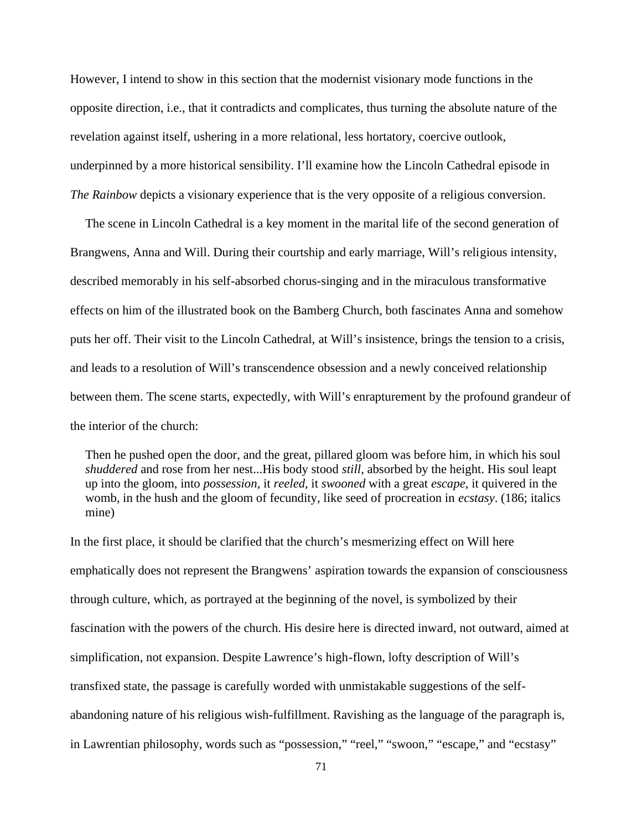However, I intend to show in this section that the modernist visionary mode functions in the opposite direction, i.e., that it contradicts and complicates, thus turning the absolute nature of the revelation against itself, ushering in a more relational, less hortatory, coercive outlook, underpinned by a more historical sensibility. I'll examine how the Lincoln Cathedral episode in *The Rainbow* depicts a visionary experience that is the very opposite of a religious conversion.

The scene in Lincoln Cathedral is a key moment in the marital life of the second generation of Brangwens, Anna and Will. During their courtship and early marriage, Will's religious intensity, described memorably in his self-absorbed chorus-singing and in the miraculous transformative effects on him of the illustrated book on the Bamberg Church, both fascinates Anna and somehow puts her off. Their visit to the Lincoln Cathedral, at Will's insistence, brings the tension to a crisis, and leads to a resolution of Will's transcendence obsession and a newly conceived relationship between them. The scene starts, expectedly, with Will's enrapturement by the profound grandeur of the interior of the church:

Then he pushed open the door, and the great, pillared gloom was before him, in which his soul *shuddered* and rose from her nest...His body stood *still*, absorbed by the height. His soul leapt up into the gloom, into *possession*, it *reeled*, it *swooned* with a great *escape*, it quivered in the womb, in the hush and the gloom of fecundity, like seed of procreation in *ecstasy*. (186; italics mine)

In the first place, it should be clarified that the church's mesmerizing effect on Will here emphatically does not represent the Brangwens' aspiration towards the expansion of consciousness through culture, which, as portrayed at the beginning of the novel, is symbolized by their fascination with the powers of the church. His desire here is directed inward, not outward, aimed at simplification, not expansion. Despite Lawrence's high-flown, lofty description of Will's transfixed state, the passage is carefully worded with unmistakable suggestions of the self abandoning nature of his religious wish-fulfillment. Ravishing as the language of the paragraph is, in Lawrentian philosophy, words such as "possession," "reel," "swoon," "escape," and "ecstasy"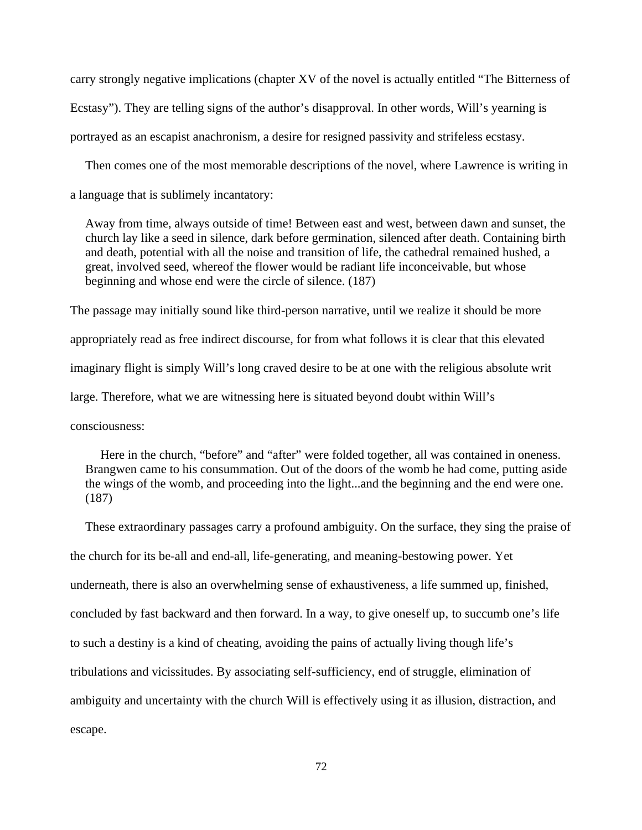carry strongly negative implications (chapter XV of the novel is actually entitled "The Bitterness of Ecstasy"). They are telling signs of the author's disapproval. In other words, Will's yearning is portrayed as an escapist anachronism, a desire for resigned passivity and strifeless ecstasy.

Then comes one of the most memorable descriptions of the novel, where Lawrence is writing in a language that is sublimely incantatory:

Away from time, always outside of time! Between east and west, between dawn and sunset, the church lay like a seed in silence, dark before germination, silenced after death. Containing birth and death, potential with all the noise and transition of life, the cathedral remained hushed, a great, involved seed, whereof the flower would be radiant life inconceivable, but whose beginning and whose end were the circle of silence. (187)

The passage may initially sound like third-person narrative, until we realize it should be more appropriately read as free indirect discourse, for from what follows it is clear that this elevated imaginary flight is simply Will's long craved desire to be at one with the religious absolute writ large. Therefore, what we are witnessing here is situated beyond doubt within Will's consciousness:

Here in the church, "before" and "after" were folded together, all was contained in oneness. Brangwen came to his consummation. Out of the doors of the womb he had come, putting aside the wings of the womb, and proceeding into the light...and the beginning and the end were one. (187)

These extraordinary passages carry a profound ambiguity. On the surface, they sing the praise of the church for its be-all and end-all, life-generating, and meaning-bestowing power. Yet underneath, there is also an overwhelming sense of exhaustiveness, a life summed up, finished, concluded by fast backward and then forward. In a way, to give oneself up, to succumb one's life to such a destiny is a kind of cheating, avoiding the pains of actually living though life's tribulations and vicissitudes. By associating self-sufficiency, end of struggle, elimination of ambiguity and uncertainty with the church Will is effectively using it as illusion, distraction, and escape.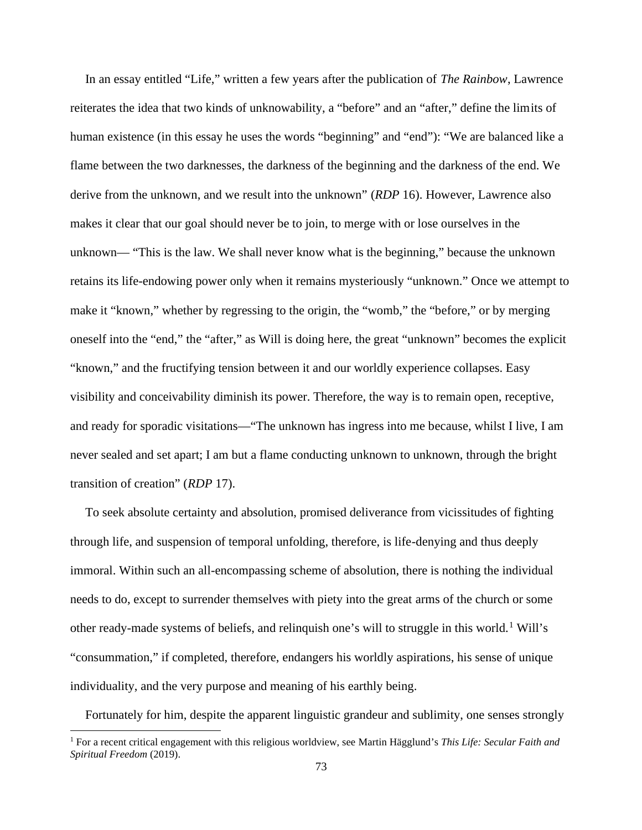In an essay entitled "Life," written a few years after the publication of *The Rainbow*, Lawrence reiterates the idea that two kinds of unknowability, a "before" and an "after," define the limits of human existence (in this essay he uses the words "beginning" and "end"): "We are balanced like a flame between the two darknesses, the darkness of the beginning and the darkness of the end. We derive from the unknown, and we result into the unknown" (*RDP* 16). However, Lawrence also makes it clear that our goal should never be to join, to merge with or lose ourselves in the unknown— "This is the law. We shall never know what is the beginning," because the unknown retains its life-endowing power only when it remains mysteriously "unknown." Once we attempt to make it "known," whether by regressing to the origin, the "womb," the "before," or by merging oneself into the "end," the "after," as Will is doing here, the great "unknown" becomes the explicit "known," and the fructifying tension between it and our worldly experience collapses. Easy visibility and conceivability diminish its power. Therefore, the way is to remain open, receptive, and ready for sporadic visitations—"The unknown has ingress into me because, whilst I live, I am never sealed and set apart; I am but a flame conducting unknown to unknown, through the bright transition of creation" (*RDP* 17).

To seek absolute certainty and absolution, promised deliverance from vicissitudes of fighting through life, and suspension of temporal unfolding, therefore, is life-denying and thus deeply immoral. Within such an all-encompassing scheme of absolution, there is nothing the individual needs to do, except to surrender themselves with piety into the great arms of the church or some other ready-made systems of beliefs, and relinquish one's will to struggle in this world.<sup>1</sup> Will's "consummation," if completed, therefore, endangers his worldly aspirations, his sense of unique individuality, and the very purpose and meaning of his earthly being.

Fortunately for him, despite the apparent linguistic grandeur and sublimity, one senses strongly

<sup>1</sup> For a recent critical engagement with this religious worldview, see Martin Hägglund's *This Life: Secular Faith and Spiritual Freedom* (2019).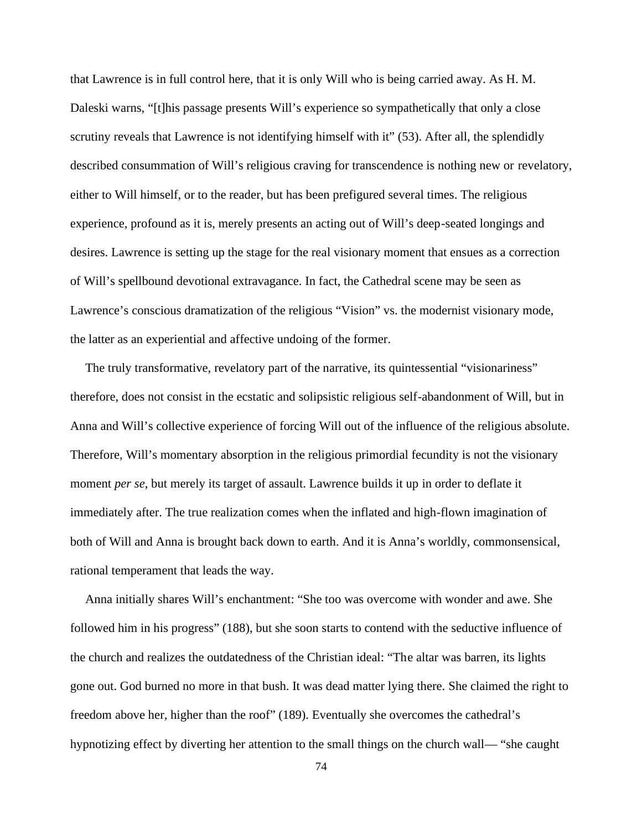that Lawrence is in full control here, that it is only Will who is being carried away. As H. M. Daleski warns, "[t]his passage presents Will's experience so sympathetically that only a close scrutiny reveals that Lawrence is not identifying himself with it" (53). After all, the splendidly described consummation of Will's religious craving for transcendence is nothing new or revelatory, either to Will himself, or to the reader, but has been prefigured several times. The religious experience, profound as it is, merely presents an acting out of Will's deep-seated longings and desires. Lawrence is setting up the stage for the real visionary moment that ensues as a correction of Will's spellbound devotional extravagance. In fact, the Cathedral scene may be seen as Lawrence's conscious dramatization of the religious "Vision" vs. the modernist visionary mode, the latter as an experiential and affective undoing of the former.

The truly transformative, revelatory part of the narrative, its quintessential "visionariness" therefore, does not consist in the ecstatic and solipsistic religious self-abandonment of Will, but in Anna and Will's collective experience of forcing Will out of the influence of the religious absolute. Therefore, Will's momentary absorption in the religious primordial fecundity is not the visionary moment *per se*, but merely its target of assault. Lawrence builds it up in order to deflate it immediately after. The true realization comes when the inflated and high-flown imagination of both of Will and Anna is brought back down to earth. And it is Anna's worldly, commonsensical, rational temperament that leads the way.

Anna initially shares Will's enchantment: "She too was overcome with wonder and awe. She followed him in his progress" (188), but she soon starts to contend with the seductive influence of the church and realizes the outdatedness of the Christian ideal: "The altar was barren, its lights gone out. God burned no more in that bush. It was dead matter lying there. She claimed the right to freedom above her, higher than the roof" (189). Eventually she overcomes the cathedral's hypnotizing effect by diverting her attention to the small things on the church wall— "she caught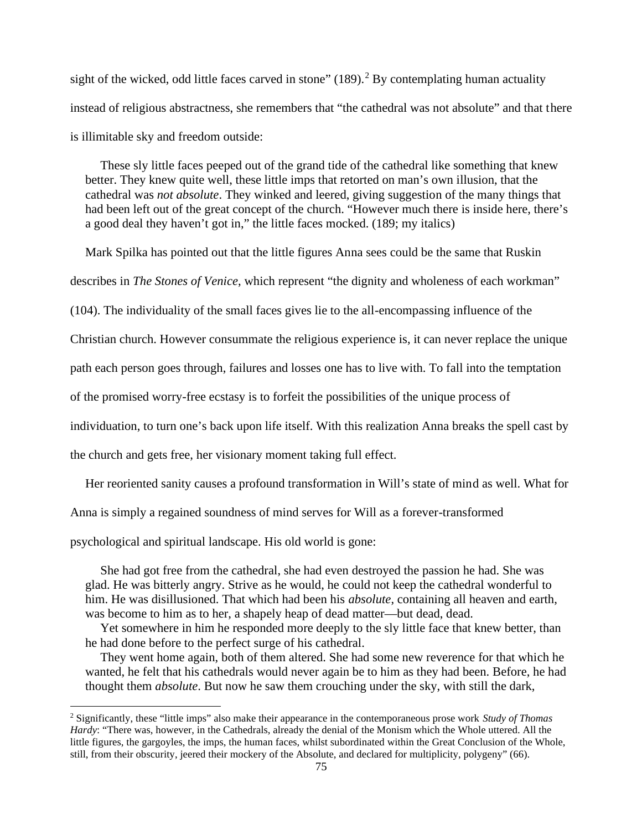sight of the wicked, odd little faces carved in stone"  $(189)$ .<sup>2</sup> By contemplating human actuality instead of religious abstractness, she remembers that "the cathedral was not absolute" and that there is illimitable sky and freedom outside:

These sly little faces peeped out of the grand tide of the cathedral like something that knew better. They knew quite well, these little imps that retorted on man's own illusion, that the cathedral was *not absolute*. They winked and leered, giving suggestion of the many things that had been left out of the great concept of the church. "However much there is inside here, there's a good deal they haven't got in," the little faces mocked. (189; my italics)

Mark Spilka has pointed out that the little figures Anna sees could be the same that Ruskin

describes in *The Stones of Venice*, which represent "the dignity and wholeness of each workman"

(104). The individuality of the small faces gives lie to the all-encompassing influence of the

Christian church. However consummate the religious experience is, it can never replace the unique

path each person goes through, failures and losses one has to live with. To fall into the temptation

of the promised worry-free ecstasy is to forfeit the possibilities of the unique process of

individuation, to turn one's back upon life itself. With this realization Anna breaks the spell cast by

the church and gets free, her visionary moment taking full effect.

Her reoriented sanity causes a profound transformation in Will's state of mind as well. What for

Anna is simply a regained soundness of mind serves for Will as a forever-transformed

psychological and spiritual landscape. His old world is gone:

She had got free from the cathedral, she had even destroyed the passion he had. She was glad. He was bitterly angry. Strive as he would, he could not keep the cathedral wonderful to him. He was disillusioned. That which had been his *absolute*, containing all heaven and earth, was become to him as to her, a shapely heap of dead matter—but dead, dead.

Yet somewhere in him he responded more deeply to the sly little face that knew better, than he had done before to the perfect surge of his cathedral.

They went home again, both of them altered. She had some new reverence for that which he wanted, he felt that his cathedrals would never again be to him as they had been. Before, he had thought them *absolute*. But now he saw them crouching under the sky, with still the dark,

<sup>2</sup> Significantly, these "little imps" also make their appearance in the contemporaneous prose work *Study of Thomas Hardy*: "There was, however, in the Cathedrals, already the denial of the Monism which the Whole uttered. All the little figures, the gargoyles, the imps, the human faces, whilst subordinated within the Great Conclusion of the Whole, still, from their obscurity, jeered their mockery of the Absolute, and declared for multiplicity, polygeny" (66).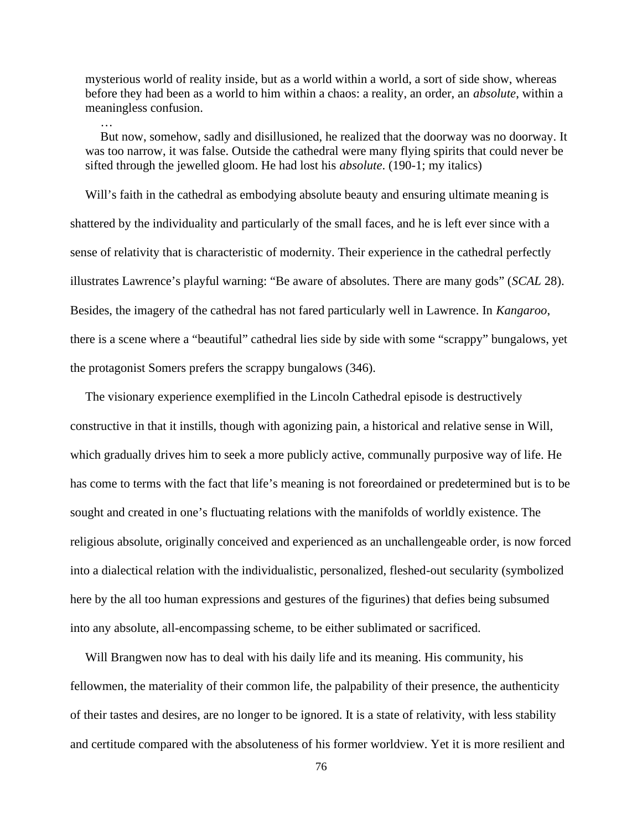mysterious world of reality inside, but as a world within a world, a sort of side show, whereas before they had been as a world to him within a chaos: a reality, an order, an *absolute*, within a meaningless confusion.

…

But now, somehow, sadly and disillusioned, he realized that the doorway was no doorway. It was too narrow, it was false. Outside the cathedral were many flying spirits that could never be sifted through the jewelled gloom. He had lost his *absolute*. (190-1; my italics)

Will's faith in the cathedral as embodying absolute beauty and ensuring ultimate meaning is shattered by the individuality and particularly of the small faces, and he is left ever since with a sense of relativity that is characteristic of modernity. Their experience in the cathedral perfectly illustrates Lawrence's playful warning: "Be aware of absolutes. There are many gods" (*SCAL* 28). Besides, the imagery of the cathedral has not fared particularly well in Lawrence. In *Kangaroo*, there is a scene where a "beautiful" cathedral lies side by side with some "scrappy" bungalows, yet the protagonist Somers prefers the scrappy bungalows (346).

The visionary experience exemplified in the Lincoln Cathedral episode is destructively constructive in that it instills, though with agonizing pain, a historical and relative sense in Will, which gradually drives him to seek a more publicly active, communally purposive way of life. He has come to terms with the fact that life's meaning is not foreordained or predetermined but is to be sought and created in one's fluctuating relations with the manifolds of worldly existence. The religious absolute, originally conceived and experienced as an unchallengeable order, is now forced into a dialectical relation with the individualistic, personalized, fleshed-out secularity (symbolized here by the all too human expressions and gestures of the figurines) that defies being subsumed into any absolute, all-encompassing scheme, to be either sublimated or sacrificed.

Will Brangwen now has to deal with his daily life and its meaning. His community, his fellowmen, the materiality of their common life, the palpability of their presence, the authenticity of their tastes and desires, are no longer to be ignored. It is a state of relativity, with less stability and certitude compared with the absoluteness of his former worldview. Yet it is more resilient and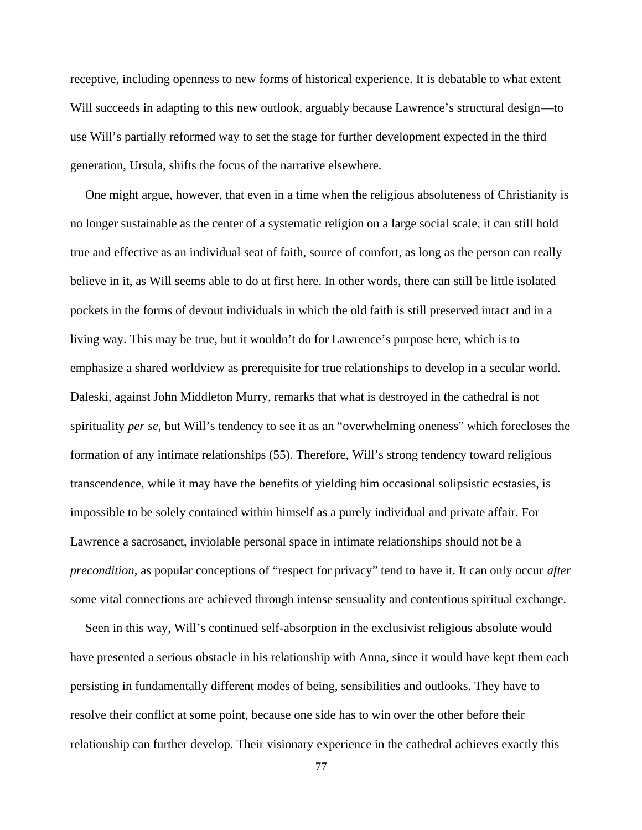receptive, including openness to new forms of historical experience. It is debatable to what extent Will succeeds in adapting to this new outlook, arguably because Lawrence's structural design—to use Will's partially reformed way to set the stage for further development expected in the third generation, Ursula, shifts the focus of the narrative elsewhere.

One might argue, however, that even in a time when the religious absoluteness of Christianity is no longer sustainable as the center of a systematic religion on a large social scale, it can still hold true and effective as an individual seat of faith, source of comfort, as long as the person can really believe in it, as Will seems able to do at first here. In other words, there can still be little isolated pockets in the forms of devout individuals in which the old faith is still preserved intact and in a living way. This may be true, but it wouldn't do for Lawrence's purpose here, which is to emphasize a shared worldview as prerequisite for true relationships to develop in a secular world. Daleski, against John Middleton Murry, remarks that what is destroyed in the cathedral is not spirituality *per se*, but Will's tendency to see it as an "overwhelming oneness" which forecloses the formation of any intimate relationships (55). Therefore, Will's strong tendency toward religious transcendence, while it may have the benefits of yielding him occasional solipsistic ecstasies, is impossible to be solely contained within himself as a purely individual and private affair. For Lawrence a sacrosanct, inviolable personal space in intimate relationships should not be a *precondition*, as popular conceptions of "respect for privacy" tend to have it. It can only occur *after* some vital connections are achieved through intense sensuality and contentious spiritual exchange.

Seen in this way, Will's continued self-absorption in the exclusivist religious absolute would have presented a serious obstacle in his relationship with Anna, since it would have kept them each persisting in fundamentally different modes of being, sensibilities and outlooks. They have to resolve their conflict at some point, because one side has to win over the other before their relationship can further develop. Their visionary experience in the cathedral achieves exactly this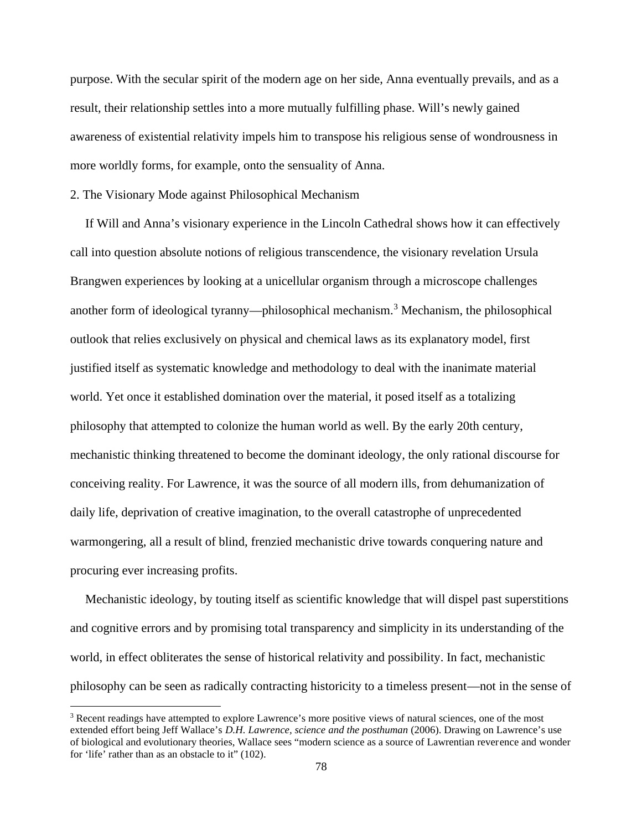purpose. With the secular spirit of the modern age on her side, Anna eventually prevails, and as a result, their relationship settles into a more mutually fulfilling phase. Will's newly gained awareness of existential relativity impels him to transpose his religious sense of wondrousness in more worldly forms, for example, onto the sensuality of Anna.

## 2. The Visionary Mode against Philosophical Mechanism

If Will and Anna's visionary experience in the Lincoln Cathedral shows how it can effectively call into question absolute notions of religious transcendence, the visionary revelation Ursula Brangwen experiences by looking at a unicellular organism through a microscope challenges another form of ideological tyranny—philosophical mechanism.<sup>3</sup> Mechanism, the philosophical outlook that relies exclusively on physical and chemical laws as its explanatory model, first justified itself as systematic knowledge and methodology to deal with the inanimate material world. Yet once it established domination over the material, it posed itself as a totalizing philosophy that attempted to colonize the human world as well. By the early 20th century, mechanistic thinking threatened to become the dominant ideology, the only rational discourse for conceiving reality. For Lawrence, it was the source of all modern ills, from dehumanization of daily life, deprivation of creative imagination, to the overall catastrophe of unprecedented warmongering, all a result of blind, frenzied mechanistic drive towards conquering nature and procuring ever increasing profits.

Mechanistic ideology, by touting itself as scientific knowledge that will dispel past superstitions and cognitive errors and by promising total transparency and simplicity in its understanding of the world, in effect obliterates the sense of historical relativity and possibility. In fact, mechanistic philosophy can be seen as radically contracting historicity to a timeless present—not in the sense of

<sup>&</sup>lt;sup>3</sup> Recent readings have attempted to explore Lawrence's more positive views of natural sciences, one of the most extended effort being Jeff Wallace's *D.H. Lawrence, science and the posthuman* (2006). Drawing on Lawrence's use of biological and evolutionary theories, Wallace sees "modern science as a source of Lawrentian reverence and wonder for 'life' rather than as an obstacle to it" (102).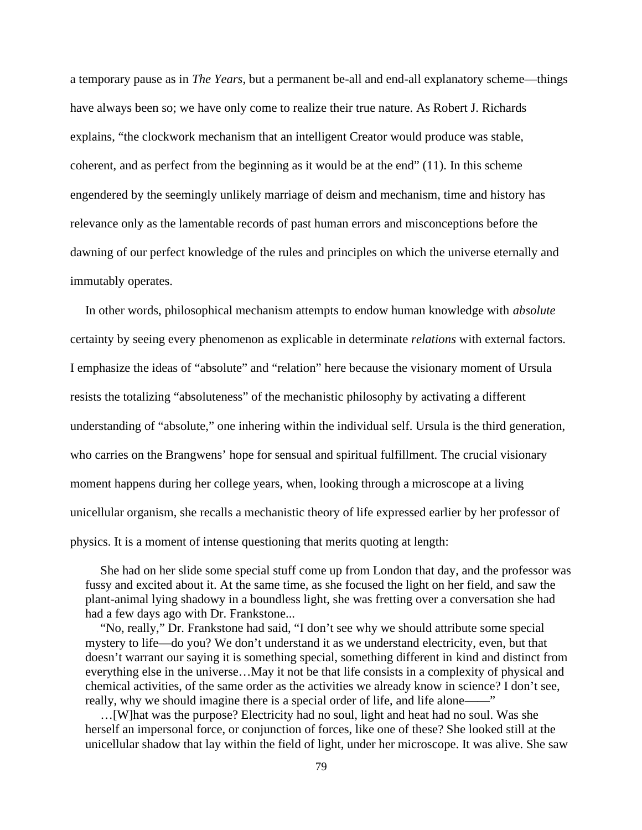a temporary pause as in *The Years*, but a permanent be-all and end-all explanatory scheme—things have always been so; we have only come to realize their true nature. As Robert J. Richards explains, "the clockwork mechanism that an intelligent Creator would produce was stable, coherent, and as perfect from the beginning as it would be at the end" (11). In this scheme engendered by the seemingly unlikely marriage of deism and mechanism, time and history has relevance only as the lamentable records of past human errors and misconceptions before the dawning of our perfect knowledge of the rules and principles on which the universe eternally and immutably operates.

In other words, philosophical mechanism attempts to endow human knowledge with *absolute* certainty by seeing every phenomenon as explicable in determinate *relations* with external factors. I emphasize the ideas of "absolute" and "relation" here because the visionary moment of Ursula resists the totalizing "absoluteness" of the mechanistic philosophy by activating a different understanding of "absolute," one inhering within the individual self. Ursula is the third generation, who carries on the Brangwens' hope for sensual and spiritual fulfillment. The crucial visionary moment happens during her college years, when, looking through a microscope at a living unicellular organism, she recalls a mechanistic theory of life expressed earlier by her professor of physics. It is a moment of intense questioning that merits quoting at length:

She had on her slide some special stuff come up from London that day, and the professor was fussy and excited about it. At the same time, as she focused the light on her field, and saw the plant-animal lying shadowy in a boundless light, she was fretting over a conversation she had had a few days ago with Dr. Frankstone...

"No, really," Dr. Frankstone had said, "I don't see why we should attribute some special mystery to life—do you? We don't understand it as we understand electricity, even, but that doesn't warrant our saying it is something special, something different in kind and distinct from everything else in the universe…May it not be that life consists in a complexity of physical and chemical activities, of the same order as the activities we already know in science? I don't see, really, why we should imagine there is a special order of life, and life alone——"

…[W]hat was the purpose? Electricity had no soul, light and heat had no soul. Was she herself an impersonal force, or conjunction of forces, like one of these? She looked still at the unicellular shadow that lay within the field of light, under her microscope. It was alive. She saw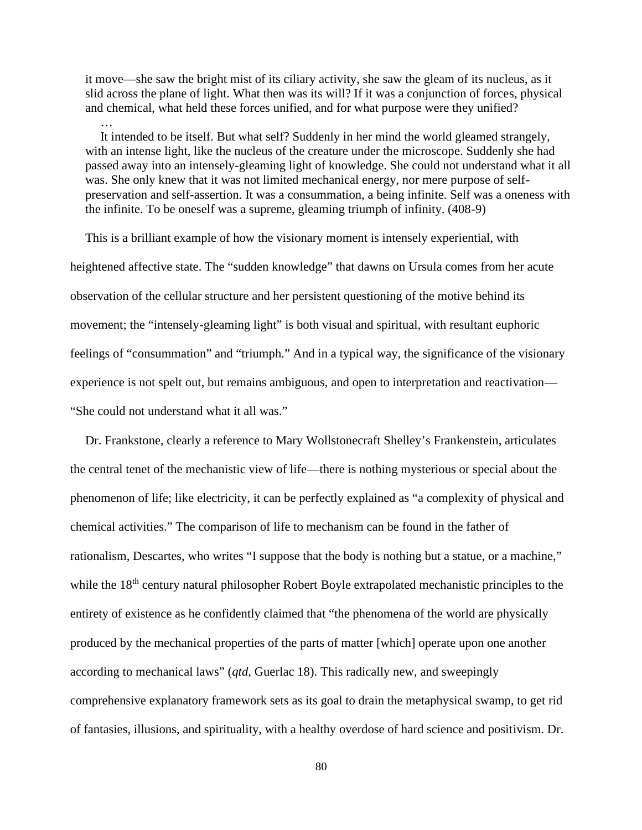it move—she saw the bright mist of its ciliary activity, she saw the gleam of its nucleus, as it slid across the plane of light. What then was its will? If it was a conjunction of forces, physical and chemical, what held these forces unified, and for what purpose were they unified?

… It intended to be itself. But what self? Suddenly in her mind the world gleamed strangely, with an intense light, like the nucleus of the creature under the microscope. Suddenly she had passed away into an intensely-gleaming light of knowledge. She could not understand what it all was. She only knew that it was not limited mechanical energy, nor mere purpose of self preservation and self-assertion. It was a consummation, a being infinite. Self was a oneness with the infinite. To be oneself was a supreme, gleaming triumph of infinity. (408-9)

This is a brilliant example of how the visionary moment is intensely experiential, with heightened affective state. The "sudden knowledge" that dawns on Ursula comes from her acute observation of the cellular structure and her persistent questioning of the motive behind its movement; the "intensely-gleaming light" is both visual and spiritual, with resultant euphoric feelings of "consummation" and "triumph." And in a typical way, the significance of the visionary experience is not spelt out, but remains ambiguous, and open to interpretation and reactivation— "She could not understand what it all was."

Dr. Frankstone, clearly a reference to Mary Wollstonecraft Shelley's Frankenstein, articulates the central tenet of the mechanistic view of life—there is nothing mysterious or special about the phenomenon of life; like electricity, it can be perfectly explained as "a complexity of physical and chemical activities." The comparison of life to mechanism can be found in the father of rationalism, Descartes, who writes "I suppose that the body is nothing but a statue, or a machine," while the 18<sup>th</sup> century natural philosopher Robert Boyle extrapolated mechanistic principles to the entirety of existence as he confidently claimed that "the phenomena of the world are physically produced by the mechanical properties of the parts of matter [which] operate upon one another according to mechanical laws" (*qtd*, Guerlac 18). This radically new, and sweepingly comprehensive explanatory framework sets as its goal to drain the metaphysical swamp, to get rid of fantasies, illusions, and spirituality, with a healthy overdose of hard science and positivism. Dr.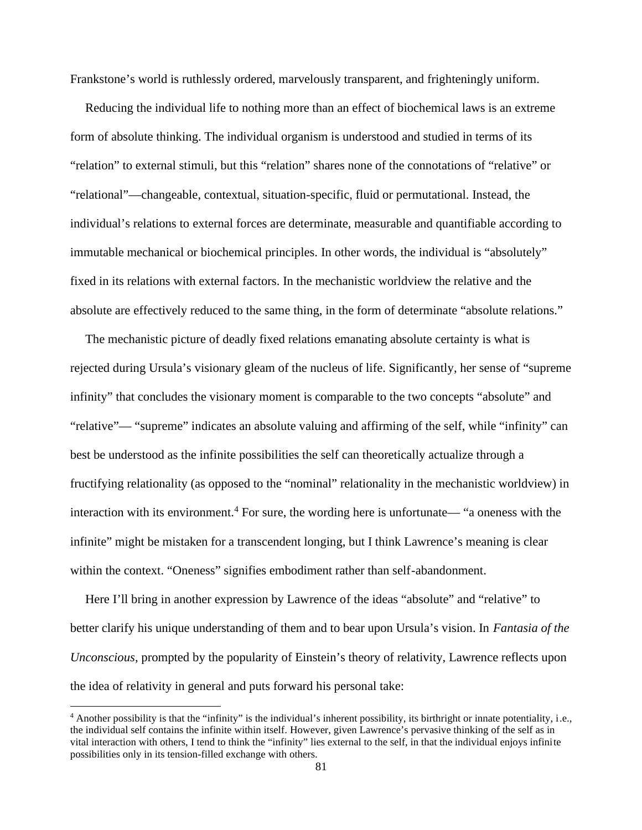Frankstone's world is ruthlessly ordered, marvelously transparent, and frighteningly uniform.

Reducing the individual life to nothing more than an effect of biochemical laws is an extreme form of absolute thinking. The individual organism is understood and studied in terms of its "relation" to external stimuli, but this "relation" shares none of the connotations of "relative" or "relational"—changeable, contextual, situation-specific, fluid or permutational. Instead, the individual's relations to external forces are determinate, measurable and quantifiable according to immutable mechanical or biochemical principles. In other words, the individual is "absolutely" fixed in its relations with external factors. In the mechanistic worldview the relative and the absolute are effectively reduced to the same thing, in the form of determinate "absolute relations."

The mechanistic picture of deadly fixed relations emanating absolute certainty is what is rejected during Ursula's visionary gleam of the nucleus of life. Significantly, her sense of "supreme infinity" that concludes the visionary moment is comparable to the two concepts "absolute" and "relative"— "supreme" indicates an absolute valuing and affirming of the self, while "infinity" can best be understood as the infinite possibilities the self can theoretically actualize through a fructifying relationality (as opposed to the "nominal" relationality in the mechanistic worldview) in interaction with its environment.<sup>4</sup> For sure, the wording here is unfortunate— "a oneness with the infinite" might be mistaken for a transcendent longing, but I think Lawrence's meaning is clear within the context. "Oneness" signifies embodiment rather than self-abandonment.

Here I'll bring in another expression by Lawrence of the ideas "absolute" and "relative" to better clarify his unique understanding of them and to bear upon Ursula's vision. In *Fantasia of the Unconscious*, prompted by the popularity of Einstein's theory of relativity, Lawrence reflects upon the idea of relativity in general and puts forward his personal take:

<sup>4</sup> Another possibility is that the "infinity" is the individual's inherent possibility, its birthright or innate potentiality, i.e., the individual self contains the infinite within itself. However, given Lawrence's pervasive thinking of the self as in vital interaction with others, I tend to think the "infinity" lies external to the self, in that the individual enjoys infinite possibilities only in its tension-filled exchange with others.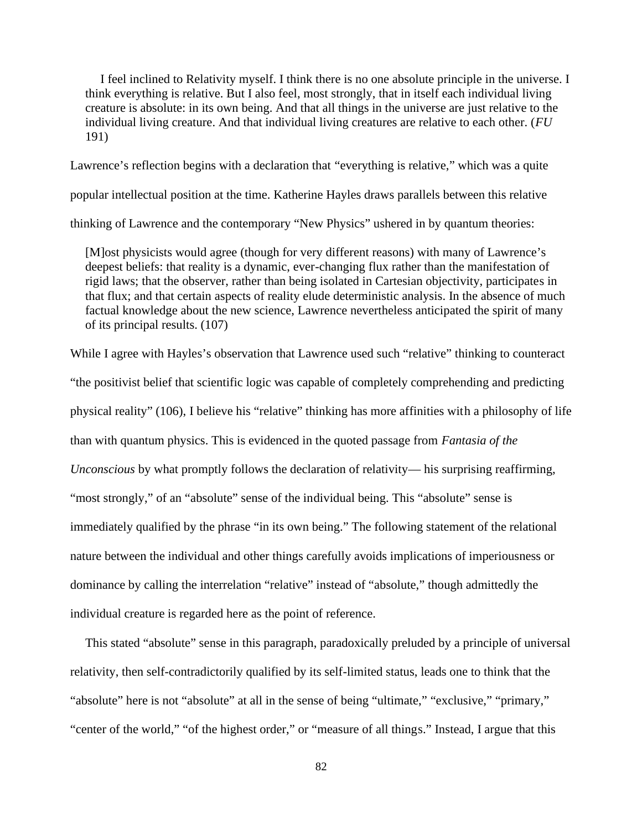I feel inclined to Relativity myself. I think there is no one absolute principle in the universe. I think everything is relative. But I also feel, most strongly, that in itself each individual living creature is absolute: in its own being. And that all things in the universe are just relative to the individual living creature. And that individual living creatures are relative to each other. (*FU* 191)

Lawrence's reflection begins with a declaration that "everything is relative," which was a quite popular intellectual position at the time. Katherine Hayles draws parallels between this relative thinking of Lawrence and the contemporary "New Physics" ushered in by quantum theories:

[M]ost physicists would agree (though for very different reasons) with many of Lawrence's deepest beliefs: that reality is a dynamic, ever-changing flux rather than the manifestation of rigid laws; that the observer, rather than being isolated in Cartesian objectivity, participates in that flux; and that certain aspects of reality elude deterministic analysis. In the absence of much factual knowledge about the new science, Lawrence nevertheless anticipated the spirit of many of its principal results. (107)

While I agree with Hayles's observation that Lawrence used such "relative" thinking to counteract "the positivist belief that scientific logic was capable of completely comprehending and predicting physical reality" (106), I believe his "relative" thinking has more affinities with a philosophy of life than with quantum physics. This is evidenced in the quoted passage from *Fantasia of the Unconscious* by what promptly follows the declaration of relativity— his surprising reaffirming, "most strongly," of an "absolute" sense of the individual being. This "absolute" sense is immediately qualified by the phrase "in its own being." The following statement of the relational nature between the individual and other things carefully avoids implications of imperiousness or dominance by calling the interrelation "relative" instead of "absolute," though admittedly the individual creature is regarded here as the point of reference.

This stated "absolute" sense in this paragraph, paradoxically preluded by a principle of universal relativity, then self-contradictorily qualified by its self-limited status, leads one to think that the "absolute" here is not "absolute" at all in the sense of being "ultimate," "exclusive," "primary," "center of the world," "of the highest order," or "measure of all things." Instead, I argue that this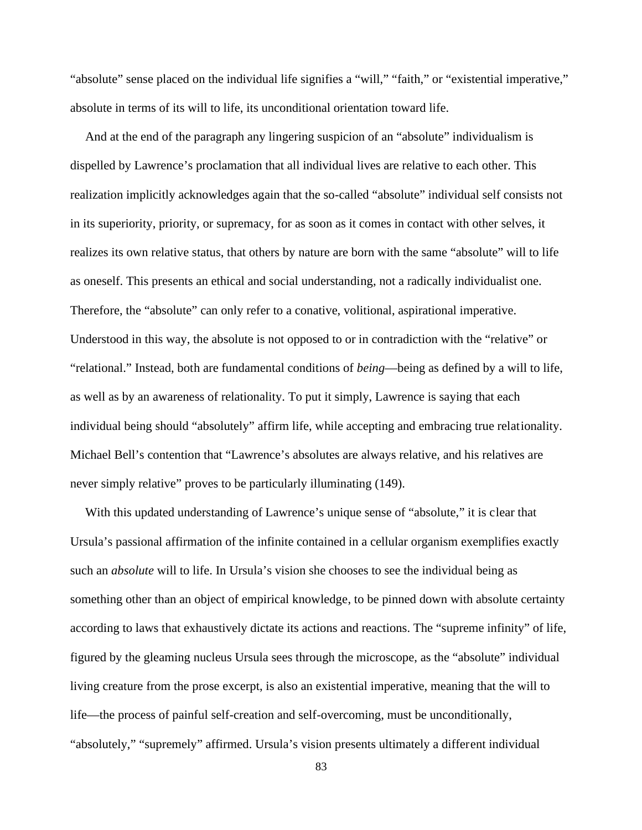"absolute" sense placed on the individual life signifies a "will," "faith," or "existential imperative," absolute in terms of its will to life, its unconditional orientation toward life.

And at the end of the paragraph any lingering suspicion of an "absolute" individualism is dispelled by Lawrence's proclamation that all individual lives are relative to each other. This realization implicitly acknowledges again that the so-called "absolute" individual self consists not in its superiority, priority, or supremacy, for as soon as it comes in contact with other selves, it realizes its own relative status, that others by nature are born with the same "absolute" will to life as oneself. This presents an ethical and social understanding, not a radically individualist one. Therefore, the "absolute" can only refer to a conative, volitional, aspirational imperative. Understood in this way, the absolute is not opposed to or in contradiction with the "relative" or "relational." Instead, both are fundamental conditions of *being*—being as defined by a will to life, as well as by an awareness of relationality. To put it simply, Lawrence is saying that each individual being should "absolutely" affirm life, while accepting and embracing true relationality. Michael Bell's contention that "Lawrence's absolutes are always relative, and his relatives are never simply relative" proves to be particularly illuminating (149).

With this updated understanding of Lawrence's unique sense of "absolute," it is clear that Ursula's passional affirmation of the infinite contained in a cellular organism exemplifies exactly such an *absolute* will to life. In Ursula's vision she chooses to see the individual being as something other than an object of empirical knowledge, to be pinned down with absolute certainty according to laws that exhaustively dictate its actions and reactions. The "supreme infinity" of life, figured by the gleaming nucleus Ursula sees through the microscope, as the "absolute" individual living creature from the prose excerpt, is also an existential imperative, meaning that the will to life—the process of painful self-creation and self-overcoming, must be unconditionally, "absolutely," "supremely" affirmed. Ursula's vision presents ultimately a different individual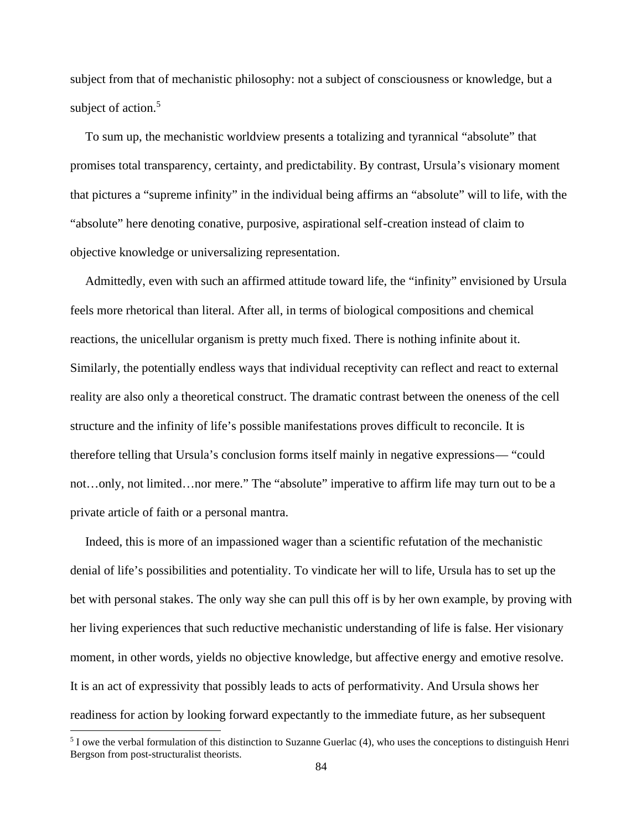subject from that of mechanistic philosophy: not a subject of consciousness or knowledge, but a subject of action.<sup>5</sup>

To sum up, the mechanistic worldview presents a totalizing and tyrannical "absolute" that promises total transparency, certainty, and predictability. By contrast, Ursula's visionary moment that pictures a "supreme infinity" in the individual being affirms an "absolute" will to life, with the "absolute" here denoting conative, purposive, aspirational self-creation instead of claim to objective knowledge or universalizing representation.

Admittedly, even with such an affirmed attitude toward life, the "infinity" envisioned by Ursula feels more rhetorical than literal. After all, in terms of biological compositions and chemical reactions, the unicellular organism is pretty much fixed. There is nothing infinite about it. Similarly, the potentially endless ways that individual receptivity can reflect and react to external reality are also only a theoretical construct. The dramatic contrast between the oneness of the cell structure and the infinity of life's possible manifestations proves difficult to reconcile. It is therefore telling that Ursula's conclusion forms itself mainly in negative expressions— "could not…only, not limited…nor mere." The "absolute" imperative to affirm life may turn out to be a private article of faith or a personal mantra.

Indeed, this is more of an impassioned wager than a scientific refutation of the mechanistic denial of life's possibilities and potentiality. To vindicate her will to life, Ursula has to set up the bet with personal stakes. The only way she can pull this off is by her own example, by proving with her living experiences that such reductive mechanistic understanding of life is false. Her visionary moment, in other words, yields no objective knowledge, but affective energy and emotive resolve. It is an act of expressivity that possibly leads to acts of performativity. And Ursula shows her readiness for action by looking forward expectantly to the immediate future, as her subsequent

<sup>5</sup> I owe the verbal formulation of this distinction to Suzanne Guerlac (4), who uses the conceptions to distinguish Henri Bergson from post-structuralist theorists.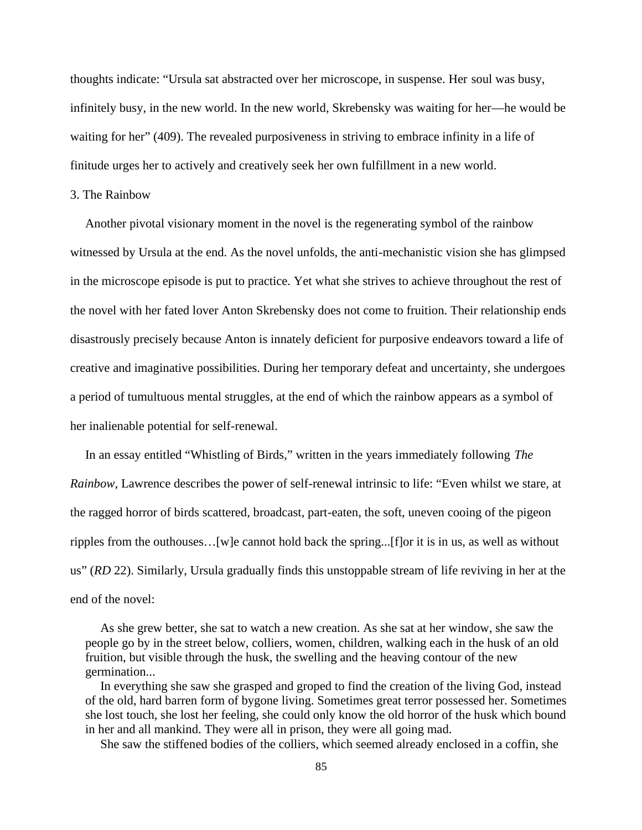thoughts indicate: "Ursula sat abstracted over her microscope, in suspense. Her soul was busy, infinitely busy, in the new world. In the new world, Skrebensky was waiting for her—he would be waiting for her" (409). The revealed purposiveness in striving to embrace infinity in a life of finitude urges her to actively and creatively seek her own fulfillment in a new world.

# 3. The Rainbow

Another pivotal visionary moment in the novel is the regenerating symbol of the rainbow witnessed by Ursula at the end. As the novel unfolds, the anti-mechanistic vision she has glimpsed in the microscope episode is put to practice. Yet what she strives to achieve throughout the rest of the novel with her fated lover Anton Skrebensky does not come to fruition. Their relationship ends disastrously precisely because Anton is innately deficient for purposive endeavors toward a life of creative and imaginative possibilities. During her temporary defeat and uncertainty, she undergoes a period of tumultuous mental struggles, at the end of which the rainbow appears as a symbol of her inalienable potential for self-renewal.

In an essay entitled "Whistling of Birds," written in the years immediately following *The Rainbow*, Lawrence describes the power of self-renewal intrinsic to life: "Even whilst we stare, at the ragged horror of birds scattered, broadcast, part-eaten, the soft, uneven cooing of the pigeon ripples from the outhouses…[w]e cannot hold back the spring...[f]or it is in us, as well as without us" (*RD* 22). Similarly, Ursula gradually finds this unstoppable stream of life reviving in her at the end of the novel:

As she grew better, she sat to watch a new creation. As she sat at her window, she saw the people go by in the street below, colliers, women, children, walking each in the husk of an old fruition, but visible through the husk, the swelling and the heaving contour of the new germination...

In everything she saw she grasped and groped to find the creation of the living God, instead of the old, hard barren form of bygone living. Sometimes great terror possessed her. Sometimes she lost touch, she lost her feeling, she could only know the old horror of the husk which bound in her and all mankind. They were all in prison, they were all going mad.

She saw the stiffened bodies of the colliers, which seemed already enclosed in a coffin, she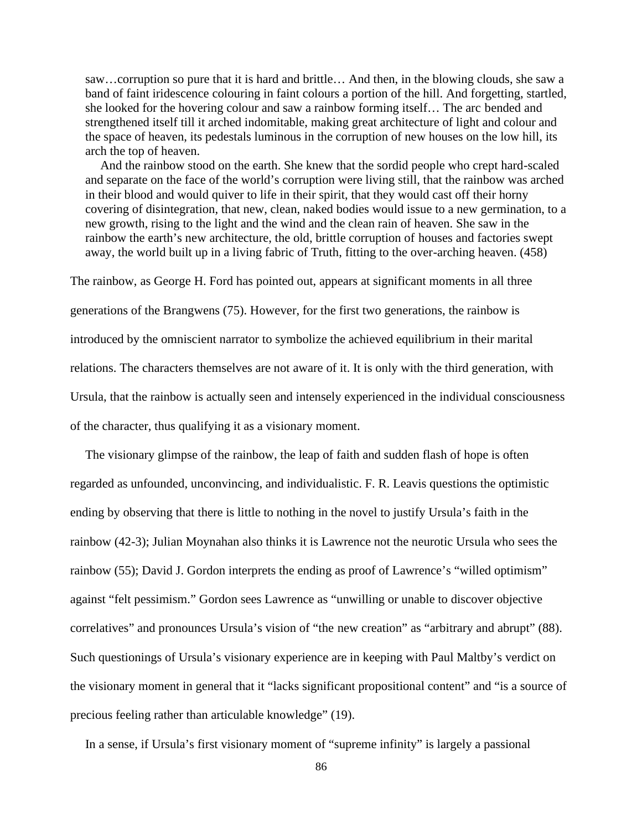saw…corruption so pure that it is hard and brittle… And then, in the blowing clouds, she saw a band of faint iridescence colouring in faint colours a portion of the hill. And forgetting, startled, she looked for the hovering colour and saw a rainbow forming itself… The arc bended and strengthened itself till it arched indomitable, making great architecture of light and colour and the space of heaven, its pedestals luminous in the corruption of new houses on the low hill, its arch the top of heaven.

And the rainbow stood on the earth. She knew that the sordid people who crept hard-scaled and separate on the face of the world's corruption were living still, that the rainbow was arched in their blood and would quiver to life in their spirit, that they would cast off their horny covering of disintegration, that new, clean, naked bodies would issue to a new germination, to a new growth, rising to the light and the wind and the clean rain of heaven. She saw in the rainbow the earth's new architecture, the old, brittle corruption of houses and factories swept away, the world built up in a living fabric of Truth, fitting to the over-arching heaven. (458)

The rainbow, as George H. Ford has pointed out, appears at significant moments in all three generations of the Brangwens (75). However, for the first two generations, the rainbow is introduced by the omniscient narrator to symbolize the achieved equilibrium in their marital relations. The characters themselves are not aware of it. It is only with the third generation, with Ursula, that the rainbow is actually seen and intensely experienced in the individual consciousness of the character, thus qualifying it as a visionary moment.

The visionary glimpse of the rainbow, the leap of faith and sudden flash of hope is often regarded as unfounded, unconvincing, and individualistic. F. R. Leavis questions the optimistic ending by observing that there is little to nothing in the novel to justify Ursula's faith in the rainbow (42-3); Julian Moynahan also thinks it is Lawrence not the neurotic Ursula who sees the rainbow (55); David J. Gordon interprets the ending as proof of Lawrence's "willed optimism" against "felt pessimism." Gordon sees Lawrence as "unwilling or unable to discover objective correlatives" and pronounces Ursula's vision of "the new creation" as "arbitrary and abrupt" (88). Such questionings of Ursula's visionary experience are in keeping with Paul Maltby's verdict on the visionary moment in general that it "lacks significant propositional content" and "is a source of precious feeling rather than articulable knowledge" (19).

In a sense, if Ursula's first visionary moment of "supreme infinity" is largely a passional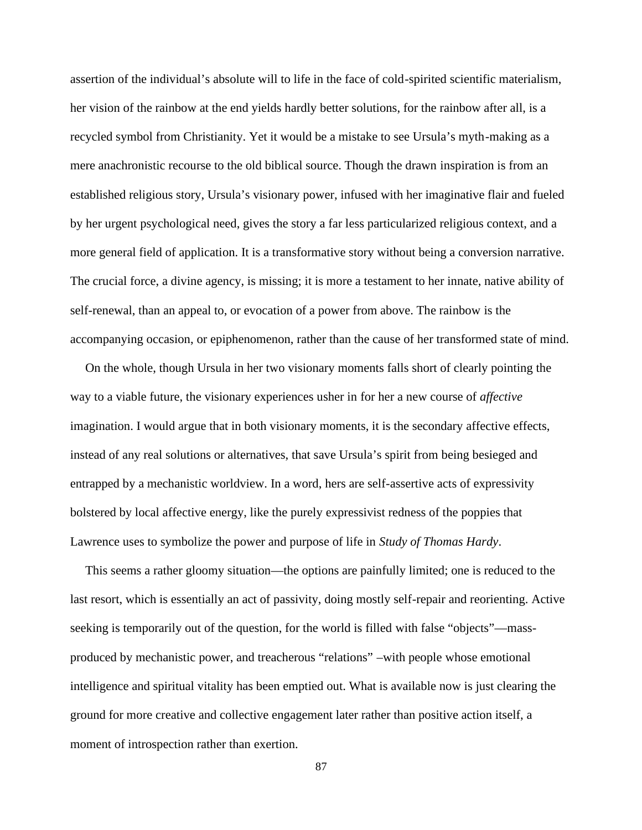assertion of the individual's absolute will to life in the face of cold-spirited scientific materialism, her vision of the rainbow at the end yields hardly better solutions, for the rainbow after all, is a recycled symbol from Christianity. Yet it would be a mistake to see Ursula's myth-making as a mere anachronistic recourse to the old biblical source. Though the drawn inspiration is from an established religious story, Ursula's visionary power, infused with her imaginative flair and fueled by her urgent psychological need, gives the story a far less particularized religious context, and a more general field of application. It is a transformative story without being a conversion narrative. The crucial force, a divine agency, is missing; it is more a testament to her innate, native ability of self-renewal, than an appeal to, or evocation of a power from above. The rainbow is the accompanying occasion, or epiphenomenon, rather than the cause of her transformed state of mind.

On the whole, though Ursula in her two visionary moments falls short of clearly pointing the way to a viable future, the visionary experiences usher in for her a new course of *affective* imagination. I would argue that in both visionary moments, it is the secondary affective effects, instead of any real solutions or alternatives, that save Ursula's spirit from being besieged and entrapped by a mechanistic worldview. In a word, hers are self-assertive acts of expressivity bolstered by local affective energy, like the purely expressivist redness of the poppies that Lawrence uses to symbolize the power and purpose of life in *Study of Thomas Hardy*.

This seems a rather gloomy situation—the options are painfully limited; one is reduced to the last resort, which is essentially an act of passivity, doing mostly self-repair and reorienting. Active seeking is temporarily out of the question, for the world is filled with false "objects"—mass produced by mechanistic power, and treacherous "relations" –with people whose emotional intelligence and spiritual vitality has been emptied out. What is available now is just clearing the ground for more creative and collective engagement later rather than positive action itself, a moment of introspection rather than exertion.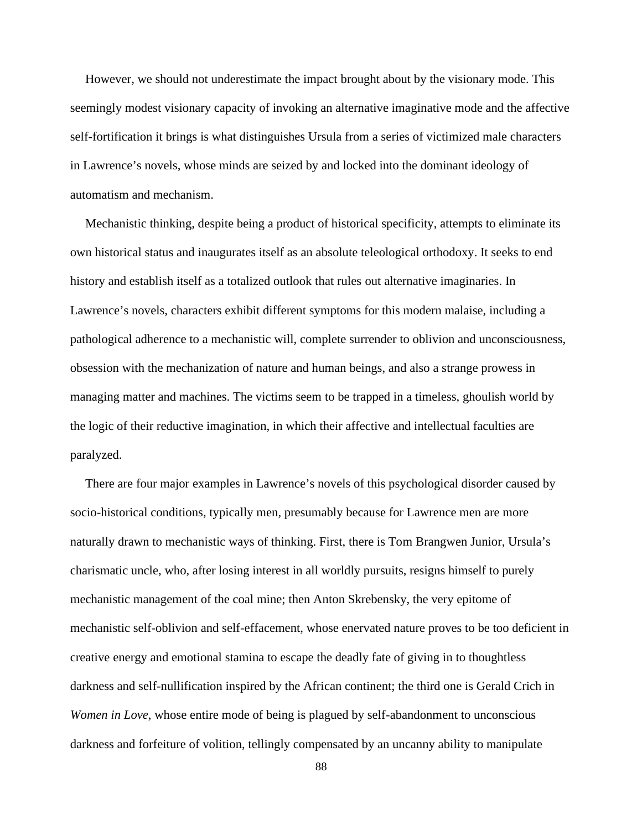However, we should not underestimate the impact brought about by the visionary mode. This seemingly modest visionary capacity of invoking an alternative imaginative mode and the affective self-fortification it brings is what distinguishes Ursula from a series of victimized male characters in Lawrence's novels, whose minds are seized by and locked into the dominant ideology of automatism and mechanism.

Mechanistic thinking, despite being a product of historical specificity, attempts to eliminate its own historical status and inaugurates itself as an absolute teleological orthodoxy. It seeks to end history and establish itself as a totalized outlook that rules out alternative imaginaries. In Lawrence's novels, characters exhibit different symptoms for this modern malaise, including a pathological adherence to a mechanistic will, complete surrender to oblivion and unconsciousness, obsession with the mechanization of nature and human beings, and also a strange prowess in managing matter and machines. The victims seem to be trapped in a timeless, ghoulish world by the logic of their reductive imagination, in which their affective and intellectual faculties are paralyzed.

There are four major examples in Lawrence's novels of this psychological disorder caused by socio-historical conditions, typically men, presumably because for Lawrence men are more naturally drawn to mechanistic ways of thinking. First, there is Tom Brangwen Junior, Ursula's charismatic uncle, who, after losing interest in all worldly pursuits, resigns himself to purely mechanistic management of the coal mine; then Anton Skrebensky, the very epitome of mechanistic self-oblivion and self-effacement, whose enervated nature proves to be too deficient in creative energy and emotional stamina to escape the deadly fate of giving in to thoughtless darkness and self-nullification inspired by the African continent; the third one is Gerald Crich in *Women in Love*, whose entire mode of being is plagued by self-abandonment to unconscious darkness and forfeiture of volition, tellingly compensated by an uncanny ability to manipulate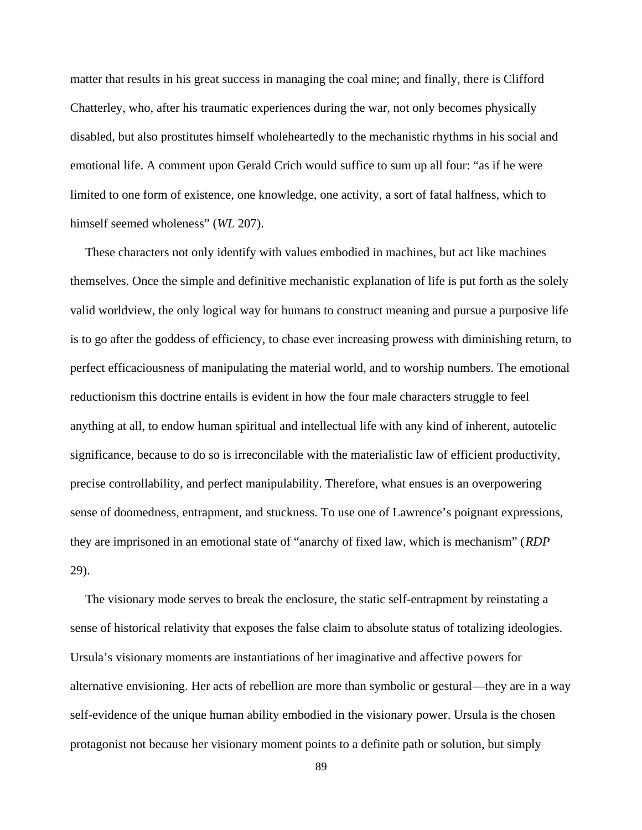matter that results in his great success in managing the coal mine; and finally, there is Clifford Chatterley, who, after his traumatic experiences during the war, not only becomes physically disabled, but also prostitutes himself wholeheartedly to the mechanistic rhythms in his social and emotional life. A comment upon Gerald Crich would suffice to sum up all four: "as if he were limited to one form of existence, one knowledge, one activity, a sort of fatal halfness, which to himself seemed wholeness" (*WL* 207).

These characters not only identify with values embodied in machines, but act like machines themselves. Once the simple and definitive mechanistic explanation of life is put forth as the solely valid worldview, the only logical way for humans to construct meaning and pursue a purposive life is to go after the goddess of efficiency, to chase ever increasing prowess with diminishing return, to perfect efficaciousness of manipulating the material world, and to worship numbers. The emotional reductionism this doctrine entails is evident in how the four male characters struggle to feel anything at all, to endow human spiritual and intellectual life with any kind of inherent, autotelic significance, because to do so is irreconcilable with the materialistic law of efficient productivity, precise controllability, and perfect manipulability. Therefore, what ensues is an overpowering sense of doomedness, entrapment, and stuckness. To use one of Lawrence's poignant expressions, they are imprisoned in an emotional state of "anarchy of fixed law, which is mechanism" (*RDP* 29).

The visionary mode serves to break the enclosure, the static self-entrapment by reinstating a sense of historical relativity that exposes the false claim to absolute status of totalizing ideologies. Ursula's visionary moments are instantiations of her imaginative and affective powers for alternative envisioning. Her acts of rebellion are more than symbolic or gestural—they are in a way self-evidence of the unique human ability embodied in the visionary power. Ursula is the chosen protagonist not because her visionary moment points to a definite path or solution, but simply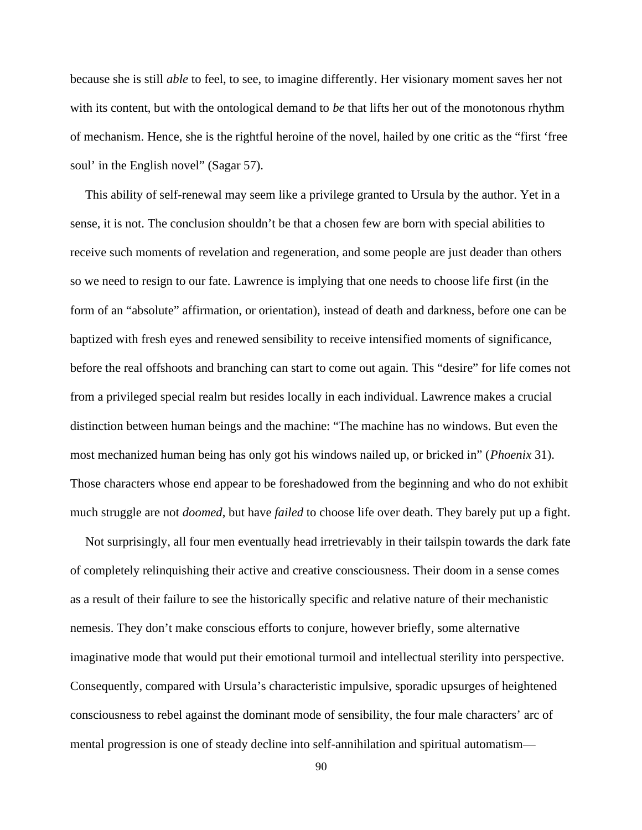because she is still *able* to feel, to see, to imagine differently. Her visionary moment saves her not with its content, but with the ontological demand to *be* that lifts her out of the monotonous rhythm of mechanism. Hence, she is the rightful heroine of the novel, hailed by one critic as the "first 'free soul' in the English novel" (Sagar 57).

This ability of self-renewal may seem like a privilege granted to Ursula by the author. Yet in a sense, it is not. The conclusion shouldn't be that a chosen few are born with special abilities to receive such moments of revelation and regeneration, and some people are just deader than others so we need to resign to our fate. Lawrence is implying that one needs to choose life first (in the form of an "absolute" affirmation, or orientation), instead of death and darkness, before one can be baptized with fresh eyes and renewed sensibility to receive intensified moments of significance, before the real offshoots and branching can start to come out again. This "desire" for life comes not from a privileged special realm but resides locally in each individual. Lawrence makes a crucial distinction between human beings and the machine: "The machine has no windows. But even the most mechanized human being has only got his windows nailed up, or bricked in" (*Phoenix* 31). Those characters whose end appear to be foreshadowed from the beginning and who do not exhibit much struggle are not *doomed*, but have *failed* to choose life over death. They barely put up a fight.

Not surprisingly, all four men eventually head irretrievably in their tailspin towards the dark fate of completely relinquishing their active and creative consciousness. Their doom in a sense comes as a result of their failure to see the historically specific and relative nature of their mechanistic nemesis. They don't make conscious efforts to conjure, however briefly, some alternative imaginative mode that would put their emotional turmoil and intellectual sterility into perspective. Consequently, compared with Ursula's characteristic impulsive, sporadic upsurges of heightened consciousness to rebel against the dominant mode of sensibility, the four male characters' arc of mental progression is one of steady decline into self-annihilation and spiritual automatism—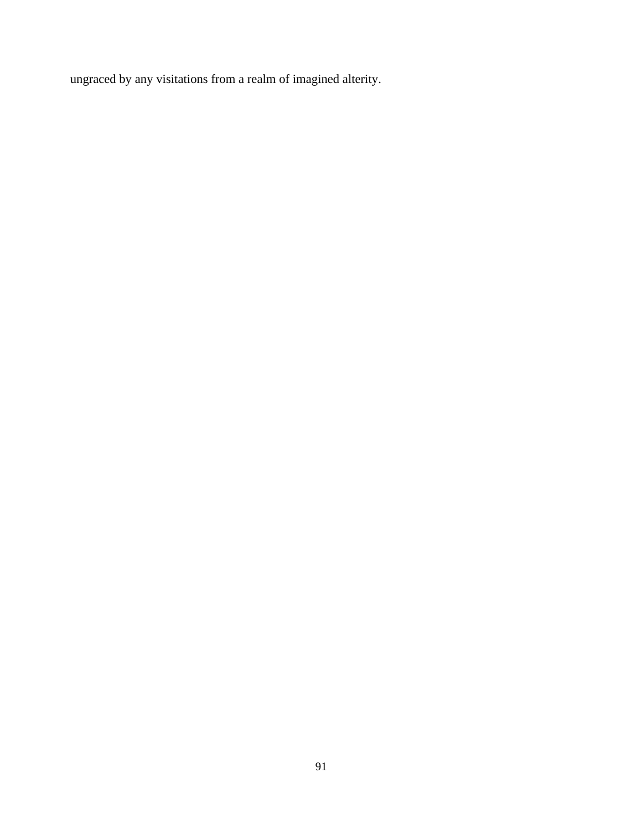ungraced by any visitations from a realm of imagined alterity.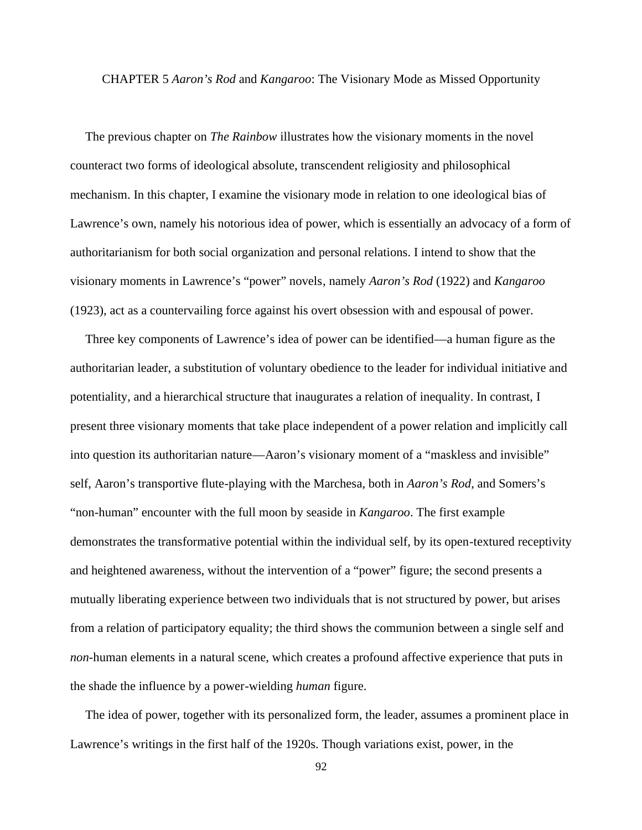### CHAPTER 5 *Aaron's Rod* and *Kangaroo*: The Visionary Mode as Missed Opportunity

The previous chapter on *The Rainbow* illustrates how the visionary moments in the novel counteract two forms of ideological absolute, transcendent religiosity and philosophical mechanism. In this chapter, I examine the visionary mode in relation to one ideological bias of Lawrence's own, namely his notorious idea of power, which is essentially an advocacy of a form of authoritarianism for both social organization and personal relations. I intend to show that the visionary moments in Lawrence's "power" novels, namely *Aaron's Rod* (1922) and *Kangaroo* (1923), act as a countervailing force against his overt obsession with and espousal of power.

Three key components of Lawrence's idea of power can be identified—a human figure as the authoritarian leader, a substitution of voluntary obedience to the leader for individual initiative and potentiality, and a hierarchical structure that inaugurates a relation of inequality. In contrast, I present three visionary moments that take place independent of a power relation and implicitly call into question its authoritarian nature—Aaron's visionary moment of a "maskless and invisible" self, Aaron's transportive flute-playing with the Marchesa, both in *Aaron's Rod*, and Somers's "non-human" encounter with the full moon by seaside in *Kangaroo*. The first example demonstrates the transformative potential within the individual self, by its open-textured receptivity and heightened awareness, without the intervention of a "power" figure; the second presents a mutually liberating experience between two individuals that is not structured by power, but arises from a relation of participatory equality; the third shows the communion between a single self and *non*-human elements in a natural scene, which creates a profound affective experience that puts in the shade the influence by a power-wielding *human* figure.

The idea of power, together with its personalized form, the leader, assumes a prominent place in Lawrence's writings in the first half of the 1920s. Though variations exist, power, in the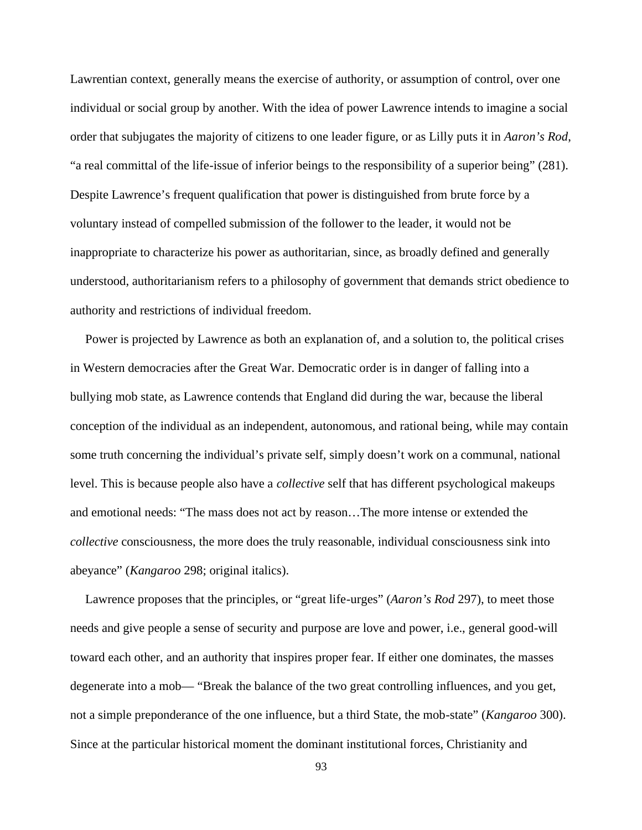Lawrentian context, generally means the exercise of authority, or assumption of control, over one individual or social group by another. With the idea of power Lawrence intends to imagine a social order that subjugates the majority of citizens to one leader figure, or as Lilly puts it in *Aaron's Rod*, "a real committal of the life-issue of inferior beings to the responsibility of a superior being" (281). Despite Lawrence's frequent qualification that power is distinguished from brute force by a voluntary instead of compelled submission of the follower to the leader, it would not be inappropriate to characterize his power as authoritarian, since, as broadly defined and generally understood, authoritarianism refers to a philosophy of government that demands strict obedience to authority and restrictions of individual freedom.

Power is projected by Lawrence as both an explanation of, and a solution to, the political crises in Western democracies after the Great War. Democratic order is in danger of falling into a bullying mob state, as Lawrence contends that England did during the war, because the liberal conception of the individual as an independent, autonomous, and rational being, while may contain some truth concerning the individual's private self, simply doesn't work on a communal, national level. This is because people also have a *collective* self that has different psychological makeups and emotional needs: "The mass does not act by reason…The more intense or extended the *collective* consciousness, the more does the truly reasonable, individual consciousness sink into abeyance" (*Kangaroo* 298; original italics).

Lawrence proposes that the principles, or "great life-urges" (*Aaron's Rod* 297), to meet those needs and give people a sense of security and purpose are love and power, i.e., general good-will toward each other, and an authority that inspires proper fear. If either one dominates, the masses degenerate into a mob— "Break the balance of the two great controlling influences, and you get, not a simple preponderance of the one influence, but a third State, the mob-state" (*Kangaroo* 300). Since at the particular historical moment the dominant institutional forces, Christianity and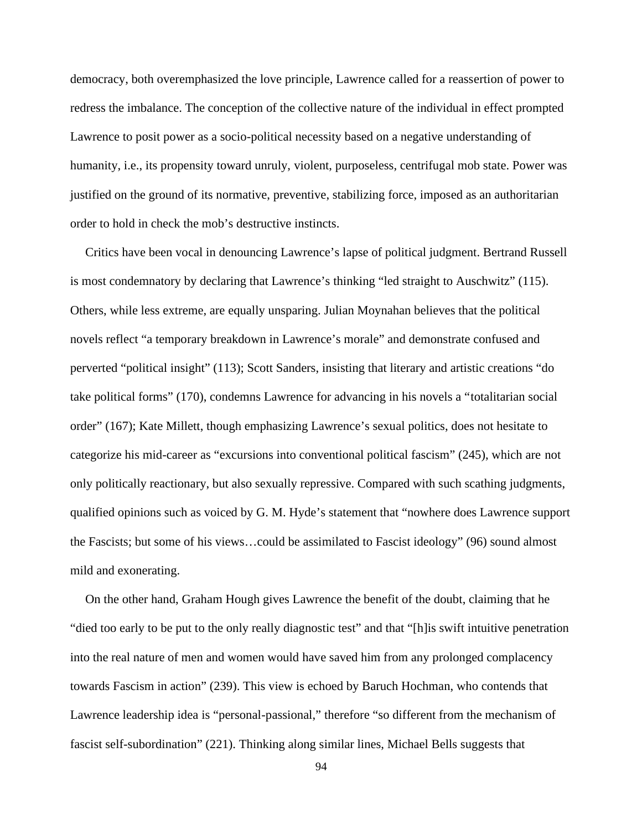democracy, both overemphasized the love principle, Lawrence called for a reassertion of power to redress the imbalance. The conception of the collective nature of the individual in effect prompted Lawrence to posit power as a socio-political necessity based on a negative understanding of humanity, i.e., its propensity toward unruly, violent, purposeless, centrifugal mob state. Power was justified on the ground of its normative, preventive, stabilizing force, imposed as an authoritarian order to hold in check the mob's destructive instincts.

Critics have been vocal in denouncing Lawrence's lapse of political judgment. Bertrand Russell is most condemnatory by declaring that Lawrence's thinking "led straight to Auschwitz" (115). Others, while less extreme, are equally unsparing. Julian Moynahan believes that the political novels reflect "a temporary breakdown in Lawrence's morale" and demonstrate confused and perverted "political insight" (113); Scott Sanders, insisting that literary and artistic creations "do take political forms" (170), condemns Lawrence for advancing in his novels a "totalitarian social order" (167); Kate Millett, though emphasizing Lawrence's sexual politics, does not hesitate to categorize his mid-career as "excursions into conventional political fascism" (245), which are not only politically reactionary, but also sexually repressive. Compared with such scathing judgments, qualified opinions such as voiced by G. M. Hyde's statement that "nowhere does Lawrence support the Fascists; but some of his views…could be assimilated to Fascist ideology" (96) sound almost mild and exonerating.

On the other hand, Graham Hough gives Lawrence the benefit of the doubt, claiming that he "died too early to be put to the only really diagnostic test" and that "[h]is swift intuitive penetration into the real nature of men and women would have saved him from any prolonged complacency towards Fascism in action" (239). This view is echoed by Baruch Hochman, who contends that Lawrence leadership idea is "personal-passional," therefore "so different from the mechanism of fascist self-subordination" (221). Thinking along similar lines, Michael Bells suggests that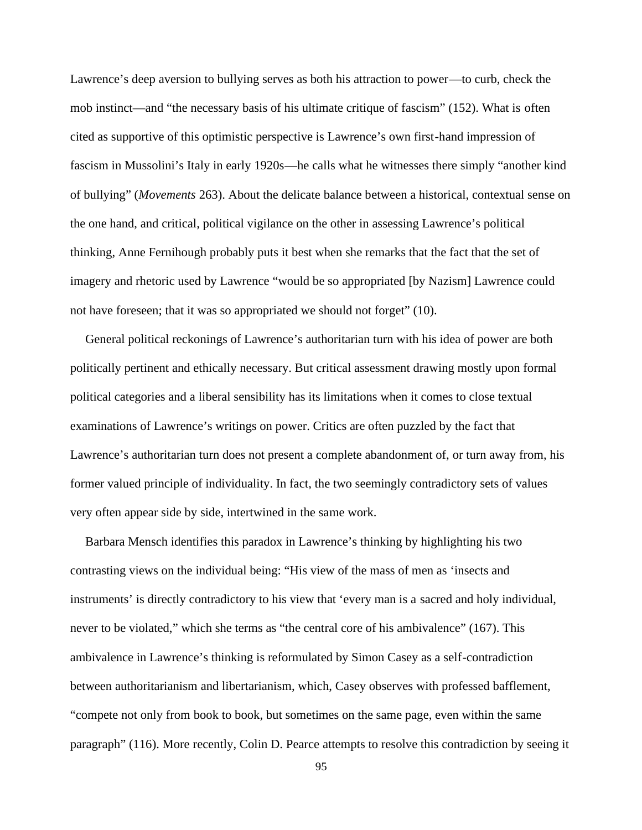Lawrence's deep aversion to bullying serves as both his attraction to power—to curb, check the mob instinct—and "the necessary basis of his ultimate critique of fascism" (152). What is often cited as supportive of this optimistic perspective is Lawrence's own first-hand impression of fascism in Mussolini's Italy in early 1920s—he calls what he witnesses there simply "another kind of bullying" (*Movements* 263). About the delicate balance between a historical, contextual sense on the one hand, and critical, political vigilance on the other in assessing Lawrence's political thinking, Anne Fernihough probably puts it best when she remarks that the fact that the set of imagery and rhetoric used by Lawrence "would be so appropriated [by Nazism] Lawrence could not have foreseen; that it was so appropriated we should not forget" (10).

General political reckonings of Lawrence's authoritarian turn with his idea of power are both politically pertinent and ethically necessary. But critical assessment drawing mostly upon formal political categories and a liberal sensibility has its limitations when it comes to close textual examinations of Lawrence's writings on power. Critics are often puzzled by the fact that Lawrence's authoritarian turn does not present a complete abandonment of, or turn away from, his former valued principle of individuality. In fact, the two seemingly contradictory sets of values very often appear side by side, intertwined in the same work.

Barbara Mensch identifies this paradox in Lawrence's thinking by highlighting his two contrasting views on the individual being: "His view of the mass of men as 'insects and instruments' is directly contradictory to his view that 'every man is a sacred and holy individual, never to be violated," which she terms as "the central core of his ambivalence" (167). This ambivalence in Lawrence's thinking is reformulated by Simon Casey as a self-contradiction between authoritarianism and libertarianism, which, Casey observes with professed bafflement, "compete not only from book to book, but sometimes on the same page, even within the same paragraph" (116). More recently, Colin D. Pearce attempts to resolve this contradiction by seeing it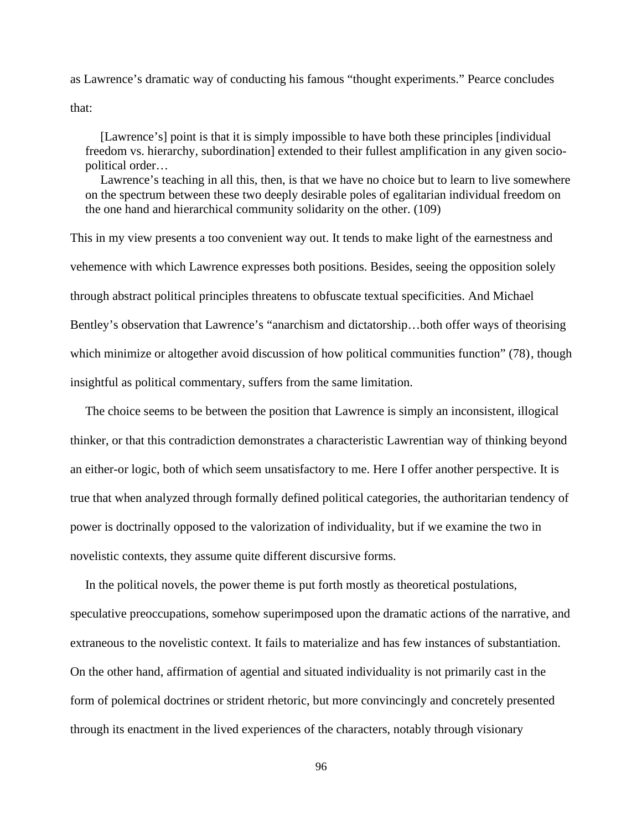as Lawrence's dramatic way of conducting his famous "thought experiments." Pearce concludes that:

[Lawrence's] point is that it is simply impossible to have both these principles [individual freedom vs. hierarchy, subordination] extended to their fullest amplification in any given socio political order…

Lawrence's teaching in all this, then, is that we have no choice but to learn to live somewhere on the spectrum between these two deeply desirable poles of egalitarian individual freedom on the one hand and hierarchical community solidarity on the other. (109)

This in my view presents a too convenient way out. It tends to make light of the earnestness and vehemence with which Lawrence expresses both positions. Besides, seeing the opposition solely through abstract political principles threatens to obfuscate textual specificities. And Michael Bentley's observation that Lawrence's "anarchism and dictatorship…both offer ways of theorising which minimize or altogether avoid discussion of how political communities function" (78), though insightful as political commentary, suffers from the same limitation.

The choice seems to be between the position that Lawrence is simply an inconsistent, illogical thinker, or that this contradiction demonstrates a characteristic Lawrentian way of thinking beyond an either-or logic, both of which seem unsatisfactory to me. Here I offer another perspective. It is true that when analyzed through formally defined political categories, the authoritarian tendency of power is doctrinally opposed to the valorization of individuality, but if we examine the two in novelistic contexts, they assume quite different discursive forms.

In the political novels, the power theme is put forth mostly as theoretical postulations, speculative preoccupations, somehow superimposed upon the dramatic actions of the narrative, and extraneous to the novelistic context. It fails to materialize and has few instances of substantiation. On the other hand, affirmation of agential and situated individuality is not primarily cast in the form of polemical doctrines or strident rhetoric, but more convincingly and concretely presented through its enactment in the lived experiences of the characters, notably through visionary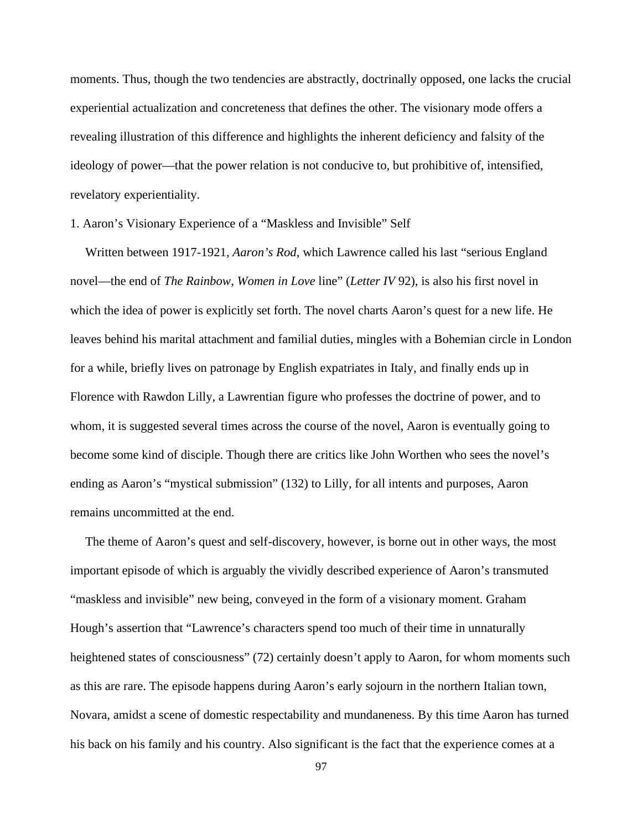moments. Thus, though the two tendencies are abstractly, doctrinally opposed, one lacks the crucial experiential actualization and concreteness that defines the other. The visionary mode offers a revealing illustration of this difference and highlights the inherent deficiency and falsity of the ideology of power—that the power relation is not conducive to, but prohibitive of, intensified, revelatory experientiality.

## 1. Aaron's Visionary Experience of a "Maskless and Invisible" Self

Written between 1917-1921, *Aaron's Rod*, which Lawrence called his last "serious England novel—the end of *The Rainbow*, *Women in Love* line" (*Letter IV* 92), is also his first novel in which the idea of power is explicitly set forth. The novel charts Aaron's quest for a new life. He leaves behind his marital attachment and familial duties, mingles with a Bohemian circle in London for a while, briefly lives on patronage by English expatriates in Italy, and finally ends up in Florence with Rawdon Lilly, a Lawrentian figure who professes the doctrine of power, and to whom, it is suggested several times across the course of the novel, Aaron is eventually going to become some kind of disciple. Though there are critics like John Worthen who sees the novel's ending as Aaron's "mystical submission" (132) to Lilly, for all intents and purposes, Aaron remains uncommitted at the end.

The theme of Aaron's quest and self-discovery, however, is borne out in other ways, the most important episode of which is arguably the vividly described experience of Aaron's transmuted "maskless and invisible" new being, conveyed in the form of a visionary moment. Graham Hough's assertion that "Lawrence's characters spend too much of their time in unnaturally heightened states of consciousness" (72) certainly doesn't apply to Aaron, for whom moments such as this are rare. The episode happens during Aaron's early sojourn in the northern Italian town, Novara, amidst a scene of domestic respectability and mundaneness. By this time Aaron has turned his back on his family and his country. Also significant is the fact that the experience comes at a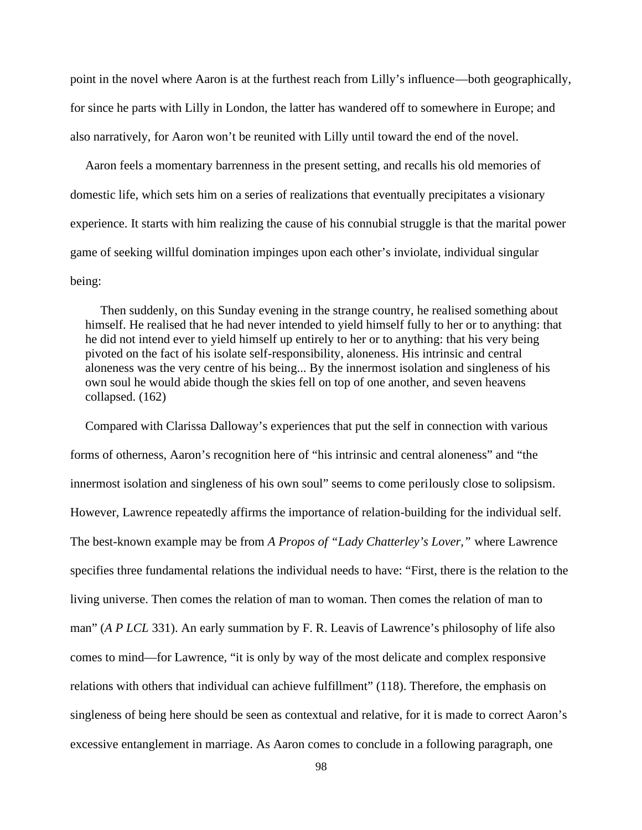point in the novel where Aaron is at the furthest reach from Lilly's influence—both geographically, for since he parts with Lilly in London, the latter has wandered off to somewhere in Europe; and also narratively, for Aaron won't be reunited with Lilly until toward the end of the novel.

Aaron feels a momentary barrenness in the present setting, and recalls his old memories of domestic life, which sets him on a series of realizations that eventually precipitates a visionary experience. It starts with him realizing the cause of his connubial struggle is that the marital power game of seeking willful domination impinges upon each other's inviolate, individual singular being:

Then suddenly, on this Sunday evening in the strange country, he realised something about himself. He realised that he had never intended to yield himself fully to her or to anything: that he did not intend ever to yield himself up entirely to her or to anything: that his very being pivoted on the fact of his isolate self-responsibility, aloneness. His intrinsic and central aloneness was the very centre of his being... By the innermost isolation and singleness of his own soul he would abide though the skies fell on top of one another, and seven heavens collapsed. (162)

Compared with Clarissa Dalloway's experiences that put the self in connection with various forms of otherness, Aaron's recognition here of "his intrinsic and central aloneness" and "the innermost isolation and singleness of his own soul" seems to come perilously close to solipsism. However, Lawrence repeatedly affirms the importance of relation-building for the individual self. The best-known example may be from *A Propos of "Lady Chatterley's Lover,"* where Lawrence specifies three fundamental relations the individual needs to have: "First, there is the relation to the living universe. Then comes the relation of man to woman. Then comes the relation of man to man" (*A P LCL* 331). An early summation by F. R. Leavis of Lawrence's philosophy of life also comes to mind—for Lawrence, "it is only by way of the most delicate and complex responsive relations with others that individual can achieve fulfillment" (118). Therefore, the emphasis on singleness of being here should be seen as contextual and relative, for it is made to correct Aaron's excessive entanglement in marriage. As Aaron comes to conclude in a following paragraph, one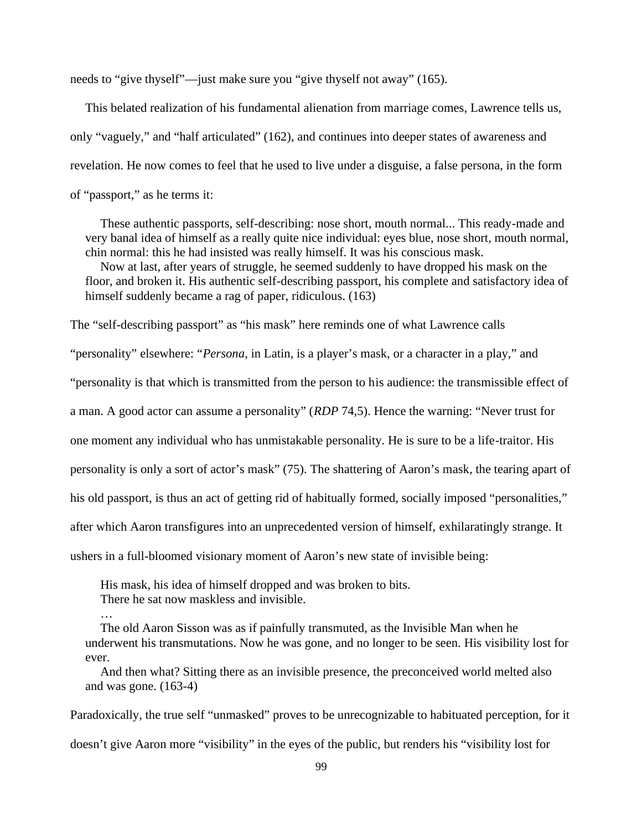needs to "give thyself"—just make sure you "give thyself not away" (165).

This belated realization of his fundamental alienation from marriage comes, Lawrence tells us, only "vaguely," and "half articulated" (162), and continues into deeper states of awareness and revelation. He now comes to feel that he used to live under a disguise, a false persona, in the form of "passport," as he terms it:

These authentic passports, self-describing: nose short, mouth normal... This ready-made and very banal idea of himself as a really quite nice individual: eyes blue, nose short, mouth normal, chin normal: this he had insisted was really himself. It was his conscious mask.

Now at last, after years of struggle, he seemed suddenly to have dropped his mask on the floor, and broken it. His authentic self-describing passport, his complete and satisfactory idea of himself suddenly became a rag of paper, ridiculous. (163)

The "self-describing passport" as "his mask" here reminds one of what Lawrence calls

"personality" elsewhere: "*Persona*, in Latin, is a player's mask, or a character in a play," and

"personality is that which is transmitted from the person to his audience: the transmissible effect of

a man. A good actor can assume a personality" (*RDP* 74,5). Hence the warning: "Never trust for

one moment any individual who has unmistakable personality. He is sure to be a life-traitor. His

personality is only a sort of actor's mask" (75). The shattering of Aaron's mask, the tearing apart of

his old passport, is thus an act of getting rid of habitually formed, socially imposed "personalities,"

after which Aaron transfigures into an unprecedented version of himself, exhilaratingly strange. It

ushers in a full-bloomed visionary moment of Aaron's new state of invisible being:

His mask, his idea of himself dropped and was broken to bits. There he sat now maskless and invisible.

…

The old Aaron Sisson was as if painfully transmuted, as the Invisible Man when he underwent his transmutations. Now he was gone, and no longer to be seen. His visibility lost for ever.

And then what? Sitting there as an invisible presence, the preconceived world melted also and was gone. (163-4)

Paradoxically, the true self "unmasked" proves to be unrecognizable to habituated perception, for it

doesn't give Aaron more "visibility" in the eyes of the public, but renders his "visibility lost for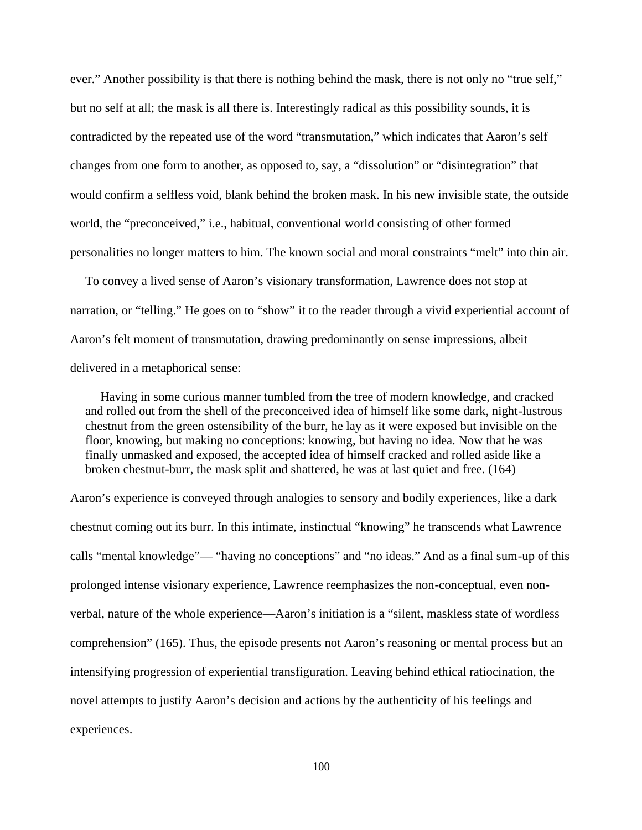ever." Another possibility is that there is nothing behind the mask, there is not only no "true self," but no self at all; the mask is all there is. Interestingly radical as this possibility sounds, it is contradicted by the repeated use of the word "transmutation," which indicates that Aaron's self changes from one form to another, as opposed to, say, a "dissolution" or "disintegration" that would confirm a selfless void, blank behind the broken mask. In his new invisible state, the outside world, the "preconceived," i.e., habitual, conventional world consisting of other formed personalities no longer matters to him. The known social and moral constraints "melt" into thin air.

To convey a lived sense of Aaron's visionary transformation, Lawrence does not stop at narration, or "telling." He goes on to "show" it to the reader through a vivid experiential account of Aaron's felt moment of transmutation, drawing predominantly on sense impressions, albeit delivered in a metaphorical sense:

Having in some curious manner tumbled from the tree of modern knowledge, and cracked and rolled out from the shell of the preconceived idea of himself like some dark, night-lustrous chestnut from the green ostensibility of the burr, he lay as it were exposed but invisible on the floor, knowing, but making no conceptions: knowing, but having no idea. Now that he was finally unmasked and exposed, the accepted idea of himself cracked and rolled aside like a broken chestnut-burr, the mask split and shattered, he was at last quiet and free. (164)

Aaron's experience is conveyed through analogies to sensory and bodily experiences, like a dark chestnut coming out its burr. In this intimate, instinctual "knowing" he transcends what Lawrence calls "mental knowledge"— "having no conceptions" and "no ideas." And as a final sum-up of this prolonged intense visionary experience, Lawrence reemphasizes the non-conceptual, even non verbal, nature of the whole experience—Aaron's initiation is a "silent, maskless state of wordless comprehension" (165). Thus, the episode presents not Aaron's reasoning or mental process but an intensifying progression of experiential transfiguration. Leaving behind ethical ratiocination, the novel attempts to justify Aaron's decision and actions by the authenticity of his feelings and experiences.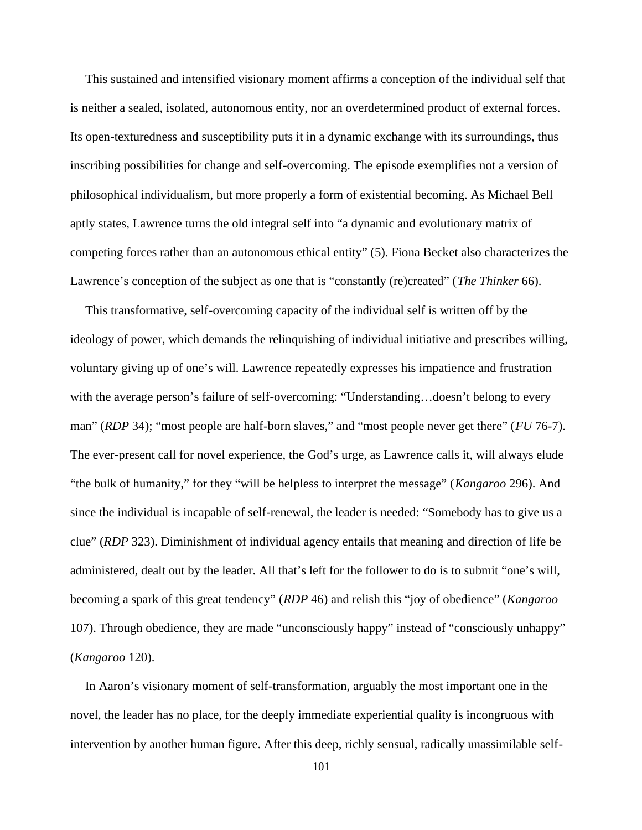This sustained and intensified visionary moment affirms a conception of the individual self that is neither a sealed, isolated, autonomous entity, nor an overdetermined product of external forces. Its open-texturedness and susceptibility puts it in a dynamic exchange with its surroundings, thus inscribing possibilities for change and self-overcoming. The episode exemplifies not a version of philosophical individualism, but more properly a form of existential becoming. As Michael Bell aptly states, Lawrence turns the old integral self into "a dynamic and evolutionary matrix of competing forces rather than an autonomous ethical entity" (5). Fiona Becket also characterizes the Lawrence's conception of the subject as one that is "constantly (re)created" (*The Thinker* 66).

This transformative, self-overcoming capacity of the individual self is written off by the ideology of power, which demands the relinquishing of individual initiative and prescribes willing, voluntary giving up of one's will. Lawrence repeatedly expresses his impatience and frustration with the average person's failure of self-overcoming: "Understanding…doesn't belong to every man" (*RDP* 34); "most people are half-born slaves," and "most people never get there" (*FU* 76-7). The ever-present call for novel experience, the God's urge, as Lawrence calls it, will always elude "the bulk of humanity," for they "will be helpless to interpret the message" (*Kangaroo* 296). And since the individual is incapable of self-renewal, the leader is needed: "Somebody has to give us a clue" (*RDP* 323). Diminishment of individual agency entails that meaning and direction of life be administered, dealt out by the leader. All that's left for the follower to do is to submit "one's will, becoming a spark of this great tendency" (*RDP* 46) and relish this "joy of obedience" (*Kangaroo* 107). Through obedience, they are made "unconsciously happy" instead of "consciously unhappy" (*Kangaroo* 120).

In Aaron's visionary moment of self-transformation, arguably the most important one in the novel, the leader has no place, for the deeply immediate experiential quality is incongruous with intervention by another human figure. After this deep, richly sensual, radically unassimilable self-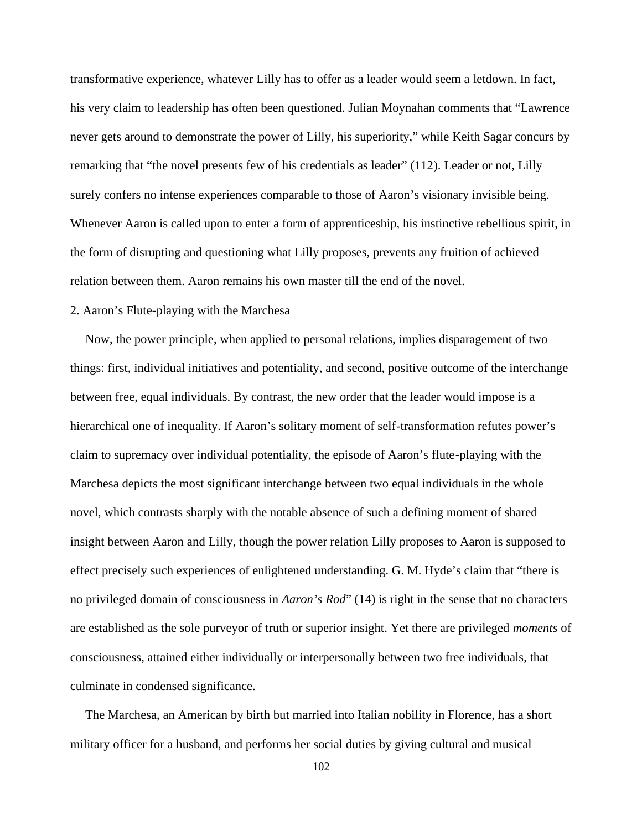transformative experience, whatever Lilly has to offer as a leader would seem a letdown. In fact, his very claim to leadership has often been questioned. Julian Moynahan comments that "Lawrence never gets around to demonstrate the power of Lilly, his superiority," while Keith Sagar concurs by remarking that "the novel presents few of his credentials as leader" (112). Leader or not, Lilly surely confers no intense experiences comparable to those of Aaron's visionary invisible being. Whenever Aaron is called upon to enter a form of apprenticeship, his instinctive rebellious spirit, in the form of disrupting and questioning what Lilly proposes, prevents any fruition of achieved relation between them. Aaron remains his own master till the end of the novel.

## 2. Aaron's Flute-playing with the Marchesa

Now, the power principle, when applied to personal relations, implies disparagement of two things: first, individual initiatives and potentiality, and second, positive outcome of the interchange between free, equal individuals. By contrast, the new order that the leader would impose is a hierarchical one of inequality. If Aaron's solitary moment of self-transformation refutes power's claim to supremacy over individual potentiality, the episode of Aaron's flute-playing with the Marchesa depicts the most significant interchange between two equal individuals in the whole novel, which contrasts sharply with the notable absence of such a defining moment of shared insight between Aaron and Lilly, though the power relation Lilly proposes to Aaron is supposed to effect precisely such experiences of enlightened understanding. G. M. Hyde's claim that "there is no privileged domain of consciousness in *Aaron's Rod*" (14) is right in the sense that no characters are established as the sole purveyor of truth or superior insight. Yet there are privileged *moments* of consciousness, attained either individually or interpersonally between two free individuals, that culminate in condensed significance.

The Marchesa, an American by birth but married into Italian nobility in Florence, has a short military officer for a husband, and performs her social duties by giving cultural and musical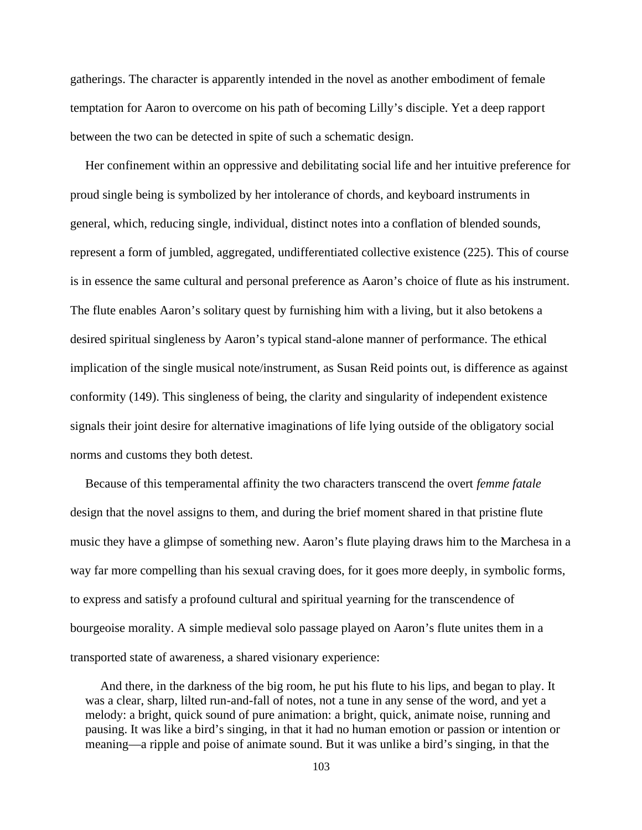gatherings. The character is apparently intended in the novel as another embodiment of female temptation for Aaron to overcome on his path of becoming Lilly's disciple. Yet a deep rapport between the two can be detected in spite of such a schematic design.

Her confinement within an oppressive and debilitating social life and her intuitive preference for proud single being is symbolized by her intolerance of chords, and keyboard instruments in general, which, reducing single, individual, distinct notes into a conflation of blended sounds, represent a form of jumbled, aggregated, undifferentiated collective existence (225). This of course is in essence the same cultural and personal preference as Aaron's choice of flute as his instrument. The flute enables Aaron's solitary quest by furnishing him with a living, but it also betokens a desired spiritual singleness by Aaron's typical stand-alone manner of performance. The ethical implication of the single musical note/instrument, as Susan Reid points out, is difference as against conformity (149). This singleness of being, the clarity and singularity of independent existence signals their joint desire for alternative imaginations of life lying outside of the obligatory social norms and customs they both detest.

Because of this temperamental affinity the two characters transcend the overt *femme fatale* design that the novel assigns to them, and during the brief moment shared in that pristine flute music they have a glimpse of something new. Aaron's flute playing draws him to the Marchesa in a way far more compelling than his sexual craving does, for it goes more deeply, in symbolic forms, to express and satisfy a profound cultural and spiritual yearning for the transcendence of bourgeoise morality. A simple medieval solo passage played on Aaron's flute unites them in a transported state of awareness, a shared visionary experience:

And there, in the darkness of the big room, he put his flute to his lips, and began to play. It was a clear, sharp, lilted run-and-fall of notes, not a tune in any sense of the word, and yet a melody: a bright, quick sound of pure animation: a bright, quick, animate noise, running and pausing. It was like a bird's singing, in that it had no human emotion or passion or intention or meaning—a ripple and poise of animate sound. But it was unlike a bird's singing, in that the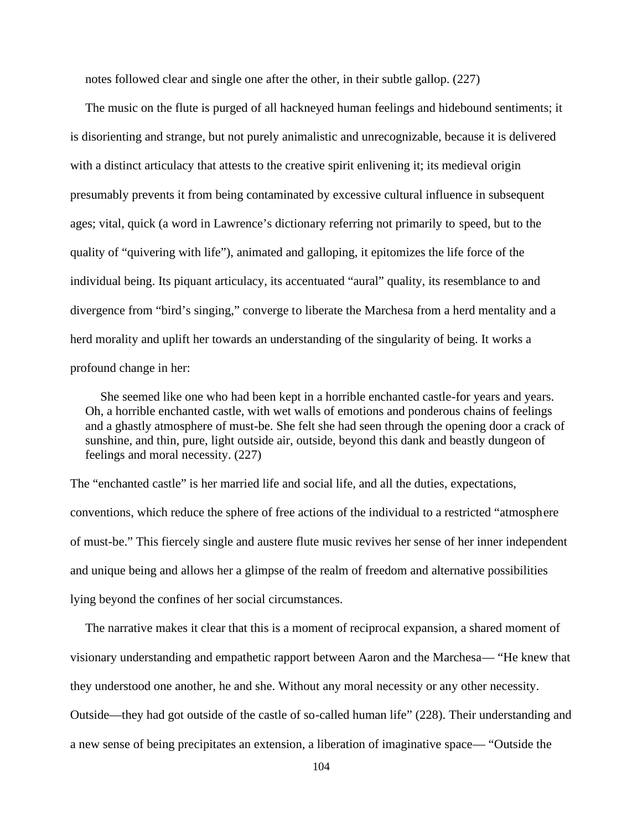notes followed clear and single one after the other, in their subtle gallop. (227)

The music on the flute is purged of all hackneyed human feelings and hidebound sentiments; it is disorienting and strange, but not purely animalistic and unrecognizable, because it is delivered with a distinct articulacy that attests to the creative spirit enlivening it; its medieval origin presumably prevents it from being contaminated by excessive cultural influence in subsequent ages; vital, quick (a word in Lawrence's dictionary referring not primarily to speed, but to the quality of "quivering with life"), animated and galloping, it epitomizes the life force of the individual being. Its piquant articulacy, its accentuated "aural" quality, its resemblance to and divergence from "bird's singing," converge to liberate the Marchesa from a herd mentality and a herd morality and uplift her towards an understanding of the singularity of being. It works a profound change in her:

She seemed like one who had been kept in a horrible enchanted castle-for years and years. Oh, a horrible enchanted castle, with wet walls of emotions and ponderous chains of feelings and a ghastly atmosphere of must-be. She felt she had seen through the opening door a crack of sunshine, and thin, pure, light outside air, outside, beyond this dank and beastly dungeon of feelings and moral necessity. (227)

The "enchanted castle" is her married life and social life, and all the duties, expectations, conventions, which reduce the sphere of free actions of the individual to a restricted "atmosphere of must-be." This fiercely single and austere flute music revives her sense of her inner independent and unique being and allows her a glimpse of the realm of freedom and alternative possibilities lying beyond the confines of her social circumstances.

The narrative makes it clear that this is a moment of reciprocal expansion, a shared moment of visionary understanding and empathetic rapport between Aaron and the Marchesa— "He knew that they understood one another, he and she. Without any moral necessity or any other necessity. Outside—they had got outside of the castle of so-called human life" (228). Their understanding and a new sense of being precipitates an extension, a liberation of imaginative space— "Outside the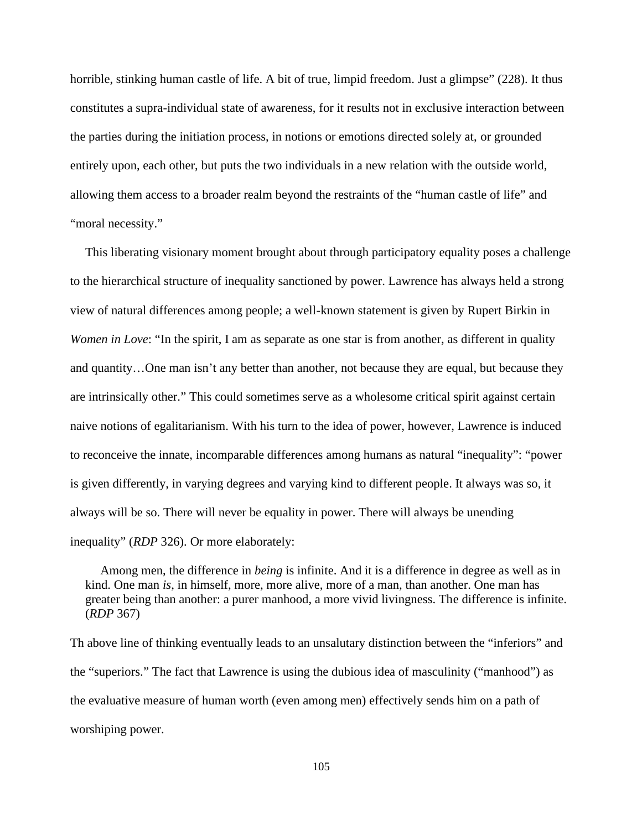horrible, stinking human castle of life. A bit of true, limpid freedom. Just a glimpse" (228). It thus constitutes a supra-individual state of awareness, for it results not in exclusive interaction between the parties during the initiation process, in notions or emotions directed solely at, or grounded entirely upon, each other, but puts the two individuals in a new relation with the outside world, allowing them access to a broader realm beyond the restraints of the "human castle of life" and "moral necessity."

This liberating visionary moment brought about through participatory equality poses a challenge to the hierarchical structure of inequality sanctioned by power. Lawrence has always held a strong view of natural differences among people; a well-known statement is given by Rupert Birkin in *Women in Love*: "In the spirit, I am as separate as one star is from another, as different in quality and quantity…One man isn't any better than another, not because they are equal, but because they are intrinsically other." This could sometimes serve as a wholesome critical spirit against certain naive notions of egalitarianism. With his turn to the idea of power, however, Lawrence is induced to reconceive the innate, incomparable differences among humans as natural "inequality": "power is given differently, in varying degrees and varying kind to different people. It always was so, it always will be so. There will never be equality in power. There will always be unending inequality" (*RDP* 326). Or more elaborately:

Among men, the difference in *being* is infinite. And it is a difference in degree as well as in kind. One man *is*, in himself, more, more alive, more of a man, than another. One man has greater being than another: a purer manhood, a more vivid livingness. The difference is infinite. (*RDP* 367)

Th above line of thinking eventually leads to an unsalutary distinction between the "inferiors" and the "superiors." The fact that Lawrence is using the dubious idea of masculinity ("manhood") as the evaluative measure of human worth (even among men) effectively sends him on a path of worshiping power.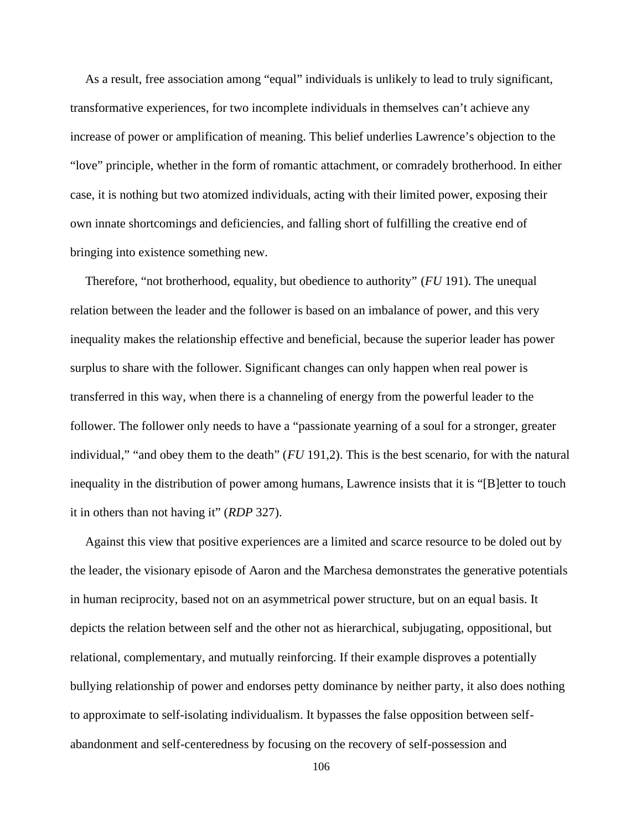As a result, free association among "equal" individuals is unlikely to lead to truly significant, transformative experiences, for two incomplete individuals in themselves can't achieve any increase of power or amplification of meaning. This belief underlies Lawrence's objection to the "love" principle, whether in the form of romantic attachment, or comradely brotherhood. In either case, it is nothing but two atomized individuals, acting with their limited power, exposing their own innate shortcomings and deficiencies, and falling short of fulfilling the creative end of bringing into existence something new.

Therefore, "not brotherhood, equality, but obedience to authority" (*FU* 191). The unequal relation between the leader and the follower is based on an imbalance of power, and this very inequality makes the relationship effective and beneficial, because the superior leader has power surplus to share with the follower. Significant changes can only happen when real power is transferred in this way, when there is a channeling of energy from the powerful leader to the follower. The follower only needs to have a "passionate yearning of a soul for a stronger, greater individual," "and obey them to the death" (*FU* 191,2). This is the best scenario, for with the natural inequality in the distribution of power among humans, Lawrence insists that it is "[B]etter to touch it in others than not having it" (*RDP* 327).

Against this view that positive experiences are a limited and scarce resource to be doled out by the leader, the visionary episode of Aaron and the Marchesa demonstrates the generative potentials in human reciprocity, based not on an asymmetrical power structure, but on an equal basis. It depicts the relation between self and the other not as hierarchical, subjugating, oppositional, but relational, complementary, and mutually reinforcing. If their example disproves a potentially bullying relationship of power and endorses petty dominance by neither party, it also does nothing to approximate to self-isolating individualism. It bypasses the false opposition between self abandonment and self-centeredness by focusing on the recovery of self-possession and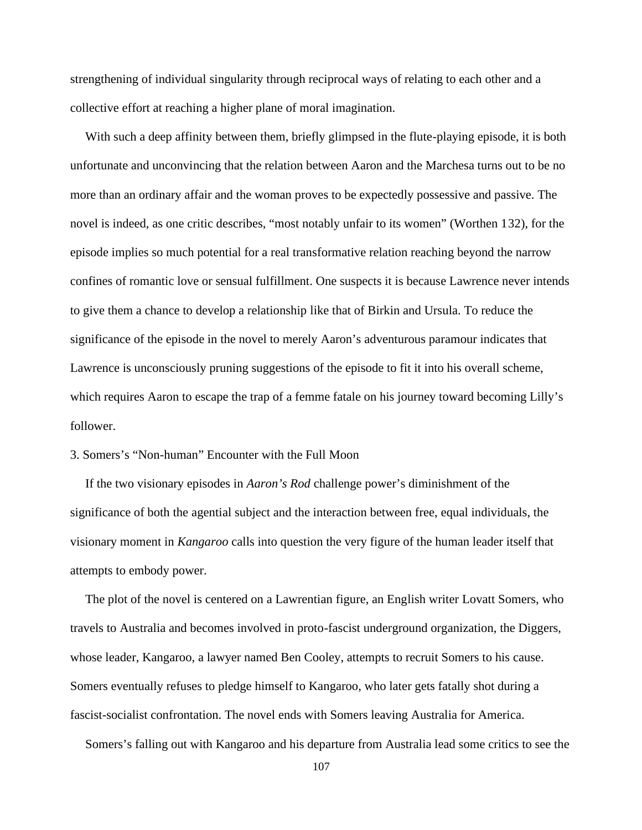strengthening of individual singularity through reciprocal ways of relating to each other and a collective effort at reaching a higher plane of moral imagination.

With such a deep affinity between them, briefly glimpsed in the flute-playing episode, it is both unfortunate and unconvincing that the relation between Aaron and the Marchesa turns out to be no more than an ordinary affair and the woman proves to be expectedly possessive and passive. The novel is indeed, as one critic describes, "most notably unfair to its women" (Worthen 132), for the episode implies so much potential for a real transformative relation reaching beyond the narrow confines of romantic love or sensual fulfillment. One suspects it is because Lawrence never intends to give them a chance to develop a relationship like that of Birkin and Ursula. To reduce the significance of the episode in the novel to merely Aaron's adventurous paramour indicates that Lawrence is unconsciously pruning suggestions of the episode to fit it into his overall scheme, which requires Aaron to escape the trap of a femme fatale on his journey toward becoming Lilly's follower.

# 3. Somers's "Non-human" Encounter with the Full Moon

If the two visionary episodes in *Aaron's Rod* challenge power's diminishment of the significance of both the agential subject and the interaction between free, equal individuals, the visionary moment in *Kangaroo* calls into question the very figure of the human leader itself that attempts to embody power.

The plot of the novel is centered on a Lawrentian figure, an English writer Lovatt Somers, who travels to Australia and becomes involved in proto-fascist underground organization, the Diggers, whose leader, Kangaroo, a lawyer named Ben Cooley, attempts to recruit Somers to his cause. Somers eventually refuses to pledge himself to Kangaroo, who later gets fatally shot during a fascist-socialist confrontation. The novel ends with Somers leaving Australia for America.

Somers's falling out with Kangaroo and his departure from Australia lead some critics to see the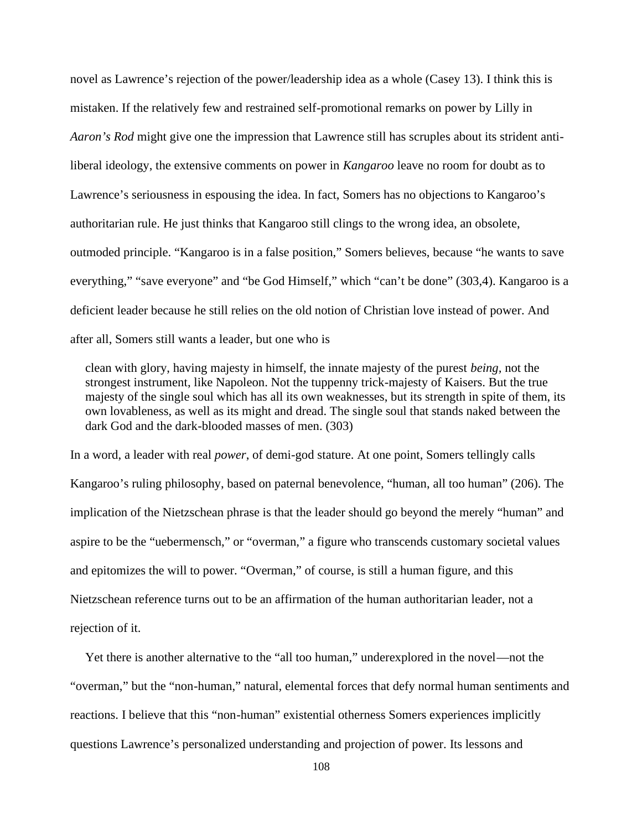novel as Lawrence's rejection of the power/leadership idea as a whole (Casey 13). I think this is mistaken. If the relatively few and restrained self-promotional remarks on power by Lilly in *Aaron's Rod* might give one the impression that Lawrence still has scruples about its strident antiliberal ideology, the extensive comments on power in *Kangaroo* leave no room for doubt as to Lawrence's seriousness in espousing the idea. In fact, Somers has no objections to Kangaroo's authoritarian rule. He just thinks that Kangaroo still clings to the wrong idea, an obsolete, outmoded principle. "Kangaroo is in a false position," Somers believes, because "he wants to save everything," "save everyone" and "be God Himself," which "can't be done" (303,4). Kangaroo is a deficient leader because he still relies on the old notion of Christian love instead of power. And after all, Somers still wants a leader, but one who is

clean with glory, having majesty in himself, the innate majesty of the purest *being,* not the strongest instrument, like Napoleon. Not the tuppenny trick-majesty of Kaisers. But the true majesty of the single soul which has all its own weaknesses, but its strength in spite of them, its own lovableness, as well as its might and dread. The single soul that stands naked between the dark God and the dark-blooded masses of men. (303)

In a word, a leader with real *power*, of demi-god stature. At one point, Somers tellingly calls Kangaroo's ruling philosophy, based on paternal benevolence, "human, all too human" (206). The implication of the Nietzschean phrase is that the leader should go beyond the merely "human" and aspire to be the "uebermensch," or "overman," a figure who transcends customary societal values and epitomizes the will to power. "Overman," of course, is still a human figure, and this Nietzschean reference turns out to be an affirmation of the human authoritarian leader, not a rejection of it.

Yet there is another alternative to the "all too human," underexplored in the novel—not the "overman," but the "non-human," natural, elemental forces that defy normal human sentiments and reactions. I believe that this "non-human" existential otherness Somers experiences implicitly questions Lawrence's personalized understanding and projection of power. Its lessons and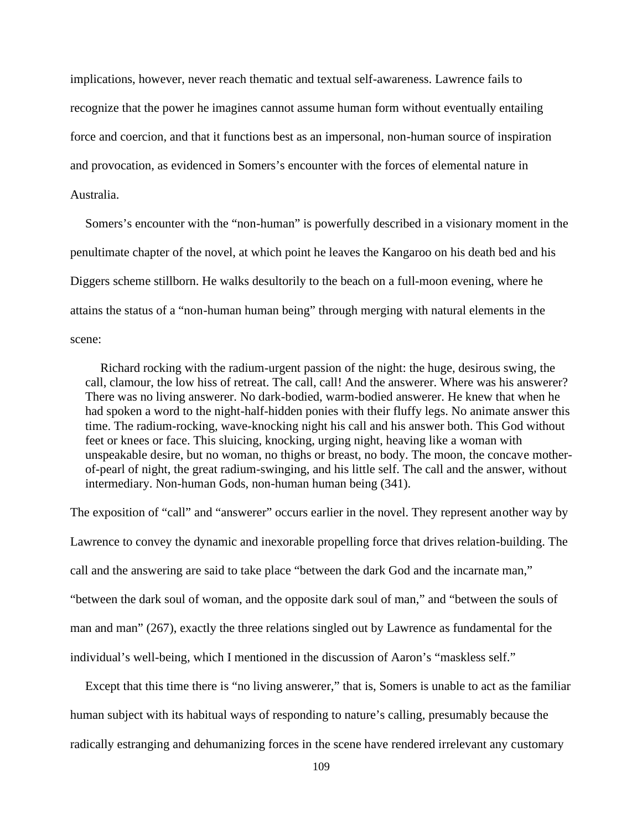implications, however, never reach thematic and textual self-awareness. Lawrence fails to recognize that the power he imagines cannot assume human form without eventually entailing force and coercion, and that it functions best as an impersonal, non-human source of inspiration and provocation, as evidenced in Somers's encounter with the forces of elemental nature in Australia.

Somers's encounter with the "non-human" is powerfully described in a visionary moment in the penultimate chapter of the novel, at which point he leaves the Kangaroo on his death bed and his Diggers scheme stillborn. He walks desultorily to the beach on a full-moon evening, where he attains the status of a "non-human human being" through merging with natural elements in the scene:

Richard rocking with the radium-urgent passion of the night: the huge, desirous swing, the call, clamour, the low hiss of retreat. The call, call! And the answerer. Where was his answerer? There was no living answerer. No dark-bodied, warm-bodied answerer. He knew that when he had spoken a word to the night-half-hidden ponies with their fluffy legs. No animate answer this time. The radium-rocking, wave-knocking night his call and his answer both. This God without feet or knees or face. This sluicing, knocking, urging night, heaving like a woman with unspeakable desire, but no woman, no thighs or breast, no body. The moon, the concave mother of-pearl of night, the great radium-swinging, and his little self. The call and the answer, without intermediary. Non-human Gods, non-human human being (341).

The exposition of "call" and "answerer" occurs earlier in the novel. They represent another way by Lawrence to convey the dynamic and inexorable propelling force that drives relation-building. The call and the answering are said to take place "between the dark God and the incarnate man," "between the dark soul of woman, and the opposite dark soul of man," and "between the souls of man and man" (267), exactly the three relations singled out by Lawrence as fundamental for the individual's well-being, which I mentioned in the discussion of Aaron's "maskless self."

Except that this time there is "no living answerer," that is, Somers is unable to act as the familiar human subject with its habitual ways of responding to nature's calling, presumably because the radically estranging and dehumanizing forces in the scene have rendered irrelevant any customary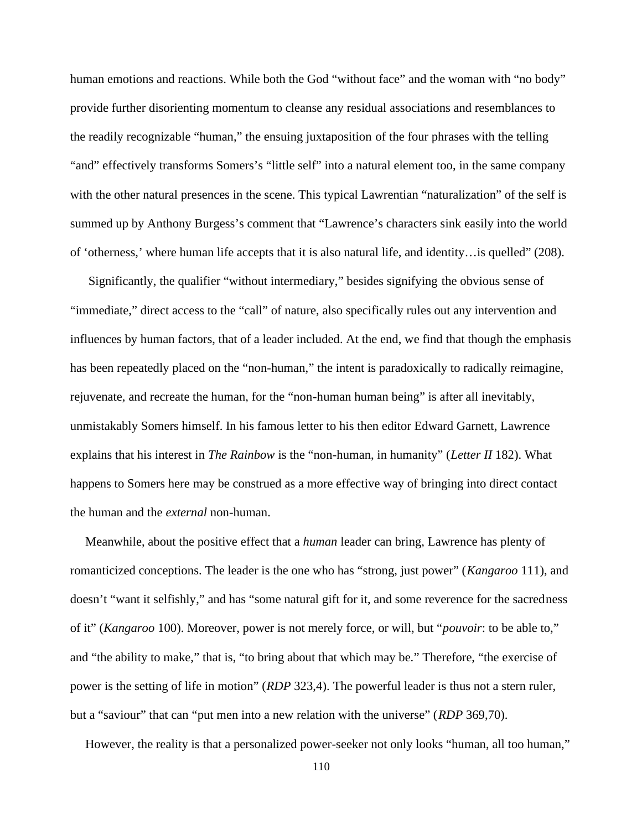human emotions and reactions. While both the God "without face" and the woman with "no body" provide further disorienting momentum to cleanse any residual associations and resemblances to the readily recognizable "human," the ensuing juxtaposition of the four phrases with the telling "and" effectively transforms Somers's "little self" into a natural element too, in the same company with the other natural presences in the scene. This typical Lawrentian "naturalization" of the self is summed up by Anthony Burgess's comment that "Lawrence's characters sink easily into the world of 'otherness,' where human life accepts that it is also natural life, and identity…is quelled" (208).

Significantly, the qualifier "without intermediary," besides signifying the obvious sense of "immediate," direct access to the "call" of nature, also specifically rules out any intervention and influences by human factors, that of a leader included. At the end, we find that though the emphasis has been repeatedly placed on the "non-human," the intent is paradoxically to radically reimagine, rejuvenate, and recreate the human, for the "non-human human being" is after all inevitably, unmistakably Somers himself. In his famous letter to his then editor Edward Garnett, Lawrence explains that his interest in *The Rainbow* is the "non-human, in humanity" (*Letter II* 182). What happens to Somers here may be construed as a more effective way of bringing into direct contact the human and the *external* non-human.

Meanwhile, about the positive effect that a *human* leader can bring, Lawrence has plenty of romanticized conceptions. The leader is the one who has "strong, just power" (*Kangaroo* 111), and doesn't "want it selfishly," and has "some natural gift for it, and some reverence for the sacredness of it" (*Kangaroo* 100). Moreover, power is not merely force, or will, but "*pouvoir*: to be able to," and "the ability to make," that is, "to bring about that which may be." Therefore, "the exercise of power is the setting of life in motion" (*RDP* 323,4). The powerful leader is thus not a stern ruler, but a "saviour" that can "put men into a new relation with the universe" (*RDP* 369,70).

However, the reality is that a personalized power-seeker not only looks "human, all too human,"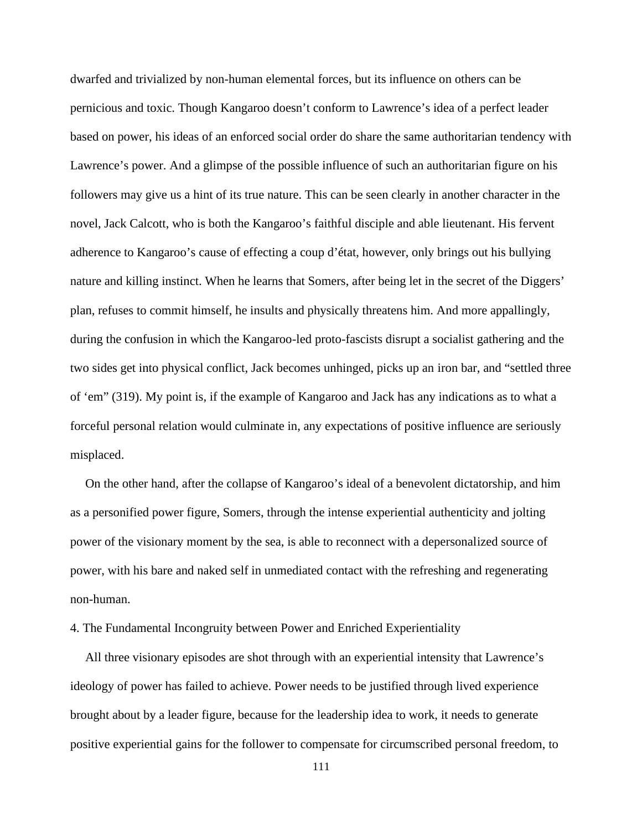dwarfed and trivialized by non-human elemental forces, but its influence on others can be pernicious and toxic. Though Kangaroo doesn't conform to Lawrence's idea of a perfect leader based on power, his ideas of an enforced social order do share the same authoritarian tendency with Lawrence's power. And a glimpse of the possible influence of such an authoritarian figure on his followers may give us a hint of its true nature. This can be seen clearly in another character in the novel, Jack Calcott, who is both the Kangaroo's faithful disciple and able lieutenant. His fervent adherence to Kangaroo's cause of effecting a coup d'état, however, only brings out his bullying nature and killing instinct. When he learns that Somers, after being let in the secret of the Diggers' plan, refuses to commit himself, he insults and physically threatens him. And more appallingly, during the confusion in which the Kangaroo-led proto-fascists disrupt a socialist gathering and the two sides get into physical conflict, Jack becomes unhinged, picks up an iron bar, and "settled three of 'em" (319). My point is, if the example of Kangaroo and Jack has any indications as to what a forceful personal relation would culminate in, any expectations of positive influence are seriously misplaced.

On the other hand, after the collapse of Kangaroo's ideal of a benevolent dictatorship, and him as a personified power figure, Somers, through the intense experiential authenticity and jolting power of the visionary moment by the sea, is able to reconnect with a depersonalized source of power, with his bare and naked self in unmediated contact with the refreshing and regenerating non-human.

4. The Fundamental Incongruity between Power and Enriched Experientiality

All three visionary episodes are shot through with an experiential intensity that Lawrence's ideology of power has failed to achieve. Power needs to be justified through lived experience brought about by a leader figure, because for the leadership idea to work, it needs to generate positive experiential gains for the follower to compensate for circumscribed personal freedom, to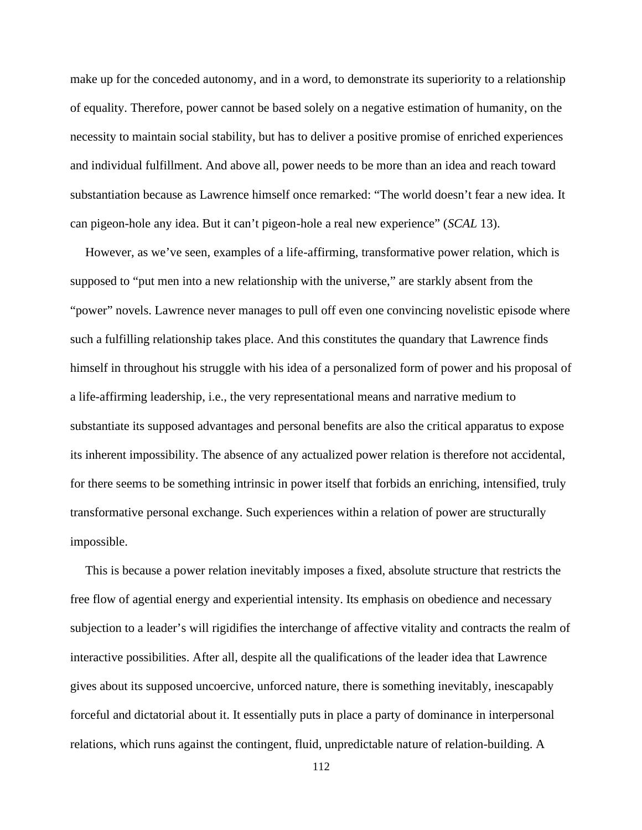make up for the conceded autonomy, and in a word, to demonstrate its superiority to a relationship of equality. Therefore, power cannot be based solely on a negative estimation of humanity, on the necessity to maintain social stability, but has to deliver a positive promise of enriched experiences and individual fulfillment. And above all, power needs to be more than an idea and reach toward substantiation because as Lawrence himself once remarked: "The world doesn't fear a new idea. It can pigeon-hole any idea. But it can't pigeon-hole a real new experience" (*SCAL* 13).

However, as we've seen, examples of a life-affirming, transformative power relation, which is supposed to "put men into a new relationship with the universe," are starkly absent from the "power" novels. Lawrence never manages to pull off even one convincing novelistic episode where such a fulfilling relationship takes place. And this constitutes the quandary that Lawrence finds himself in throughout his struggle with his idea of a personalized form of power and his proposal of a life-affirming leadership, i.e., the very representational means and narrative medium to substantiate its supposed advantages and personal benefits are also the critical apparatus to expose its inherent impossibility. The absence of any actualized power relation is therefore not accidental, for there seems to be something intrinsic in power itself that forbids an enriching, intensified, truly transformative personal exchange. Such experiences within a relation of power are structurally impossible.

This is because a power relation inevitably imposes a fixed, absolute structure that restricts the free flow of agential energy and experiential intensity. Its emphasis on obedience and necessary subjection to a leader's will rigidifies the interchange of affective vitality and contracts the realm of interactive possibilities. After all, despite all the qualifications of the leader idea that Lawrence gives about its supposed uncoercive, unforced nature, there is something inevitably, inescapably forceful and dictatorial about it. It essentially puts in place a party of dominance in interpersonal relations, which runs against the contingent, fluid, unpredictable nature of relation-building. A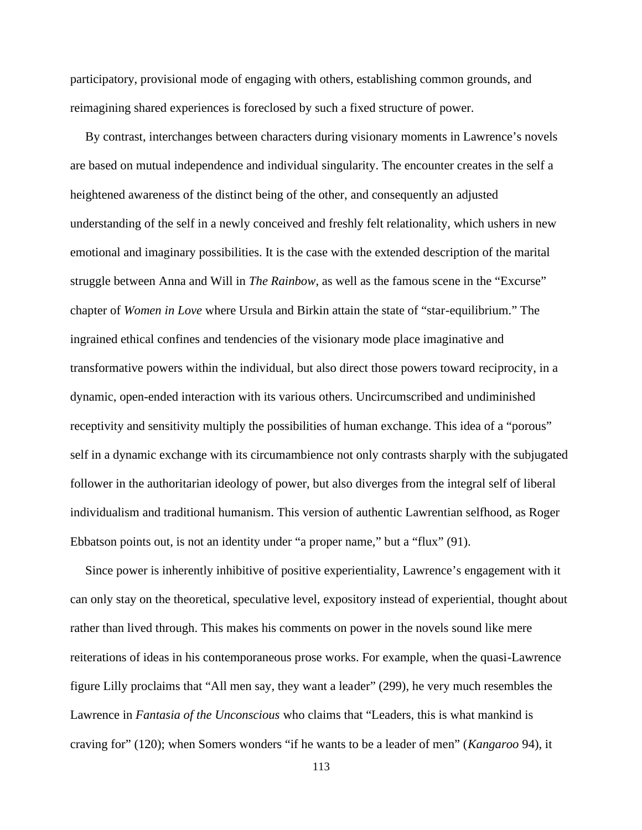participatory, provisional mode of engaging with others, establishing common grounds, and reimagining shared experiences is foreclosed by such a fixed structure of power.

By contrast, interchanges between characters during visionary moments in Lawrence's novels are based on mutual independence and individual singularity. The encounter creates in the self a heightened awareness of the distinct being of the other, and consequently an adjusted understanding of the self in a newly conceived and freshly felt relationality, which ushers in new emotional and imaginary possibilities. It is the case with the extended description of the marital struggle between Anna and Will in *The Rainbow*, as well as the famous scene in the "Excurse" chapter of *Women in Love* where Ursula and Birkin attain the state of "star-equilibrium." The ingrained ethical confines and tendencies of the visionary mode place imaginative and transformative powers within the individual, but also direct those powers toward reciprocity, in a dynamic, open-ended interaction with its various others. Uncircumscribed and undiminished receptivity and sensitivity multiply the possibilities of human exchange. This idea of a "porous" self in a dynamic exchange with its circumambience not only contrasts sharply with the subjugated follower in the authoritarian ideology of power, but also diverges from the integral self of liberal individualism and traditional humanism. This version of authentic Lawrentian selfhood, as Roger Ebbatson points out, is not an identity under "a proper name," but a "flux" (91).

Since power is inherently inhibitive of positive experientiality, Lawrence's engagement with it can only stay on the theoretical, speculative level, expository instead of experiential, thought about rather than lived through. This makes his comments on power in the novels sound like mere reiterations of ideas in his contemporaneous prose works. For example, when the quasi-Lawrence figure Lilly proclaims that "All men say, they want a leader" (299), he very much resembles the Lawrence in *Fantasia of the Unconscious* who claims that "Leaders, this is what mankind is craving for" (120); when Somers wonders "if he wants to be a leader of men" (*Kangaroo* 94), it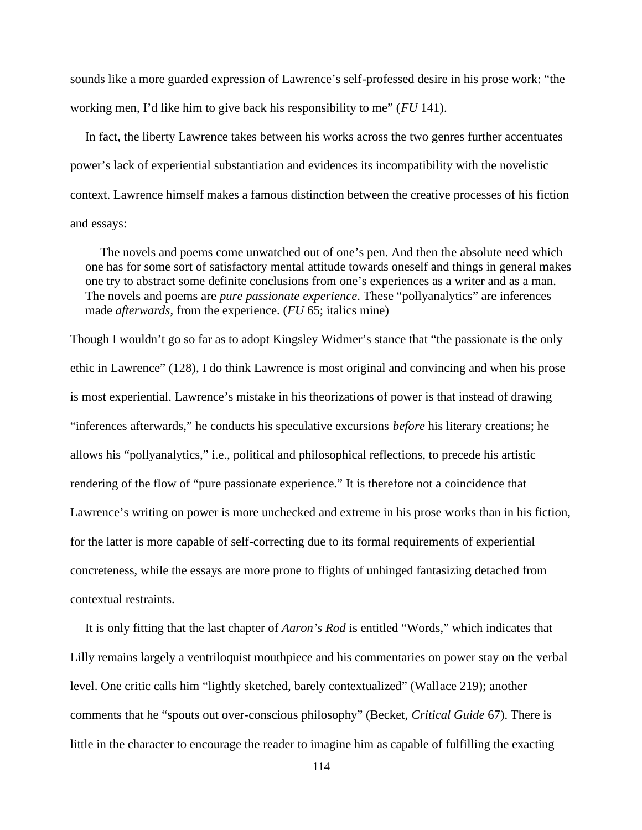sounds like a more guarded expression of Lawrence's self-professed desire in his prose work: "the working men, I'd like him to give back his responsibility to me" (*FU* 141).

In fact, the liberty Lawrence takes between his works across the two genres further accentuates power's lack of experiential substantiation and evidences its incompatibility with the novelistic context. Lawrence himself makes a famous distinction between the creative processes of his fiction and essays:

The novels and poems come unwatched out of one's pen. And then the absolute need which one has for some sort of satisfactory mental attitude towards oneself and things in general makes one try to abstract some definite conclusions from one's experiences as a writer and as a man. The novels and poems are *pure passionate experience*. These "pollyanalytics" are inferences made *afterwards*, from the experience. (*FU* 65; italics mine)

Though I wouldn't go so far as to adopt Kingsley Widmer's stance that "the passionate is the only ethic in Lawrence" (128), I do think Lawrence is most original and convincing and when his prose is most experiential. Lawrence's mistake in his theorizations of power is that instead of drawing "inferences afterwards," he conducts his speculative excursions *before* his literary creations; he allows his "pollyanalytics," i.e., political and philosophical reflections, to precede his artistic rendering of the flow of "pure passionate experience." It is therefore not a coincidence that Lawrence's writing on power is more unchecked and extreme in his prose works than in his fiction, for the latter is more capable of self-correcting due to its formal requirements of experiential concreteness, while the essays are more prone to flights of unhinged fantasizing detached from contextual restraints.

It is only fitting that the last chapter of *Aaron's Rod* is entitled "Words," which indicates that Lilly remains largely a ventriloquist mouthpiece and his commentaries on power stay on the verbal level. One critic calls him "lightly sketched, barely contextualized" (Wallace 219); another comments that he "spouts out over-conscious philosophy" (Becket, *Critical Guide* 67). There is little in the character to encourage the reader to imagine him as capable of fulfilling the exacting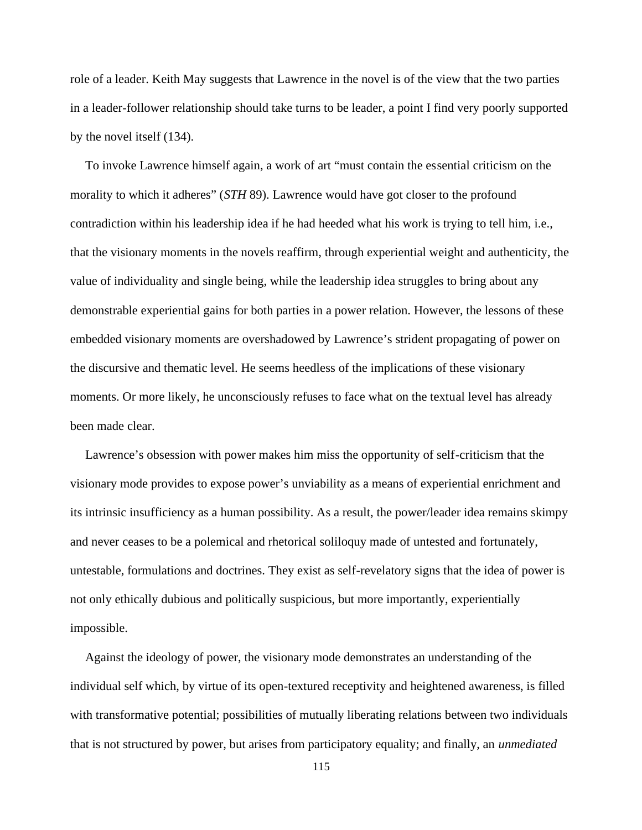role of a leader. Keith May suggests that Lawrence in the novel is of the view that the two parties in a leader-follower relationship should take turns to be leader, a point I find very poorly supported by the novel itself (134).

To invoke Lawrence himself again, a work of art "must contain the essential criticism on the morality to which it adheres" (*STH* 89). Lawrence would have got closer to the profound contradiction within his leadership idea if he had heeded what his work is trying to tell him, i.e., that the visionary moments in the novels reaffirm, through experiential weight and authenticity, the value of individuality and single being, while the leadership idea struggles to bring about any demonstrable experiential gains for both parties in a power relation. However, the lessons of these embedded visionary moments are overshadowed by Lawrence's strident propagating of power on the discursive and thematic level. He seems heedless of the implications of these visionary moments. Or more likely, he unconsciously refuses to face what on the textual level has already been made clear.

Lawrence's obsession with power makes him miss the opportunity of self-criticism that the visionary mode provides to expose power's unviability as a means of experiential enrichment and its intrinsic insufficiency as a human possibility. As a result, the power/leader idea remains skimpy and never ceases to be a polemical and rhetorical soliloquy made of untested and fortunately, untestable, formulations and doctrines. They exist as self-revelatory signs that the idea of power is not only ethically dubious and politically suspicious, but more importantly, experientially impossible.

Against the ideology of power, the visionary mode demonstrates an understanding of the individual self which, by virtue of its open-textured receptivity and heightened awareness, is filled with transformative potential; possibilities of mutually liberating relations between two individuals that is not structured by power, but arises from participatory equality; and finally, an *unmediated*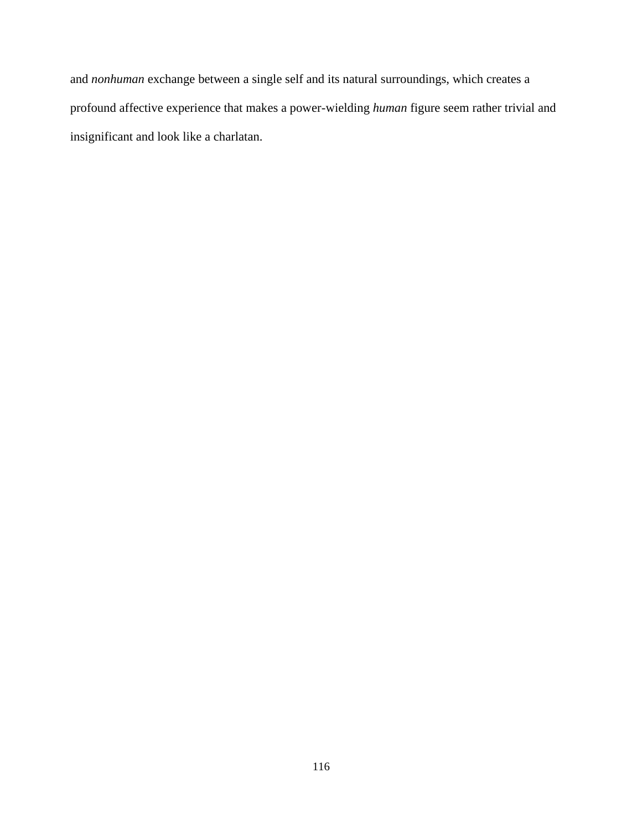and *nonhuman* exchange between a single self and its natural surroundings, which creates a profound affective experience that makes a power-wielding *human* figure seem rather trivial and insignificant and look like a charlatan.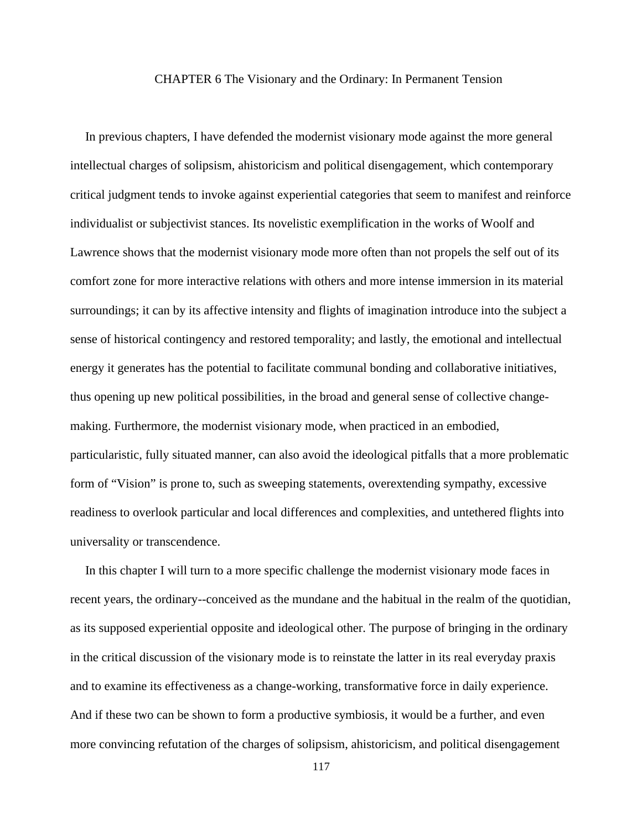### CHAPTER 6 The Visionary and the Ordinary: In Permanent Tension

In previous chapters, I have defended the modernist visionary mode against the more general intellectual charges of solipsism, ahistoricism and political disengagement, which contemporary critical judgment tends to invoke against experiential categories that seem to manifest and reinforce individualist or subjectivist stances. Its novelistic exemplification in the works of Woolf and Lawrence shows that the modernist visionary mode more often than not propels the self out of its comfort zone for more interactive relations with others and more intense immersion in its material surroundings; it can by its affective intensity and flights of imagination introduce into the subject a sense of historical contingency and restored temporality; and lastly, the emotional and intellectual energy it generates has the potential to facilitate communal bonding and collaborative initiatives, thus opening up new political possibilities, in the broad and general sense of collective change making. Furthermore, the modernist visionary mode, when practiced in an embodied, particularistic, fully situated manner, can also avoid the ideological pitfalls that a more problematic form of "Vision" is prone to, such as sweeping statements, overextending sympathy, excessive readiness to overlook particular and local differences and complexities, and untethered flights into universality or transcendence.

In this chapter I will turn to a more specific challenge the modernist visionary mode faces in recent years, the ordinary--conceived as the mundane and the habitual in the realm of the quotidian, as its supposed experiential opposite and ideological other. The purpose of bringing in the ordinary in the critical discussion of the visionary mode is to reinstate the latter in its real everyday praxis and to examine its effectiveness as a change-working, transformative force in daily experience. And if these two can be shown to form a productive symbiosis, it would be a further, and even more convincing refutation of the charges of solipsism, ahistoricism, and political disengagement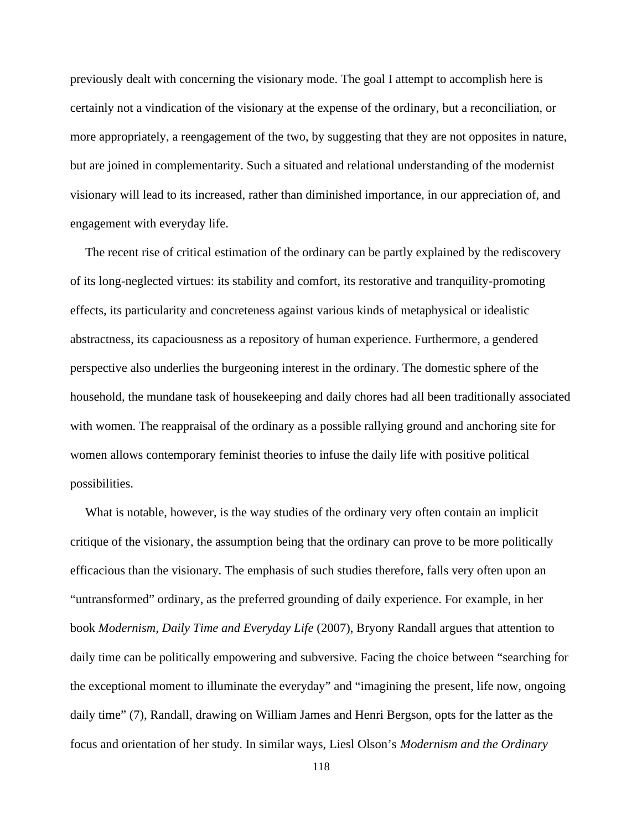previously dealt with concerning the visionary mode. The goal I attempt to accomplish here is certainly not a vindication of the visionary at the expense of the ordinary, but a reconciliation, or more appropriately, a reengagement of the two, by suggesting that they are not opposites in nature, but are joined in complementarity. Such a situated and relational understanding of the modernist visionary will lead to its increased, rather than diminished importance, in our appreciation of, and engagement with everyday life.

The recent rise of critical estimation of the ordinary can be partly explained by the rediscovery of its long-neglected virtues: its stability and comfort, its restorative and tranquility-promoting effects, its particularity and concreteness against various kinds of metaphysical or idealistic abstractness, its capaciousness as a repository of human experience. Furthermore, a gendered perspective also underlies the burgeoning interest in the ordinary. The domestic sphere of the household, the mundane task of housekeeping and daily chores had all been traditionally associated with women. The reappraisal of the ordinary as a possible rallying ground and anchoring site for women allows contemporary feminist theories to infuse the daily life with positive political possibilities.

What is notable, however, is the way studies of the ordinary very often contain an implicit critique of the visionary, the assumption being that the ordinary can prove to be more politically efficacious than the visionary. The emphasis of such studies therefore, falls very often upon an "untransformed" ordinary, as the preferred grounding of daily experience. For example, in her book *Modernism, Daily Time and Everyday Life* (2007), Bryony Randall argues that attention to daily time can be politically empowering and subversive. Facing the choice between "searching for the exceptional moment to illuminate the everyday" and "imagining the present, life now, ongoing daily time" (7), Randall, drawing on William James and Henri Bergson, opts for the latter as the focus and orientation of her study. In similar ways, Liesl Olson's *Modernism and the Ordinary*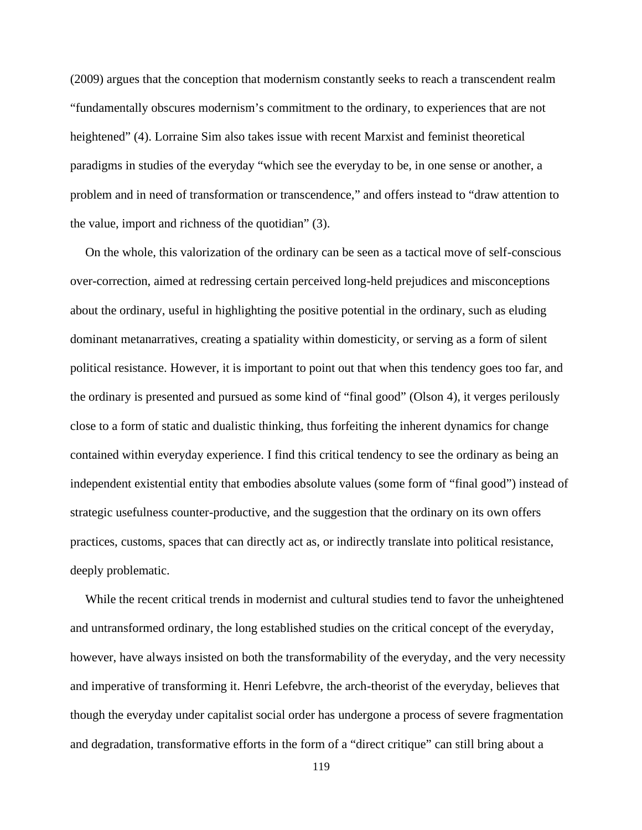(2009) argues that the conception that modernism constantly seeks to reach a transcendent realm "fundamentally obscures modernism's commitment to the ordinary, to experiences that are not heightened" (4). Lorraine Sim also takes issue with recent Marxist and feminist theoretical paradigms in studies of the everyday "which see the everyday to be, in one sense or another, a problem and in need of transformation or transcendence," and offers instead to "draw attention to the value, import and richness of the quotidian" (3).

On the whole, this valorization of the ordinary can be seen as a tactical move of self-conscious over-correction, aimed at redressing certain perceived long-held prejudices and misconceptions about the ordinary, useful in highlighting the positive potential in the ordinary, such as eluding dominant metanarratives, creating a spatiality within domesticity, or serving as a form of silent political resistance. However, it is important to point out that when this tendency goes too far, and the ordinary is presented and pursued as some kind of "final good" (Olson 4), it verges perilously close to a form of static and dualistic thinking, thus forfeiting the inherent dynamics for change contained within everyday experience. I find this critical tendency to see the ordinary as being an independent existential entity that embodies absolute values (some form of "final good") instead of strategic usefulness counter-productive, and the suggestion that the ordinary on its own offers practices, customs, spaces that can directly act as, or indirectly translate into political resistance, deeply problematic.

While the recent critical trends in modernist and cultural studies tend to favor the unheightened and untransformed ordinary, the long established studies on the critical concept of the everyday, however, have always insisted on both the transformability of the everyday, and the very necessity and imperative of transforming it. Henri Lefebvre, the arch-theorist of the everyday, believes that though the everyday under capitalist social order has undergone a process of severe fragmentation and degradation, transformative efforts in the form of a "direct critique" can still bring about a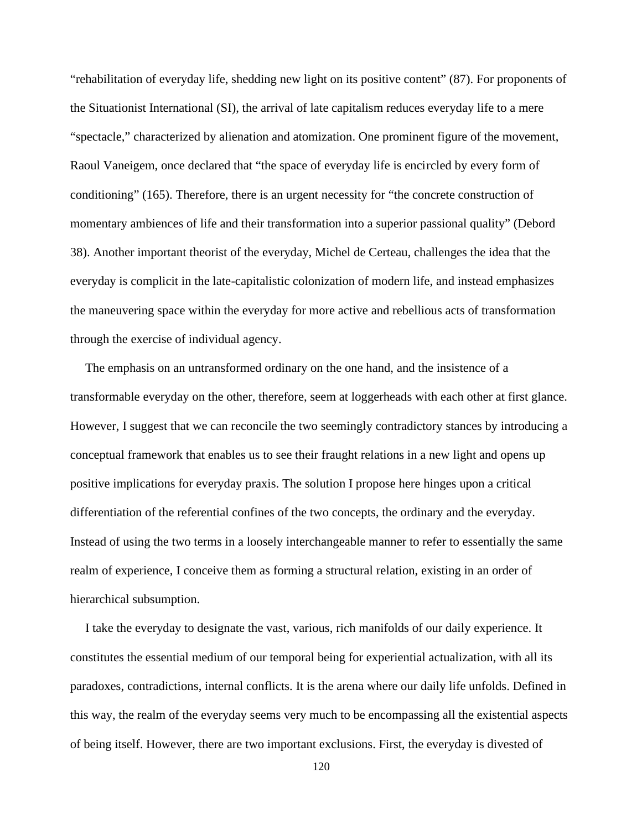"rehabilitation of everyday life, shedding new light on its positive content" (87). For proponents of the Situationist International (SI), the arrival of late capitalism reduces everyday life to a mere "spectacle," characterized by alienation and atomization. One prominent figure of the movement, Raoul Vaneigem, once declared that "the space of everyday life is encircled by every form of conditioning" (165). Therefore, there is an urgent necessity for "the concrete construction of momentary ambiences of life and their transformation into a superior passional quality" (Debord 38). Another important theorist of the everyday, Michel de Certeau, challenges the idea that the everyday is complicit in the late-capitalistic colonization of modern life, and instead emphasizes the maneuvering space within the everyday for more active and rebellious acts of transformation through the exercise of individual agency.

The emphasis on an untransformed ordinary on the one hand, and the insistence of a transformable everyday on the other, therefore, seem at loggerheads with each other at first glance. However, I suggest that we can reconcile the two seemingly contradictory stances by introducing a conceptual framework that enables us to see their fraught relations in a new light and opens up positive implications for everyday praxis. The solution I propose here hinges upon a critical differentiation of the referential confines of the two concepts, the ordinary and the everyday. Instead of using the two terms in a loosely interchangeable manner to refer to essentially the same realm of experience, I conceive them as forming a structural relation, existing in an order of hierarchical subsumption.

I take the everyday to designate the vast, various, rich manifolds of our daily experience. It constitutes the essential medium of our temporal being for experiential actualization, with all its paradoxes, contradictions, internal conflicts. It is the arena where our daily life unfolds. Defined in this way, the realm of the everyday seems very much to be encompassing all the existential aspects of being itself. However, there are two important exclusions. First, the everyday is divested of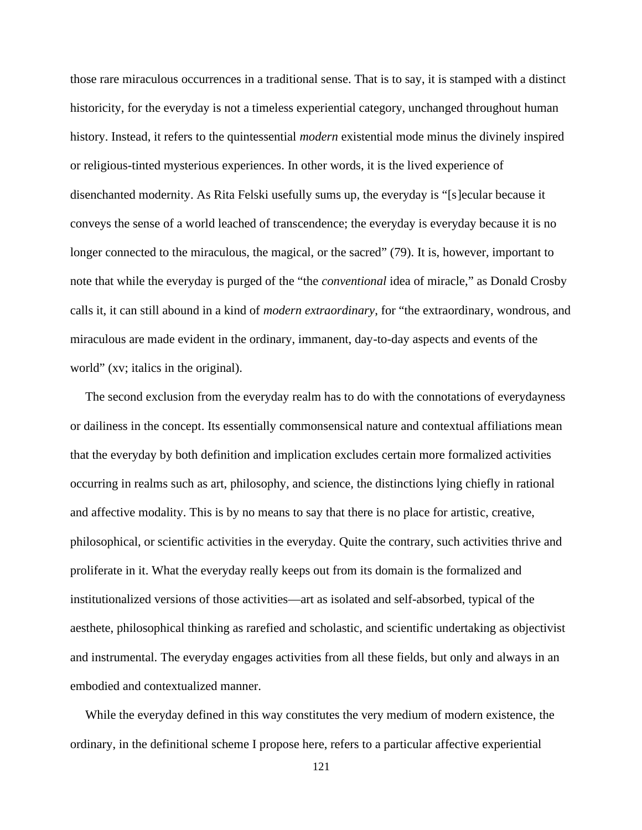those rare miraculous occurrences in a traditional sense. That is to say, it is stamped with a distinct historicity, for the everyday is not a timeless experiential category, unchanged throughout human history. Instead, it refers to the quintessential *modern* existential mode minus the divinely inspired or religious-tinted mysterious experiences. In other words, it is the lived experience of disenchanted modernity. As Rita Felski usefully sums up, the everyday is "[s]ecular because it conveys the sense of a world leached of transcendence; the everyday is everyday because it is no longer connected to the miraculous, the magical, or the sacred" (79). It is, however, important to note that while the everyday is purged of the "the *conventional* idea of miracle," as Donald Crosby calls it, it can still abound in a kind of *modern extraordinary*, for "the extraordinary, wondrous, and miraculous are made evident in the ordinary, immanent, day-to-day aspects and events of the world" (xv; italics in the original).

The second exclusion from the everyday realm has to do with the connotations of everydayness or dailiness in the concept. Its essentially commonsensical nature and contextual affiliations mean that the everyday by both definition and implication excludes certain more formalized activities occurring in realms such as art, philosophy, and science, the distinctions lying chiefly in rational and affective modality. This is by no means to say that there is no place for artistic, creative, philosophical, or scientific activities in the everyday. Quite the contrary, such activities thrive and proliferate in it. What the everyday really keeps out from its domain is the formalized and institutionalized versions of those activities—art as isolated and self-absorbed, typical of the aesthete, philosophical thinking as rarefied and scholastic, and scientific undertaking as objectivist and instrumental. The everyday engages activities from all these fields, but only and always in an embodied and contextualized manner.

While the everyday defined in this way constitutes the very medium of modern existence, the ordinary, in the definitional scheme I propose here, refers to a particular affective experiential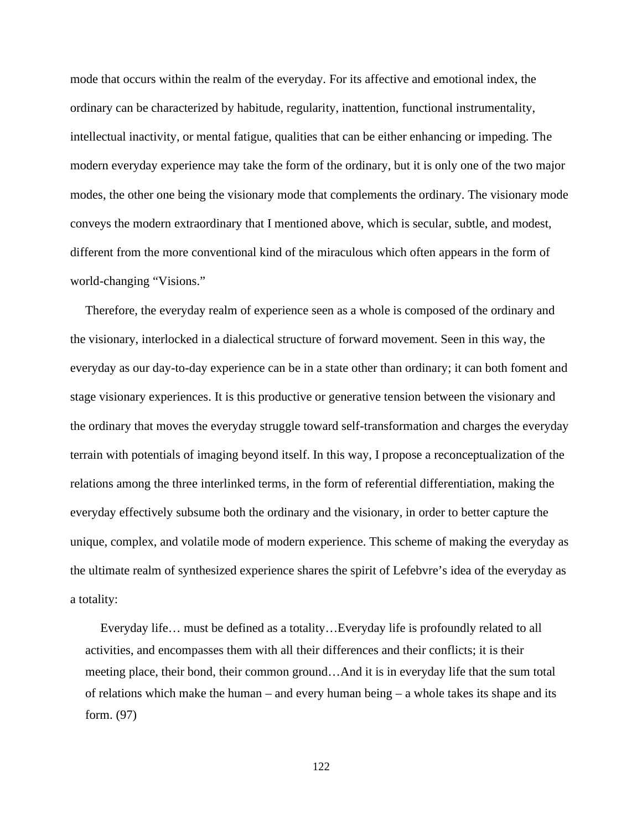mode that occurs within the realm of the everyday. For its affective and emotional index, the ordinary can be characterized by habitude, regularity, inattention, functional instrumentality, intellectual inactivity, or mental fatigue, qualities that can be either enhancing or impeding. The modern everyday experience may take the form of the ordinary, but it is only one of the two major modes, the other one being the visionary mode that complements the ordinary. The visionary mode conveys the modern extraordinary that I mentioned above, which is secular, subtle, and modest, different from the more conventional kind of the miraculous which often appears in the form of world-changing "Visions."

Therefore, the everyday realm of experience seen as a whole is composed of the ordinary and the visionary, interlocked in a dialectical structure of forward movement. Seen in this way, the everyday as our day-to-day experience can be in a state other than ordinary; it can both foment and stage visionary experiences. It is this productive or generative tension between the visionary and the ordinary that moves the everyday struggle toward self-transformation and charges the everyday terrain with potentials of imaging beyond itself. In this way, I propose a reconceptualization of the relations among the three interlinked terms, in the form of referential differentiation, making the everyday effectively subsume both the ordinary and the visionary, in order to better capture the unique, complex, and volatile mode of modern experience. This scheme of making the everyday as the ultimate realm of synthesized experience shares the spirit of Lefebvre's idea of the everyday as a totality:

Everyday life… must be defined as a totality…Everyday life is profoundly related to all activities, and encompasses them with all their differences and their conflicts; it is their meeting place, their bond, their common ground…And it is in everyday life that the sum total of relations which make the human – and every human being  $-$  a whole takes its shape and its form. (97)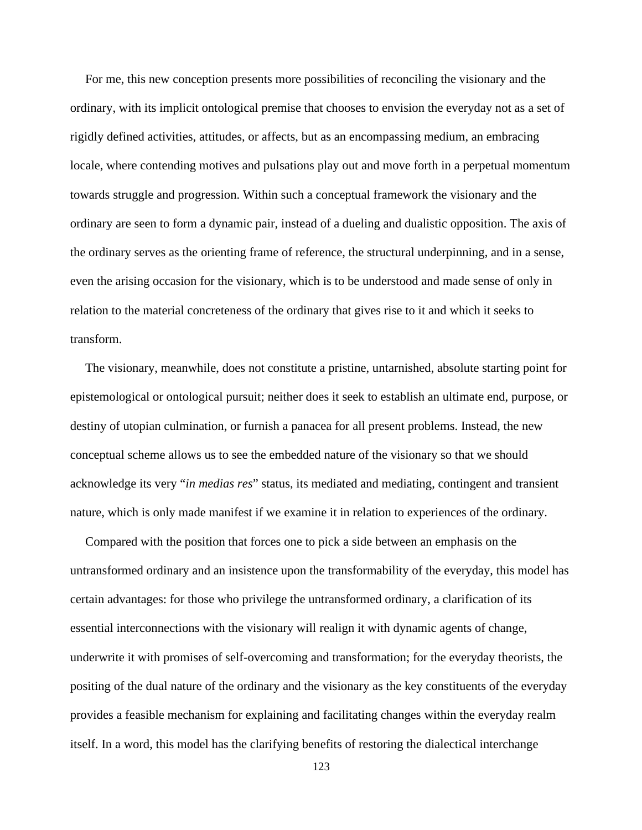For me, this new conception presents more possibilities of reconciling the visionary and the ordinary, with its implicit ontological premise that chooses to envision the everyday not as a set of rigidly defined activities, attitudes, or affects, but as an encompassing medium, an embracing locale, where contending motives and pulsations play out and move forth in a perpetual momentum towards struggle and progression. Within such a conceptual framework the visionary and the ordinary are seen to form a dynamic pair, instead of a dueling and dualistic opposition. The axis of the ordinary serves as the orienting frame of reference, the structural underpinning, and in a sense, even the arising occasion for the visionary, which is to be understood and made sense of only in relation to the material concreteness of the ordinary that gives rise to it and which it seeks to transform.

The visionary, meanwhile, does not constitute a pristine, untarnished, absolute starting point for epistemological or ontological pursuit; neither does it seek to establish an ultimate end, purpose, or destiny of utopian culmination, or furnish a panacea for all present problems. Instead, the new conceptual scheme allows us to see the embedded nature of the visionary so that we should acknowledge its very "*in medias res*" status, its mediated and mediating, contingent and transient nature, which is only made manifest if we examine it in relation to experiences of the ordinary.

Compared with the position that forces one to pick a side between an emphasis on the untransformed ordinary and an insistence upon the transformability of the everyday, this model has certain advantages: for those who privilege the untransformed ordinary, a clarification of its essential interconnections with the visionary will realign it with dynamic agents of change, underwrite it with promises of self-overcoming and transformation; for the everyday theorists, the positing of the dual nature of the ordinary and the visionary as the key constituents of the everyday provides a feasible mechanism for explaining and facilitating changes within the everyday realm itself. In a word, this model has the clarifying benefits of restoring the dialectical interchange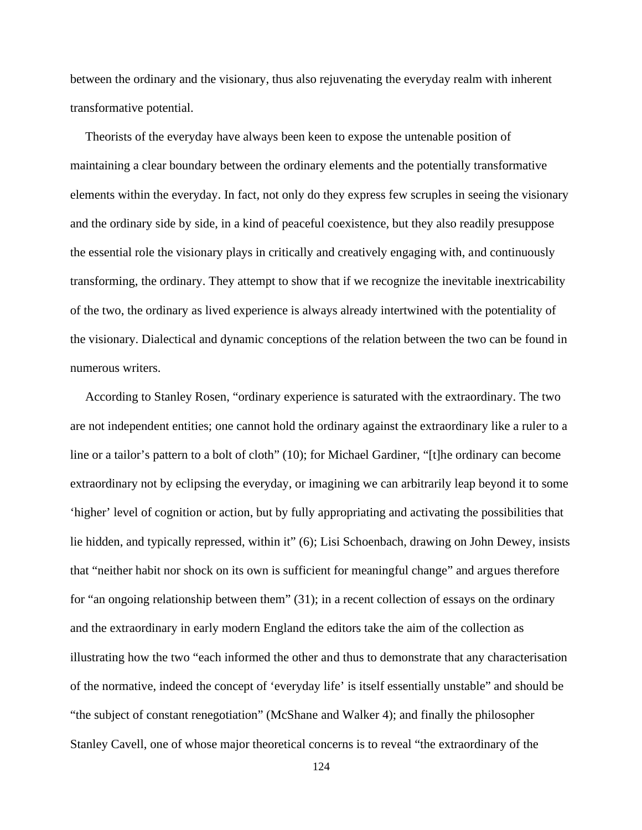between the ordinary and the visionary, thus also rejuvenating the everyday realm with inherent transformative potential.

Theorists of the everyday have always been keen to expose the untenable position of maintaining a clear boundary between the ordinary elements and the potentially transformative elements within the everyday. In fact, not only do they express few scruples in seeing the visionary and the ordinary side by side, in a kind of peaceful coexistence, but they also readily presuppose the essential role the visionary plays in critically and creatively engaging with, and continuously transforming, the ordinary. They attempt to show that if we recognize the inevitable inextricability of the two, the ordinary as lived experience is always already intertwined with the potentiality of the visionary. Dialectical and dynamic conceptions of the relation between the two can be found in numerous writers.

According to Stanley Rosen, "ordinary experience is saturated with the extraordinary. The two are not independent entities; one cannot hold the ordinary against the extraordinary like a ruler to a line or a tailor's pattern to a bolt of cloth" (10); for Michael Gardiner, "[t]he ordinary can become extraordinary not by eclipsing the everyday, or imagining we can arbitrarily leap beyond it to some 'higher' level of cognition or action, but by fully appropriating and activating the possibilities that lie hidden, and typically repressed, within it" (6); Lisi Schoenbach, drawing on John Dewey, insists that "neither habit nor shock on its own is sufficient for meaningful change" and argues therefore for "an ongoing relationship between them" (31); in a recent collection of essays on the ordinary and the extraordinary in early modern England the editors take the aim of the collection as illustrating how the two "each informed the other and thus to demonstrate that any characterisation of the normative, indeed the concept of 'everyday life' is itself essentially unstable" and should be "the subject of constant renegotiation" (McShane and Walker 4); and finally the philosopher Stanley Cavell, one of whose major theoretical concerns is to reveal "the extraordinary of the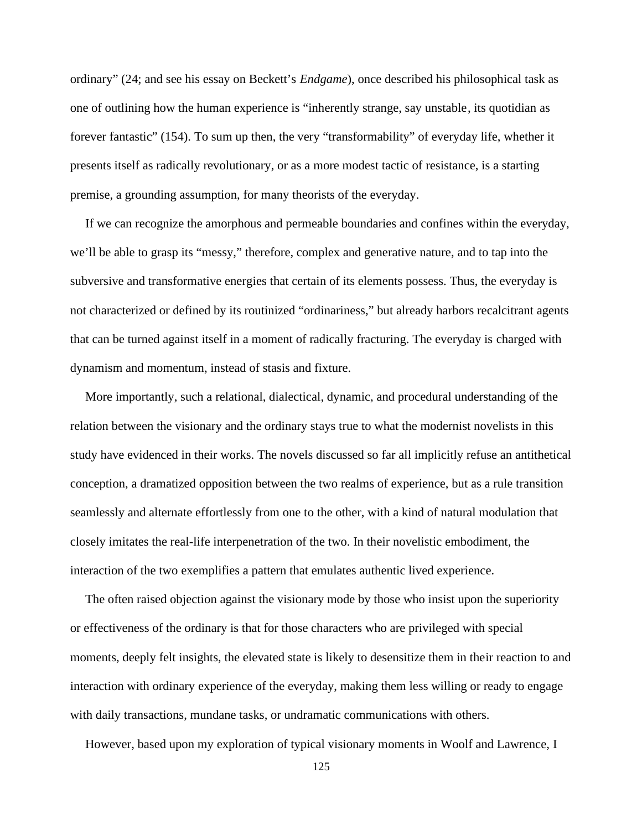ordinary" (24; and see his essay on Beckett's *Endgame*), once described his philosophical task as one of outlining how the human experience is "inherently strange, say unstable, its quotidian as forever fantastic" (154). To sum up then, the very "transformability" of everyday life, whether it presents itself as radically revolutionary, or as a more modest tactic of resistance, is a starting premise, a grounding assumption, for many theorists of the everyday.

If we can recognize the amorphous and permeable boundaries and confines within the everyday, we'll be able to grasp its "messy," therefore, complex and generative nature, and to tap into the subversive and transformative energies that certain of its elements possess. Thus, the everyday is not characterized or defined by its routinized "ordinariness," but already harbors recalcitrant agents that can be turned against itself in a moment of radically fracturing. The everyday is charged with dynamism and momentum, instead of stasis and fixture.

More importantly, such a relational, dialectical, dynamic, and procedural understanding of the relation between the visionary and the ordinary stays true to what the modernist novelists in this study have evidenced in their works. The novels discussed so far all implicitly refuse an antithetical conception, a dramatized opposition between the two realms of experience, but as a rule transition seamlessly and alternate effortlessly from one to the other, with a kind of natural modulation that closely imitates the real-life interpenetration of the two. In their novelistic embodiment, the interaction of the two exemplifies a pattern that emulates authentic lived experience.

The often raised objection against the visionary mode by those who insist upon the superiority or effectiveness of the ordinary is that for those characters who are privileged with special moments, deeply felt insights, the elevated state is likely to desensitize them in their reaction to and interaction with ordinary experience of the everyday, making them less willing or ready to engage with daily transactions, mundane tasks, or undramatic communications with others.

However, based upon my exploration of typical visionary moments in Woolf and Lawrence, I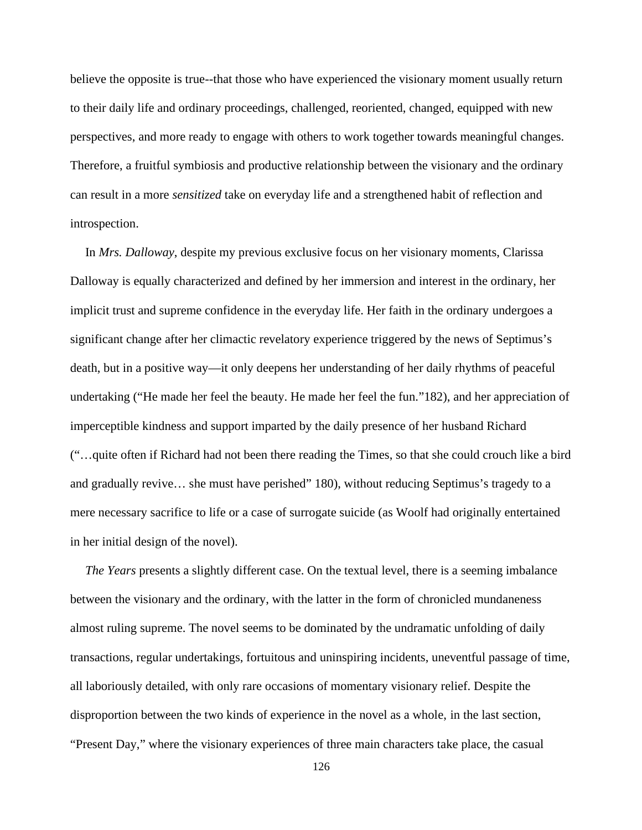believe the opposite is true--that those who have experienced the visionary moment usually return to their daily life and ordinary proceedings, challenged, reoriented, changed, equipped with new perspectives, and more ready to engage with others to work together towards meaningful changes. Therefore, a fruitful symbiosis and productive relationship between the visionary and the ordinary can result in a more *sensitized* take on everyday life and a strengthened habit of reflection and introspection.

In *Mrs. Dalloway*, despite my previous exclusive focus on her visionary moments, Clarissa Dalloway is equally characterized and defined by her immersion and interest in the ordinary, her implicit trust and supreme confidence in the everyday life. Her faith in the ordinary undergoes a significant change after her climactic revelatory experience triggered by the news of Septimus's death, but in a positive way—it only deepens her understanding of her daily rhythms of peaceful undertaking ("He made her feel the beauty. He made her feel the fun."182), and her appreciation of imperceptible kindness and support imparted by the daily presence of her husband Richard ("…quite often if Richard had not been there reading the Times, so that she could crouch like a bird and gradually revive… she must have perished" 180), without reducing Septimus's tragedy to a mere necessary sacrifice to life or a case of surrogate suicide (as Woolf had originally entertained in her initial design of the novel).

*The Years* presents a slightly different case. On the textual level, there is a seeming imbalance between the visionary and the ordinary, with the latter in the form of chronicled mundaneness almost ruling supreme. The novel seems to be dominated by the undramatic unfolding of daily transactions, regular undertakings, fortuitous and uninspiring incidents, uneventful passage of time, all laboriously detailed, with only rare occasions of momentary visionary relief. Despite the disproportion between the two kinds of experience in the novel as a whole, in the last section, "Present Day," where the visionary experiences of three main characters take place, the casual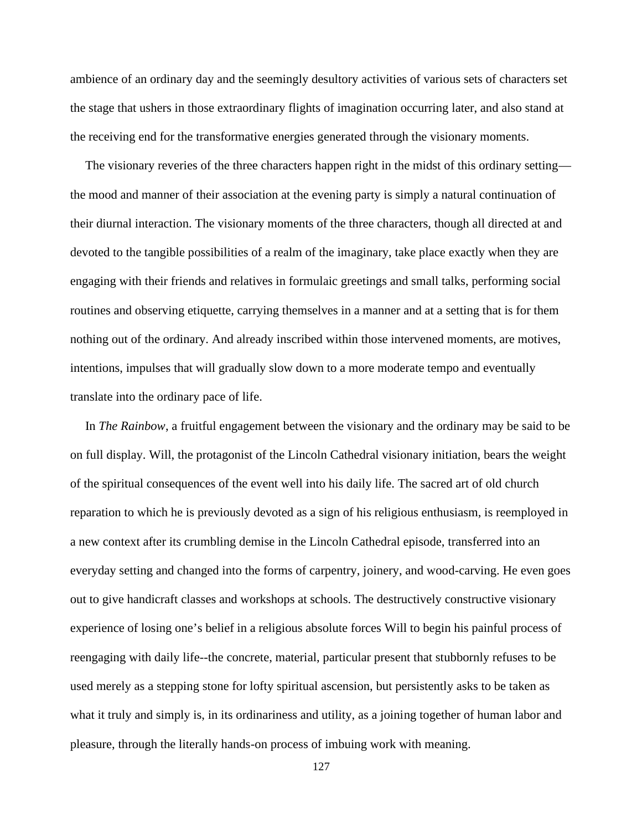ambience of an ordinary day and the seemingly desultory activities of various sets of characters set the stage that ushers in those extraordinary flights of imagination occurring later, and also stand at the receiving end for the transformative energies generated through the visionary moments.

The visionary reveries of the three characters happen right in the midst of this ordinary setting the mood and manner of their association at the evening party is simply a natural continuation of their diurnal interaction. The visionary moments of the three characters, though all directed at and devoted to the tangible possibilities of a realm of the imaginary, take place exactly when they are engaging with their friends and relatives in formulaic greetings and small talks, performing social routines and observing etiquette, carrying themselves in a manner and at a setting that is for them nothing out of the ordinary. And already inscribed within those intervened moments, are motives, intentions, impulses that will gradually slow down to a more moderate tempo and eventually translate into the ordinary pace of life.

In *The Rainbow*, a fruitful engagement between the visionary and the ordinary may be said to be on full display. Will, the protagonist of the Lincoln Cathedral visionary initiation, bears the weight of the spiritual consequences of the event well into his daily life. The sacred art of old church reparation to which he is previously devoted as a sign of his religious enthusiasm, is reemployed in a new context after its crumbling demise in the Lincoln Cathedral episode, transferred into an everyday setting and changed into the forms of carpentry, joinery, and wood-carving. He even goes out to give handicraft classes and workshops at schools. The destructively constructive visionary experience of losing one's belief in a religious absolute forces Will to begin his painful process of reengaging with daily life--the concrete, material, particular present that stubbornly refuses to be used merely as a stepping stone for lofty spiritual ascension, but persistently asks to be taken as what it truly and simply is, in its ordinariness and utility, as a joining together of human labor and pleasure, through the literally hands-on process of imbuing work with meaning.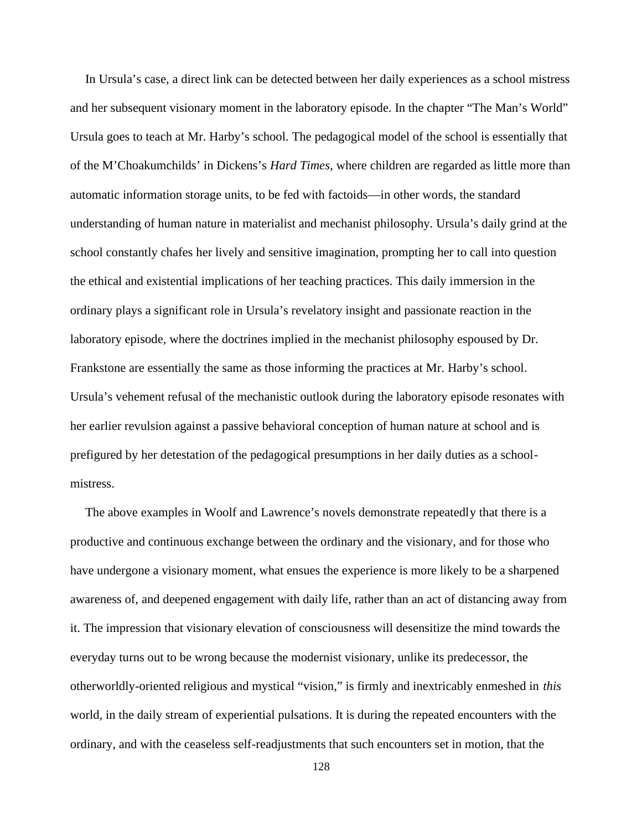In Ursula's case, a direct link can be detected between her daily experiences as a school mistress and her subsequent visionary moment in the laboratory episode. In the chapter "The Man's World" Ursula goes to teach at Mr. Harby's school. The pedagogical model of the school is essentially that of the M'Choakumchilds' in Dickens's *Hard Times*, where children are regarded as little more than automatic information storage units, to be fed with factoids—in other words, the standard understanding of human nature in materialist and mechanist philosophy. Ursula's daily grind at the school constantly chafes her lively and sensitive imagination, prompting her to call into question the ethical and existential implications of her teaching practices. This daily immersion in the ordinary plays a significant role in Ursula's revelatory insight and passionate reaction in the laboratory episode, where the doctrines implied in the mechanist philosophy espoused by Dr. Frankstone are essentially the same as those informing the practices at Mr. Harby's school. Ursula's vehement refusal of the mechanistic outlook during the laboratory episode resonates with her earlier revulsion against a passive behavioral conception of human nature at school and is prefigured by her detestation of the pedagogical presumptions in her daily duties as a school mistress.

The above examples in Woolf and Lawrence's novels demonstrate repeatedly that there is a productive and continuous exchange between the ordinary and the visionary, and for those who have undergone a visionary moment, what ensues the experience is more likely to be a sharpened awareness of, and deepened engagement with daily life, rather than an act of distancing away from it. The impression that visionary elevation of consciousness will desensitize the mind towards the everyday turns out to be wrong because the modernist visionary, unlike its predecessor, the otherworldly-oriented religious and mystical "vision," is firmly and inextricably enmeshed in *this* world, in the daily stream of experiential pulsations. It is during the repeated encounters with the ordinary, and with the ceaseless self-readjustments that such encounters set in motion, that the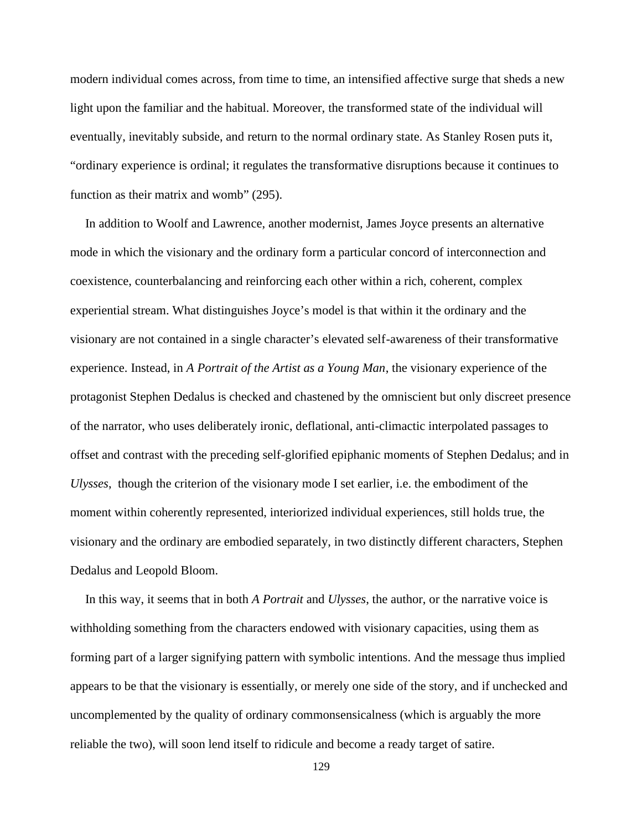modern individual comes across, from time to time, an intensified affective surge that sheds a new light upon the familiar and the habitual. Moreover, the transformed state of the individual will eventually, inevitably subside, and return to the normal ordinary state. As Stanley Rosen puts it, "ordinary experience is ordinal; it regulates the transformative disruptions because it continues to function as their matrix and womb" (295).

In addition to Woolf and Lawrence, another modernist, James Joyce presents an alternative mode in which the visionary and the ordinary form a particular concord of interconnection and coexistence, counterbalancing and reinforcing each other within a rich, coherent, complex experiential stream. What distinguishes Joyce's model is that within it the ordinary and the visionary are not contained in a single character's elevated self-awareness of their transformative experience. Instead, in *A Portrait of the Artist as a Young Man*, the visionary experience of the protagonist Stephen Dedalus is checked and chastened by the omniscient but only discreet presence of the narrator, who uses deliberately ironic, deflational, anti-climactic interpolated passages to offset and contrast with the preceding self-glorified epiphanic moments of Stephen Dedalus; and in *Ulysses*, though the criterion of the visionary mode I set earlier, i.e. the embodiment of the moment within coherently represented, interiorized individual experiences, still holds true, the visionary and the ordinary are embodied separately, in two distinctly different characters, Stephen Dedalus and Leopold Bloom.

In this way, it seems that in both *A Portrait* and *Ulysses*, the author, or the narrative voice is withholding something from the characters endowed with visionary capacities, using them as forming part of a larger signifying pattern with symbolic intentions. And the message thus implied appears to be that the visionary is essentially, or merely one side of the story, and if unchecked and uncomplemented by the quality of ordinary commonsensicalness (which is arguably the more reliable the two), will soon lend itself to ridicule and become a ready target of satire.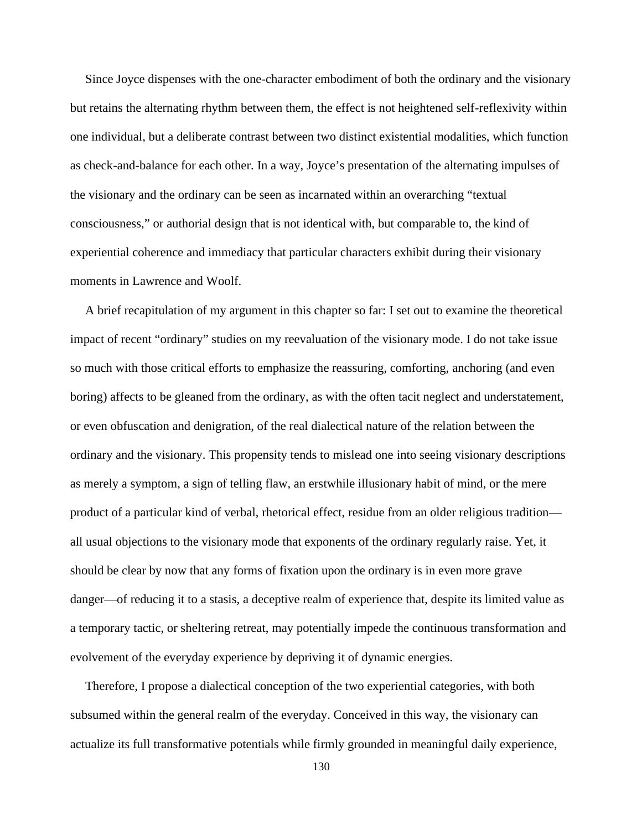Since Joyce dispenses with the one-character embodiment of both the ordinary and the visionary but retains the alternating rhythm between them, the effect is not heightened self-reflexivity within one individual, but a deliberate contrast between two distinct existential modalities, which function as check-and-balance for each other. In a way, Joyce's presentation of the alternating impulses of the visionary and the ordinary can be seen as incarnated within an overarching "textual consciousness," or authorial design that is not identical with, but comparable to, the kind of experiential coherence and immediacy that particular characters exhibit during their visionary moments in Lawrence and Woolf.

A brief recapitulation of my argument in this chapter so far: I set out to examine the theoretical impact of recent "ordinary" studies on my reevaluation of the visionary mode. I do not take issue so much with those critical efforts to emphasize the reassuring, comforting, anchoring (and even boring) affects to be gleaned from the ordinary, as with the often tacit neglect and understatement, or even obfuscation and denigration, of the real dialectical nature of the relation between the ordinary and the visionary. This propensity tends to mislead one into seeing visionary descriptions as merely a symptom, a sign of telling flaw, an erstwhile illusionary habit of mind, or the mere product of a particular kind of verbal, rhetorical effect, residue from an older religious tradition all usual objections to the visionary mode that exponents of the ordinary regularly raise. Yet, it should be clear by now that any forms of fixation upon the ordinary is in even more grave danger—of reducing it to a stasis, a deceptive realm of experience that, despite its limited value as a temporary tactic, or sheltering retreat, may potentially impede the continuous transformation and evolvement of the everyday experience by depriving it of dynamic energies.

Therefore, I propose a dialectical conception of the two experiential categories, with both subsumed within the general realm of the everyday. Conceived in this way, the visionary can actualize its full transformative potentials while firmly grounded in meaningful daily experience,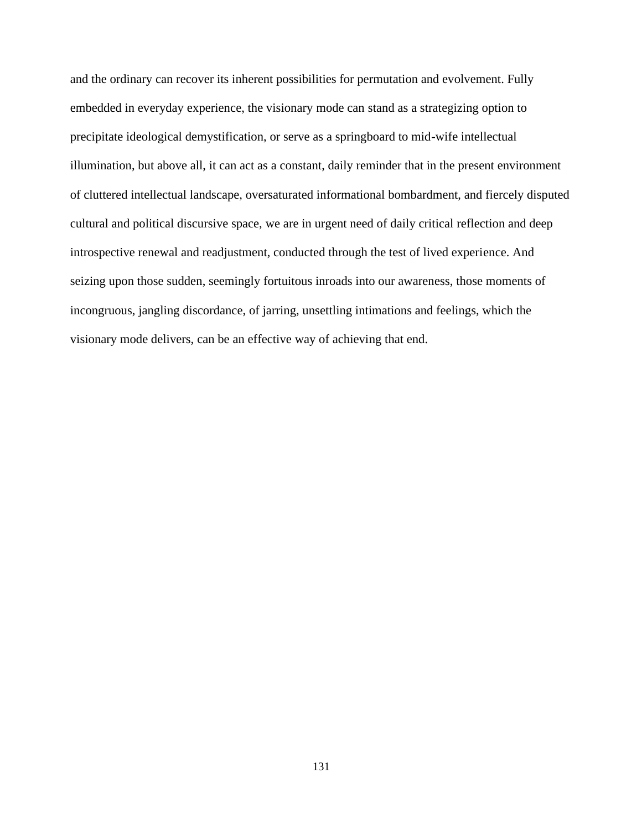and the ordinary can recover its inherent possibilities for permutation and evolvement. Fully embedded in everyday experience, the visionary mode can stand as a strategizing option to precipitate ideological demystification, or serve as a springboard to mid-wife intellectual illumination, but above all, it can act as a constant, daily reminder that in the present environment of cluttered intellectual landscape, oversaturated informational bombardment, and fiercely disputed cultural and political discursive space, we are in urgent need of daily critical reflection and deep introspective renewal and readjustment, conducted through the test of lived experience. And seizing upon those sudden, seemingly fortuitous inroads into our awareness, those moments of incongruous, jangling discordance, of jarring, unsettling intimations and feelings, which the visionary mode delivers, can be an effective way of achieving that end.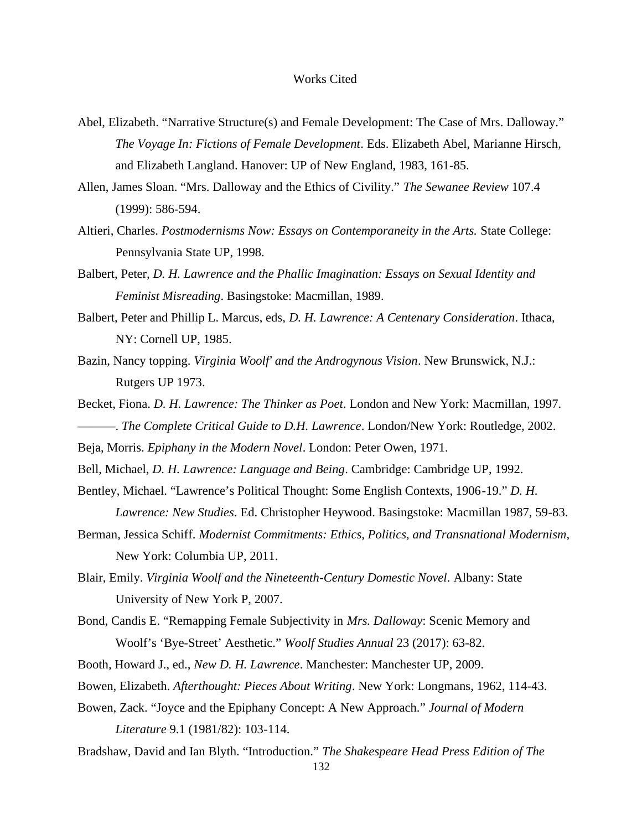### Works Cited

- Abel, Elizabeth. "Narrative Structure(s) and Female Development: The Case of Mrs. Dalloway." *The Voyage In: Fictions of Female Development*. Eds. Elizabeth Abel, Marianne Hirsch, and Elizabeth Langland. Hanover: UP of New England, 1983, 161-85.
- Allen, James Sloan. "Mrs. Dalloway and the Ethics of Civility." *The Sewanee Review* 107.4 (1999): 586-594.
- Altieri, Charles. *Postmodernisms Now: Essays on Contemporaneity in the Arts.* State College: Pennsylvania State UP, 1998.
- Balbert, Peter, *D. H. Lawrence and the Phallic Imagination: Essays on Sexual Identity and Feminist Misreading*. Basingstoke: Macmillan, 1989.
- Balbert, Peter and Phillip L. Marcus, eds, *D. H. Lawrence: A Centenary Consideration*. Ithaca, NY: Cornell UP, 1985.
- Bazin, Nancy topping. *Virginia Woolf' and the Androgynous Vision*. New Brunswick, N.J.: Rutgers UP 1973.
- Becket, Fiona. *D. H. Lawrence: The Thinker as Poet*. London and New York: Macmillan, 1997. ———. *The Complete Critical Guide to D.H. Lawrence*. London/New York: Routledge, 2002.
- Beja, Morris. *Epiphany in the Modern Novel*. London: Peter Owen, 1971.
- Bell, Michael, *D. H. Lawrence: Language and Being*. Cambridge: Cambridge UP, 1992.
- Bentley, Michael. "Lawrence's Political Thought: Some English Contexts, 1906-19." *D. H. Lawrence: New Studies*. Ed. Christopher Heywood. Basingstoke: Macmillan 1987, 59-83.
- Berman, Jessica Schiff. *Modernist Commitments: Ethics, Politics, and Transnational Modernism,*
	- New York: Columbia UP, 2011.
- Blair, Emily. *Virginia Woolf and the Nineteenth-Century Domestic Novel*. Albany: State University of New York P, 2007.
- Bond, Candis E. "Remapping Female Subjectivity in *Mrs. Dalloway*: Scenic Memory and Woolf's 'Bye-Street' Aesthetic." *Woolf Studies Annual* 23 (2017): 63-82.
- Booth, Howard J., ed., *New D. H. Lawrence*. Manchester: Manchester UP, 2009.
- Bowen, Elizabeth. *Afterthought: Pieces About Writing*. New York: Longmans, 1962, 114-43.
- Bowen, Zack. "Joyce and the Epiphany Concept: A New Approach." *Journal of Modern Literature* 9.1 (1981/82): 103-114.
- Bradshaw, David and Ian Blyth. "Introduction." *The Shakespeare Head Press Edition of The*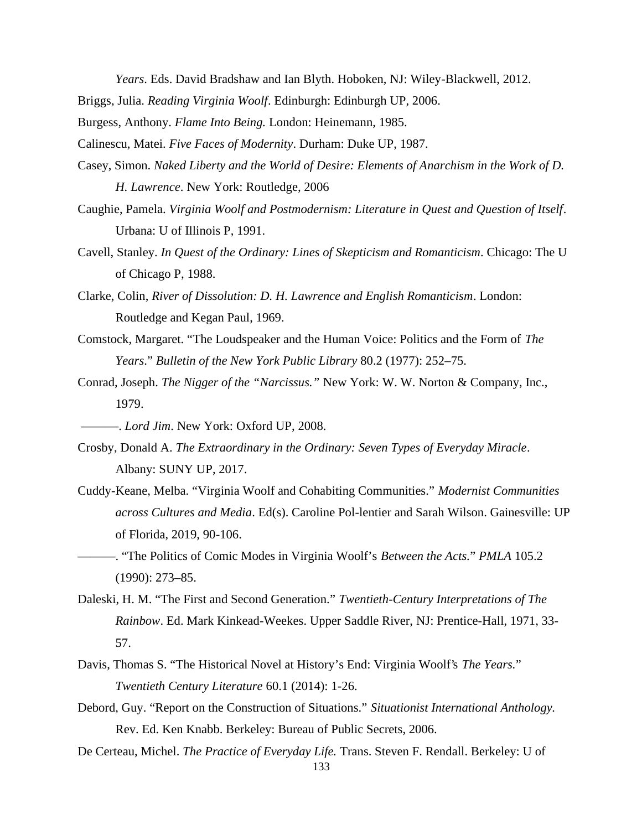*Years*. Eds. David Bradshaw and Ian Blyth. Hoboken, NJ: Wiley-Blackwell, 2012.

- Briggs, Julia. *Reading Virginia Woolf*. Edinburgh: Edinburgh UP, 2006.
- Burgess, Anthony. *Flame Into Being.* London: Heinemann, 1985.

Calinescu, Matei. *Five Faces of Modernity*. Durham: Duke UP, 1987.

- Casey, Simon. *Naked Liberty and the World of Desire: Elements of Anarchism in the Work of D. H. Lawrence*. New York: Routledge, 2006
- Caughie, Pamela. *Virginia Woolf and Postmodernism: Literature in Quest and Question of Itself*. Urbana: U of Illinois P, 1991.
- Cavell, Stanley. *In Quest of the Ordinary: Lines of Skepticism and Romanticism*. Chicago: The U of Chicago P, 1988.
- Clarke, Colin, *River of Dissolution: D. H. Lawrence and English Romanticism*. London: Routledge and Kegan Paul, 1969.
- Comstock, Margaret. "The Loudspeaker and the Human Voice: Politics and the Form of *The Years*." *Bulletin of the New York Public Library* 80.2 (1977): 252–75.
- Conrad, Joseph. *The Nigger of the "Narcissus."* New York: W. W. Norton & Company, Inc., 1979.
- ———. *Lord Jim*. New York: Oxford UP, 2008.
- Crosby, Donald A. *The Extraordinary in the Ordinary: Seven Types of Everyday Miracle*. Albany: SUNY UP, 2017.
- Cuddy-Keane, Melba. "Virginia Woolf and Cohabiting Communities." *Modernist Communities across Cultures and Media*. Ed(s). Caroline Pol-lentier and Sarah Wilson. Gainesville: UP of Florida, 2019, 90-106.
- ———. "The Politics of Comic Modes in Virginia Woolf's *Between the Acts.*" *PMLA* 105.2 (1990): 273–85.
- Daleski, H. M. "The First and Second Generation." *Twentieth-Century Interpretations of The Rainbow*. Ed. Mark Kinkead-Weekes. Upper Saddle River, NJ: Prentice-Hall, 1971, 33- 57.
- Davis, Thomas S. "The Historical Novel at History's End: Virginia Woolf's *The Years.*" *Twentieth Century Literature* 60.1 (2014): 1-26.
- Debord, Guy. "Report on the Construction of Situations." *Situationist International Anthology.* Rev. Ed. Ken Knabb. Berkeley: Bureau of Public Secrets, 2006.
- De Certeau, Michel. *The Practice of Everyday Life.* Trans. Steven F. Rendall. Berkeley: U of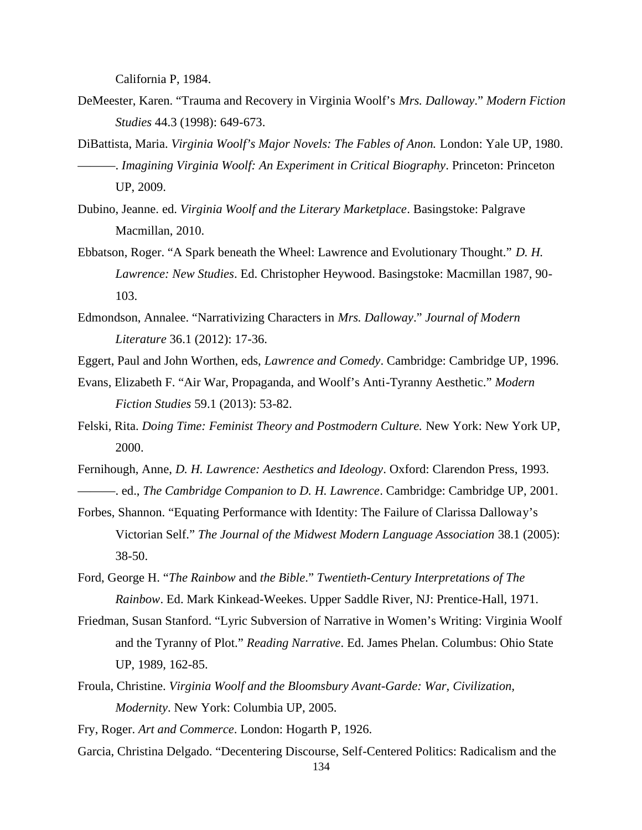California P, 1984.

- DeMeester, Karen. "Trauma and Recovery in Virginia Woolf's *Mrs. Dalloway*." *Modern Fiction Studies* 44.3 (1998): 649-673.
- DiBattista, Maria. *Virginia Woolf's Major Novels: The Fables of Anon.* London: Yale UP, 1980. ———. *Imagining Virginia Woolf: An Experiment in Critical Biography*. Princeton: Princeton UP, 2009.
- Dubino, Jeanne. ed. *Virginia Woolf and the Literary Marketplace*. Basingstoke: Palgrave Macmillan, 2010.
- Ebbatson, Roger. "A Spark beneath the Wheel: Lawrence and Evolutionary Thought." *D. H. Lawrence: New Studies*. Ed. Christopher Heywood. Basingstoke: Macmillan 1987, 90- 103.
- Edmondson, Annalee. "Narrativizing Characters in *Mrs. Dalloway*." *Journal of Modern Literature* 36.1 (2012): 17-36.
- Eggert, Paul and John Worthen, eds, *Lawrence and Comedy*. Cambridge: Cambridge UP, 1996.
- Evans, Elizabeth F. "Air War, Propaganda, and Woolf's Anti-Tyranny Aesthetic." *Modern Fiction Studies* 59.1 (2013): 53-82.
- Felski, Rita. *Doing Time: Feminist Theory and Postmodern Culture.* New York: New York UP, 2000.

Fernihough, Anne, *D. H. Lawrence: Aesthetics and Ideology*. Oxford: Clarendon Press, 1993. ———. ed., *The Cambridge Companion to D. H. Lawrence*. Cambridge: Cambridge UP, 2001.

- Forbes, Shannon. "Equating Performance with Identity: The Failure of Clarissa Dalloway's Victorian Self." *The Journal of the Midwest Modern Language Association* 38.1 (2005): 38-50.
- Ford, George H. "*The Rainbow* and *the Bible*." *Twentieth-Century Interpretations of The Rainbow*. Ed. Mark Kinkead-Weekes. Upper Saddle River, NJ: Prentice-Hall, 1971.
- Friedman, Susan Stanford. "Lyric Subversion of Narrative in Women's Writing: Virginia Woolf and the Tyranny of Plot." *Reading Narrative*. Ed. James Phelan. Columbus: Ohio State UP, 1989, 162-85.
- Froula, Christine. *Virginia Woolf and the Bloomsbury Avant-Garde: War, Civilization, Modernity*. New York: Columbia UP, 2005.
- Fry, Roger. *Art and Commerce*. London: Hogarth P, 1926.
- Garcia, Christina Delgado. "Decentering Discourse, Self-Centered Politics: Radicalism and the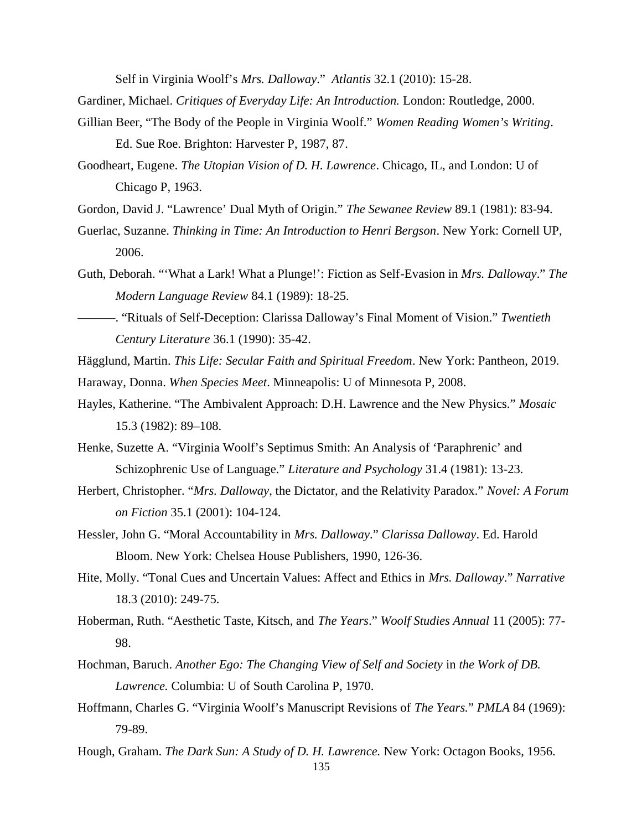Self in Virginia Woolf's *Mrs. Dalloway*." *Atlantis* 32.1 (2010): 15-28.

Gardiner, Michael. *Critiques of Everyday Life: An Introduction.* London: Routledge, 2000.

- Gillian Beer, "The Body of the People in Virginia Woolf." *Women Reading Women's Writing*. Ed. Sue Roe. Brighton: Harvester P, 1987, 87.
- Goodheart, Eugene. *The Utopian Vision of D. H. Lawrence*. Chicago, IL, and London: U of Chicago P, 1963.
- Gordon, David J. "Lawrence' Dual Myth of Origin." *The Sewanee Review* 89.1 (1981): 83-94.
- Guerlac, Suzanne. *Thinking in Time: An Introduction to Henri Bergson*. New York: Cornell UP, 2006.
- Guth, Deborah. "'What a Lark! What a Plunge!': Fiction as Self-Evasion in *Mrs. Dalloway*." *The Modern Language Review* 84.1 (1989): 18-25.
- ———. "Rituals of Self-Deception: Clarissa Dalloway's Final Moment of Vision." *Twentieth Century Literature* 36.1 (1990): 35-42.

Hägglund, Martin. *This Life: Secular Faith and Spiritual Freedom*. New York: Pantheon, 2019. Haraway, Donna. *When Species Meet*. Minneapolis: U of Minnesota P, 2008.

- Hayles, Katherine. "The Ambivalent Approach: D.H. Lawrence and the New Physics." *Mosaic* 15.3 (1982): 89–108.
- Henke, Suzette A. "Virginia Woolf's Septimus Smith: An Analysis of 'Paraphrenic' and Schizophrenic Use of Language." *Literature and Psychology* 31.4 (1981): 13-23.
- Herbert, Christopher. "*Mrs. Dalloway*, the Dictator, and the Relativity Paradox." *Novel: A Forum on Fiction* 35.1 (2001): 104-124.
- Hessler, John G. "Moral Accountability in *Mrs. Dalloway*." *Clarissa Dalloway*. Ed. Harold Bloom. New York: Chelsea House Publishers, 1990, 126-36.
- Hite, Molly. "Tonal Cues and Uncertain Values: Affect and Ethics in *Mrs. Dalloway*." *Narrative* 18.3 (2010): 249-75.
- Hoberman, Ruth. "Aesthetic Taste, Kitsch, and *The Years*." *Woolf Studies Annual* 11 (2005): 77- 98.
- Hochman, Baruch. *Another Ego: The Changing View of Self and Society* in *the Work of DB. Lawrence.* Columbia: U of South Carolina P, 1970.
- Hoffmann, Charles G. "Virginia Woolf's Manuscript Revisions of *The Years.*" *PMLA* 84 (1969): 79-89.
- Hough, Graham. *The Dark Sun: A Study of D. H. Lawrence.* New York: Octagon Books, 1956.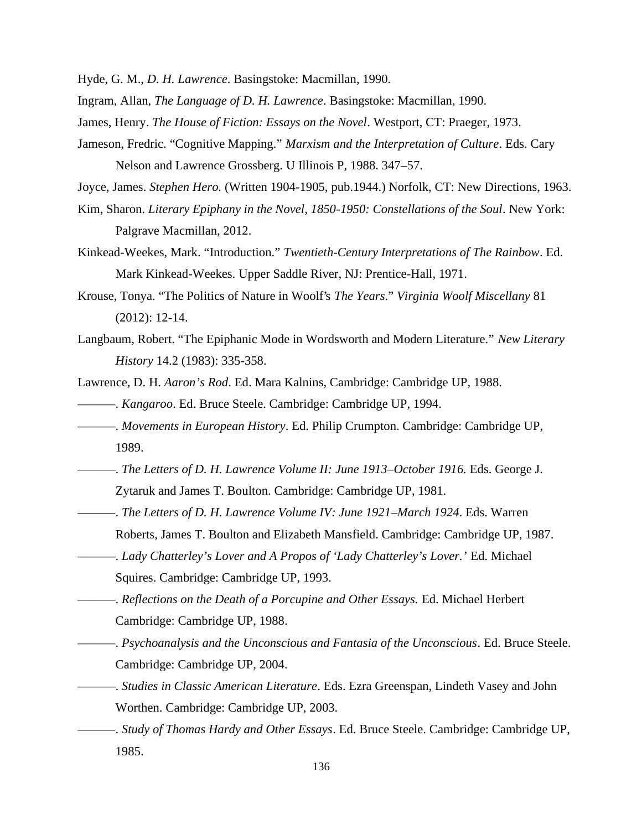Hyde, G. M., *D. H. Lawrence*. Basingstoke: Macmillan, 1990.

Ingram, Allan, *The Language of D. H. Lawrence*. Basingstoke: Macmillan, 1990.

- James, Henry. *The House of Fiction: Essays on the Novel*. Westport, CT: Praeger, 1973.
- Jameson, Fredric. "Cognitive Mapping." *Marxism and the Interpretation of Culture*. Eds. Cary Nelson and Lawrence Grossberg. U Illinois P, 1988. 347–57.

Joyce, James. *Stephen Hero.* (Written 1904-1905, pub.1944.) Norfolk, CT: New Directions, 1963.

- Kim, Sharon. *Literary Epiphany in the Novel, 1850-1950: Constellations of the Soul*. New York: Palgrave Macmillan, 2012.
- Kinkead-Weekes, Mark. "Introduction." *Twentieth-Century Interpretations of The Rainbow*. Ed. Mark Kinkead-Weekes. Upper Saddle River, NJ: Prentice-Hall, 1971.
- Krouse, Tonya. "The Politics of Nature in Woolf's *The Years*." *Virginia Woolf Miscellany* 81 (2012): 12-14.
- Langbaum, Robert. "The Epiphanic Mode in Wordsworth and Modern Literature." *New Literary History* 14.2 (1983): 335-358.
- Lawrence, D. H. *Aaron's Rod*. Ed. Mara Kalnins, Cambridge: Cambridge UP, 1988.
- ———. *Kangaroo*. Ed. Bruce Steele. Cambridge: Cambridge UP, 1994.
- ———. *Movements in European History*. Ed. Philip Crumpton. Cambridge: Cambridge UP, 1989.
- ———. *The Letters of D. H. Lawrence Volume II: June 1913–October 1916.* Eds. George J. Zytaruk and James T. Boulton. Cambridge: Cambridge UP, 1981.
- ———. *The Letters of D. H. Lawrence Volume IV: June 1921–March 1924*. Eds. Warren Roberts, James T. Boulton and Elizabeth Mansfield. Cambridge: Cambridge UP, 1987.
- ———. *Lady Chatterley's Lover and A Propos of 'Lady Chatterley's Lover.'* Ed. Michael Squires. Cambridge: Cambridge UP, 1993.
- ———. *Reflections on the Death of a Porcupine and Other Essays.* Ed. Michael Herbert Cambridge: Cambridge UP, 1988.
- ———. *Psychoanalysis and the Unconscious and Fantasia of the Unconscious*. Ed. Bruce Steele. Cambridge: Cambridge UP, 2004.
- ———. *Studies in Classic American Literature*. Eds. Ezra Greenspan, Lindeth Vasey and John Worthen. Cambridge: Cambridge UP, 2003.
- ———. *Study of Thomas Hardy and Other Essays*. Ed. Bruce Steele. Cambridge: Cambridge UP, 1985.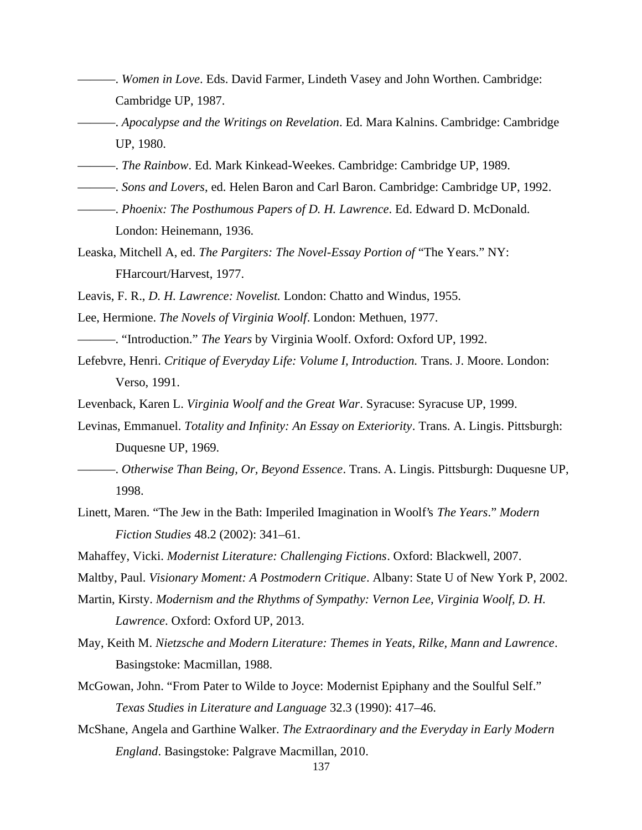- ———. *Women in Love*. Eds. David Farmer, Lindeth Vasey and John Worthen. Cambridge: Cambridge UP, 1987.
- ———. *Apocalypse and the Writings on Revelation*. Ed. Mara Kalnins. Cambridge: Cambridge UP, 1980.
- ———. *The Rainbow*. Ed. Mark Kinkead-Weekes. Cambridge: Cambridge UP, 1989.
- ———. *Sons and Lovers*, ed. Helen Baron and Carl Baron. Cambridge: Cambridge UP, 1992.
- ———. *Phoenix: The Posthumous Papers of D. H. Lawrence*. Ed. Edward D. McDonald. London: Heinemann, 1936.
- Leaska, Mitchell A, ed. *The Pargiters: The Novel-Essay Portion of* "The Years." NY: FHarcourt/Harvest, 1977.
- Leavis, F. R., *D. H. Lawrence: Novelist.* London: Chatto and Windus, 1955.
- Lee, Hermione. *The Novels of Virginia Woolf*. London: Methuen, 1977.
- ———. "Introduction." *The Years* by Virginia Woolf. Oxford: Oxford UP, 1992.
- Lefebvre, Henri. *Critique of Everyday Life: Volume I, Introduction.* Trans. J. Moore. London: Verso, 1991.
- Levenback, Karen L. *Virginia Woolf and the Great War*. Syracuse: Syracuse UP, 1999.
- Levinas, Emmanuel. *Totality and Infinity: An Essay on Exteriority*. Trans. A. Lingis. Pittsburgh: Duquesne UP, 1969.
- ———. *Otherwise Than Being, Or, Beyond Essence*. Trans. A. Lingis. Pittsburgh: Duquesne UP, 1998.
- Linett, Maren. "The Jew in the Bath: Imperiled Imagination in Woolf's *The Years*." *Modern Fiction Studies* 48.2 (2002): 341–61.
- Mahaffey, Vicki. *Modernist Literature: Challenging Fictions*. Oxford: Blackwell, 2007.
- Maltby, Paul. *Visionary Moment: A Postmodern Critique*. Albany: State U of New York P, 2002.
- Martin, Kirsty. *Modernism and the Rhythms of Sympathy: Vernon Lee, Virginia Woolf, D. H.*
	- *Lawrence*. Oxford: Oxford UP, 2013.
- May, Keith M. *Nietzsche and Modern Literature: Themes in Yeats, Rilke, Mann and Lawrence*. Basingstoke: Macmillan, 1988.
- McGowan, John. "From Pater to Wilde to Joyce: Modernist Epiphany and the Soulful Self." *Texas Studies in Literature and Language* 32.3 (1990): 417–46.
- McShane, Angela and Garthine Walker. *The Extraordinary and the Everyday in Early Modern England*. Basingstoke: Palgrave Macmillan, 2010.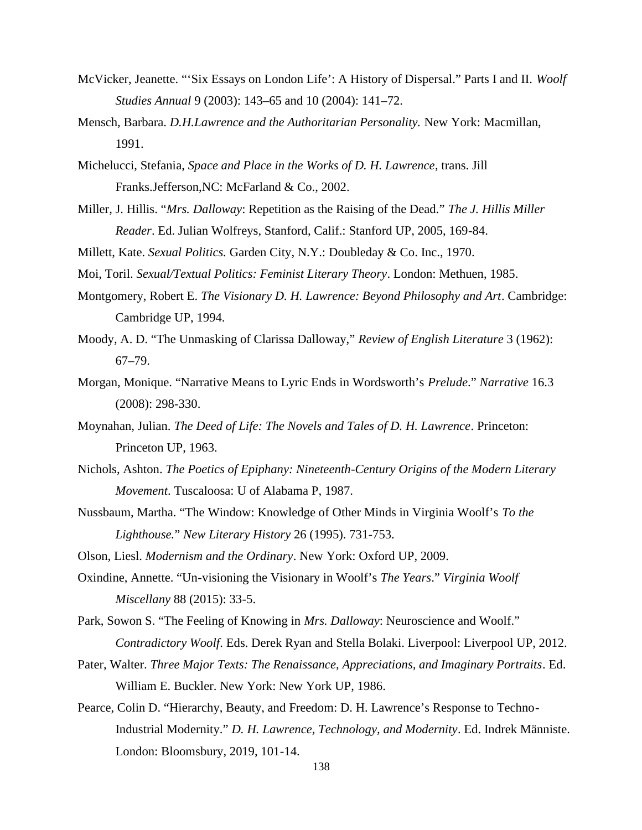- McVicker, Jeanette. "'Six Essays on London Life': A History of Dispersal." Parts I and II. *Woolf Studies Annual* 9 (2003): 143–65 and 10 (2004): 141–72.
- Mensch, Barbara. *D.H.Lawrence and the Authoritarian Personality.* New York: Macmillan, 1991.
- Michelucci, Stefania, *Space and Place in the Works of D. H. Lawrence*, trans. Jill Franks.Jefferson,NC: McFarland & Co., 2002.
- Miller, J. Hillis. "*Mrs. Dalloway*: Repetition as the Raising of the Dead." *The J. Hillis Miller Reader*. Ed. Julian Wolfreys, Stanford, Calif.: Stanford UP, 2005, 169-84.

Millett, Kate. *Sexual Politics.* Garden City, N.Y.: Doubleday & Co. Inc., 1970.

Moi, Toril. *Sexual/Textual Politics: Feminist Literary Theory*. London: Methuen, 1985.

- Montgomery, Robert E. *The Visionary D. H. Lawrence: Beyond Philosophy and Art*. Cambridge: Cambridge UP, 1994.
- Moody, A. D. "The Unmasking of Clarissa Dalloway," *Review of English Literature* 3 (1962): 67–79.
- Morgan, Monique. "Narrative Means to Lyric Ends in Wordsworth's *Prelude*." *Narrative* 16.3 (2008): 298-330.
- Moynahan, Julian. *The Deed of Life: The Novels and Tales of D. H. Lawrence*. Princeton: Princeton UP, 1963.
- Nichols, Ashton. *The Poetics of Epiphany: Nineteenth-Century Origins of the Modern Literary Movement*. Tuscaloosa: U of Alabama P, 1987.
- Nussbaum, Martha. "The Window: Knowledge of Other Minds in Virginia Woolf's *To the Lighthouse.*" *New Literary History* 26 (1995). 731-753.

Olson, Liesl. *Modernism and the Ordinary*. New York: Oxford UP, 2009.

- Oxindine, Annette. "Un-visioning the Visionary in Woolf's *The Years*." *Virginia Woolf Miscellany* 88 (2015): 33-5.
- Park, Sowon S. "The Feeling of Knowing in *Mrs. Dalloway*: Neuroscience and Woolf." *Contradictory Woolf*. Eds. Derek Ryan and Stella Bolaki. Liverpool: Liverpool UP, 2012.
- Pater, Walter. *Three Major Texts: The Renaissance, Appreciations, and Imaginary Portraits*. Ed. William E. Buckler. New York: New York UP, 1986.
- Pearce, Colin D. "Hierarchy, Beauty, and Freedom: D. H. Lawrence's Response to Techno-Industrial Modernity." *D. H. Lawrence, Technology, and Modernity*. Ed. Indrek Männiste. London: Bloomsbury, 2019, 101-14.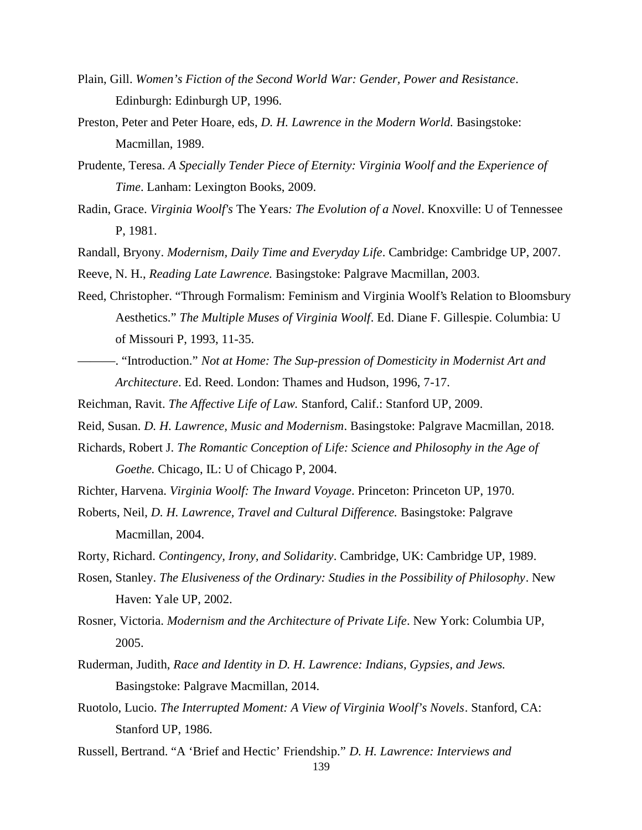- Plain, Gill. *Women's Fiction of the Second World War: Gender, Power and Resistance*. Edinburgh: Edinburgh UP, 1996.
- Preston, Peter and Peter Hoare, eds, *D. H. Lawrence in the Modern World.* Basingstoke: Macmillan, 1989.
- Prudente, Teresa. *A Specially Tender Piece of Eternity: Virginia Woolf and the Experience of Time*. Lanham: Lexington Books, 2009.
- Radin, Grace. *Virginia Woolf's* The Years*: The Evolution of a Novel*. Knoxville: U of Tennessee P, 1981.
- Randall, Bryony. *Modernism, Daily Time and Everyday Life*. Cambridge: Cambridge UP, 2007.
- Reeve, N. H., *Reading Late Lawrence.* Basingstoke: Palgrave Macmillan, 2003.
- Reed, Christopher. "Through Formalism: Feminism and Virginia Woolf's Relation to Bloomsbury Aesthetics." *The Multiple Muses of Virginia Woolf*. Ed. Diane F. Gillespie. Columbia: U of Missouri P, 1993, 11-35.
- ———. "Introduction." *Not at Home: The Sup-pression of Domesticity in Modernist Art and Architecture*. Ed. Reed. London: Thames and Hudson, 1996, 7-17.
- Reichman, Ravit. *The Affective Life of Law.* Stanford, Calif.: Stanford UP, 2009.
- Reid, Susan. *D. H. Lawrence, Music and Modernism*. Basingstoke: Palgrave Macmillan, 2018.
- Richards, Robert J. *The Romantic Conception of Life: Science and Philosophy in the Age of Goethe.* Chicago, IL: U of Chicago P, 2004.
- Richter, Harvena. *Virginia Woolf: The Inward Voyage*. Princeton: Princeton UP, 1970.
- Roberts, Neil, *D. H. Lawrence, Travel and Cultural Difference.* Basingstoke: Palgrave Macmillan, 2004.
- Rorty, Richard. *Contingency, Irony, and Solidarity*. Cambridge, UK: Cambridge UP, 1989.
- Rosen, Stanley. *The Elusiveness of the Ordinary: Studies in the Possibility of Philosophy*. New Haven: Yale UP, 2002.
- Rosner, Victoria. *Modernism and the Architecture of Private Life*. New York: Columbia UP, 2005.
- Ruderman, Judith, *Race and Identity in D. H. Lawrence: Indians, Gypsies, and Jews.* Basingstoke: Palgrave Macmillan, 2014.
- Ruotolo, Lucio. *The Interrupted Moment: A View of Virginia Woolf's Novels*. Stanford, CA: Stanford UP, 1986.
- 139 Russell, Bertrand. "A 'Brief and Hectic' Friendship." *D. H. Lawrence: Interviews and*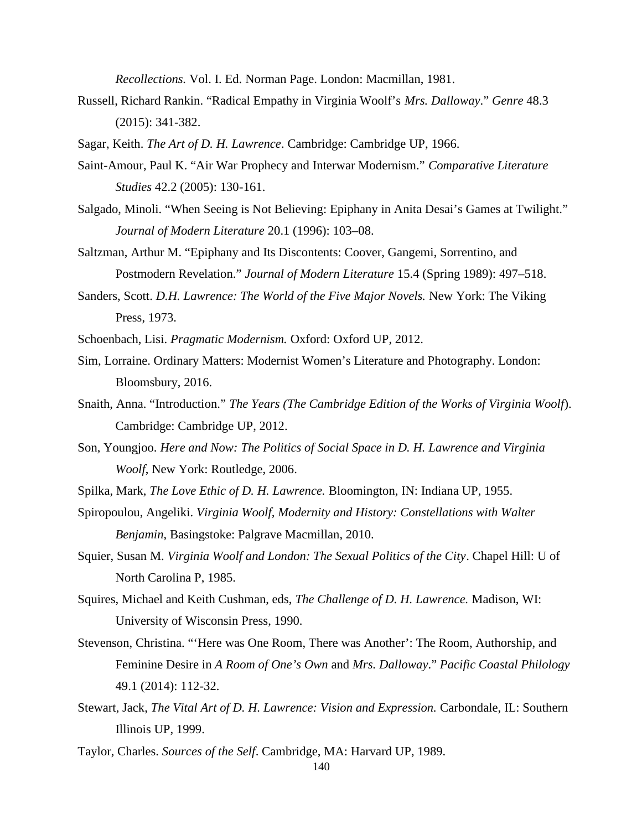*Recollections.* Vol. I. Ed. Norman Page. London: Macmillan, 1981.

- Russell, Richard Rankin. "Radical Empathy in Virginia Woolf's *Mrs. Dalloway*." *Genre* 48.3 (2015): 341-382.
- Sagar, Keith. *The Art of D. H. Lawrence*. Cambridge: Cambridge UP, 1966.
- Saint-Amour, Paul K. "Air War Prophecy and Interwar Modernism." *Comparative Literature Studies* 42.2 (2005): 130-161.
- Salgado, Minoli. "When Seeing is Not Believing: Epiphany in Anita Desai's Games at Twilight." *Journal of Modern Literature* 20.1 (1996): 103–08.
- Saltzman, Arthur M. "Epiphany and Its Discontents: Coover, Gangemi, Sorrentino, and Postmodern Revelation." *Journal of Modern Literature* 15.4 (Spring 1989): 497–518.
- Sanders, Scott. *D.H. Lawrence: The World of the Five Major Novels.* New York: The Viking Press, 1973.
- Schoenbach, Lisi. *Pragmatic Modernism.* Oxford: Oxford UP, 2012.
- Sim, Lorraine. Ordinary Matters: Modernist Women's Literature and Photography. London: Bloomsbury, 2016.
- Snaith, Anna. "Introduction." *The Years (The Cambridge Edition of the Works of Virginia Woolf*). Cambridge: Cambridge UP, 2012.
- Son, Youngjoo. *Here and Now: The Politics of Social Space in D. H. Lawrence and Virginia Woolf*, New York: Routledge, 2006.
- Spilka, Mark, *The Love Ethic of D. H. Lawrence.* Bloomington, IN: Indiana UP, 1955.
- Spiropoulou, Angeliki. *Virginia Woolf, Modernity and History: Constellations with Walter Benjamin*, Basingstoke: Palgrave Macmillan, 2010.
- Squier, Susan M. *Virginia Woolf and London: The Sexual Politics of the City*. Chapel Hill: U of North Carolina P, 1985.
- Squires, Michael and Keith Cushman, eds, *The Challenge of D. H. Lawrence.* Madison, WI: University of Wisconsin Press, 1990.
- Stevenson, Christina. "'Here was One Room, There was Another': The Room, Authorship, and Feminine Desire in *A Room of One's Own* and *Mrs. Dalloway*." *Pacific Coastal Philology* 49.1 (2014): 112-32.
- Stewart, Jack, *The Vital Art of D. H. Lawrence: Vision and Expression.* Carbondale, IL: Southern Illinois UP, 1999.
- Taylor, Charles. *Sources of the Self*. Cambridge, MA: Harvard UP, 1989.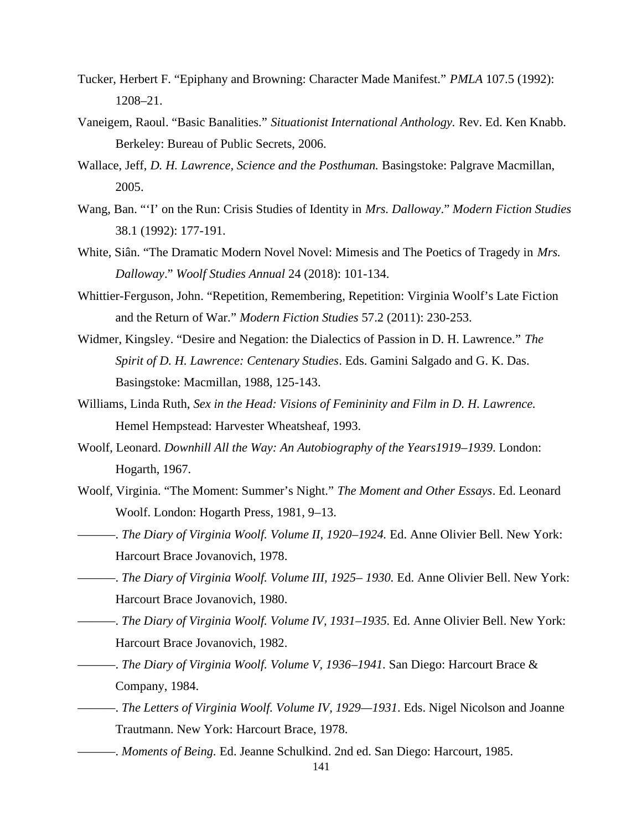- Tucker, Herbert F. "Epiphany and Browning: Character Made Manifest." *PMLA* 107.5 (1992): 1208–21.
- Vaneigem, Raoul. "Basic Banalities." *Situationist International Anthology.* Rev. Ed. Ken Knabb. Berkeley: Bureau of Public Secrets, 2006.
- Wallace, Jeff, *D. H. Lawrence, Science and the Posthuman.* Basingstoke: Palgrave Macmillan, 2005.
- Wang, Ban. "'I' on the Run: Crisis Studies of Identity in *Mrs. Dalloway*." *Modern Fiction Studies* 38.1 (1992): 177-191.
- White, Siân. "The Dramatic Modern Novel Novel: Mimesis and The Poetics of Tragedy in *Mrs. Dalloway*." *Woolf Studies Annual* 24 (2018): 101-134.
- Whittier-Ferguson, John. "Repetition, Remembering, Repetition: Virginia Woolf's Late Fiction and the Return of War." *Modern Fiction Studies* 57.2 (2011): 230-253.
- Widmer, Kingsley. "Desire and Negation: the Dialectics of Passion in D. H. Lawrence." *The Spirit of D. H. Lawrence: Centenary Studies*. Eds. Gamini Salgado and G. K. Das. Basingstoke: Macmillan, 1988, 125-143.
- Williams, Linda Ruth, *Sex in the Head: Visions of Femininity and Film in D. H. Lawrence.* Hemel Hempstead: Harvester Wheatsheaf, 1993.
- Woolf, Leonard. *Downhill All the Way: An Autobiography of the Years1919–1939*. London: Hogarth, 1967.
- Woolf, Virginia. "The Moment: Summer's Night." *The Moment and Other Essays*. Ed. Leonard Woolf. London: Hogarth Press, 1981, 9–13.
	- ———. *The Diary of Virginia Woolf. Volume II, 1920–1924.* Ed. Anne Olivier Bell. New York: Harcourt Brace Jovanovich, 1978.
- ———. *The Diary of Virginia Woolf. Volume III, 1925– 1930.* Ed. Anne Olivier Bell. New York: Harcourt Brace Jovanovich, 1980.
- ———. *The Diary of Virginia Woolf. Volume IV, 1931–1935.* Ed. Anne Olivier Bell. New York: Harcourt Brace Jovanovich, 1982.
- ———. *The Diary of Virginia Woolf. Volume V, 1936–1941.* San Diego: Harcourt Brace & Company, 1984.
- ———. *The Letters of Virginia Woolf. Volume IV, 1929—1931*. Eds. Nigel Nicolson and Joanne Trautmann. New York: Harcourt Brace, 1978.
- ———. *Moments of Being.* Ed. Jeanne Schulkind. 2nd ed. San Diego: Harcourt, 1985.